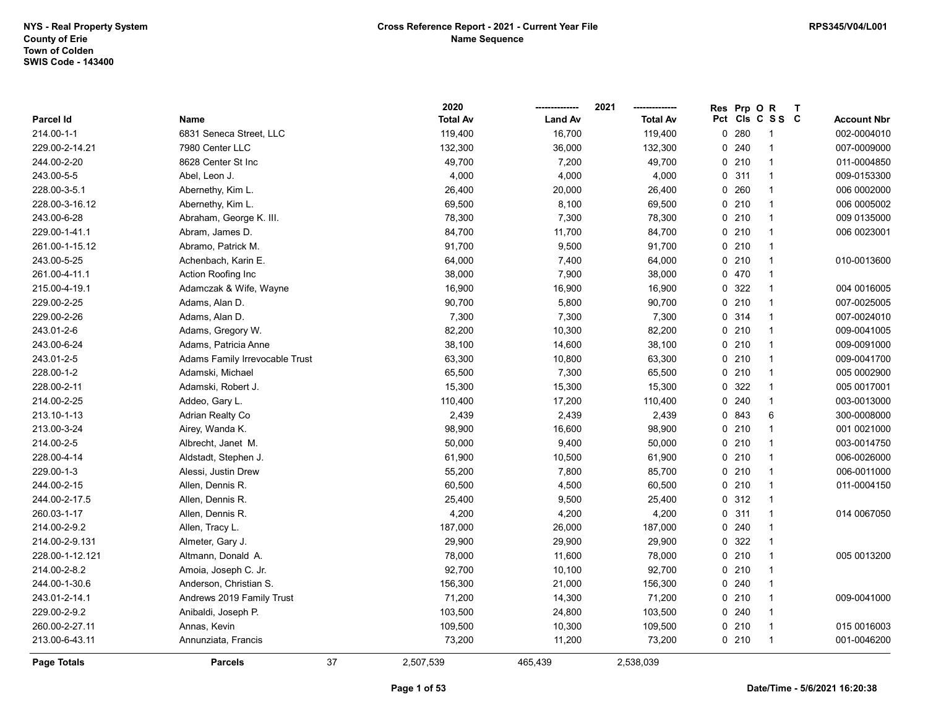|                 |                                |    | 2020            |                | 2021            | <b>Res</b> | Prp O           | $\mathsf{R}$   | $\mathbf{T}$ |                    |
|-----------------|--------------------------------|----|-----------------|----------------|-----------------|------------|-----------------|----------------|--------------|--------------------|
| Parcel Id       | Name                           |    | <b>Total Av</b> | <b>Land Av</b> | <b>Total Av</b> |            | Pct Cls C S S C |                |              | <b>Account Nbr</b> |
| 214.00-1-1      | 6831 Seneca Street, LLC        |    | 119,400         | 16,700         | 119,400         | 0          | 280             |                |              | 002-0004010        |
| 229.00-2-14.21  | 7980 Center LLC                |    | 132,300         | 36,000         | 132,300         |            | 0.240           | -1             |              | 007-0009000        |
| 244.00-2-20     | 8628 Center St Inc             |    | 49,700          | 7,200          | 49,700          |            | 0210            | $\overline{1}$ |              | 011-0004850        |
| 243.00-5-5      | Abel, Leon J.                  |    | 4,000           | 4,000          | 4,000           | 0          | 311             | $\overline{1}$ |              | 009-0153300        |
| 228.00-3-5.1    | Abernethy, Kim L.              |    | 26,400          | 20,000         | 26,400          | $\Omega$   | 260             | $\overline{1}$ |              | 006 0002000        |
| 228.00-3-16.12  | Abernethy, Kim L.              |    | 69,500          | 8,100          | 69,500          |            | 0210            | -1             |              | 006 0005002        |
| 243.00-6-28     | Abraham, George K. III.        |    | 78,300          | 7,300          | 78,300          |            | 0210            | -1             |              | 009 0135000        |
| 229.00-1-41.1   | Abram, James D.                |    | 84,700          | 11,700         | 84,700          |            | 0210            | -1             |              | 006 0023001        |
| 261.00-1-15.12  | Abramo, Patrick M.             |    | 91,700          | 9,500          | 91,700          |            | 0210            | -1             |              |                    |
| 243.00-5-25     | Achenbach, Karin E.            |    | 64,000          | 7,400          | 64,000          |            | 0210            | $\mathbf 1$    |              | 010-0013600        |
| 261.00-4-11.1   | Action Roofing Inc             |    | 38,000          | 7,900          | 38,000          | 0          | 470             | $\mathbf{1}$   |              |                    |
| 215.00-4-19.1   | Adamczak & Wife, Wayne         |    | 16,900          | 16,900         | 16,900          | 0          | 322             | $\overline{1}$ |              | 004 0016005        |
| 229.00-2-25     | Adams, Alan D.                 |    | 90,700          | 5,800          | 90,700          |            | 0210            | $\mathbf{1}$   |              | 007-0025005        |
| 229.00-2-26     | Adams, Alan D.                 |    | 7,300           | 7,300          | 7,300           |            | 0 314           |                |              | 007-0024010        |
| 243.01-2-6      | Adams, Gregory W.              |    | 82,200          | 10,300         | 82,200          |            | 0210            | -1             |              | 009-0041005        |
| 243.00-6-24     | Adams, Patricia Anne           |    | 38,100          | 14,600         | 38,100          |            | 0210            | -1             |              | 009-0091000        |
| 243.01-2-5      | Adams Family Irrevocable Trust |    | 63,300          | 10,800         | 63,300          |            | 0210            | $\overline{1}$ |              | 009-0041700        |
| 228.00-1-2      | Adamski, Michael               |    | 65,500          | 7,300          | 65,500          | 0          | 210             | $\mathbf{1}$   |              | 005 0002900        |
| 228.00-2-11     | Adamski, Robert J.             |    | 15,300          | 15,300         | 15,300          | $\Omega$   | 322             | $\overline{1}$ |              | 005 0017001        |
| 214.00-2-25     | Addeo, Gary L.                 |    | 110,400         | 17,200         | 110,400         |            | 0.240           | $\mathbf{1}$   |              | 003-0013000        |
| 213.10-1-13     | Adrian Realty Co               |    | 2,439           | 2,439          | 2,439           |            | 0 843           | 6              |              | 300-0008000        |
| 213.00-3-24     | Airey, Wanda K.                |    | 98,900          | 16,600         | 98,900          |            | 0210            | -1             |              | 001 0021000        |
| 214.00-2-5      | Albrecht, Janet M.             |    | 50,000          | 9,400          | 50,000          |            | 0210            | -1             |              | 003-0014750        |
| 228.00-4-14     | Aldstadt, Stephen J.           |    | 61,900          | 10,500         | 61,900          |            | 0210            | $\overline{1}$ |              | 006-0026000        |
| 229.00-1-3      | Alessi, Justin Drew            |    | 55,200          | 7,800          | 85,700          |            | 0210            | 1              |              | 006-0011000        |
| 244.00-2-15     | Allen, Dennis R.               |    | 60,500          | 4,500          | 60,500          |            | 0210            | $\mathbf 1$    |              | 011-0004150        |
| 244.00-2-17.5   | Allen, Dennis R.               |    | 25,400          | 9,500          | 25,400          |            | 0.312           | -1             |              |                    |
| 260.03-1-17     | Allen, Dennis R.               |    | 4,200           | 4,200          | 4,200           |            | 0.311           | -1             |              | 014 0067050        |
| 214.00-2-9.2    | Allen, Tracy L.                |    | 187,000         | 26,000         | 187,000         |            | 0.240           |                |              |                    |
| 214.00-2-9.131  | Almeter, Gary J.               |    | 29,900          | 29,900         | 29,900          |            | 0 322           | -1             |              |                    |
| 228.00-1-12.121 | Altmann, Donald A.             |    | 78,000          | 11,600         | 78,000          |            | 0210            | $\mathbf{1}$   |              | 005 0013200        |
| 214.00-2-8.2    | Amoia, Joseph C. Jr.           |    | 92,700          | 10,100         | 92,700          |            | 0210            | 1              |              |                    |
| 244.00-1-30.6   | Anderson, Christian S.         |    | 156,300         | 21,000         | 156,300         |            | 0.240           | $\mathbf{1}$   |              |                    |
| 243.01-2-14.1   | Andrews 2019 Family Trust      |    | 71,200          | 14,300         | 71,200          |            | 0210            | -1             |              | 009-0041000        |
| 229.00-2-9.2    | Anibaldi, Joseph P.            |    | 103,500         | 24,800         | 103,500         |            | 0.240           | -1             |              |                    |
| 260.00-2-27.11  | Annas, Kevin                   |    | 109,500         | 10,300         | 109,500         |            | 0210            | $\overline{1}$ |              | 015 0016003        |
| 213.00-6-43.11  | Annunziata, Francis            |    | 73,200          | 11,200         | 73,200          |            | 0210            | $\overline{1}$ |              | 001-0046200        |
| Page Totals     | <b>Parcels</b>                 | 37 | 2,507,539       | 465,439        | 2,538,039       |            |                 |                |              |                    |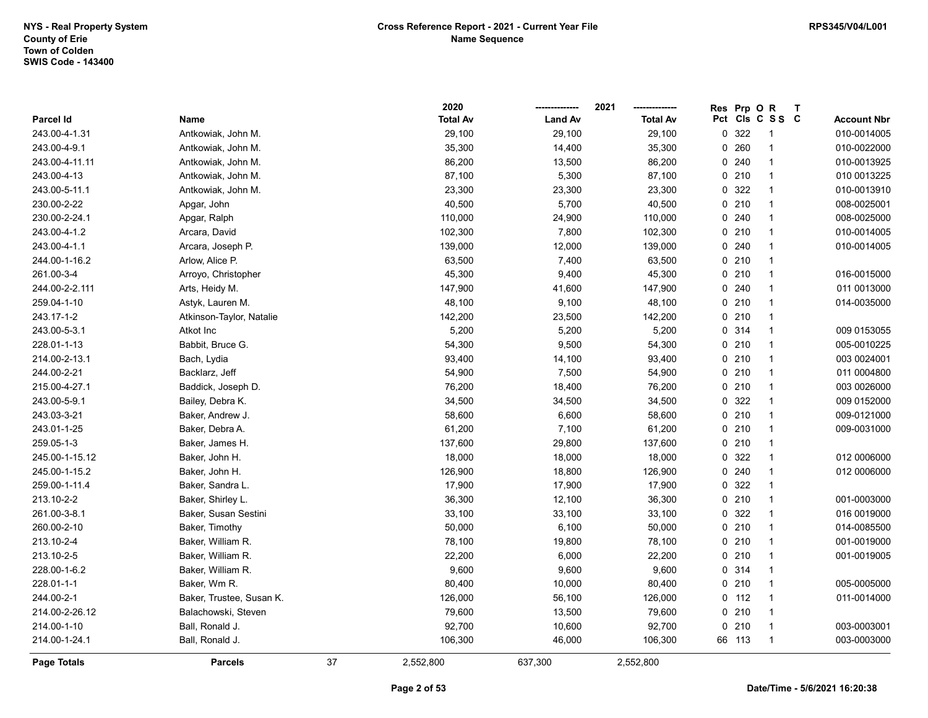|                |                          |    | 2020            |                | 2021            | <b>Res</b> | Prp O   | $\mathsf{R}$            | $\mathbf{T}$ |                    |
|----------------|--------------------------|----|-----------------|----------------|-----------------|------------|---------|-------------------------|--------------|--------------------|
| Parcel Id      | Name                     |    | <b>Total Av</b> | <b>Land Av</b> | <b>Total Av</b> |            |         | Pct Cls C S S C         |              | <b>Account Nbr</b> |
| 243.00-4-1.31  | Antkowiak, John M.       |    | 29,100          | 29,100         | 29,100          | 0          | 322     | -1                      |              | 010-0014005        |
| 243.00-4-9.1   | Antkowiak, John M.       |    | 35,300          | 14,400         | 35,300          | 0          | 260     |                         |              | 010-0022000        |
| 243.00-4-11.11 | Antkowiak, John M.       |    | 86,200          | 13,500         | 86,200          |            | 0.240   | -1                      |              | 010-0013925        |
| 243.00-4-13    | Antkowiak, John M.       |    | 87,100          | 5,300          | 87,100          | 0          | 210     | $\mathbf 1$             |              | 010 0013225        |
| 243.00-5-11.1  | Antkowiak, John M.       |    | 23,300          | 23,300         | 23,300          | $\Omega$   | 322     | $\mathbf{1}$            |              | 010-0013910        |
| 230.00-2-22    | Apgar, John              |    | 40,500          | 5,700          | 40,500          |            | $0$ 210 | $\mathbf{1}$            |              | 008-0025001        |
| 230.00-2-24.1  | Apgar, Ralph             |    | 110,000         | 24,900         | 110,000         |            | 0.240   | $\mathbf{1}$            |              | 008-0025000        |
| 243.00-4-1.2   | Arcara, David            |    | 102,300         | 7,800          | 102,300         |            | 0210    | $\mathbf{1}$            |              | 010-0014005        |
| 243.00-4-1.1   | Arcara, Joseph P.        |    | 139,000         | 12,000         | 139,000         |            | 0.240   | $\overline{\mathbf{1}}$ |              | 010-0014005        |
| 244.00-1-16.2  | Arlow, Alice P.          |    | 63,500          | 7,400          | 63,500          |            | 0210    | -1                      |              |                    |
| 261.00-3-4     | Arroyo, Christopher      |    | 45,300          | 9,400          | 45,300          | 0          | 210     | $\mathbf 1$             |              | 016-0015000        |
| 244.00-2-2.111 | Arts, Heidy M.           |    | 147,900         | 41,600         | 147,900         |            | 0.240   | $\mathbf 1$             |              | 011 0013000        |
| 259.04-1-10    | Astyk, Lauren M.         |    | 48,100          | 9,100          | 48,100          |            | $0$ 210 | $\mathbf{1}$            |              | 014-0035000        |
| 243.17-1-2     | Atkinson-Taylor, Natalie |    | 142,200         | 23,500         | 142,200         |            | $0$ 210 | -1                      |              |                    |
| 243.00-5-3.1   | Atkot Inc                |    | 5,200           | 5,200          | 5,200           |            | 0 314   | -1                      |              | 009 0153055        |
| 228.01-1-13    | Babbit, Bruce G.         |    | 54,300          | 9,500          | 54,300          |            | 0210    | $\overline{\mathbf{1}}$ |              | 005-0010225        |
| 214.00-2-13.1  | Bach, Lydia              |    | 93,400          | 14,100         | 93,400          |            | 0210    | $\mathbf{1}$            |              | 003 0024001        |
| 244.00-2-21    | Backlarz, Jeff           |    | 54,900          | 7,500          | 54,900          |            | $0$ 210 | $\mathbf 1$             |              | 011 0004800        |
| 215.00-4-27.1  | Baddick, Joseph D.       |    | 76,200          | 18,400         | 76,200          |            | 0210    | $\mathbf 1$             |              | 003 0026000        |
| 243.00-5-9.1   | Bailey, Debra K.         |    | 34,500          | 34,500         | 34,500          |            | 0 322   | $\mathbf{1}$            |              | 009 0152000        |
| 243.03-3-21    | Baker, Andrew J.         |    | 58,600          | 6,600          | 58,600          |            | $0$ 210 | $\mathbf{1}$            |              | 009-0121000        |
| 243.01-1-25    | Baker, Debra A.          |    | 61,200          | 7,100          | 61,200          |            | $0$ 210 | -1                      |              | 009-0031000        |
| 259.05-1-3     | Baker, James H.          |    | 137,600         | 29,800         | 137,600         |            | $0$ 210 | $\overline{\mathbf{1}}$ |              |                    |
| 245.00-1-15.12 | Baker, John H.           |    | 18,000          | 18,000         | 18,000          | 0          | 322     | $\mathbf{1}$            |              | 012 0006000        |
| 245.00-1-15.2  | Baker, John H.           |    | 126,900         | 18,800         | 126,900         |            | 0.240   | $\overline{1}$          |              | 012 0006000        |
| 259.00-1-11.4  | Baker, Sandra L.         |    | 17,900          | 17,900         | 17,900          | $\Omega$   | 322     | $\mathbf 1$             |              |                    |
| 213.10-2-2     | Baker, Shirley L.        |    | 36,300          | 12,100         | 36,300          |            | 0210    | $\mathbf{1}$            |              | 001-0003000        |
| 261.00-3-8.1   | Baker, Susan Sestini     |    | 33,100          | 33,100         | 33,100          |            | 0.322   | -1                      |              | 016 0019000        |
| 260.00-2-10    | Baker, Timothy           |    | 50,000          | 6,100          | 50,000          |            | $0$ 210 | $\overline{\mathbf{1}}$ |              | 014-0085500        |
| 213.10-2-4     | Baker, William R.        |    | 78,100          | 19,800         | 78,100          |            | $0$ 210 | -1                      |              | 001-0019000        |
| 213.10-2-5     | Baker, William R.        |    | 22,200          | 6,000          | 22,200          |            | 0210    | $\mathbf{1}$            |              | 001-0019005        |
| 228.00-1-6.2   | Baker, William R.        |    | 9,600           | 9,600          | 9,600           |            | 0.314   | $\mathbf{1}$            |              |                    |
| 228.01-1-1     | Baker, Wm R.             |    | 80,400          | 10,000         | 80,400          |            | 0210    | $\mathbf{1}$            |              | 005-0005000        |
| 244.00-2-1     | Baker, Trustee, Susan K. |    | 126,000         | 56,100         | 126,000         |            | $0$ 112 | $\mathbf 1$             |              | 011-0014000        |
| 214.00-2-26.12 | Balachowski, Steven      |    | 79,600          | 13,500         | 79,600          |            | 0210    | $\mathbf{1}$            |              |                    |
| 214.00-1-10    | Ball, Ronald J.          |    | 92,700          | 10,600         | 92,700          |            | $0$ 210 | $\mathbf{1}$            |              | 003-0003001        |
| 214.00-1-24.1  | Ball, Ronald J.          |    | 106,300         | 46,000         | 106,300         |            | 66 113  | $\overline{\mathbf{1}}$ |              | 003-0003000        |
| Page Totals    | <b>Parcels</b>           | 37 | 2,552,800       | 637,300        | 2,552,800       |            |         |                         |              |                    |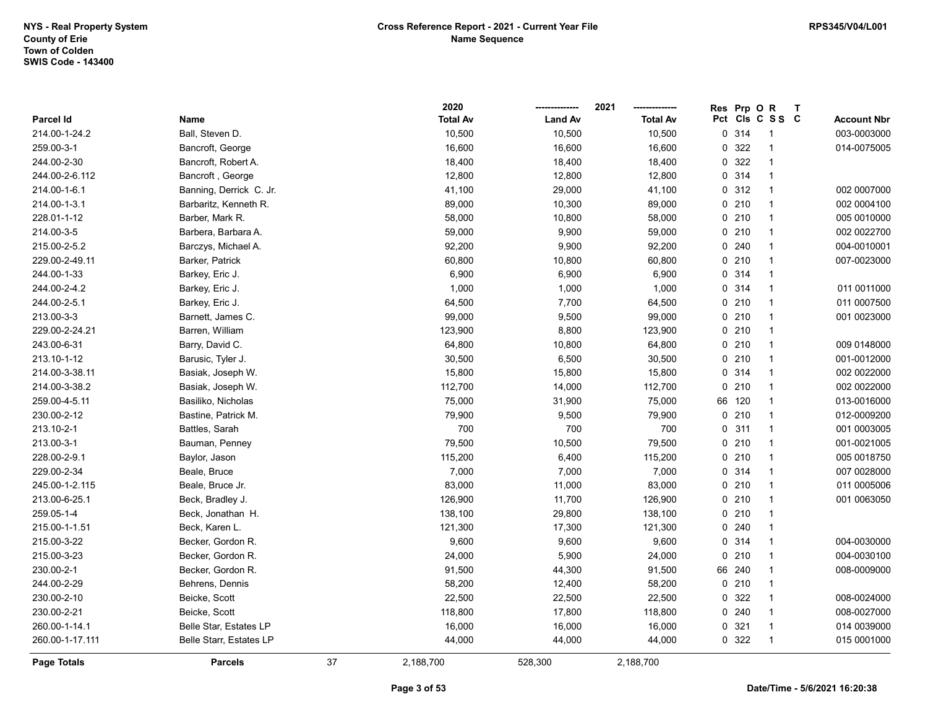|                 |                         |    | 2020            |                | 2021            | <b>Res</b> | Prp O   | $\mathsf{R}$    | $\mathbf{T}$ |                    |
|-----------------|-------------------------|----|-----------------|----------------|-----------------|------------|---------|-----------------|--------------|--------------------|
| Parcel Id       | Name                    |    | <b>Total Av</b> | <b>Land Av</b> | <b>Total Av</b> |            |         | Pct Cls C S S C |              | <b>Account Nbr</b> |
| 214.00-1-24.2   | Ball, Steven D.         |    | 10,500          | 10,500         | 10,500          |            | 0 314   |                 |              | 003-0003000        |
| 259.00-3-1      | Bancroft, George        |    | 16,600          | 16,600         | 16,600          | 0          | 322     | $\overline{1}$  |              | 014-0075005        |
| 244.00-2-30     | Bancroft, Robert A.     |    | 18,400          | 18,400         | 18,400          |            | 0 322   | $\overline{1}$  |              |                    |
| 244.00-2-6.112  | Bancroft, George        |    | 12,800          | 12,800         | 12,800          |            | 0.314   | $\overline{1}$  |              |                    |
| 214.00-1-6.1    | Banning, Derrick C. Jr. |    | 41,100          | 29,000         | 41,100          |            | 0.312   | $\mathbf{1}$    |              | 002 0007000        |
| 214.00-1-3.1    | Barbaritz, Kenneth R.   |    | 89,000          | 10,300         | 89,000          |            | 0210    | -1              |              | 002 0004100        |
| 228.01-1-12     | Barber, Mark R.         |    | 58,000          | 10,800         | 58,000          |            | 0210    | $\overline{1}$  |              | 005 0010000        |
| 214.00-3-5      | Barbera, Barbara A.     |    | 59,000          | 9,900          | 59,000          |            | $0$ 210 | -1              |              | 002 0022700        |
| 215.00-2-5.2    | Barczys, Michael A.     |    | 92,200          | 9,900          | 92,200          |            | 0.240   | $\overline{1}$  |              | 004-0010001        |
| 229.00-2-49.11  | Barker, Patrick         |    | 60,800          | 10,800         | 60,800          |            | 0210    | $\overline{1}$  |              | 007-0023000        |
| 244.00-1-33     | Barkey, Eric J.         |    | 6,900           | 6,900          | 6,900           |            | 0 314   | $\overline{1}$  |              |                    |
| 244.00-2-4.2    | Barkey, Eric J.         |    | 1,000           | 1,000          | 1,000           |            | 0.314   | $\mathbf{1}$    |              | 011 0011000        |
| 244.00-2-5.1    | Barkey, Eric J.         |    | 64,500          | 7,700          | 64,500          |            | $0$ 210 | 1               |              | 011 0007500        |
| 213.00-3-3      | Barnett, James C.       |    | 99,000          | 9,500          | 99,000          |            | 0210    | $\overline{1}$  |              | 001 0023000        |
| 229.00-2-24.21  | Barren, William         |    | 123,900         | 8,800          | 123,900         |            | 0210    | $\overline{1}$  |              |                    |
| 243.00-6-31     | Barry, David C.         |    | 64,800          | 10,800         | 64,800          |            | 0210    | -1              |              | 009 0148000        |
| 213.10-1-12     | Barusic, Tyler J.       |    | 30,500          | 6,500          | 30,500          |            | 0210    | $\overline{1}$  |              | 001-0012000        |
| 214.00-3-38.11  | Basiak, Joseph W.       |    | 15,800          | 15,800         | 15,800          |            | 0.314   | $\overline{1}$  |              | 002 0022000        |
| 214.00-3-38.2   | Basiak, Joseph W.       |    | 112,700         | 14,000         | 112,700         |            | 0210    | $\overline{1}$  |              | 002 0022000        |
| 259.00-4-5.11   | Basiliko, Nicholas      |    | 75,000          | 31,900         | 75,000          |            | 66 120  | 1               |              | 013-0016000        |
| 230.00-2-12     | Bastine, Patrick M.     |    | 79,900          | 9,500          | 79,900          |            | 0210    | $\overline{1}$  |              | 012-0009200        |
| 213.10-2-1      | Battles, Sarah          |    | 700             | 700            | 700             |            | 0.311   | $\overline{1}$  |              | 001 0003005        |
| 213.00-3-1      | Bauman, Penney          |    | 79,500          | 10,500         | 79,500          |            | 0210    | $\overline{1}$  |              | 001-0021005        |
| 228.00-2-9.1    | Baylor, Jason           |    | 115,200         | 6,400          | 115,200         |            | 0210    | $\overline{1}$  |              | 005 0018750        |
| 229.00-2-34     | Beale, Bruce            |    | 7,000           | 7,000          | 7,000           |            | 0.314   | $\overline{1}$  |              | 007 0028000        |
| 245.00-1-2.115  | Beale, Bruce Jr.        |    | 83,000          | 11,000         | 83,000          |            | 0210    | -1              |              | 011 0005006        |
| 213.00-6-25.1   | Beck, Bradley J.        |    | 126,900         | 11,700         | 126,900         |            | 0210    | $\overline{1}$  |              | 001 0063050        |
| 259.05-1-4      | Beck, Jonathan H.       |    | 138,100         | 29,800         | 138,100         |            | 0210    | -1              |              |                    |
| 215.00-1-1.51   | Beck, Karen L.          |    | 121,300         | 17,300         | 121,300         |            | 0.240   | $\overline{1}$  |              |                    |
| 215.00-3-22     | Becker, Gordon R.       |    | 9,600           | 9,600          | 9,600           |            | 0.314   | $\overline{1}$  |              | 004-0030000        |
| 215.00-3-23     | Becker, Gordon R.       |    | 24,000          | 5,900          | 24,000          | 0          | 210     | $\mathbf{1}$    |              | 004-0030100        |
| 230.00-2-1      | Becker, Gordon R.       |    | 91,500          | 44,300         | 91,500          | 66         | 240     | -1              |              | 008-0009000        |
| 244.00-2-29     | Behrens, Dennis         |    | 58,200          | 12,400         | 58,200          |            | 0210    | $\overline{1}$  |              |                    |
| 230.00-2-10     | Beicke, Scott           |    | 22,500          | 22,500         | 22,500          |            | 0 322   | $\overline{1}$  |              | 008-0024000        |
| 230.00-2-21     | Beicke, Scott           |    | 118,800         | 17,800         | 118,800         |            | 0.240   | $\overline{1}$  |              | 008-0027000        |
| 260.00-1-14.1   | Belle Star, Estates LP  |    | 16,000          | 16,000         | 16,000          |            | 0.321   | $\overline{1}$  |              | 014 0039000        |
| 260.00-1-17.111 | Belle Starr, Estates LP |    | 44,000          | 44,000         | 44,000          |            | 0 322   | -1              |              | 015 0001000        |
| Page Totals     | <b>Parcels</b>          | 37 | 2,188,700       | 528,300        | 2,188,700       |            |         |                 |              |                    |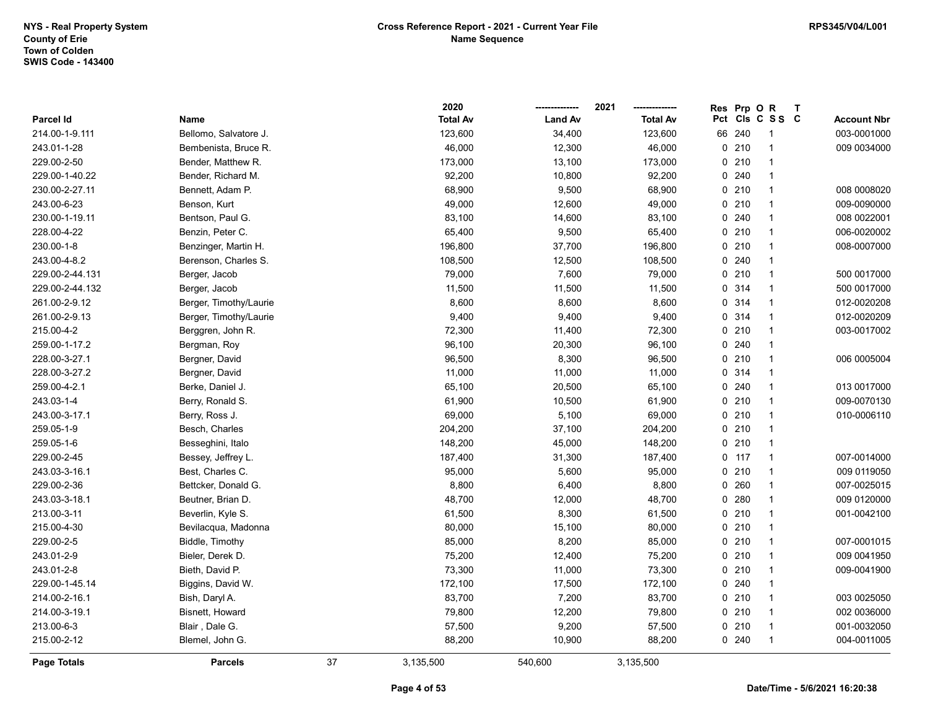|                  |                        |    | 2020            |                | 2021            | <b>Res</b>      | Prp O | $\mathsf{R}$   | $\mathbf{T}$ |                    |
|------------------|------------------------|----|-----------------|----------------|-----------------|-----------------|-------|----------------|--------------|--------------------|
| <b>Parcel Id</b> | Name                   |    | <b>Total Av</b> | <b>Land Av</b> | <b>Total Av</b> | Pct Cls C S S C |       |                |              | <b>Account Nbr</b> |
| 214.00-1-9.111   | Bellomo, Salvatore J.  |    | 123,600         | 34,400         | 123,600         | 66              | 240   | -1             |              | 003-0001000        |
| 243.01-1-28      | Bembenista, Bruce R.   |    | 46,000          | 12,300         | 46,000          | $0$ 210         |       |                |              | 009 0034000        |
| 229.00-2-50      | Bender, Matthew R.     |    | 173,000         | 13,100         | 173,000         | 0210            |       | $\mathbf{1}$   |              |                    |
| 229.00-1-40.22   | Bender, Richard M.     |    | 92,200          | 10,800         | 92,200          | 0.240           |       | $\mathbf{1}$   |              |                    |
| 230.00-2-27.11   | Bennett, Adam P.       |    | 68,900          | 9,500          | 68,900          | 0210            |       | $\mathbf{1}$   |              | 008 0008020        |
| 243.00-6-23      | Benson, Kurt           |    | 49,000          | 12,600         | 49,000          | $0$ 210         |       | $\mathbf{1}$   |              | 009-0090000        |
| 230.00-1-19.11   | Bentson, Paul G.       |    | 83,100          | 14,600         | 83,100          | 0.240           |       | $\mathbf{1}$   |              | 008 0022001        |
| 228.00-4-22      | Benzin, Peter C.       |    | 65,400          | 9,500          | 65,400          | 0210            |       | $\mathbf{1}$   |              | 006-0020002        |
| 230.00-1-8       | Benzinger, Martin H.   |    | 196,800         | 37,700         | 196,800         | 0210            |       | $\overline{1}$ |              | 008-0007000        |
| 243.00-4-8.2     | Berenson, Charles S.   |    | 108,500         | 12,500         | 108,500         | 0.240           |       | $\mathbf{1}$   |              |                    |
| 229.00-2-44.131  | Berger, Jacob          |    | 79,000          | 7,600          | 79,000          | 0210            |       | $\mathbf{1}$   |              | 500 0017000        |
| 229.00-2-44.132  | Berger, Jacob          |    | 11,500          | 11,500         | 11,500          | 0 314           |       | $\mathbf{1}$   |              | 500 0017000        |
| 261.00-2-9.12    | Berger, Timothy/Laurie |    | 8,600           | 8,600          | 8,600           | 0 314           |       | $\mathbf{1}$   |              | 012-0020208        |
| 261.00-2-9.13    | Berger, Timothy/Laurie |    | 9,400           | 9,400          | 9,400           | 0 314           |       | $\mathbf{1}$   |              | 012-0020209        |
| 215.00-4-2       | Berggren, John R.      |    | 72,300          | 11,400         | 72,300          | 0210            |       | $\mathbf{1}$   |              | 003-0017002        |
| 259.00-1-17.2    | Bergman, Roy           |    | 96,100          | 20,300         | 96,100          | 0.240           |       | $\mathbf{1}$   |              |                    |
| 228.00-3-27.1    | Bergner, David         |    | 96,500          | 8,300          | 96,500          | 0210            |       | $\mathbf{1}$   |              | 006 0005004        |
| 228.00-3-27.2    | Bergner, David         |    | 11,000          | 11,000         | 11,000          | 0.314           |       | $\mathbf{1}$   |              |                    |
| 259.00-4-2.1     | Berke, Daniel J.       |    | 65,100          | 20,500         | 65,100          | 0.240           |       | $\mathbf{1}$   |              | 013 0017000        |
| 243.03-1-4       | Berry, Ronald S.       |    | 61,900          | 10,500         | 61,900          | 0210            |       | $\mathbf{1}$   |              | 009-0070130        |
| 243.00-3-17.1    | Berry, Ross J.         |    | 69,000          | 5,100          | 69,000          | 0210            |       | $\mathbf{1}$   |              | 010-0006110        |
| 259.05-1-9       | Besch, Charles         |    | 204,200         | 37,100         | 204,200         | 0210            |       | $\mathbf{1}$   |              |                    |
| 259.05-1-6       | Besseghini, Italo      |    | 148,200         | 45,000         | 148,200         | $0$ 210         |       | $\mathbf{1}$   |              |                    |
| 229.00-2-45      | Bessey, Jeffrey L.     |    | 187,400         | 31,300         | 187,400         | $0$ 117         |       | $\mathbf{1}$   |              | 007-0014000        |
| 243.03-3-16.1    | Best, Charles C.       |    | 95,000          | 5,600          | 95,000          | 0210            |       | $\mathbf{1}$   |              | 009 0119050        |
| 229.00-2-36      | Bettcker, Donald G.    |    | 8,800           | 6,400          | 8,800           | 0               | 260   | $\mathbf{1}$   |              | 007-0025015        |
| 243.03-3-18.1    | Beutner, Brian D.      |    | 48,700          | 12,000         | 48,700          | 0.280           |       | $\mathbf{1}$   |              | 009 0120000        |
| 213.00-3-11      | Beverlin, Kyle S.      |    | 61,500          | 8,300          | 61,500          | 0210            |       | $\mathbf{1}$   |              | 001-0042100        |
| 215.00-4-30      | Bevilacqua, Madonna    |    | 80,000          | 15,100         | 80,000          | $0$ 210         |       | $\mathbf{1}$   |              |                    |
| 229.00-2-5       | Biddle, Timothy        |    | 85,000          | 8,200          | 85,000          | $0$ 210         |       | -1             |              | 007-0001015        |
| 243.01-2-9       | Bieler, Derek D.       |    | 75,200          | 12,400         | 75,200          | 0210            |       | $\mathbf{1}$   |              | 009 0041950        |
| 243.01-2-8       | Bieth, David P.        |    | 73,300          | 11,000         | 73,300          | 0210            |       | $\mathbf{1}$   |              | 009-0041900        |
| 229.00-1-45.14   | Biggins, David W.      |    | 172,100         | 17,500         | 172,100         | 0.240           |       | $\mathbf{1}$   |              |                    |
| 214.00-2-16.1    | Bish, Daryl A.         |    | 83,700          | 7,200          | 83,700          | 0210            |       | $\mathbf{1}$   |              | 003 0025050        |
| 214.00-3-19.1    | Bisnett, Howard        |    | 79,800          | 12,200         | 79,800          | 0210            |       | $\mathbf{1}$   |              | 002 0036000        |
| 213.00-6-3       | Blair, Dale G.         |    | 57,500          | 9,200          | 57,500          | 0210            |       | $\mathbf{1}$   |              | 001-0032050        |
| 215.00-2-12      | Blemel, John G.        |    | 88,200          | 10,900         | 88,200          | 0.240           |       | $\overline{1}$ |              | 004-0011005        |
| Page Totals      | <b>Parcels</b>         | 37 | 3,135,500       | 540,600        | 3,135,500       |                 |       |                |              |                    |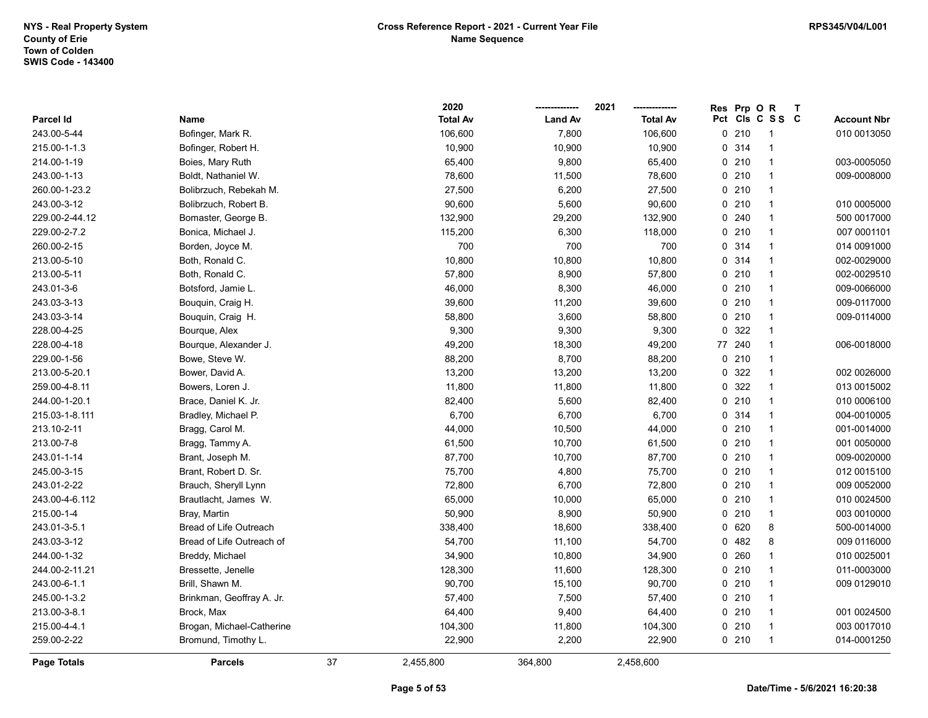|                |                           |    | 2020            |                | 2021            | <b>Res</b> | Prp O   | $\mathsf{R}$    | $\mathbf{T}$ |                    |
|----------------|---------------------------|----|-----------------|----------------|-----------------|------------|---------|-----------------|--------------|--------------------|
| Parcel Id      | Name                      |    | <b>Total Av</b> | <b>Land Av</b> | <b>Total Av</b> |            |         | Pct Cls C S S C |              | <b>Account Nbr</b> |
| 243.00-5-44    | Bofinger, Mark R.         |    | 106,600         | 7,800          | 106,600         |            | 0210    | -1              |              | 010 0013050        |
| 215.00-1-1.3   | Bofinger, Robert H.       |    | 10,900          | 10,900         | 10,900          |            | 0 314   |                 |              |                    |
| 214.00-1-19    | Boies, Mary Ruth          |    | 65,400          | 9,800          | 65,400          |            | 0210    | -1              |              | 003-0005050        |
| 243.00-1-13    | Boldt, Nathaniel W.       |    | 78,600          | 11,500         | 78,600          |            | 0210    | $\mathbf 1$     |              | 009-0008000        |
| 260.00-1-23.2  | Bolibrzuch, Rebekah M.    |    | 27,500          | 6,200          | 27,500          |            | 0210    | $\overline{1}$  |              |                    |
| 243.00-3-12    | Bolibrzuch, Robert B.     |    | 90,600          | 5,600          | 90,600          |            | $0$ 210 | -1              |              | 010 0005000        |
| 229.00-2-44.12 | Bomaster, George B.       |    | 132,900         | 29,200         | 132,900         |            | 0.240   | -1              |              | 500 0017000        |
| 229.00-2-7.2   | Bonica, Michael J.        |    | 115,200         | 6,300          | 118,000         |            | 0210    | -1              |              | 007 0001101        |
| 260.00-2-15    | Borden, Joyce M.          |    | 700             | 700            | 700             |            | 0 314   | $\mathbf 1$     |              | 014 0091000        |
| 213.00-5-10    | Both, Ronald C.           |    | 10,800          | 10,800         | 10,800          |            | 0.314   | 1               |              | 002-0029000        |
| 213.00-5-11    | Both, Ronald C.           |    | 57,800          | 8,900          | 57,800          | 0          | 210     | $\mathbf 1$     |              | 002-0029510        |
| 243.01-3-6     | Botsford, Jamie L.        |    | 46,000          | 8,300          | 46,000          |            | 0210    | $\overline{1}$  |              | 009-0066000        |
| 243.03-3-13    | Bouquin, Craig H.         |    | 39,600          | 11,200         | 39,600          |            | $0$ 210 | $\mathbf 1$     |              | 009-0117000        |
| 243.03-3-14    | Bouquin, Craig H.         |    | 58,800          | 3,600          | 58,800          |            | $0$ 210 | -1              |              | 009-0114000        |
| 228.00-4-25    | Bourque, Alex             |    | 9,300           | 9,300          | 9,300           | 0          | 322     | -1              |              |                    |
| 228.00-4-18    | Bourque, Alexander J.     |    | 49,200          | 18,300         | 49,200          |            | 77 240  |                 |              | 006-0018000        |
| 229.00-1-56    | Bowe, Steve W.            |    | 88,200          | 8,700          | 88,200          |            | 0210    | $\mathbf 1$     |              |                    |
| 213.00-5-20.1  | Bower, David A.           |    | 13,200          | 13,200         | 13,200          | 0          | 322     | $\mathbf 1$     |              | 002 0026000        |
| 259.00-4-8.11  | Bowers, Loren J.          |    | 11,800          | 11,800         | 11,800          | 0          | 322     | $\overline{1}$  |              | 013 0015002        |
| 244.00-1-20.1  | Brace, Daniel K. Jr.      |    | 82,400          | 5,600          | 82,400          |            | 0210    | $\mathbf 1$     |              | 010 0006100        |
| 215.03-1-8.111 | Bradley, Michael P.       |    | 6,700           | 6,700          | 6,700           |            | 0.314   | -1              |              | 004-0010005        |
| 213.10-2-11    | Bragg, Carol M.           |    | 44,000          | 10,500         | 44,000          |            | $0$ 210 | -1              |              | 001-0014000        |
| 213.00-7-8     | Bragg, Tammy A.           |    | 61,500          | 10,700         | 61,500          |            | 0210    | -1              |              | 001 0050000        |
| 243.01-1-14    | Brant, Joseph M.          |    | 87,700          | 10,700         | 87,700          |            | 0210    | $\overline{1}$  |              | 009-0020000        |
| 245.00-3-15    | Brant, Robert D. Sr.      |    | 75,700          | 4,800          | 75,700          |            | $0$ 210 | $\mathbf 1$     |              | 012 0015100        |
| 243.01-2-22    | Brauch, Sheryll Lynn      |    | 72,800          | 6,700          | 72,800          |            | $0$ 210 | $\mathbf 1$     |              | 009 0052000        |
| 243.00-4-6.112 | Brautlacht, James W.      |    | 65,000          | 10,000         | 65,000          |            | $0$ 210 | -1              |              | 010 0024500        |
| 215.00-1-4     | Bray, Martin              |    | 50,900          | 8,900          | 50,900          |            | 0210    | -1              |              | 003 0010000        |
| 243.01-3-5.1   | Bread of Life Outreach    |    | 338,400         | 18,600         | 338,400         |            | 0 620   | 8               |              | 500-0014000        |
| 243.03-3-12    | Bread of Life Outreach of |    | 54,700          | 11,100         | 54,700          |            | 0.482   | 8               |              | 009 0116000        |
| 244.00-1-32    | Breddy, Michael           |    | 34,900          | 10,800         | 34,900          |            | 0.260   | -1              |              | 010 0025001        |
| 244.00-2-11.21 | Bressette, Jenelle        |    | 128,300         | 11,600         | 128,300         |            | 0210    | $\mathbf 1$     |              | 011-0003000        |
| 243.00-6-1.1   | Brill, Shawn M.           |    | 90,700          | 15,100         | 90,700          |            | 0210    | $\mathbf 1$     |              | 009 0129010        |
| 245.00-1-3.2   | Brinkman, Geoffray A. Jr. |    | 57,400          | 7,500          | 57,400          |            | 0210    | -1              |              |                    |
| 213.00-3-8.1   | Brock, Max                |    | 64,400          | 9,400          | 64,400          |            | 0210    | -1              |              | 001 0024500        |
| 215.00-4-4.1   | Brogan, Michael-Catherine |    | 104,300         | 11,800         | 104,300         |            | $0$ 210 | -1              |              | 003 0017010        |
| 259.00-2-22    | Bromund, Timothy L.       |    | 22,900          | 2,200          | 22,900          |            | $0$ 210 | $\overline{1}$  |              | 014-0001250        |
| Page Totals    | <b>Parcels</b>            | 37 | 2,455,800       | 364,800        | 2,458,600       |            |         |                 |              |                    |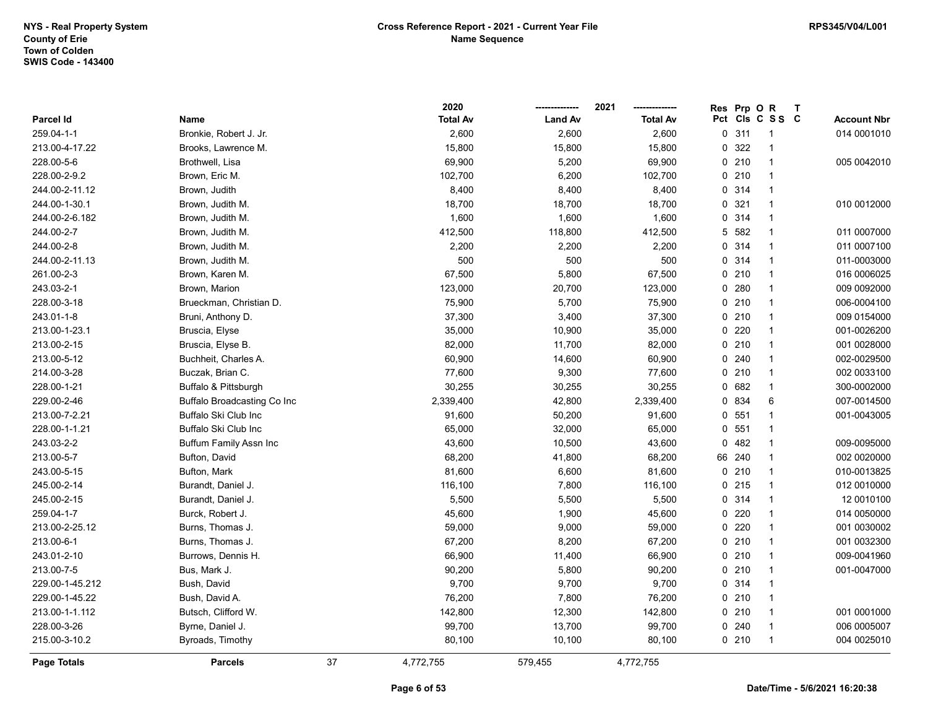|                    |                             |    | 2020            |                | 2021            | <b>Res</b> | Prp O   | $\mathsf{R}$    | $\mathbf{T}$ |                    |
|--------------------|-----------------------------|----|-----------------|----------------|-----------------|------------|---------|-----------------|--------------|--------------------|
| Parcel Id          | Name                        |    | <b>Total Av</b> | <b>Land Av</b> | <b>Total Av</b> |            |         | Pct Cls C S S C |              | <b>Account Nbr</b> |
| 259.04-1-1         | Bronkie, Robert J. Jr.      |    | 2,600           | 2,600          | 2,600           | 0          | 311     | -1              |              | 014 0001010        |
| 213.00-4-17.22     | Brooks, Lawrence M.         |    | 15,800          | 15,800         | 15,800          | 0          | 322     | 1               |              |                    |
| 228.00-5-6         | Brothwell, Lisa             |    | 69,900          | 5,200          | 69,900          |            | 0210    | $\mathbf{1}$    |              | 005 0042010        |
| 228.00-2-9.2       | Brown, Eric M.              |    | 102,700         | 6,200          | 102,700         |            | 0210    | $\mathbf{1}$    |              |                    |
| 244.00-2-11.12     | Brown, Judith               |    | 8,400           | 8,400          | 8,400           |            | 0 314   | $\mathbf{1}$    |              |                    |
| 244.00-1-30.1      | Brown, Judith M.            |    | 18,700          | 18,700         | 18,700          |            | 0.321   | $\mathbf{1}$    |              | 010 0012000        |
| 244.00-2-6.182     | Brown, Judith M.            |    | 1,600           | 1,600          | 1,600           |            | 0.314   | $\mathbf{1}$    |              |                    |
| 244.00-2-7         | Brown, Judith M.            |    | 412,500         | 118,800        | 412,500         |            | 5 582   | $\mathbf{1}$    |              | 011 0007000        |
| 244.00-2-8         | Brown, Judith M.            |    | 2,200           | 2,200          | 2,200           |            | 0 314   | $\mathbf{1}$    |              | 011 0007100        |
| 244.00-2-11.13     | Brown, Judith M.            |    | 500             | 500            | 500             |            | 0.314   | $\mathbf{1}$    |              | 011-0003000        |
| 261.00-2-3         | Brown, Karen M.             |    | 67,500          | 5,800          | 67,500          |            | 0210    | $\mathbf{1}$    |              | 016 0006025        |
| 243.03-2-1         | Brown, Marion               |    | 123,000         | 20,700         | 123,000         | 0          | 280     | $\mathbf{1}$    |              | 009 0092000        |
| 228.00-3-18        | Brueckman, Christian D.     |    | 75,900          | 5,700          | 75,900          |            | $0$ 210 | $\mathbf{1}$    |              | 006-0004100        |
| 243.01-1-8         | Bruni, Anthony D.           |    | 37,300          | 3,400          | 37,300          |            | $0$ 210 | $\mathbf{1}$    |              | 009 0154000        |
| 213.00-1-23.1      | Bruscia, Elyse              |    | 35,000          | 10,900         | 35,000          |            | 0220    | $\mathbf{1}$    |              | 001-0026200        |
| 213.00-2-15        | Bruscia, Elyse B.           |    | 82,000          | 11,700         | 82,000          |            | 0210    | $\mathbf{1}$    |              | 001 0028000        |
| 213.00-5-12        | Buchheit, Charles A.        |    | 60,900          | 14,600         | 60,900          |            | 0.240   | $\mathbf{1}$    |              | 002-0029500        |
| 214.00-3-28        | Buczak, Brian C.            |    | 77,600          | 9,300          | 77,600          |            | 0210    | $\mathbf{1}$    |              | 002 0033100        |
| 228.00-1-21        | Buffalo & Pittsburgh        |    | 30,255          | 30,255         | 30,255          |            | 0.682   | $\mathbf{1}$    |              | 300-0002000        |
| 229.00-2-46        | Buffalo Broadcasting Co Inc |    | 2,339,400       | 42,800         | 2,339,400       |            | 0 834   | 6               |              | 007-0014500        |
| 213.00-7-2.21      | Buffalo Ski Club Inc        |    | 91,600          | 50,200         | 91,600          |            | 0, 551  | $\mathbf{1}$    |              | 001-0043005        |
| 228.00-1-1.21      | Buffalo Ski Club Inc        |    | 65,000          | 32,000         | 65,000          |            | 0, 551  | $\mathbf{1}$    |              |                    |
| 243.03-2-2         | Buffum Family Assn Inc      |    | 43,600          | 10,500         | 43,600          | 0          | 482     | $\mathbf{1}$    |              | 009-0095000        |
| 213.00-5-7         | Bufton, David               |    | 68,200          | 41,800         | 68,200          | 66 240     |         | $\mathbf{1}$    |              | 002 0020000        |
| 243.00-5-15        | Bufton, Mark                |    | 81,600          | 6,600          | 81,600          |            | $0$ 210 | $\mathbf{1}$    |              | 010-0013825        |
| 245.00-2-14        | Burandt, Daniel J.          |    | 116,100         | 7,800          | 116,100         |            | $0$ 215 | $\mathbf{1}$    |              | 012 0010000        |
| 245.00-2-15        | Burandt, Daniel J.          |    | 5,500           | 5,500          | 5,500           |            | 0.314   | $\mathbf{1}$    |              | 12 0010100         |
| 259.04-1-7         | Burck, Robert J.            |    | 45,600          | 1,900          | 45,600          |            | 0220    | $\mathbf{1}$    |              | 014 0050000        |
| 213.00-2-25.12     | Burns, Thomas J.            |    | 59,000          | 9,000          | 59,000          |            | $0$ 220 | $\mathbf{1}$    |              | 001 0030002        |
| 213.00-6-1         | Burns, Thomas J.            |    | 67,200          | 8,200          | 67,200          |            | 0210    | $\mathbf{1}$    |              | 001 0032300        |
| 243.01-2-10        | Burrows, Dennis H.          |    | 66,900          | 11,400         | 66,900          |            | 0210    | $\mathbf{1}$    |              | 009-0041960        |
| 213.00-7-5         | Bus, Mark J.                |    | 90,200          | 5,800          | 90,200          |            | 0210    | $\mathbf{1}$    |              | 001-0047000        |
| 229.00-1-45.212    | Bush, David                 |    | 9,700           | 9,700          | 9,700           |            | 0.314   | $\mathbf{1}$    |              |                    |
| 229.00-1-45.22     | Bush, David A.              |    | 76,200          | 7,800          | 76,200          |            | 0210    | $\mathbf{1}$    |              |                    |
| 213.00-1-1.112     | Butsch, Clifford W.         |    | 142,800         | 12,300         | 142,800         |            | 0210    | $\mathbf{1}$    |              | 001 0001000        |
| 228.00-3-26        | Byrne, Daniel J.            |    | 99,700          | 13,700         | 99,700          |            | 0.240   | $\mathbf{1}$    |              | 006 0005007        |
| 215.00-3-10.2      | Byroads, Timothy            |    | 80,100          | 10,100         | 80,100          |            | 0210    | $\mathbf{1}$    |              | 004 0025010        |
| <b>Page Totals</b> | <b>Parcels</b>              | 37 | 4,772,755       | 579,455        | 4,772,755       |            |         |                 |              |                    |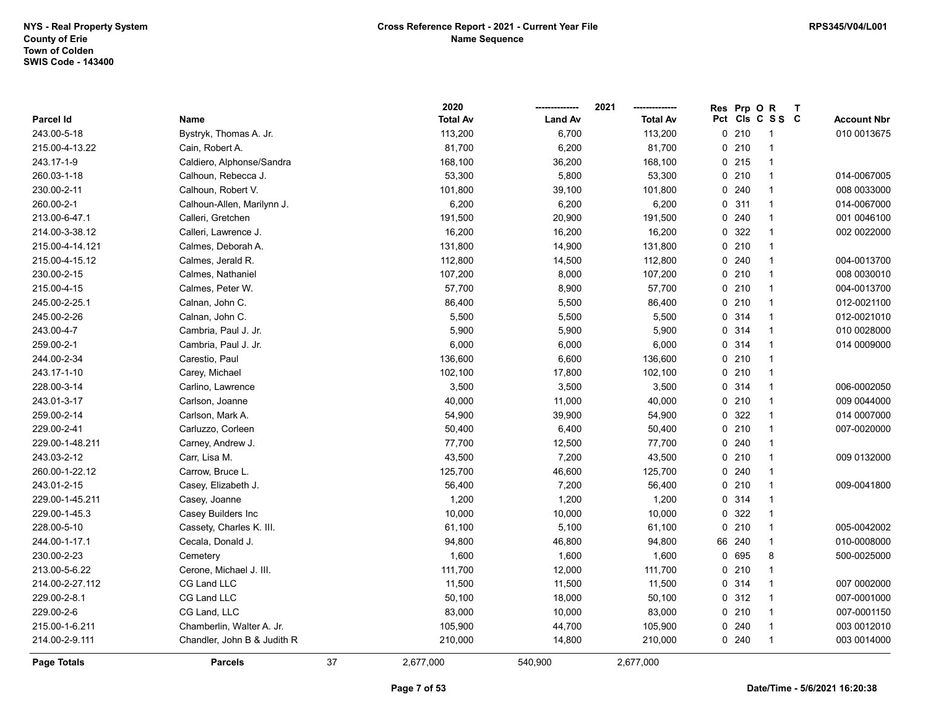|                 |                             |    | 2020            |                | 2021            | <b>Res</b> | Prp OR  |                 | $\mathsf{T}$ |                    |
|-----------------|-----------------------------|----|-----------------|----------------|-----------------|------------|---------|-----------------|--------------|--------------------|
| Parcel Id       | Name                        |    | <b>Total Av</b> | <b>Land Av</b> | <b>Total Av</b> |            |         | Pct Cls C S S C |              | <b>Account Nbr</b> |
| 243.00-5-18     | Bystryk, Thomas A. Jr.      |    | 113,200         | 6,700          | 113,200         |            | 0210    |                 |              | 010 0013675        |
| 215.00-4-13.22  | Cain, Robert A.             |    | 81,700          | 6,200          | 81,700          |            | 0210    |                 |              |                    |
| 243.17-1-9      | Caldiero, Alphonse/Sandra   |    | 168,100         | 36,200         | 168,100         |            | 0215    | $\mathbf{1}$    |              |                    |
| 260.03-1-18     | Calhoun, Rebecca J.         |    | 53,300          | 5,800          | 53,300          |            | 0210    | $\overline{1}$  |              | 014-0067005        |
| 230.00-2-11     | Calhoun, Robert V.          |    | 101,800         | 39,100         | 101,800         |            | 0.240   | $\mathbf{1}$    |              | 008 0033000        |
| 260.00-2-1      | Calhoun-Allen, Marilynn J.  |    | 6,200           | 6,200          | 6,200           |            | 0.311   | $\mathbf{1}$    |              | 014-0067000        |
| 213.00-6-47.1   | Calleri, Gretchen           |    | 191,500         | 20,900         | 191,500         |            | 0.240   | $\mathbf{1}$    |              | 001 0046100        |
| 214.00-3-38.12  | Calleri, Lawrence J.        |    | 16,200          | 16,200         | 16,200          |            | 0 322   | -1              |              | 002 0022000        |
| 215.00-4-14.121 | Calmes, Deborah A.          |    | 131,800         | 14,900         | 131,800         |            | 0210    | $\mathbf{1}$    |              |                    |
| 215.00-4-15.12  | Calmes, Jerald R.           |    | 112,800         | 14,500         | 112,800         |            | 0.240   | $\mathbf{1}$    |              | 004-0013700        |
| 230.00-2-15     | Calmes, Nathaniel           |    | 107,200         | 8,000          | 107,200         |            | 0210    | $\overline{1}$  |              | 008 0030010        |
| 215.00-4-15     | Calmes, Peter W.            |    | 57,700          | 8,900          | 57,700          |            | $0$ 210 | $\mathbf{1}$    |              | 004-0013700        |
| 245.00-2-25.1   | Calnan, John C.             |    | 86,400          | 5,500          | 86,400          |            | 0210    | $\mathbf{1}$    |              | 012-0021100        |
| 245.00-2-26     | Calnan, John C.             |    | 5,500           | 5,500          | 5,500           |            | 0 314   |                 |              | 012-0021010        |
| 243.00-4-7      | Cambria, Paul J. Jr.        |    | 5,900           | 5,900          | 5,900           |            | 0 314   | -1              |              | 010 0028000        |
| 259.00-2-1      | Cambria, Paul J. Jr.        |    | 6,000           | 6,000          | 6,000           |            | 0 314   | $\mathbf{1}$    |              | 014 0009000        |
| 244.00-2-34     | Carestio, Paul              |    | 136,600         | 6,600          | 136,600         |            | 0210    | $\mathbf{1}$    |              |                    |
| 243.17-1-10     | Carey, Michael              |    | 102,100         | 17,800         | 102,100         |            | 0210    | $\overline{1}$  |              |                    |
| 228.00-3-14     | Carlino, Lawrence           |    | 3,500           | 3,500          | 3,500           |            | 0.314   | $\mathbf{1}$    |              | 006-0002050        |
| 243.01-3-17     | Carlson, Joanne             |    | 40,000          | 11,000         | 40,000          |            | 0210    | $\mathbf{1}$    |              | 009 0044000        |
| 259.00-2-14     | Carlson, Mark A.            |    | 54,900          | 39,900         | 54,900          |            | 0 322   | $\mathbf{1}$    |              | 014 0007000        |
| 229.00-2-41     | Carluzzo, Corleen           |    | 50,400          | 6,400          | 50,400          |            | 0210    | $\mathbf{1}$    |              | 007-0020000        |
| 229.00-1-48.211 | Carney, Andrew J.           |    | 77,700          | 12,500         | 77,700          |            | 0.240   | $\mathbf{1}$    |              |                    |
| 243.03-2-12     | Carr, Lisa M.               |    | 43,500          | 7,200          | 43,500          |            | 0210    | $\mathbf{1}$    |              | 009 0132000        |
| 260.00-1-22.12  | Carrow, Bruce L.            |    | 125,700         | 46,600         | 125,700         |            | 0.240   | $\mathbf{1}$    |              |                    |
| 243.01-2-15     | Casey, Elizabeth J.         |    | 56,400          | 7,200          | 56,400          |            | 0210    | $\mathbf{1}$    |              | 009-0041800        |
| 229.00-1-45.211 | Casey, Joanne               |    | 1,200           | 1,200          | 1,200           |            | 0.314   | $\mathbf{1}$    |              |                    |
| 229.00-1-45.3   | Casey Builders Inc          |    | 10,000          | 10,000         | 10,000          |            | 0 322   | $\overline{1}$  |              |                    |
| 228.00-5-10     | Cassety, Charles K. III.    |    | 61,100          | 5,100          | 61,100          |            | 0210    | $\mathbf{1}$    |              | 005-0042002        |
| 244.00-1-17.1   | Cecala, Donald J.           |    | 94,800          | 46,800         | 94,800          | 66         | 240     | $\mathbf{1}$    |              | 010-0008000        |
| 230.00-2-23     | Cemetery                    |    | 1,600           | 1,600          | 1,600           |            | 0 695   | 8               |              | 500-0025000        |
| 213.00-5-6.22   | Cerone, Michael J. III.     |    | 111,700         | 12,000         | 111,700         |            | 0210    | $\overline{1}$  |              |                    |
| 214.00-2-27.112 | CG Land LLC                 |    | 11,500          | 11,500         | 11,500          |            | 0.314   | $\overline{1}$  |              | 007 0002000        |
| 229.00-2-8.1    | CG Land LLC                 |    | 50,100          | 18,000         | 50,100          |            | 0.312   | $\mathbf{1}$    |              | 007-0001000        |
| 229.00-2-6      | CG Land, LLC                |    | 83,000          | 10,000         | 83,000          |            | 0210    | $\mathbf 1$     |              | 007-0001150        |
| 215.00-1-6.211  | Chamberlin, Walter A. Jr.   |    | 105,900         | 44,700         | 105,900         |            | 0240    |                 |              | 003 0012010        |
| 214.00-2-9.111  | Chandler, John B & Judith R |    | 210,000         | 14,800         | 210,000         |            | 0.240   | $\overline{1}$  |              | 003 0014000        |
| Page Totals     | <b>Parcels</b>              | 37 | 2,677,000       | 540,900        | 2,677,000       |            |         |                 |              |                    |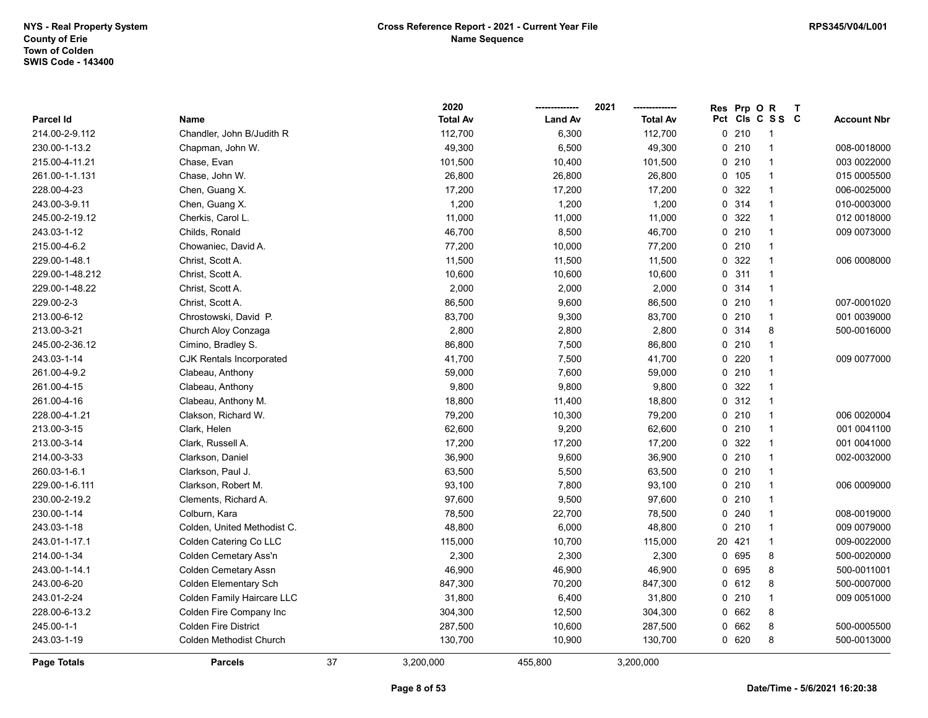|                 |                              |    | 2020            |                | 2021            | Res | Prp OR  |                 | T |                    |
|-----------------|------------------------------|----|-----------------|----------------|-----------------|-----|---------|-----------------|---|--------------------|
| Parcel Id       | Name                         |    | <b>Total Av</b> | <b>Land Av</b> | <b>Total Av</b> |     |         | Pct Cls C S S C |   | <b>Account Nbr</b> |
| 214.00-2-9.112  | Chandler, John B/Judith R    |    | 112,700         | 6,300          | 112,700         |     | 0210    | -1              |   |                    |
| 230.00-1-13.2   | Chapman, John W.             |    | 49,300          | 6,500          | 49,300          |     | 0210    | $\overline{1}$  |   | 008-0018000        |
| 215.00-4-11.21  | Chase, Evan                  |    | 101,500         | 10,400         | 101,500         |     | 0210    | $\overline{1}$  |   | 003 0022000        |
| 261.00-1-1.131  | Chase, John W.               |    | 26,800          | 26,800         | 26,800          |     | 0 105   | $\overline{1}$  |   | 015 0005500        |
| 228.00-4-23     | Chen, Guang X.               |    | 17,200          | 17,200         | 17,200          |     | 0 322   | $\overline{1}$  |   | 006-0025000        |
| 243.00-3-9.11   | Chen, Guang X.               |    | 1,200           | 1,200          | 1,200           |     | 0.314   | $\overline{1}$  |   | 010-0003000        |
| 245.00-2-19.12  | Cherkis, Carol L.            |    | 11,000          | 11,000         | 11,000          |     | 0 322   | $\overline{1}$  |   | 012 0018000        |
| 243.03-1-12     | Childs, Ronald               |    | 46,700          | 8,500          | 46,700          |     | 0210    | $\overline{1}$  |   | 009 0073000        |
| 215.00-4-6.2    | Chowaniec, David A.          |    | 77,200          | 10,000         | 77,200          |     | 0210    | $\overline{1}$  |   |                    |
| 229.00-1-48.1   | Christ, Scott A.             |    | 11,500          | 11,500         | 11,500          |     | 0 322   | $\overline{1}$  |   | 006 0008000        |
| 229.00-1-48.212 | Christ, Scott A.             |    | 10,600          | 10,600         | 10,600          |     | 0.311   | $\overline{1}$  |   |                    |
| 229.00-1-48.22  | Christ, Scott A.             |    | 2,000           | 2,000          | 2,000           |     | 0.314   | $\overline{1}$  |   |                    |
| 229.00-2-3      | Christ, Scott A.             |    | 86,500          | 9,600          | 86,500          |     | 0210    | $\overline{1}$  |   | 007-0001020        |
| 213.00-6-12     | Chrostowski, David P.        |    | 83,700          | 9,300          | 83,700          |     | 0210    | $\overline{1}$  |   | 001 0039000        |
| 213.00-3-21     | Church Aloy Conzaga          |    | 2,800           | 2,800          | 2,800           |     | 0 314   | 8               |   | 500-0016000        |
| 245.00-2-36.12  | Cimino, Bradley S.           |    | 86,800          | 7,500          | 86,800          |     | 0210    | $\overline{1}$  |   |                    |
| 243.03-1-14     | CJK Rentals Incorporated     |    | 41,700          | 7,500          | 41,700          |     | 0220    | $\overline{1}$  |   | 009 0077000        |
| 261.00-4-9.2    | Clabeau, Anthony             |    | 59,000          | 7,600          | 59,000          |     | $0$ 210 | $\overline{1}$  |   |                    |
| 261.00-4-15     | Clabeau, Anthony             |    | 9,800           | 9,800          | 9,800           |     | 0 322   | $\overline{1}$  |   |                    |
| 261.00-4-16     | Clabeau, Anthony M.          |    | 18,800          | 11,400         | 18,800          |     | 0.312   | $\overline{1}$  |   |                    |
| 228.00-4-1.21   | Clakson, Richard W.          |    | 79,200          | 10,300         | 79,200          |     | 0210    | $\overline{1}$  |   | 006 0020004        |
| 213.00-3-15     | Clark, Helen                 |    | 62,600          | 9,200          | 62,600          |     | 0210    | $\overline{1}$  |   | 001 0041100        |
| 213.00-3-14     | Clark, Russell A.            |    | 17,200          | 17,200         | 17,200          |     | 0 322   | $\overline{1}$  |   | 001 0041000        |
| 214.00-3-33     | Clarkson, Daniel             |    | 36,900          | 9,600          | 36,900          |     | 0210    | $\overline{1}$  |   | 002-0032000        |
| 260.03-1-6.1    | Clarkson, Paul J.            |    | 63,500          | 5,500          | 63,500          |     | 0210    | $\overline{1}$  |   |                    |
| 229.00-1-6.111  | Clarkson, Robert M.          |    | 93,100          | 7,800          | 93,100          |     | 0210    | $\overline{1}$  |   | 006 0009000        |
| 230.00-2-19.2   | Clements, Richard A.         |    | 97,600          | 9,500          | 97,600          |     | 0210    | $\overline{1}$  |   |                    |
| 230.00-1-14     | Colburn, Kara                |    | 78,500          | 22,700         | 78,500          |     | 0.240   | $\overline{1}$  |   | 008-0019000        |
| 243.03-1-18     | Colden, United Methodist C.  |    | 48,800          | 6,000          | 48,800          |     | 0210    | $\overline{1}$  |   | 009 0079000        |
| 243.01-1-17.1   | Colden Catering Co LLC       |    | 115,000         | 10,700         | 115,000         |     | 20 421  | $\overline{1}$  |   | 009-0022000        |
| 214.00-1-34     | Colden Cemetary Ass'n        |    | 2,300           | 2,300          | 2,300           |     | 0 695   | 8               |   | 500-0020000        |
| 243.00-1-14.1   | <b>Colden Cemetary Assn</b>  |    | 46,900          | 46,900         | 46,900          |     | 0 695   | 8               |   | 500-0011001        |
| 243.00-6-20     | <b>Colden Elementary Sch</b> |    | 847,300         | 70,200         | 847,300         |     | 0 612   | 8               |   | 500-0007000        |
| 243.01-2-24     | Colden Family Haircare LLC   |    | 31,800          | 6,400          | 31,800          |     | 0210    | $\mathbf{1}$    |   | 009 0051000        |
| 228.00-6-13.2   | Colden Fire Company Inc      |    | 304,300         | 12,500         | 304,300         |     | 0 662   | 8               |   |                    |
| 245.00-1-1      | <b>Colden Fire District</b>  |    | 287,500         | 10,600         | 287,500         |     | 0 662   | 8               |   | 500-0005500        |
| 243.03-1-19     | Colden Methodist Church      |    | 130,700         | 10,900         | 130,700         |     | 0 620   | 8               |   | 500-0013000        |
| Page Totals     | <b>Parcels</b>               | 37 | 3,200,000       | 455,800        | 3,200,000       |     |         |                 |   |                    |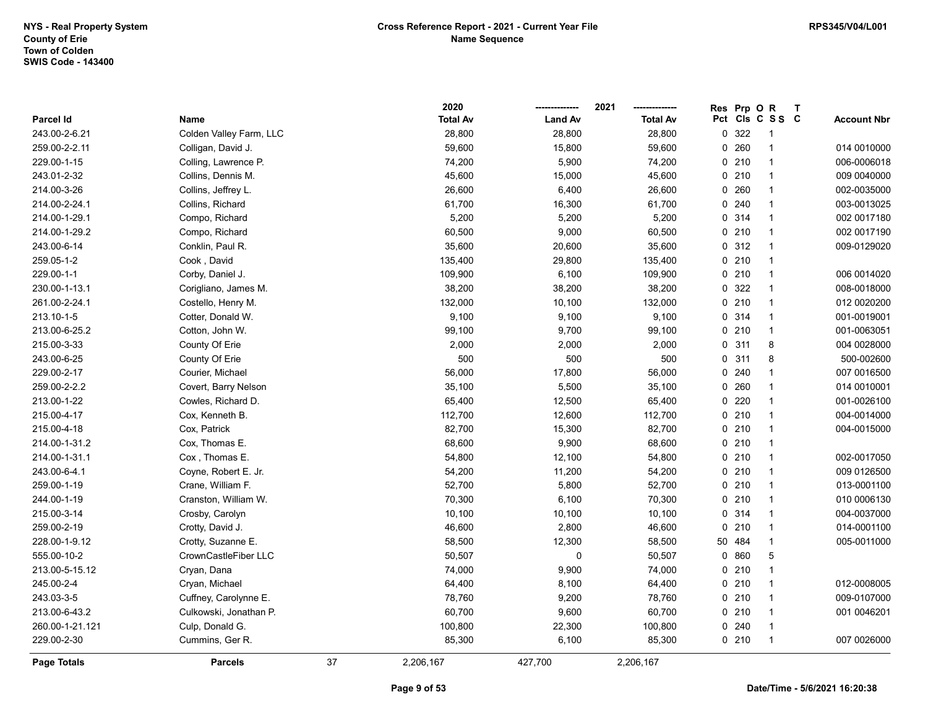|                 |                         |    | 2020            |                | 2021            | Res | Prp OR  |                 | $\mathsf{T}$ |                    |
|-----------------|-------------------------|----|-----------------|----------------|-----------------|-----|---------|-----------------|--------------|--------------------|
| Parcel Id       | Name                    |    | <b>Total Av</b> | <b>Land Av</b> | <b>Total Av</b> |     |         | Pct Cls C S S C |              | <b>Account Nbr</b> |
| 243.00-2-6.21   | Colden Valley Farm, LLC |    | 28,800          | 28,800         | 28,800          |     | 0 322   | -1              |              |                    |
| 259.00-2-2.11   | Colligan, David J.      |    | 59,600          | 15,800         | 59,600          |     | 0.260   | $\overline{1}$  |              | 014 0010000        |
| 229.00-1-15     | Colling, Lawrence P.    |    | 74,200          | 5,900          | 74,200          |     | 0210    | $\overline{1}$  |              | 006-0006018        |
| 243.01-2-32     | Collins, Dennis M.      |    | 45,600          | 15,000         | 45,600          |     | 0210    | $\mathbf{1}$    |              | 009 0040000        |
| 214.00-3-26     | Collins, Jeffrey L.     |    | 26,600          | 6,400          | 26,600          |     | 0.260   | $\mathbf{1}$    |              | 002-0035000        |
| 214.00-2-24.1   | Collins, Richard        |    | 61,700          | 16,300         | 61,700          |     | 0.240   | $\mathbf{1}$    |              | 003-0013025        |
| 214.00-1-29.1   | Compo, Richard          |    | 5,200           | 5,200          | 5,200           |     | 0.314   | $\mathbf{1}$    |              | 002 0017180        |
| 214.00-1-29.2   | Compo, Richard          |    | 60,500          | 9,000          | 60,500          |     | 0210    | $\mathbf{1}$    |              | 002 0017190        |
| 243.00-6-14     | Conklin, Paul R.        |    | 35,600          | 20,600         | 35,600          |     | 0.312   | $\overline{1}$  |              | 009-0129020        |
| 259.05-1-2      | Cook, David             |    | 135,400         | 29,800         | 135,400         |     | $0$ 210 | $\mathbf{1}$    |              |                    |
| 229.00-1-1      | Corby, Daniel J.        |    | 109,900         | 6,100          | 109,900         |     | 0210    | $\mathbf{1}$    |              | 006 0014020        |
| 230.00-1-13.1   | Corigliano, James M.    |    | 38,200          | 38,200         | 38,200          |     | 0 322   | $\overline{1}$  |              | 008-0018000        |
| 261.00-2-24.1   | Costello, Henry M.      |    | 132,000         | 10,100         | 132,000         |     | 0210    | $\mathbf{1}$    |              | 012 0020200        |
| 213.10-1-5      | Cotter, Donald W.       |    | 9,100           | 9,100          | 9,100           |     | 0.314   | $\mathbf{1}$    |              | 001-0019001        |
| 213.00-6-25.2   | Cotton, John W.         |    | 99,100          | 9,700          | 99,100          |     | 0210    | $\overline{1}$  |              | 001-0063051        |
| 215.00-3-33     | County Of Erie          |    | 2,000           | 2,000          | 2,000           |     | 0.311   | 8               |              | 004 0028000        |
| 243.00-6-25     | County Of Erie          |    | 500             | 500            | 500             |     | 0.311   | 8               |              | 500-002600         |
| 229.00-2-17     | Courier, Michael        |    | 56,000          | 17,800         | 56,000          |     | 0.240   | $\mathbf{1}$    |              | 007 0016500        |
| 259.00-2-2.2    | Covert, Barry Nelson    |    | 35,100          | 5,500          | 35,100          |     | 0.260   | $\mathbf{1}$    |              | 014 0010001        |
| 213.00-1-22     | Cowles, Richard D.      |    | 65,400          | 12,500         | 65,400          |     | 0220    | $\mathbf{1}$    |              | 001-0026100        |
| 215.00-4-17     | Cox, Kenneth B.         |    | 112,700         | 12,600         | 112,700         |     | 0210    | $\mathbf{1}$    |              | 004-0014000        |
| 215.00-4-18     | Cox, Patrick            |    | 82,700          | 15,300         | 82,700          |     | 0210    | $\overline{1}$  |              | 004-0015000        |
| 214.00-1-31.2   | Cox, Thomas E.          |    | 68,600          | 9,900          | 68,600          |     | 0210    | $\overline{1}$  |              |                    |
| 214.00-1-31.1   | Cox, Thomas E.          |    | 54,800          | 12,100         | 54,800          |     | 0210    | $\mathbf{1}$    |              | 002-0017050        |
| 243.00-6-4.1    | Coyne, Robert E. Jr.    |    | 54,200          | 11,200         | 54,200          |     | 0210    | $\mathbf{1}$    |              | 009 0126500        |
| 259.00-1-19     | Crane, William F.       |    | 52,700          | 5,800          | 52,700          |     | 0210    | $\mathbf{1}$    |              | 013-0001100        |
| 244.00-1-19     | Cranston, William W.    |    | 70,300          | 6,100          | 70,300          |     | 0210    | $\mathbf{1}$    |              | 010 0006130        |
| 215.00-3-14     | Crosby, Carolyn         |    | 10,100          | 10,100         | 10,100          |     | 0.314   | $\mathbf{1}$    |              | 004-0037000        |
| 259.00-2-19     | Crotty, David J.        |    | 46,600          | 2,800          | 46,600          |     | 0210    | $\overline{1}$  |              | 014-0001100        |
| 228.00-1-9.12   | Crotty, Suzanne E.      |    | 58,500          | 12,300         | 58,500          | 50  | 484     | $\overline{1}$  |              | 005-0011000        |
| 555.00-10-2     | CrownCastleFiber LLC    |    | 50,507          | 0              | 50,507          |     | 0860    | 5               |              |                    |
| 213.00-5-15.12  | Cryan, Dana             |    | 74,000          | 9,900          | 74,000          |     | 0210    | $\mathbf{1}$    |              |                    |
| 245.00-2-4      | Cryan, Michael          |    | 64,400          | 8,100          | 64,400          |     | 0210    | $\mathbf{1}$    |              | 012-0008005        |
| 243.03-3-5      | Cuffney, Carolynne E.   |    | 78,760          | 9,200          | 78,760          |     | 0210    | $\mathbf{1}$    |              | 009-0107000        |
| 213.00-6-43.2   | Culkowski, Jonathan P.  |    | 60,700          | 9,600          | 60,700          |     | 0210    | $\overline{1}$  |              | 001 0046201        |
| 260.00-1-21.121 | Culp, Donald G.         |    | 100,800         | 22,300         | 100,800         |     | 0.240   | $\overline{1}$  |              |                    |
| 229.00-2-30     | Cummins, Ger R.         |    | 85,300          | 6,100          | 85,300          |     | 0210    | $\overline{1}$  |              | 007 0026000        |
| Page Totals     | <b>Parcels</b>          | 37 | 2,206,167       | 427,700        | 2,206,167       |     |         |                 |              |                    |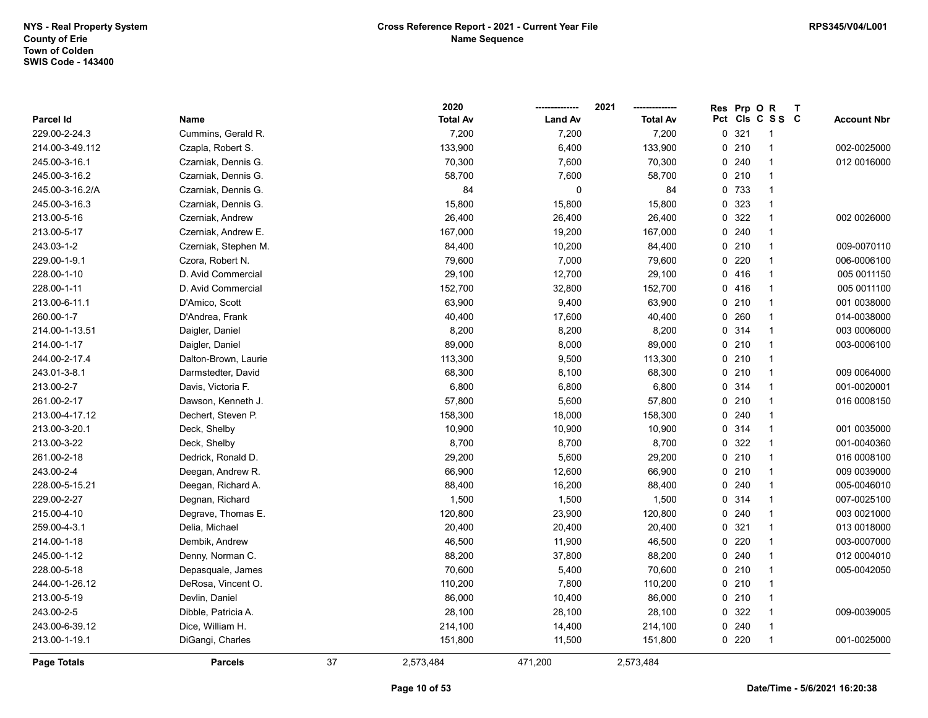|                 |                      |    | 2020            |                | 2021            | <b>Res</b> | Prp OR  |                 | $\mathsf{T}$ |                    |
|-----------------|----------------------|----|-----------------|----------------|-----------------|------------|---------|-----------------|--------------|--------------------|
| Parcel Id       | Name                 |    | <b>Total Av</b> | <b>Land Av</b> | <b>Total Av</b> |            |         | Pct Cls C S S C |              | <b>Account Nbr</b> |
| 229.00-2-24.3   | Cummins, Gerald R.   |    | 7,200           | 7,200          | 7,200           | 0          | 321     | -1              |              |                    |
| 214.00-3-49.112 | Czapla, Robert S.    |    | 133,900         | 6,400          | 133,900         |            | 0210    | $\mathbf{1}$    |              | 002-0025000        |
| 245.00-3-16.1   | Czarniak, Dennis G.  |    | 70,300          | 7,600          | 70,300          |            | 0.240   | $\mathbf 1$     |              | 012 0016000        |
| 245.00-3-16.2   | Czarniak, Dennis G.  |    | 58,700          | 7,600          | 58,700          |            | 0210    | $\mathbf{1}$    |              |                    |
| 245.00-3-16.2/A | Czarniak, Dennis G.  |    | 84              | $\mathbf 0$    | 84              |            | 0 733   | $\mathbf{1}$    |              |                    |
| 245.00-3-16.3   | Czarniak, Dennis G.  |    | 15,800          | 15,800         | 15,800          |            | 0 323   | $\mathbf{1}$    |              |                    |
| 213.00-5-16     | Czerniak, Andrew     |    | 26,400          | 26,400         | 26,400          |            | 0 322   | $\mathbf{1}$    |              | 002 0026000        |
| 213.00-5-17     | Czerniak, Andrew E.  |    | 167,000         | 19,200         | 167,000         |            | 0.240   | $\mathbf{1}$    |              |                    |
| 243.03-1-2      | Czerniak, Stephen M. |    | 84,400          | 10,200         | 84,400          |            | 0210    | $\overline{1}$  |              | 009-0070110        |
| 229.00-1-9.1    | Czora, Robert N.     |    | 79,600          | 7,000          | 79,600          |            | 0220    | $\mathbf{1}$    |              | 006-0006100        |
| 228.00-1-10     | D. Avid Commercial   |    | 29,100          | 12,700         | 29,100          |            | 0416    | $\overline{1}$  |              | 005 0011150        |
| 228.00-1-11     | D. Avid Commercial   |    | 152,700         | 32,800         | 152,700         |            | 0416    | $\mathbf{1}$    |              | 005 0011100        |
| 213.00-6-11.1   | D'Amico, Scott       |    | 63,900          | 9,400          | 63,900          |            | 0210    | $\mathbf 1$     |              | 001 0038000        |
| 260.00-1-7      | D'Andrea, Frank      |    | 40,400          | 17,600         | 40,400          |            | 0.260   | -1              |              | 014-0038000        |
| 214.00-1-13.51  | Daigler, Daniel      |    | 8,200           | 8,200          | 8,200           |            | 0.314   | $\mathbf{1}$    |              | 003 0006000        |
| 214.00-1-17     | Daigler, Daniel      |    | 89,000          | 8,000          | 89,000          |            | 0210    | $\overline{1}$  |              | 003-0006100        |
| 244.00-2-17.4   | Dalton-Brown, Laurie |    | 113,300         | 9,500          | 113,300         |            | 0210    | $\mathbf 1$     |              |                    |
| 243.01-3-8.1    | Darmstedter, David   |    | 68,300          | 8,100          | 68,300          |            | 0210    | $\mathbf{1}$    |              | 009 0064000        |
| 213.00-2-7      | Davis, Victoria F.   |    | 6,800           | 6,800          | 6,800           |            | 0 314   | $\mathbf{1}$    |              | 001-0020001        |
| 261.00-2-17     | Dawson, Kenneth J.   |    | 57,800          | 5,600          | 57,800          |            | 0210    | $\mathbf 1$     |              | 016 0008150        |
| 213.00-4-17.12  | Dechert, Steven P.   |    | 158,300         | 18,000         | 158,300         |            | 0.240   | -1              |              |                    |
| 213.00-3-20.1   | Deck, Shelby         |    | 10,900          | 10,900         | 10,900          |            | 0.314   | $\mathbf{1}$    |              | 001 0035000        |
| 213.00-3-22     | Deck, Shelby         |    | 8,700           | 8,700          | 8,700           |            | 0 322   | $\overline{1}$  |              | 001-0040360        |
| 261.00-2-18     | Dedrick, Ronald D.   |    | 29,200          | 5,600          | 29,200          |            | 0210    | $\mathbf{1}$    |              | 016 0008100        |
| 243.00-2-4      | Deegan, Andrew R.    |    | 66,900          | 12,600         | 66,900          |            | 0210    | $\mathbf{1}$    |              | 009 0039000        |
| 228.00-5-15.21  | Deegan, Richard A.   |    | 88,400          | 16,200         | 88,400          |            | 0.240   | $\mathbf{1}$    |              | 005-0046010        |
| 229.00-2-27     | Degnan, Richard      |    | 1,500           | 1,500          | 1,500           |            | 0 314   | $\mathbf{1}$    |              | 007-0025100        |
| 215.00-4-10     | Degrave, Thomas E.   |    | 120,800         | 23,900         | 120,800         |            | 0.240   |                 |              | 003 0021000        |
| 259.00-4-3.1    | Delia, Michael       |    | 20,400          | 20,400         | 20,400          |            | 0.321   | $\mathbf{1}$    |              | 013 0018000        |
| 214.00-1-18     | Dembik, Andrew       |    | 46,500          | 11,900         | 46,500          |            | $0$ 220 | $\overline{1}$  |              | 003-0007000        |
| 245.00-1-12     | Denny, Norman C.     |    | 88,200          | 37,800         | 88,200          |            | 0.240   | $\mathbf{1}$    |              | 012 0004010        |
| 228.00-5-18     | Depasquale, James    |    | 70,600          | 5,400          | 70,600          |            | 0210    | $\mathbf{1}$    |              | 005-0042050        |
| 244.00-1-26.12  | DeRosa, Vincent O.   |    | 110,200         | 7,800          | 110,200         |            | 0210    | $\overline{1}$  |              |                    |
| 213.00-5-19     | Devlin, Daniel       |    | 86,000          | 10,400         | 86,000          |            | 0210    | $\overline{1}$  |              |                    |
| 243.00-2-5      | Dibble, Patricia A.  |    | 28,100          | 28,100         | 28,100          |            | 0 322   | $\mathbf 1$     |              | 009-0039005        |
| 243.00-6-39.12  | Dice, William H.     |    | 214,100         | 14,400         | 214,100         |            | 0.240   | $\mathbf{1}$    |              |                    |
| 213.00-1-19.1   | DiGangi, Charles     |    | 151,800         | 11,500         | 151,800         |            | $0$ 220 | $\overline{1}$  |              | 001-0025000        |
| Page Totals     | <b>Parcels</b>       | 37 | 2,573,484       | 471,200        | 2,573,484       |            |         |                 |              |                    |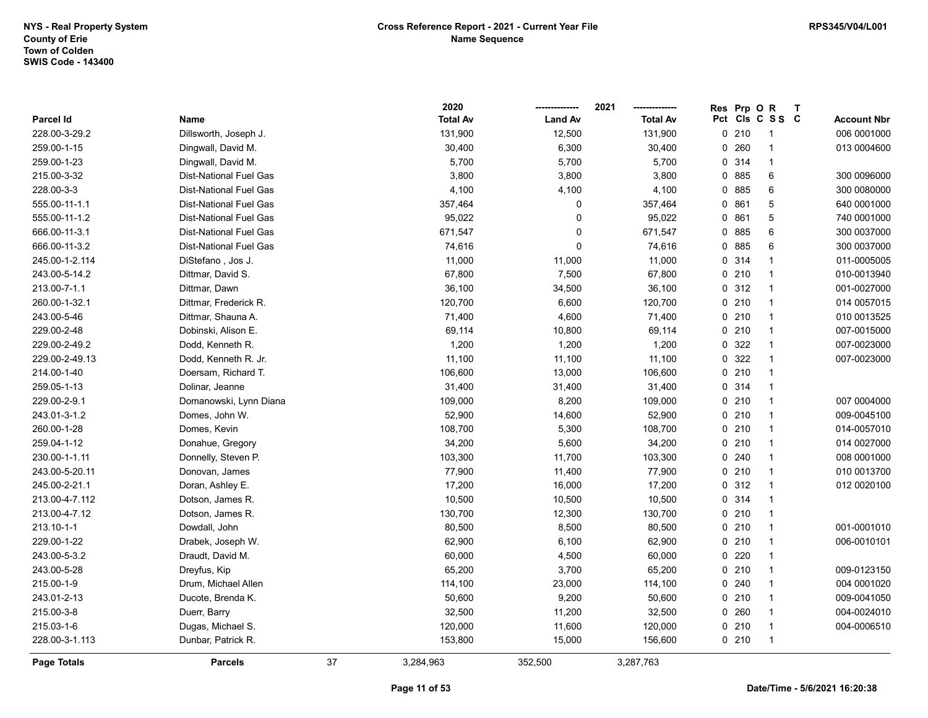|                |                               |    | 2020            |                | 2021            | Res | Prp OR |                          | $\mathbf{T}$ |                    |
|----------------|-------------------------------|----|-----------------|----------------|-----------------|-----|--------|--------------------------|--------------|--------------------|
| Parcel Id      | Name                          |    | <b>Total Av</b> | <b>Land Av</b> | <b>Total Av</b> |     |        | Pct Cls C S S C          |              | <b>Account Nbr</b> |
| 228.00-3-29.2  | Dillsworth, Joseph J.         |    | 131,900         | 12,500         | 131,900         |     | 0210   | -1                       |              | 006 0001000        |
| 259.00-1-15    | Dingwall, David M.            |    | 30,400          | 6,300          | 30,400          |     | 0.260  | -1                       |              | 013 0004600        |
| 259.00-1-23    | Dingwall, David M.            |    | 5,700           | 5,700          | 5,700           |     | 0.314  | $\overline{1}$           |              |                    |
| 215.00-3-32    | <b>Dist-National Fuel Gas</b> |    | 3,800           | 3,800          | 3,800           |     | 0 885  | 6                        |              | 300 0096000        |
| 228.00-3-3     | <b>Dist-National Fuel Gas</b> |    | 4,100           | 4,100          | 4,100           |     | 0 885  | $\,6\,$                  |              | 300 0080000        |
| 555.00-11-1.1  | <b>Dist-National Fuel Gas</b> |    | 357,464         | 0              | 357,464         |     | 0861   | 5                        |              | 640 0001000        |
| 555.00-11-1.2  | <b>Dist-National Fuel Gas</b> |    | 95,022          | $\mathbf 0$    | 95,022          |     | 0861   | 5                        |              | 740 0001000        |
| 666.00-11-3.1  | <b>Dist-National Fuel Gas</b> |    | 671,547         | $\mathbf 0$    | 671,547         |     | 0 885  | 6                        |              | 300 0037000        |
| 666.00-11-3.2  | <b>Dist-National Fuel Gas</b> |    | 74,616          | $\pmb{0}$      | 74,616          |     | 0885   | 6                        |              | 300 0037000        |
| 245.00-1-2.114 | DiStefano, Jos J.             |    | 11,000          | 11,000         | 11,000          |     | 0.314  | $\mathbf{1}$             |              | 011-0005005        |
| 243.00-5-14.2  | Dittmar, David S.             |    | 67,800          | 7,500          | 67,800          |     | 0210   | $\overline{1}$           |              | 010-0013940        |
| 213.00-7-1.1   | Dittmar, Dawn                 |    | 36,100          | 34,500         | 36,100          |     | 0.312  | $\overline{1}$           |              | 001-0027000        |
| 260.00-1-32.1  | Dittmar, Frederick R.         |    | 120,700         | 6,600          | 120,700         |     | 0210   | $\overline{1}$           |              | 014 0057015        |
| 243.00-5-46    | Dittmar, Shauna A.            |    | 71,400          | 4,600          | 71,400          |     | 0210   | $\overline{1}$           |              | 010 0013525        |
| 229.00-2-48    | Dobinski, Alison E.           |    | 69,114          | 10,800         | 69,114          |     | 0210   | $\overline{\phantom{a}}$ |              | 007-0015000        |
| 229.00-2-49.2  | Dodd, Kenneth R.              |    | 1,200           | 1,200          | 1,200           |     | 0 322  | $\overline{1}$           |              | 007-0023000        |
| 229.00-2-49.13 | Dodd, Kenneth R. Jr.          |    | 11,100          | 11,100         | 11,100          |     | 0.322  | $\overline{1}$           |              | 007-0023000        |
| 214.00-1-40    | Doersam, Richard T.           |    | 106,600         | 13,000         | 106,600         |     | 0210   | $\overline{1}$           |              |                    |
| 259.05-1-13    | Dolinar, Jeanne               |    | 31,400          | 31,400         | 31,400          |     | 0.314  | $\overline{1}$           |              |                    |
| 229.00-2-9.1   | Domanowski, Lynn Diana        |    | 109,000         | 8,200          | 109,000         |     | 0210   | $\overline{1}$           |              | 007 0004000        |
| 243.01-3-1.2   | Domes, John W.                |    | 52,900          | 14,600         | 52,900          |     | 0210   | $\overline{1}$           |              | 009-0045100        |
| 260.00-1-28    | Domes, Kevin                  |    | 108,700         | 5,300          | 108,700         |     | 0210   | $\overline{1}$           |              | 014-0057010        |
| 259.04-1-12    | Donahue, Gregory              |    | 34,200          | 5,600          | 34,200          |     | 0210   | $\overline{1}$           |              | 014 0027000        |
| 230.00-1-1.11  | Donnelly, Steven P.           |    | 103,300         | 11,700         | 103,300         |     | 0.240  | $\overline{1}$           |              | 008 0001000        |
| 243.00-5-20.11 | Donovan, James                |    | 77,900          | 11,400         | 77,900          |     | 0210   | $\overline{1}$           |              | 010 0013700        |
| 245.00-2-21.1  | Doran, Ashley E.              |    | 17,200          | 16,000         | 17,200          |     | 0.312  | $\overline{1}$           |              | 012 0020100        |
| 213.00-4-7.112 | Dotson, James R.              |    | 10,500          | 10,500         | 10,500          |     | 0.314  | $\overline{1}$           |              |                    |
| 213.00-4-7.12  | Dotson, James R.              |    | 130,700         | 12,300         | 130,700         |     | 0210   | $\overline{1}$           |              |                    |
| 213.10-1-1     | Dowdall, John                 |    | 80,500          | 8,500          | 80,500          |     | 0210   | $\overline{1}$           |              | 001-0001010        |
| 229.00-1-22    | Drabek, Joseph W.             |    | 62,900          | 6,100          | 62,900          |     | 0210   | $\overline{1}$           |              | 006-0010101        |
| 243.00-5-3.2   | Draudt, David M.              |    | 60,000          | 4,500          | 60,000          |     | 0220   | $\overline{1}$           |              |                    |
| 243.00-5-28    | Dreyfus, Kip                  |    | 65,200          | 3,700          | 65,200          |     | 0210   | $\overline{1}$           |              | 009-0123150        |
| 215.00-1-9     | Drum, Michael Allen           |    | 114,100         | 23,000         | 114,100         |     | 0.240  | $\overline{1}$           |              | 004 0001020        |
| 243.01-2-13    | Ducote, Brenda K.             |    | 50,600          | 9,200          | 50,600          |     | 0210   | $\overline{1}$           |              | 009-0041050        |
| 215.00-3-8     | Duerr, Barry                  |    | 32,500          | 11,200         | 32,500          |     | 0.260  | $\overline{1}$           |              | 004-0024010        |
| 215.03-1-6     | Dugas, Michael S.             |    | 120,000         | 11,600         | 120,000         |     | 0210   | $\overline{1}$           |              | 004-0006510        |
| 228.00-3-1.113 | Dunbar, Patrick R.            |    | 153,800         | 15,000         | 156,600         |     | 0210   | $\overline{1}$           |              |                    |
| Page Totals    | <b>Parcels</b>                | 37 | 3,284,963       | 352,500        | 3,287,763       |     |        |                          |              |                    |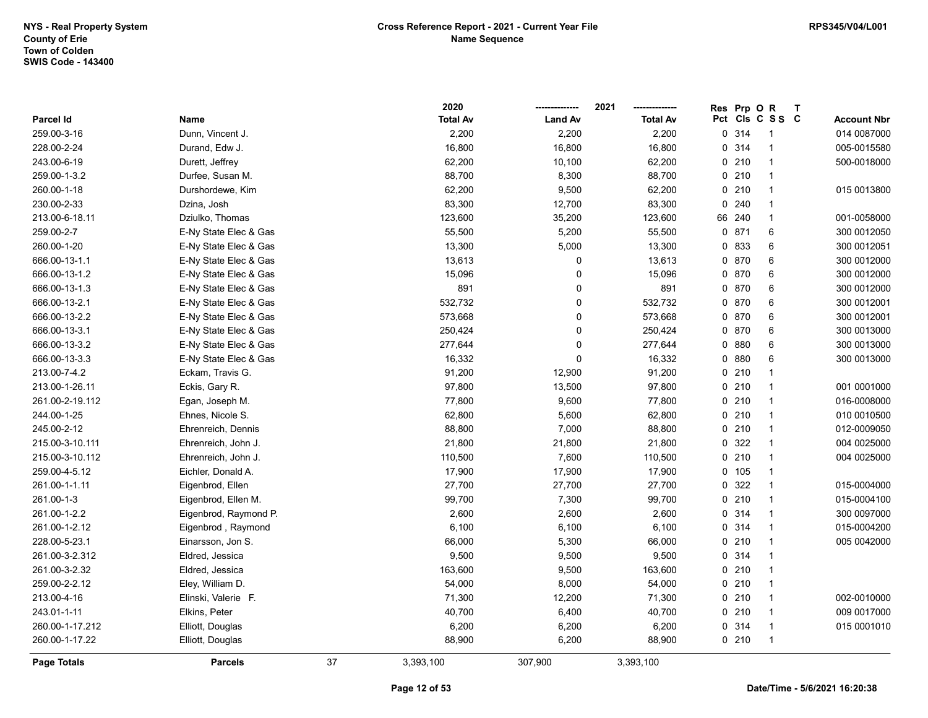|                    |                       |    | 2020            |                | 2021            | Res | Prp O  | $\mathsf{R}$    | $\mathbf{T}$ |                    |
|--------------------|-----------------------|----|-----------------|----------------|-----------------|-----|--------|-----------------|--------------|--------------------|
| Parcel Id          | Name                  |    | <b>Total Av</b> | <b>Land Av</b> | <b>Total Av</b> |     |        | Pct Cls C S S C |              | <b>Account Nbr</b> |
| 259.00-3-16        | Dunn, Vincent J.      |    | 2,200           | 2,200          | 2,200           |     | 0.314  | 1               |              | 014 0087000        |
| 228.00-2-24        | Durand, Edw J.        |    | 16,800          | 16,800         | 16,800          |     | 0 314  | 1               |              | 005-0015580        |
| 243.00-6-19        | Durett, Jeffrey       |    | 62,200          | 10,100         | 62,200          |     | 0210   | 1               |              | 500-0018000        |
| 259.00-1-3.2       | Durfee, Susan M.      |    | 88,700          | 8,300          | 88,700          |     | 0210   | $\mathbf{1}$    |              |                    |
| 260.00-1-18        | Durshordewe, Kim      |    | 62,200          | 9,500          | 62,200          |     | 0210   | $\mathbf{1}$    |              | 015 0013800        |
| 230.00-2-33        | Dzina, Josh           |    | 83,300          | 12,700         | 83,300          |     | 0.240  | $\mathbf{1}$    |              |                    |
| 213.00-6-18.11     | Dziulko, Thomas       |    | 123,600         | 35,200         | 123,600         |     | 66 240 | $\mathbf{1}$    |              | 001-0058000        |
| 259.00-2-7         | E-Ny State Elec & Gas |    | 55,500          | 5,200          | 55,500          |     | 0.871  | 6               |              | 300 0012050        |
| 260.00-1-20        | E-Ny State Elec & Gas |    | 13,300          | 5,000          | 13,300          |     | 0 833  | 6               |              | 300 0012051        |
| 666.00-13-1.1      | E-Ny State Elec & Gas |    | 13,613          | 0              | 13,613          |     | 0 870  | 6               |              | 300 0012000        |
| 666.00-13-1.2      | E-Ny State Elec & Gas |    | 15,096          | 0              | 15,096          |     | 0 870  | 6               |              | 300 0012000        |
| 666.00-13-1.3      | E-Ny State Elec & Gas |    | 891             | 0              | 891             |     | 0 870  | 6               |              | 300 0012000        |
| 666.00-13-2.1      | E-Ny State Elec & Gas |    | 532,732         | 0              | 532,732         |     | 0 870  | 6               |              | 300 0012001        |
| 666.00-13-2.2      | E-Ny State Elec & Gas |    | 573,668         | 0              | 573,668         |     | 0 870  | 6               |              | 300 0012001        |
| 666.00-13-3.1      | E-Ny State Elec & Gas |    | 250,424         | 0              | 250,424         |     | 0 870  | 6               |              | 300 0013000        |
| 666.00-13-3.2      | E-Ny State Elec & Gas |    | 277,644         | 0              | 277,644         |     | 0880   | 6               |              | 300 0013000        |
| 666.00-13-3.3      | E-Ny State Elec & Gas |    | 16,332          | $\Omega$       | 16,332          |     | 0880   | 6               |              | 300 0013000        |
| 213.00-7-4.2       | Eckam, Travis G.      |    | 91,200          | 12,900         | 91,200          |     | 0210   | 1               |              |                    |
| 213.00-1-26.11     | Eckis, Gary R.        |    | 97,800          | 13,500         | 97,800          |     | 0210   | 1               |              | 001 0001000        |
| 261.00-2-19.112    | Egan, Joseph M.       |    | 77,800          | 9,600          | 77,800          |     | 0210   | $\mathbf{1}$    |              | 016-0008000        |
| 244.00-1-25        | Ehnes, Nicole S.      |    | 62,800          | 5,600          | 62,800          |     | 0210   | $\mathbf{1}$    |              | 010 0010500        |
| 245.00-2-12        | Ehrenreich, Dennis    |    | 88,800          | 7,000          | 88,800          |     | 0210   | $\mathbf{1}$    |              | 012-0009050        |
| 215.00-3-10.111    | Ehrenreich, John J.   |    | 21,800          | 21,800         | 21,800          |     | 0 322  | $\mathbf{1}$    |              | 004 0025000        |
| 215.00-3-10.112    | Ehrenreich, John J.   |    | 110,500         | 7,600          | 110,500         |     | 0210   | $\mathbf{1}$    |              | 004 0025000        |
| 259.00-4-5.12      | Eichler, Donald A.    |    | 17,900          | 17,900         | 17,900          |     | 0 105  | $\mathbf{1}$    |              |                    |
| 261.00-1-1.11      | Eigenbrod, Ellen      |    | 27,700          | 27,700         | 27,700          |     | 0 322  | $\mathbf{1}$    |              | 015-0004000        |
| 261.00-1-3         | Eigenbrod, Ellen M.   |    | 99,700          | 7,300          | 99,700          |     | 0210   | $\mathbf{1}$    |              | 015-0004100        |
| 261.00-1-2.2       | Eigenbrod, Raymond P. |    | 2,600           | 2,600          | 2,600           |     | 0 314  | $\mathbf{1}$    |              | 300 0097000        |
| 261.00-1-2.12      | Eigenbrod, Raymond    |    | 6,100           | 6,100          | 6,100           |     | 0.314  | $\mathbf{1}$    |              | 015-0004200        |
| 228.00-5-23.1      | Einarsson, Jon S.     |    | 66,000          | 5,300          | 66,000          |     | 0210   | 1               |              | 005 0042000        |
| 261.00-3-2.312     | Eldred, Jessica       |    | 9,500           | 9,500          | 9,500           |     | 0 314  | $\mathbf{1}$    |              |                    |
| 261.00-3-2.32      | Eldred, Jessica       |    | 163,600         | 9,500          | 163,600         |     | 0210   | $\mathbf{1}$    |              |                    |
| 259.00-2-2.12      | Eley, William D.      |    | 54,000          | 8,000          | 54,000          |     | 0210   | $\mathbf{1}$    |              |                    |
| 213.00-4-16        | Elinski, Valerie F.   |    | 71,300          | 12,200         | 71,300          |     | 0210   | $\mathbf{1}$    |              | 002-0010000        |
| 243.01-1-11        | Elkins, Peter         |    | 40,700          | 6,400          | 40,700          |     | 0210   | $\mathbf{1}$    |              | 009 0017000        |
| 260.00-1-17.212    | Elliott, Douglas      |    | 6,200           | 6,200          | 6,200           |     | 0 314  | $\mathbf{1}$    |              | 015 0001010        |
| 260.00-1-17.22     | Elliott, Douglas      |    | 88,900          | 6,200          | 88,900          |     | 0210   | $\mathbf{1}$    |              |                    |
| <b>Page Totals</b> | <b>Parcels</b>        | 37 | 3,393,100       | 307,900        | 3,393,100       |     |        |                 |              |                    |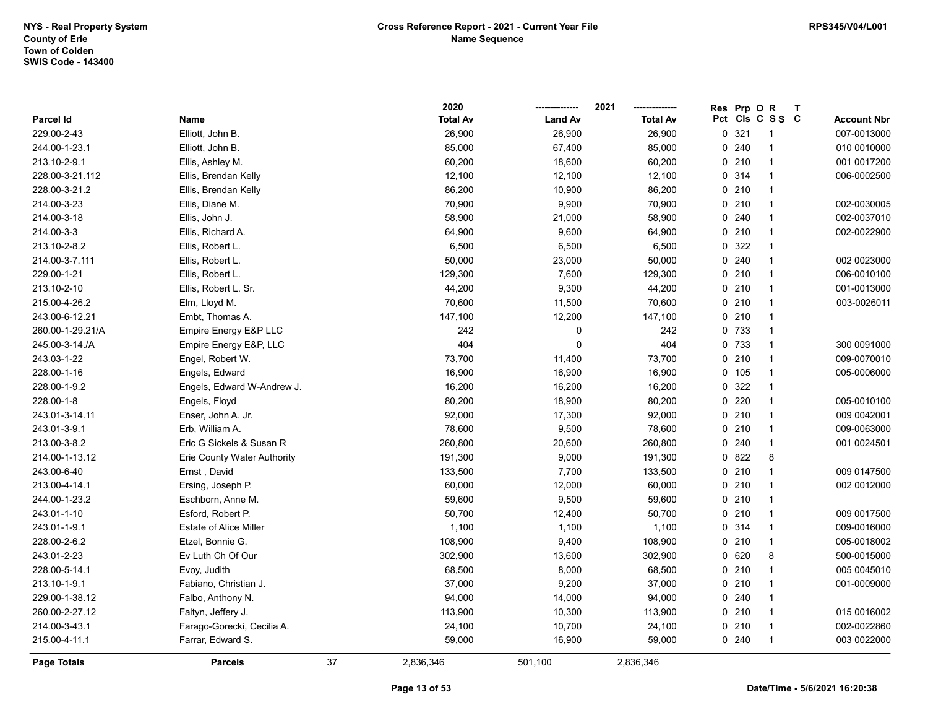|                    |                               |    | 2020            |                | 2021            | Res | Prp OR |                 | $\mathsf{T}$ |                    |
|--------------------|-------------------------------|----|-----------------|----------------|-----------------|-----|--------|-----------------|--------------|--------------------|
| Parcel Id          | Name                          |    | <b>Total Av</b> | <b>Land Av</b> | <b>Total Av</b> |     |        | Pct Cls C S S C |              | <b>Account Nbr</b> |
| 229.00-2-43        | Elliott, John B.              |    | 26,900          | 26,900         | 26,900          | 0   | 321    |                 |              | 007-0013000        |
| 244.00-1-23.1      | Elliott, John B.              |    | 85,000          | 67,400         | 85,000          |     | 0.240  |                 |              | 010 0010000        |
| 213.10-2-9.1       | Ellis, Ashley M.              |    | 60,200          | 18,600         | 60,200          |     | 0210   | -1              |              | 001 0017200        |
| 228.00-3-21.112    | Ellis, Brendan Kelly          |    | 12,100          | 12,100         | 12,100          |     | 0 314  | $\mathbf 1$     |              | 006-0002500        |
| 228.00-3-21.2      | Ellis, Brendan Kelly          |    | 86,200          | 10,900         | 86,200          |     | 0210   | $\overline{1}$  |              |                    |
| 214.00-3-23        | Ellis, Diane M.               |    | 70,900          | 9,900          | 70,900          |     | 0210   | $\mathbf 1$     |              | 002-0030005        |
| 214.00-3-18        | Ellis, John J.                |    | 58,900          | 21,000         | 58,900          |     | 0.240  | -1              |              | 002-0037010        |
| 214.00-3-3         | Ellis, Richard A.             |    | 64,900          | 9,600          | 64,900          |     | 0210   | $\mathbf{1}$    |              | 002-0022900        |
| 213.10-2-8.2       | Ellis, Robert L.              |    | 6,500           | 6,500          | 6,500           |     | 0 322  | $\overline{1}$  |              |                    |
| 214.00-3-7.111     | Ellis, Robert L.              |    | 50,000          | 23,000         | 50,000          |     | 0.240  | $\mathbf{1}$    |              | 002 0023000        |
| 229.00-1-21        | Ellis, Robert L.              |    | 129,300         | 7,600          | 129,300         |     | 0210   | $\mathbf 1$     |              | 006-0010100        |
| 213.10-2-10        | Ellis, Robert L. Sr.          |    | 44,200          | 9,300          | 44,200          |     | 0210   | $\mathbf 1$     |              | 001-0013000        |
| 215.00-4-26.2      | Elm, Lloyd M.                 |    | 70,600          | 11,500         | 70,600          |     | 0210   | $\mathbf{1}$    |              | 003-0026011        |
| 243.00-6-12.21     | Embt, Thomas A.               |    | 147,100         | 12,200         | 147,100         |     | 0210   |                 |              |                    |
| 260.00-1-29.21/A   | Empire Energy E&P LLC         |    | 242             | 0              | 242             |     | 0 733  | -1              |              |                    |
| 245.00-3-14./A     | Empire Energy E&P, LLC        |    | 404             | $\Omega$       | 404             |     | 0 733  | $\mathbf{1}$    |              | 300 0091000        |
| 243.03-1-22        | Engel, Robert W.              |    | 73,700          | 11,400         | 73,700          |     | 0210   | $\overline{1}$  |              | 009-0070010        |
| 228.00-1-16        | Engels, Edward                |    | 16,900          | 16,900         | 16,900          |     | 0 105  | $\mathbf 1$     |              | 005-0006000        |
| 228.00-1-9.2       | Engels, Edward W-Andrew J.    |    | 16,200          | 16,200         | 16,200          |     | 0 322  | $\mathbf{1}$    |              |                    |
| 228.00-1-8         | Engels, Floyd                 |    | 80,200          | 18,900         | 80,200          |     | 0220   | $\mathbf{1}$    |              | 005-0010100        |
| 243.01-3-14.11     | Enser, John A. Jr.            |    | 92,000          | 17,300         | 92,000          |     | 0210   | $\mathbf{1}$    |              | 009 0042001        |
| 243.01-3-9.1       | Erb, William A.               |    | 78,600          | 9,500          | 78,600          |     | 0210   | $\mathbf{1}$    |              | 009-0063000        |
| 213.00-3-8.2       | Eric G Sickels & Susan R      |    | 260,800         | 20,600         | 260,800         |     | 0.240  | $\mathbf{1}$    |              | 001 0024501        |
| 214.00-1-13.12     | Erie County Water Authority   |    | 191,300         | 9,000          | 191,300         |     | 0 822  | 8               |              |                    |
| 243.00-6-40        | Ernst, David                  |    | 133,500         | 7,700          | 133,500         |     | 0210   | $\mathbf{1}$    |              | 009 0147500        |
| 213.00-4-14.1      | Ersing, Joseph P.             |    | 60,000          | 12,000         | 60,000          |     | 0210   | $\mathbf{1}$    |              | 002 0012000        |
| 244.00-1-23.2      | Eschborn, Anne M.             |    | 59,600          | 9,500          | 59,600          |     | 0210   | $\mathbf{1}$    |              |                    |
| 243.01-1-10        | Esford, Robert P.             |    | 50,700          | 12,400         | 50,700          |     | 0210   |                 |              | 009 0017500        |
| 243.01-1-9.1       | <b>Estate of Alice Miller</b> |    | 1,100           | 1,100          | 1,100           |     | 0 314  | $\mathbf{1}$    |              | 009-0016000        |
| 228.00-2-6.2       | Etzel, Bonnie G.              |    | 108,900         | 9,400          | 108,900         |     | 0210   | $\mathbf{1}$    |              | 005-0018002        |
| 243.01-2-23        | Ev Luth Ch Of Our             |    | 302,900         | 13,600         | 302,900         |     | 0620   | 8               |              | 500-0015000        |
| 228.00-5-14.1      | Evoy, Judith                  |    | 68,500          | 8,000          | 68,500          |     | 0210   | $\mathbf{1}$    |              | 005 0045010        |
| 213.10-1-9.1       | Fabiano, Christian J.         |    | 37,000          | 9,200          | 37,000          |     | 0210   | $\overline{1}$  |              | 001-0009000        |
| 229.00-1-38.12     | Falbo, Anthony N.             |    | 94,000          | 14,000         | 94,000          |     | 0.240  | $\mathbf 1$     |              |                    |
| 260.00-2-27.12     | Faltyn, Jeffery J.            |    | 113,900         | 10,300         | 113,900         |     | 0210   | $\mathbf{1}$    |              | 015 0016002        |
| 214.00-3-43.1      | Farago-Gorecki, Cecilia A.    |    | 24,100          | 10,700         | 24,100          |     | 0210   | $\mathbf{1}$    |              | 002-0022860        |
| 215.00-4-11.1      | Farrar, Edward S.             |    | 59,000          | 16,900         | 59,000          |     | 0.240  |                 |              | 003 0022000        |
| <b>Page Totals</b> | <b>Parcels</b>                | 37 | 2,836,346       | 501,100        | 2,836,346       |     |        |                 |              |                    |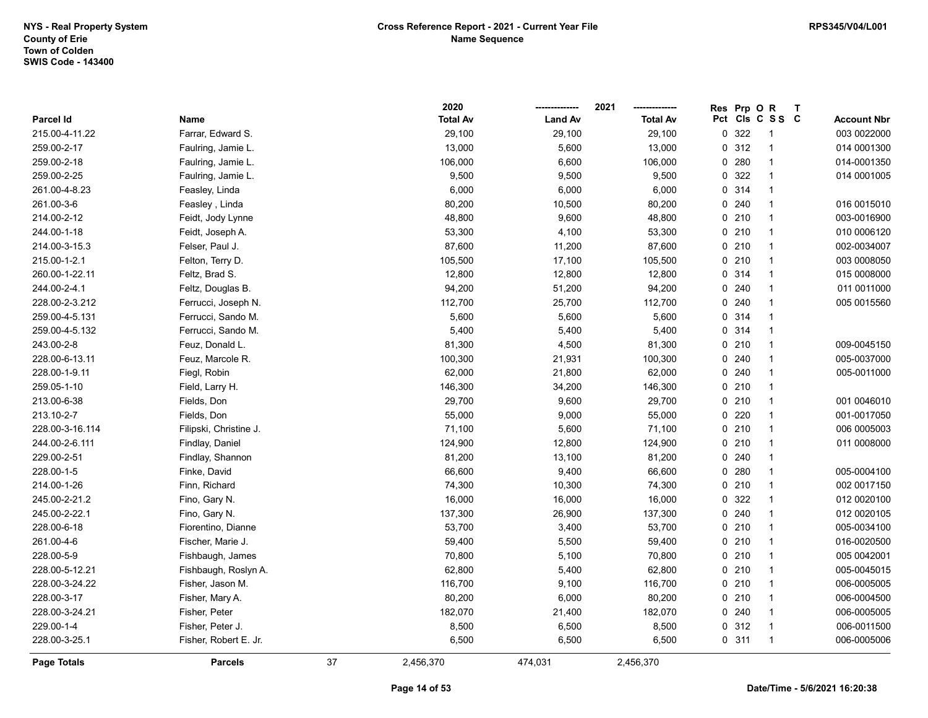|                    |                        |    | 2020            |                | 2021            | Res | Prp OR  |                 | $\mathbf T$ |                    |
|--------------------|------------------------|----|-----------------|----------------|-----------------|-----|---------|-----------------|-------------|--------------------|
| Parcel Id          | Name                   |    | <b>Total Av</b> | <b>Land Av</b> | <b>Total Av</b> |     |         | Pct Cls C S S C |             | <b>Account Nbr</b> |
| 215.00-4-11.22     | Farrar, Edward S.      |    | 29,100          | 29,100         | 29,100          |     | 0 322   | 1               |             | 003 0022000        |
| 259.00-2-17        | Faulring, Jamie L.     |    | 13,000          | 5,600          | 13,000          |     | 0.312   | $\overline{1}$  |             | 014 0001300        |
| 259.00-2-18        | Faulring, Jamie L.     |    | 106,000         | 6,600          | 106,000         |     | 0.280   | $\mathbf{1}$    |             | 014-0001350        |
| 259.00-2-25        | Faulring, Jamie L.     |    | 9,500           | 9,500          | 9,500           |     | 0 322   | $\mathbf{1}$    |             | 014 0001005        |
| 261.00-4-8.23      | Feasley, Linda         |    | 6,000           | 6,000          | 6,000           |     | 0 314   | $\mathbf{1}$    |             |                    |
| 261.00-3-6         | Feasley, Linda         |    | 80,200          | 10,500         | 80,200          |     | 0.240   | $\mathbf{1}$    |             | 016 0015010        |
| 214.00-2-12        | Feidt, Jody Lynne      |    | 48,800          | 9,600          | 48,800          |     | 0210    | $\mathbf{1}$    |             | 003-0016900        |
| 244.00-1-18        | Feidt, Joseph A.       |    | 53,300          | 4,100          | 53,300          |     | 0210    | $\mathbf{1}$    |             | 010 0006120        |
| 214.00-3-15.3      | Felser, Paul J.        |    | 87,600          | 11,200         | 87,600          |     | 0210    | $\mathbf{1}$    |             | 002-0034007        |
| 215.00-1-2.1       | Felton, Terry D.       |    | 105,500         | 17,100         | 105,500         |     | 0210    | $\mathbf{1}$    |             | 003 0008050        |
| 260.00-1-22.11     | Feltz, Brad S.         |    | 12,800          | 12,800         | 12,800          |     | 0.314   | $\mathbf{1}$    |             | 015 0008000        |
| 244.00-2-4.1       | Feltz, Douglas B.      |    | 94,200          | 51,200         | 94,200          |     | 0.240   | $\mathbf{1}$    |             | 011 0011000        |
| 228.00-2-3.212     | Ferrucci, Joseph N.    |    | 112,700         | 25,700         | 112,700         |     | 0.240   | $\mathbf{1}$    |             | 005 0015560        |
| 259.00-4-5.131     | Ferrucci, Sando M.     |    | 5,600           | 5,600          | 5,600           |     | 0.314   | $\mathbf{1}$    |             |                    |
| 259.00-4-5.132     | Ferrucci, Sando M.     |    | 5,400           | 5,400          | 5,400           |     | 0.314   | $\mathbf{1}$    |             |                    |
| 243.00-2-8         | Feuz, Donald L.        |    | 81,300          | 4,500          | 81,300          |     | 0210    | $\mathbf{1}$    |             | 009-0045150        |
| 228.00-6-13.11     | Feuz, Marcole R.       |    | 100,300         | 21,931         | 100,300         |     | $0$ 240 | $\mathbf{1}$    |             | 005-0037000        |
| 228.00-1-9.11      | Fiegl, Robin           |    | 62,000          | 21,800         | 62,000          |     | 0.240   | $\mathbf{1}$    |             | 005-0011000        |
| 259.05-1-10        | Field, Larry H.        |    | 146,300         | 34,200         | 146,300         |     | 0210    | $\mathbf{1}$    |             |                    |
| 213.00-6-38        | Fields, Don            |    | 29,700          | 9,600          | 29,700          |     | 0210    | $\mathbf{1}$    |             | 001 0046010        |
| 213.10-2-7         | Fields, Don            |    | 55,000          | 9,000          | 55,000          |     | 0220    | $\mathbf{1}$    |             | 001-0017050        |
| 228.00-3-16.114    | Filipski, Christine J. |    | 71,100          | 5,600          | 71,100          |     | 0210    | $\mathbf{1}$    |             | 006 0005003        |
| 244.00-2-6.111     | Findlay, Daniel        |    | 124,900         | 12,800         | 124,900         |     | 0210    | $\mathbf{1}$    |             | 011 0008000        |
| 229.00-2-51        | Findlay, Shannon       |    | 81,200          | 13,100         | 81,200          |     | 0.240   | $\mathbf{1}$    |             |                    |
| 228.00-1-5         | Finke, David           |    | 66,600          | 9,400          | 66,600          |     | 0.280   | $\mathbf{1}$    |             | 005-0004100        |
| 214.00-1-26        | Finn, Richard          |    | 74,300          | 10,300         | 74,300          |     | 0210    | $\mathbf{1}$    |             | 002 0017150        |
| 245.00-2-21.2      | Fino, Gary N.          |    | 16,000          | 16,000         | 16,000          |     | 0 322   | $\mathbf{1}$    |             | 012 0020100        |
| 245.00-2-22.1      | Fino, Gary N.          |    | 137,300         | 26,900         | 137,300         |     | 0.240   | $\mathbf{1}$    |             | 012 0020105        |
| 228.00-6-18        | Fiorentino, Dianne     |    | 53,700          | 3,400          | 53,700          |     | 0210    | $\mathbf{1}$    |             | 005-0034100        |
| 261.00-4-6         | Fischer, Marie J.      |    | 59,400          | 5,500          | 59,400          |     | 0210    | $\mathbf{1}$    |             | 016-0020500        |
| 228.00-5-9         | Fishbaugh, James       |    | 70,800          | 5,100          | 70,800          |     | 0210    | $\mathbf{1}$    |             | 005 004 2001       |
| 228.00-5-12.21     | Fishbaugh, Roslyn A.   |    | 62,800          | 5,400          | 62,800          |     | 0210    | $\mathbf{1}$    |             | 005-0045015        |
| 228.00-3-24.22     | Fisher, Jason M.       |    | 116,700         | 9,100          | 116,700         |     | 0210    | $\mathbf{1}$    |             | 006-0005005        |
| 228.00-3-17        | Fisher, Mary A.        |    | 80,200          | 6,000          | 80,200          |     | 0210    | $\mathbf{1}$    |             | 006-0004500        |
| 228.00-3-24.21     | Fisher, Peter          |    | 182,070         | 21,400         | 182,070         |     | 0 240   | $\mathbf{1}$    |             | 006-0005005        |
| 229.00-1-4         | Fisher, Peter J.       |    | 8,500           | 6,500          | 8,500           |     | 0.312   | $\mathbf{1}$    |             | 006-0011500        |
| 228.00-3-25.1      | Fisher, Robert E. Jr.  |    | 6,500           | 6,500          | 6,500           |     | 0.311   | $\mathbf{1}$    |             | 006-0005006        |
| <b>Page Totals</b> | <b>Parcels</b>         | 37 | 2,456,370       | 474.031        | 2,456,370       |     |         |                 |             |                    |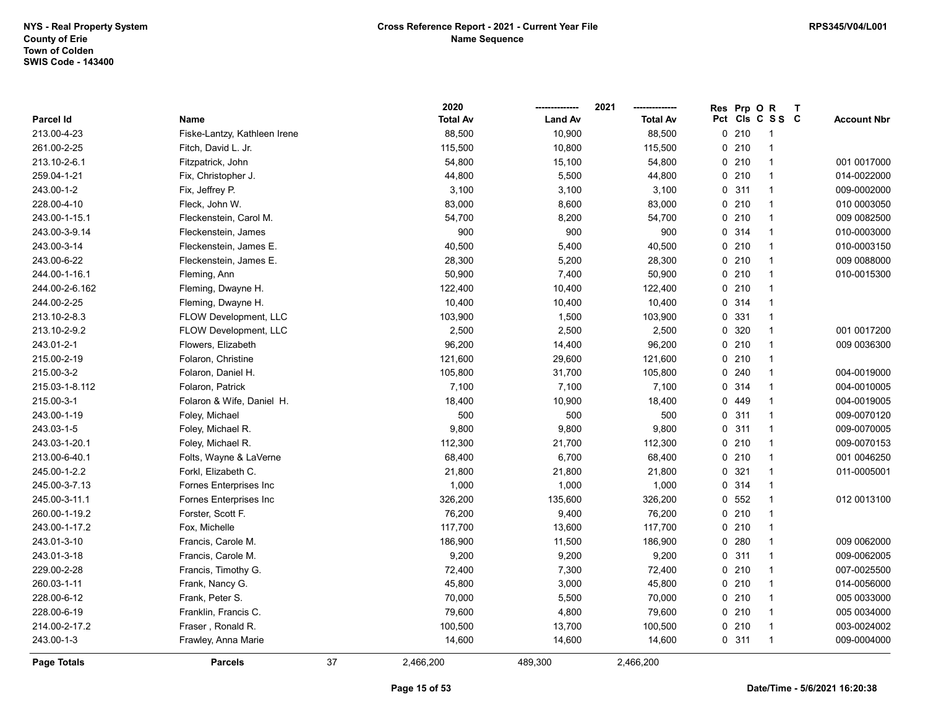|                |                              |    | 2020            |                | 2021            | <b>Res</b>   | Prp O   | $\mathsf{R}$    | $\mathbf{T}$ |                    |
|----------------|------------------------------|----|-----------------|----------------|-----------------|--------------|---------|-----------------|--------------|--------------------|
| Parcel Id      | Name                         |    | <b>Total Av</b> | <b>Land Av</b> | <b>Total Av</b> |              |         | Pct Cls C S S C |              | <b>Account Nbr</b> |
| 213.00-4-23    | Fiske-Lantzy, Kathleen Irene |    | 88,500          | 10,900         | 88,500          |              | $0$ 210 |                 |              |                    |
| 261.00-2-25    | Fitch, David L. Jr.          |    | 115,500         | 10,800         | 115,500         |              | $0$ 210 | $\overline{1}$  |              |                    |
| 213.10-2-6.1   | Fitzpatrick, John            |    | 54,800          | 15,100         | 54,800          |              | 0210    | $\mathbf{1}$    |              | 001 0017000        |
| 259.04-1-21    | Fix, Christopher J.          |    | 44,800          | 5,500          | 44,800          |              | 0210    | $\mathbf{1}$    |              | 014-0022000        |
| 243.00-1-2     | Fix, Jeffrey P.              |    | 3,100           | 3,100          | 3,100           | 0            | 311     | $\mathbf{1}$    |              | 009-0002000        |
| 228.00-4-10    | Fleck, John W.               |    | 83,000          | 8,600          | 83,000          |              | 0210    | $\mathbf{1}$    |              | 010 0003050        |
| 243.00-1-15.1  | Fleckenstein, Carol M.       |    | 54,700          | 8,200          | 54,700          |              | 0210    | $\mathbf{1}$    |              | 009 0082500        |
| 243.00-3-9.14  | Fleckenstein, James          |    | 900             | 900            | 900             |              | 0.314   | $\mathbf{1}$    |              | 010-0003000        |
| 243.00-3-14    | Fleckenstein, James E.       |    | 40,500          | 5,400          | 40,500          |              | $0$ 210 | $\mathbf{1}$    |              | 010-0003150        |
| 243.00-6-22    | Fleckenstein, James E.       |    | 28,300          | 5,200          | 28,300          |              | 0210    | $\mathbf{1}$    |              | 009 0088000        |
| 244.00-1-16.1  | Fleming, Ann                 |    | 50,900          | 7,400          | 50,900          |              | 0210    | $\mathbf{1}$    |              | 010-0015300        |
| 244.00-2-6.162 | Fleming, Dwayne H.           |    | 122,400         | 10,400         | 122,400         |              | 0210    | $\mathbf{1}$    |              |                    |
| 244.00-2-25    | Fleming, Dwayne H.           |    | 10,400          | 10,400         | 10,400          |              | 0.314   | $\mathbf{1}$    |              |                    |
| 213.10-2-8.3   | FLOW Development, LLC        |    | 103,900         | 1,500          | 103,900         |              | 0 331   | $\mathbf{1}$    |              |                    |
| 213.10-2-9.2   | FLOW Development, LLC        |    | 2,500           | 2,500          | 2,500           |              | 0 320   | $\mathbf{1}$    |              | 001 0017200        |
| 243.01-2-1     | Flowers, Elizabeth           |    | 96,200          | 14,400         | 96,200          |              | 0210    | $\mathbf{1}$    |              | 009 0036300        |
| 215.00-2-19    | Folaron, Christine           |    | 121,600         | 29,600         | 121,600         |              | 0210    | $\mathbf{1}$    |              |                    |
| 215.00-3-2     | Folaron, Daniel H.           |    | 105,800         | 31,700         | 105,800         | 0            | 240     | $\mathbf{1}$    |              | 004-0019000        |
| 215.03-1-8.112 | Folaron, Patrick             |    | 7,100           | 7,100          | 7,100           |              | 0.314   | $\mathbf{1}$    |              | 004-0010005        |
| 215.00-3-1     | Folaron & Wife, Daniel H.    |    | 18,400          | 10,900         | 18,400          |              | 0 449   | $\mathbf{1}$    |              | 004-0019005        |
| 243.00-1-19    | Foley, Michael               |    | 500             | 500            | 500             |              | 0.311   | $\mathbf{1}$    |              | 009-0070120        |
| 243.03-1-5     | Foley, Michael R.            |    | 9,800           | 9,800          | 9,800           |              | 0.311   | $\mathbf{1}$    |              | 009-0070005        |
| 243.03-1-20.1  | Foley, Michael R.            |    | 112,300         | 21,700         | 112,300         |              | 0210    | $\mathbf{1}$    |              | 009-0070153        |
| 213.00-6-40.1  | Folts, Wayne & LaVerne       |    | 68,400          | 6,700          | 68,400          |              | 0210    | $\mathbf{1}$    |              | 001 0046250        |
| 245.00-1-2.2   | Forkl, Elizabeth C.          |    | 21,800          | 21,800         | 21,800          | $\mathbf{0}$ | 321     | $\mathbf{1}$    |              | 011-0005001        |
| 245.00-3-7.13  | Fornes Enterprises Inc       |    | 1,000           | 1,000          | 1,000           |              | 0 314   | $\mathbf{1}$    |              |                    |
| 245.00-3-11.1  | Fornes Enterprises Inc       |    | 326,200         | 135,600        | 326,200         |              | 0, 552  | $\mathbf{1}$    |              | 012 0013100        |
| 260.00-1-19.2  | Forster, Scott F.            |    | 76,200          | 9,400          | 76,200          |              | 0210    | $\mathbf{1}$    |              |                    |
| 243.00-1-17.2  | Fox, Michelle                |    | 117,700         | 13,600         | 117,700         |              | 0210    | $\mathbf{1}$    |              |                    |
| 243.01-3-10    | Francis, Carole M.           |    | 186,900         | 11,500         | 186,900         |              | 0.280   | $\mathbf{1}$    |              | 009 0062000        |
| 243.01-3-18    | Francis, Carole M.           |    | 9,200           | 9,200          | 9,200           |              | 0.311   | $\mathbf{1}$    |              | 009-0062005        |
| 229.00-2-28    | Francis, Timothy G.          |    | 72,400          | 7,300          | 72,400          |              | 0210    | $\mathbf{1}$    |              | 007-0025500        |
| 260.03-1-11    | Frank, Nancy G.              |    | 45,800          | 3,000          | 45,800          |              | 0210    | $\mathbf{1}$    |              | 014-0056000        |
| 228.00-6-12    | Frank, Peter S.              |    | 70,000          | 5,500          | 70,000          |              | 0210    | $\mathbf{1}$    |              | 005 0033000        |
| 228.00-6-19    | Franklin, Francis C.         |    | 79,600          | 4,800          | 79,600          |              | 0210    | $\mathbf{1}$    |              | 005 0034000        |
| 214.00-2-17.2  | Fraser, Ronald R.            |    | 100,500         | 13,700         | 100,500         |              | 0210    | $\mathbf 1$     |              | 003-0024002        |
| 243.00-1-3     | Frawley, Anna Marie          |    | 14,600          | 14,600         | 14,600          |              | 0.311   | $\overline{1}$  |              | 009-0004000        |
| Page Totals    | <b>Parcels</b>               | 37 | 2,466,200       | 489,300        | 2,466,200       |              |         |                 |              |                    |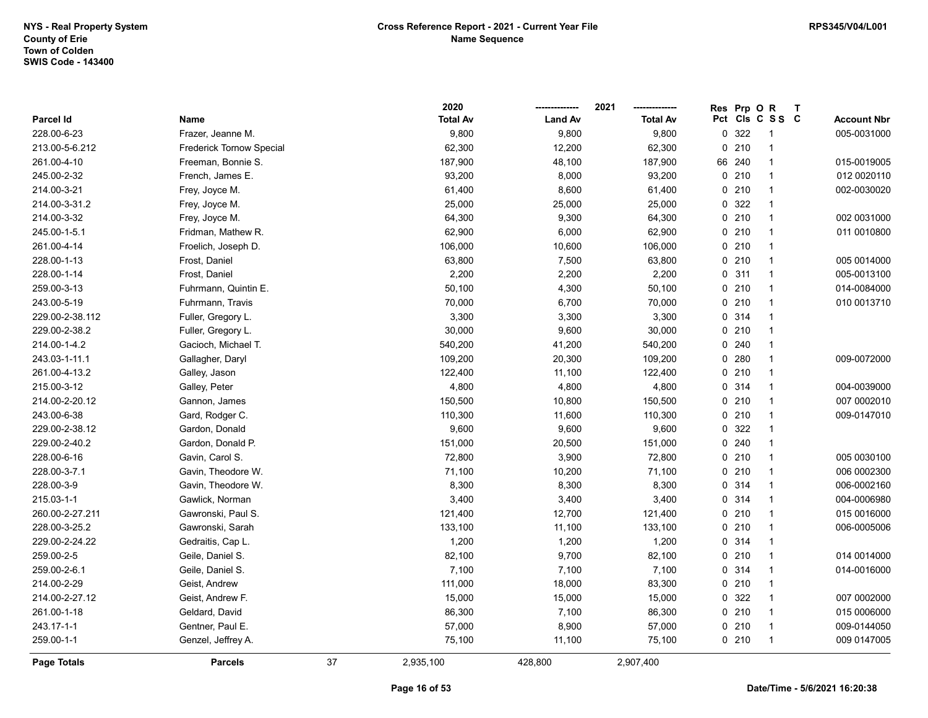|                 |                          |    | 2020            |                | 2021            | Res | Prp OR |                 | $\mathbf{T}$ |                    |
|-----------------|--------------------------|----|-----------------|----------------|-----------------|-----|--------|-----------------|--------------|--------------------|
| Parcel Id       | Name                     |    | <b>Total Av</b> | <b>Land Av</b> | <b>Total Av</b> |     |        | Pct Cls C S S C |              | <b>Account Nbr</b> |
| 228.00-6-23     | Frazer, Jeanne M.        |    | 9,800           | 9,800          | 9,800           |     | 0 322  | $\mathbf{1}$    |              | 005-0031000        |
| 213.00-5-6.212  | Frederick Tornow Special |    | 62,300          | 12,200         | 62,300          |     | 0210   | 1               |              |                    |
| 261.00-4-10     | Freeman, Bonnie S.       |    | 187,900         | 48,100         | 187,900         |     | 66 240 | $\mathbf{1}$    |              | 015-0019005        |
| 245.00-2-32     | French, James E.         |    | 93,200          | 8,000          | 93,200          |     | 0210   | $\mathbf{1}$    |              | 012 0020110        |
| 214.00-3-21     | Frey, Joyce M.           |    | 61,400          | 8,600          | 61,400          |     | 0210   | $\mathbf{1}$    |              | 002-0030020        |
| 214.00-3-31.2   | Frey, Joyce M.           |    | 25,000          | 25,000         | 25,000          |     | 0 322  | $\mathbf{1}$    |              |                    |
| 214.00-3-32     | Frey, Joyce M.           |    | 64,300          | 9,300          | 64,300          |     | 0210   | $\mathbf{1}$    |              | 002 0031000        |
| 245.00-1-5.1    | Fridman, Mathew R.       |    | 62,900          | 6,000          | 62,900          |     | 0210   | $\mathbf{1}$    |              | 011 0010800        |
| 261.00-4-14     | Froelich, Joseph D.      |    | 106,000         | 10,600         | 106,000         |     | 0210   | $\mathbf{1}$    |              |                    |
| 228.00-1-13     | Frost, Daniel            |    | 63,800          | 7,500          | 63,800          |     | 0210   | $\mathbf{1}$    |              | 005 0014000        |
| 228.00-1-14     | Frost, Daniel            |    | 2,200           | 2,200          | 2,200           |     | 0.311  | $\mathbf{1}$    |              | 005-0013100        |
| 259.00-3-13     | Fuhrmann, Quintin E.     |    | 50,100          | 4,300          | 50,100          |     | 0210   | $\mathbf{1}$    |              | 014-0084000        |
| 243.00-5-19     | Fuhrmann, Travis         |    | 70,000          | 6,700          | 70,000          |     | 0210   | $\mathbf{1}$    |              | 010 0013710        |
| 229.00-2-38.112 | Fuller, Gregory L.       |    | 3,300           | 3,300          | 3,300           |     | 0 314  | $\mathbf{1}$    |              |                    |
| 229.00-2-38.2   | Fuller, Gregory L.       |    | 30,000          | 9,600          | 30,000          |     | 0210   | $\mathbf{1}$    |              |                    |
| 214.00-1-4.2    | Gacioch, Michael T.      |    | 540,200         | 41,200         | 540,200         |     | 0.240  | $\mathbf{1}$    |              |                    |
| 243.03-1-11.1   | Gallagher, Daryl         |    | 109,200         | 20,300         | 109,200         |     | 0.280  | $\mathbf{1}$    |              | 009-0072000        |
| 261.00-4-13.2   | Galley, Jason            |    | 122,400         | 11,100         | 122,400         |     | 0210   | $\mathbf{1}$    |              |                    |
| 215.00-3-12     | Galley, Peter            |    | 4,800           | 4,800          | 4,800           |     | 0.314  | $\mathbf{1}$    |              | 004-0039000        |
| 214.00-2-20.12  | Gannon, James            |    | 150,500         | 10,800         | 150,500         |     | 0210   | $\mathbf{1}$    |              | 007 0002010        |
| 243.00-6-38     | Gard, Rodger C.          |    | 110,300         | 11,600         | 110,300         |     | 0210   | $\mathbf{1}$    |              | 009-0147010        |
| 229.00-2-38.12  | Gardon, Donald           |    | 9,600           | 9,600          | 9,600           |     | 0 322  | $\mathbf{1}$    |              |                    |
| 229.00-2-40.2   | Gardon, Donald P.        |    | 151,000         | 20,500         | 151,000         |     | 0.240  | $\mathbf{1}$    |              |                    |
| 228.00-6-16     | Gavin, Carol S.          |    | 72,800          | 3,900          | 72,800          |     | 0210   | $\mathbf{1}$    |              | 005 0030100        |
| 228.00-3-7.1    | Gavin, Theodore W.       |    | 71,100          | 10,200         | 71,100          |     | 0210   | $\mathbf{1}$    |              | 006 0002300        |
| 228.00-3-9      | Gavin, Theodore W.       |    | 8,300           | 8,300          | 8,300           |     | 0.314  | $\mathbf{1}$    |              | 006-0002160        |
| 215.03-1-1      | Gawlick, Norman          |    | 3,400           | 3,400          | 3,400           |     | 0.314  | $\mathbf{1}$    |              | 004-0006980        |
| 260.00-2-27.211 | Gawronski, Paul S.       |    | 121,400         | 12,700         | 121,400         |     | 0210   | $\mathbf{1}$    |              | 015 0016000        |
| 228.00-3-25.2   | Gawronski, Sarah         |    | 133,100         | 11,100         | 133,100         |     | 0210   | $\mathbf{1}$    |              | 006-0005006        |
| 229.00-2-24.22  | Gedraitis, Cap L.        |    | 1,200           | 1,200          | 1,200           |     | 0.314  | $\mathbf{1}$    |              |                    |
| 259.00-2-5      | Geile, Daniel S.         |    | 82,100          | 9,700          | 82,100          |     | 0210   | $\mathbf{1}$    |              | 014 0014000        |
| 259.00-2-6.1    | Geile, Daniel S.         |    | 7,100           | 7,100          | 7,100           |     | 0.314  | $\mathbf{1}$    |              | 014-0016000        |
| 214.00-2-29     | Geist, Andrew            |    | 111,000         | 18,000         | 83,300          |     | 0210   | $\mathbf{1}$    |              |                    |
| 214.00-2-27.12  | Geist, Andrew F.         |    | 15,000          | 15,000         | 15,000          |     | 0 322  | $\mathbf{1}$    |              | 007 0002000        |
| 261.00-1-18     | Geldard, David           |    | 86,300          | 7,100          | 86,300          |     | 0210   | $\mathbf{1}$    |              | 015 0006000        |
| 243.17-1-1      | Gentner, Paul E.         |    | 57,000          | 8,900          | 57,000          |     | 0210   | $\mathbf{1}$    |              | 009-0144050        |
| 259.00-1-1      | Genzel, Jeffrey A.       |    | 75,100          | 11,100         | 75,100          |     | 0210   | $\mathbf{1}$    |              | 009 0147005        |
| Page Totals     | <b>Parcels</b>           | 37 | 2,935,100       | 428,800        | 2,907,400       |     |        |                 |              |                    |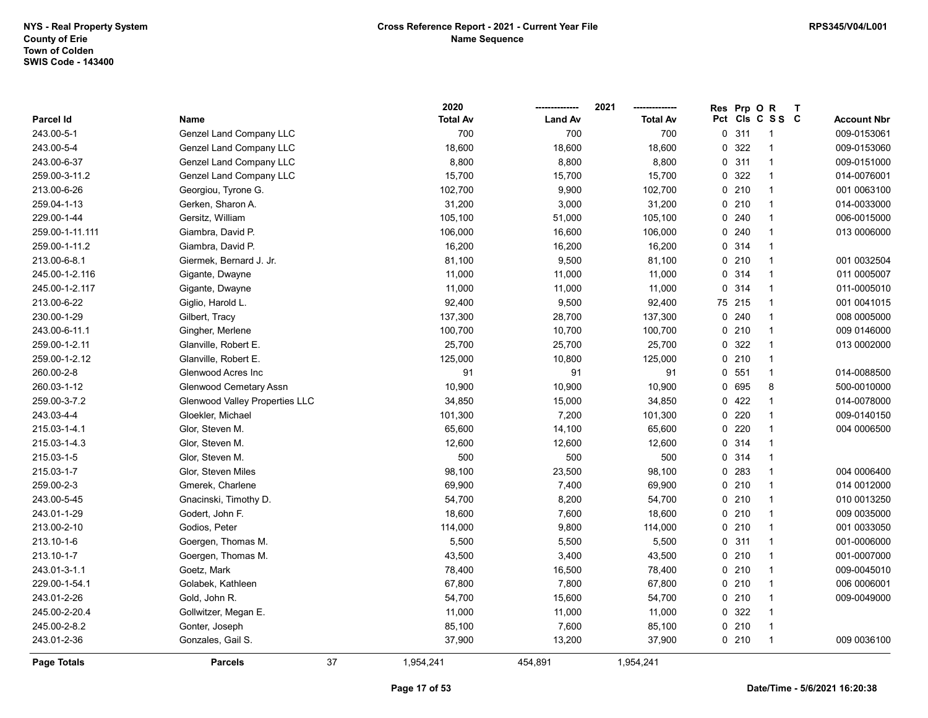2020 -------------- 2021 --------------

Res Prp O R T

| Parcel Id       | Name                           | <b>Total Av</b> | <b>Land Av</b> | <b>Total Av</b> | Pct Cls C S S C |                | <b>Account Nbr</b> |
|-----------------|--------------------------------|-----------------|----------------|-----------------|-----------------|----------------|--------------------|
| 243.00-5-1      | <b>Genzel Land Company LLC</b> | 700             | 700            | 700             | 0.311           | $\overline{1}$ | 009-0153061        |
| 243.00-5-4      | Genzel Land Company LLC        | 18,600          | 18,600         | 18,600          | 0 322           | $\mathbf 1$    | 009-0153060        |
| 243.00-6-37     | Genzel Land Company LLC        | 8,800           | 8,800          | 8,800           | 0.311           | $\mathbf{1}$   | 009-0151000        |
| 259.00-3-11.2   | Genzel Land Company LLC        | 15,700          | 15,700         | 15,700          | 0 322           | $\mathbf{1}$   | 014-0076001        |
| 213.00-6-26     | Georgiou, Tyrone G.            | 102,700         | 9,900          | 102,700         | 0210            | $\mathbf{1}$   | 001 0063100        |
| 259.04-1-13     | Gerken, Sharon A.              | 31,200          | 3,000          | 31,200          | 0210            | 1              | 014-0033000        |
| 229.00-1-44     | Gersitz, William               | 105,100         | 51,000         | 105,100         | $0$ 240         | $\mathbf{1}$   | 006-0015000        |
| 259.00-1-11.111 | Giambra, David P.              | 106,000         | 16,600         | 106,000         | $0$ 240         | $\mathbf{1}$   | 013 0006000        |
| 259.00-1-11.2   | Giambra, David P.              | 16,200          | 16,200         | 16,200          | 0 314           | $\mathbf 1$    |                    |
| 213.00-6-8.1    | Giermek, Bernard J. Jr.        | 81,100          | 9,500          | 81,100          | 0210            | $\mathbf{1}$   | 001 0032504        |
| 245.00-1-2.116  | Gigante, Dwayne                | 11,000          | 11,000         | 11,000          | 0 314           | $\mathbf{1}$   | 011 0005007        |
| 245.00-1-2.117  | Gigante, Dwayne                | 11,000          | 11,000         | 11,000          | 0 314           | $\mathbf{1}$   | 011-0005010        |
| 213.00-6-22     | Giglio, Harold L.              | 92,400          | 9,500          | 92,400          | 75 215          | $\mathbf{1}$   | 001 0041015        |
| 230.00-1-29     | Gilbert, Tracy                 | 137,300         | 28,700         | 137,300         | 0.240           | $\mathbf{1}$   | 008 0005000        |
| 243.00-6-11.1   | Gingher, Merlene               | 100,700         | 10,700         | 100,700         | 0210            | 1              | 009 0146000        |
| 259.00-1-2.11   | Glanville, Robert E.           | 25,700          | 25,700         | 25,700          | 0 322           | 1              | 013 0002000        |
| 259.00-1-2.12   | Glanville, Robert E.           | 125,000         | 10,800         | 125,000         | 0210            | $\mathbf{1}$   |                    |
| 260.00-2-8      | Glenwood Acres Inc             | 91              | 91             | 91              | 0 551           | $\mathbf{1}$   | 014-0088500        |
| 260.03-1-12     | <b>Glenwood Cemetary Assn</b>  | 10,900          | 10,900         | 10,900          | 0 695           | 8              | 500-0010000        |
| 259.00-3-7.2    | Glenwood Valley Properties LLC | 34,850          | 15,000         | 34,850          | 0422            | $\mathbf{1}$   | 014-0078000        |
| 243.03-4-4      | Gloekler, Michael              | 101,300         | 7,200          | 101,300         | 0220            | $\mathbf{1}$   | 009-0140150        |
| 215.03-1-4.1    | Glor, Steven M.                | 65,600          | 14,100         | 65,600          | $0$ 220         | $\mathbf{1}$   | 004 0006500        |
| 215.03-1-4.3    | Glor, Steven M.                | 12,600          | 12,600         | 12,600          | 0 314           | 1              |                    |
| 215.03-1-5      | Glor, Steven M.                | 500             | 500            | 500             | 0 314           | $\mathbf 1$    |                    |
| 215.03-1-7      | Glor, Steven Miles             | 98,100          | 23,500         | 98,100          | 0 283           | 1              | 004 0006400        |
| 259.00-2-3      | Gmerek, Charlene               | 69,900          | 7,400          | 69,900          | 0210            | $\mathbf{1}$   | 014 0012000        |
| 243.00-5-45     | Gnacinski, Timothy D.          | 54,700          | 8,200          | 54,700          | 0210            | 1              | 010 0013250        |
| 243.01-1-29     | Godert, John F.                | 18,600          | 7,600          | 18,600          | 0210            | $\mathbf{1}$   | 009 0035000        |
| 213.00-2-10     | Godios, Peter                  | 114,000         | 9,800          | 114,000         | 0210            | $\mathbf{1}$   | 001 0033050        |
| 213.10-1-6      | Goergen, Thomas M.             | 5,500           | 5,500          | 5,500           | 0.311           | $\mathbf{1}$   | 001-0006000        |
| 213.10-1-7      | Goergen, Thomas M.             | 43,500          | 3,400          | 43,500          | 0210            | $\mathbf{1}$   | 001-0007000        |
| 243.01-3-1.1    | Goetz, Mark                    | 78,400          | 16,500         | 78,400          | 0210            | $\mathbf{1}$   | 009-0045010        |
| 229.00-1-54.1   | Golabek, Kathleen              | 67,800          | 7,800          | 67,800          | 0210            | $\mathbf{1}$   | 006 0006001        |
| 243.01-2-26     | Gold, John R.                  | 54,700          | 15,600         | 54,700          | 0210            | $\mathbf{1}$   | 009-0049000        |
| 245.00-2-20.4   | Gollwitzer, Megan E.           | 11,000          | 11,000         | 11,000          | 0 322           | 1              |                    |
| 245.00-2-8.2    | Gonter, Joseph                 | 85,100          | 7,600          | 85,100          | $0$ 210         | $\mathbf 1$    |                    |
| 243.01-2-36     | Gonzales, Gail S.              | 37,900          | 13,200         | 37,900          | $0$ 210         | $\mathbf{1}$   | 009 0036100        |
| Page Totals     | <b>Parcels</b>                 | 37<br>1,954,241 | 454,891        | 1,954,241       |                 |                |                    |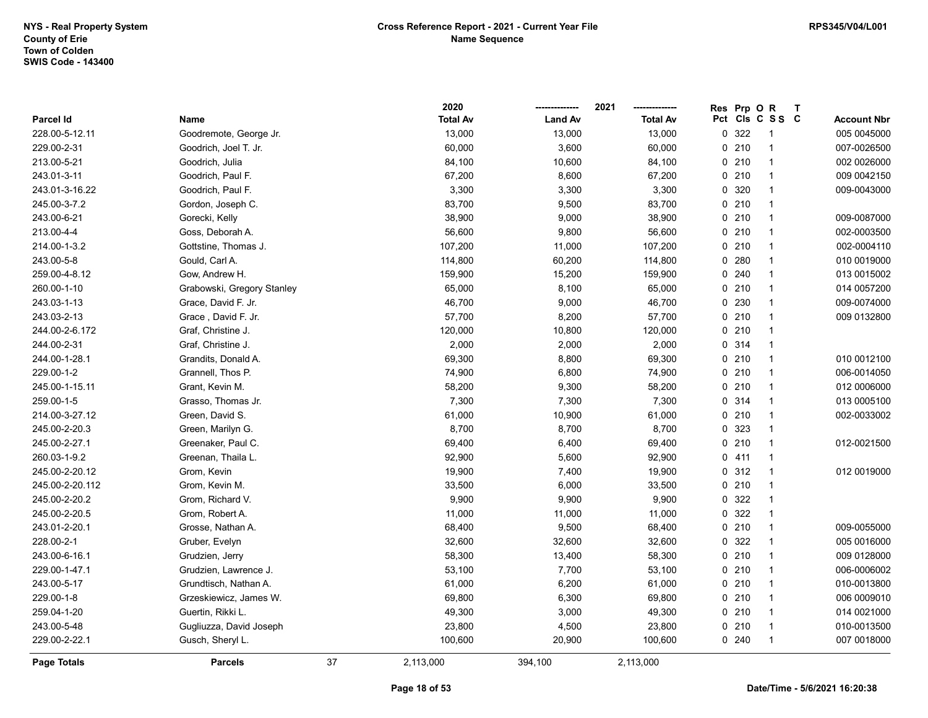|                  |                            |    | 2020            |                | 2021            | Res | Prp OR |                          | $\mathbf{T}$ |                    |
|------------------|----------------------------|----|-----------------|----------------|-----------------|-----|--------|--------------------------|--------------|--------------------|
| <b>Parcel Id</b> | Name                       |    | <b>Total Av</b> | <b>Land Av</b> | <b>Total Av</b> |     |        | Pct Cls C S S C          |              | <b>Account Nbr</b> |
| 228.00-5-12.11   | Goodremote, George Jr.     |    | 13,000          | 13,000         | 13,000          |     | 0 322  | -1                       |              | 005 0045000        |
| 229.00-2-31      | Goodrich, Joel T. Jr.      |    | 60,000          | 3,600          | 60,000          |     | 0210   | -1                       |              | 007-0026500        |
| 213.00-5-21      | Goodrich, Julia            |    | 84,100          | 10,600         | 84,100          |     | 0210   | $\overline{1}$           |              | 002 0026000        |
| 243.01-3-11      | Goodrich, Paul F.          |    | 67,200          | 8,600          | 67,200          |     | 0210   | $\overline{1}$           |              | 009 0042150        |
| 243.01-3-16.22   | Goodrich, Paul F.          |    | 3,300           | 3,300          | 3,300           |     | 0 320  | $\overline{1}$           |              | 009-0043000        |
| 245.00-3-7.2     | Gordon, Joseph C.          |    | 83,700          | 9,500          | 83,700          |     | 0210   | $\overline{1}$           |              |                    |
| 243.00-6-21      | Gorecki, Kelly             |    | 38,900          | 9,000          | 38,900          |     | 0210   | $\overline{1}$           |              | 009-0087000        |
| 213.00-4-4       | Goss, Deborah A.           |    | 56,600          | 9,800          | 56,600          |     | 0210   | $\overline{1}$           |              | 002-0003500        |
| 214.00-1-3.2     | Gottstine, Thomas J.       |    | 107,200         | 11,000         | 107,200         |     | 0210   | -1                       |              | 002-0004110        |
| 243.00-5-8       | Gould, Carl A.             |    | 114,800         | 60,200         | 114,800         |     | 0.280  | $\overline{1}$           |              | 010 0019000        |
| 259.00-4-8.12    | Gow, Andrew H.             |    | 159,900         | 15,200         | 159,900         |     | 0.240  | $\overline{1}$           |              | 013 0015002        |
| 260.00-1-10      | Grabowski, Gregory Stanley |    | 65,000          | 8,100          | 65,000          |     | 0210   | $\overline{1}$           |              | 014 0057200        |
| 243.03-1-13      | Grace, David F. Jr.        |    | 46,700          | 9,000          | 46,700          |     | 0 230  | $\overline{1}$           |              | 009-0074000        |
| 243.03-2-13      | Grace, David F. Jr.        |    | 57,700          | 8,200          | 57,700          |     | 0210   | -1                       |              | 009 0132800        |
| 244.00-2-6.172   | Graf, Christine J.         |    | 120,000         | 10,800         | 120,000         |     | 0210   | $\overline{\phantom{a}}$ |              |                    |
| 244.00-2-31      | Graf, Christine J.         |    | 2,000           | 2,000          | 2,000           |     | 0.314  | $\overline{\phantom{a}}$ |              |                    |
| 244.00-1-28.1    | Grandits, Donald A.        |    | 69,300          | 8,800          | 69,300          |     | 0210   | $\overline{1}$           |              | 010 0012100        |
| 229.00-1-2       | Grannell, Thos P.          |    | 74,900          | 6,800          | 74,900          |     | 0210   | $\overline{1}$           |              | 006-0014050        |
| 245.00-1-15.11   | Grant, Kevin M.            |    | 58,200          | 9,300          | 58,200          |     | 0210   | $\overline{1}$           |              | 012 0006000        |
| 259.00-1-5       | Grasso, Thomas Jr.         |    | 7,300           | 7,300          | 7,300           |     | 0.314  | $\overline{1}$           |              | 013 0005100        |
| 214.00-3-27.12   | Green, David S.            |    | 61,000          | 10,900         | 61,000          |     | 0210   | $\overline{1}$           |              | 002-0033002        |
| 245.00-2-20.3    | Green, Marilyn G.          |    | 8,700           | 8,700          | 8,700           |     | 0 323  | $\overline{1}$           |              |                    |
| 245.00-2-27.1    | Greenaker, Paul C.         |    | 69,400          | 6,400          | 69,400          |     | 0210   | $\overline{1}$           |              | 012-0021500        |
| 260.03-1-9.2     | Greenan, Thaila L.         |    | 92,900          | 5,600          | 92,900          |     | 0411   | $\overline{1}$           |              |                    |
| 245.00-2-20.12   | Grom, Kevin                |    | 19,900          | 7,400          | 19,900          |     | 0.312  | $\overline{1}$           |              | 012 0019000        |
| 245.00-2-20.112  | Grom, Kevin M.             |    | 33,500          | 6,000          | 33,500          |     | 0210   | $\overline{1}$           |              |                    |
| 245.00-2-20.2    | Grom, Richard V.           |    | 9,900           | 9,900          | 9,900           |     | 0 322  | $\overline{1}$           |              |                    |
| 245.00-2-20.5    | Grom, Robert A.            |    | 11,000          | 11,000         | 11,000          |     | 0 322  | $\overline{1}$           |              |                    |
| 243.01-2-20.1    | Grosse, Nathan A.          |    | 68,400          | 9,500          | 68,400          |     | 0210   | $\overline{1}$           |              | 009-0055000        |
| 228.00-2-1       | Gruber, Evelyn             |    | 32,600          | 32,600         | 32,600          |     | 0 322  | $\overline{\phantom{a}}$ |              | 005 0016000        |
| 243.00-6-16.1    | Grudzien, Jerry            |    | 58,300          | 13,400         | 58,300          |     | 0210   | $\overline{1}$           |              | 009 0128000        |
| 229.00-1-47.1    | Grudzien, Lawrence J.      |    | 53,100          | 7,700          | 53,100          |     | 0210   | $\overline{1}$           |              | 006-0006002        |
| 243.00-5-17      | Grundtisch, Nathan A.      |    | 61,000          | 6,200          | 61,000          |     | 0210   | $\overline{1}$           |              | 010-0013800        |
| 229.00-1-8       | Grzeskiewicz, James W.     |    | 69,800          | 6,300          | 69,800          |     | 0210   | $\overline{1}$           |              | 006 0009010        |
| 259.04-1-20      | Guertin, Rikki L.          |    | 49,300          | 3,000          | 49,300          |     | 0210   | $\overline{1}$           |              | 014 0021000        |
| 243.00-5-48      | Gugliuzza, David Joseph    |    | 23,800          | 4,500          | 23,800          |     | 0210   | $\overline{1}$           |              | 010-0013500        |
| 229.00-2-22.1    | Gusch, Sheryl L.           |    | 100,600         | 20,900         | 100,600         |     | 0.240  | $\overline{1}$           |              | 007 0018000        |
| Page Totals      | <b>Parcels</b>             | 37 | 2,113,000       | 394,100        | 2,113,000       |     |        |                          |              |                    |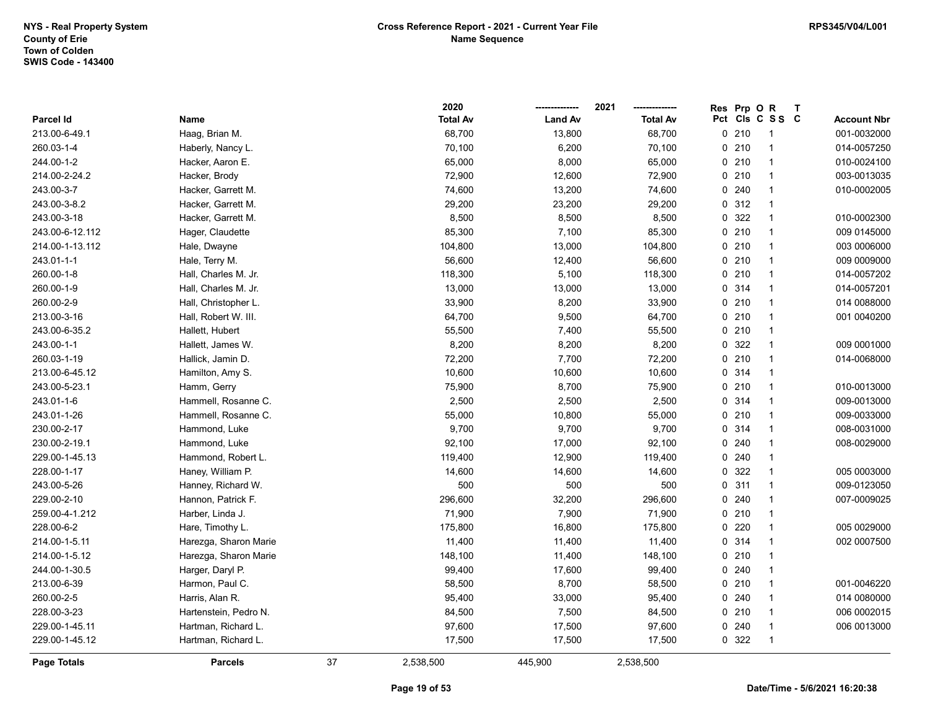|                    |                       |    | 2020            |                | 2021            | Res Prp O R |                 | $\mathbf T$ |                    |
|--------------------|-----------------------|----|-----------------|----------------|-----------------|-------------|-----------------|-------------|--------------------|
| Parcel Id          | Name                  |    | <b>Total Av</b> | <b>Land Av</b> | <b>Total Av</b> |             | Pct Cls C S S C |             | <b>Account Nbr</b> |
| 213.00-6-49.1      | Haag, Brian M.        |    | 68,700          | 13,800         | 68,700          | 0210        | $\mathbf{1}$    |             | 001-0032000        |
| 260.03-1-4         | Haberly, Nancy L.     |    | 70,100          | 6,200          | 70,100          | 0210        | $\mathbf{1}$    |             | 014-0057250        |
| 244.00-1-2         | Hacker, Aaron E.      |    | 65,000          | 8,000          | 65,000          | 0210        | $\mathbf{1}$    |             | 010-0024100        |
| 214.00-2-24.2      | Hacker, Brody         |    | 72,900          | 12,600         | 72,900          | 0210        | $\mathbf{1}$    |             | 003-0013035        |
| 243.00-3-7         | Hacker, Garrett M.    |    | 74,600          | 13,200         | 74,600          | 0.240       | $\mathbf{1}$    |             | 010-0002005        |
| 243.00-3-8.2       | Hacker, Garrett M.    |    | 29,200          | 23,200         | 29,200          | 0.312       | $\mathbf{1}$    |             |                    |
| 243.00-3-18        | Hacker, Garrett M.    |    | 8,500           | 8,500          | 8,500           | 0 322       | $\mathbf{1}$    |             | 010-0002300        |
| 243.00-6-12.112    | Hager, Claudette      |    | 85,300          | 7,100          | 85,300          | 0210        | $\mathbf{1}$    |             | 009 0145000        |
| 214.00-1-13.112    | Hale, Dwayne          |    | 104,800         | 13,000         | 104,800         | 0210        | $\mathbf{1}$    |             | 003 0006000        |
| 243.01-1-1         | Hale, Terry M.        |    | 56,600          | 12,400         | 56,600          | 0210        | $\mathbf{1}$    |             | 009 0009000        |
| 260.00-1-8         | Hall, Charles M. Jr.  |    | 118,300         | 5,100          | 118,300         | 0210        | $\mathbf{1}$    |             | 014-0057202        |
| 260.00-1-9         | Hall, Charles M. Jr.  |    | 13,000          | 13,000         | 13,000          | 0 314       | $\mathbf{1}$    |             | 014-0057201        |
| 260.00-2-9         | Hall, Christopher L.  |    | 33,900          | 8,200          | 33,900          | 0210        | $\mathbf{1}$    |             | 014 0088000        |
| 213.00-3-16        | Hall, Robert W. III.  |    | 64,700          | 9,500          | 64,700          | 0210        | 1               |             | 001 0040200        |
| 243.00-6-35.2      | Hallett, Hubert       |    | 55,500          | 7,400          | 55,500          | 0210        | 1               |             |                    |
| 243.00-1-1         | Hallett, James W.     |    | 8,200           | 8,200          | 8,200           | 0 322       | $\mathbf{1}$    |             | 009 0001000        |
| 260.03-1-19        | Hallick, Jamin D.     |    | 72,200          | 7,700          | 72,200          | 0210        | $\mathbf{1}$    |             | 014-0068000        |
| 213.00-6-45.12     | Hamilton, Amy S.      |    | 10,600          | 10,600         | 10,600          | 0 314       | $\mathbf{1}$    |             |                    |
| 243.00-5-23.1      | Hamm, Gerry           |    | 75,900          | 8,700          | 75,900          | 0210        | $\mathbf{1}$    |             | 010-0013000        |
| 243.01-1-6         | Hammell, Rosanne C.   |    | 2,500           | 2,500          | 2,500           | 0 314       | $\mathbf{1}$    |             | 009-0013000        |
| 243.01-1-26        | Hammell, Rosanne C.   |    | 55,000          | 10,800         | 55,000          | 0210        | $\mathbf{1}$    |             | 009-0033000        |
| 230.00-2-17        | Hammond, Luke         |    | 9,700           | 9,700          | 9,700           | 0 314       | 1               |             | 008-0031000        |
| 230.00-2-19.1      | Hammond, Luke         |    | 92,100          | 17,000         | 92,100          | 0.240       | $\mathbf{1}$    |             | 008-0029000        |
| 229.00-1-45.13     | Hammond, Robert L.    |    | 119,400         | 12,900         | 119,400         | 0.240       | $\mathbf{1}$    |             |                    |
| 228.00-1-17        | Haney, William P.     |    | 14,600          | 14,600         | 14,600          | 0 322       | $\mathbf{1}$    |             | 005 0003000        |
| 243.00-5-26        | Hanney, Richard W.    |    | 500             | 500            | 500             | 0.311       | $\mathbf{1}$    |             | 009-0123050        |
| 229.00-2-10        | Hannon, Patrick F.    |    | 296,600         | 32,200         | 296,600         | 0.240       | $\mathbf{1}$    |             | 007-0009025        |
| 259.00-4-1.212     | Harber, Linda J.      |    | 71,900          | 7,900          | 71,900          | 0210        | $\mathbf{1}$    |             |                    |
| 228.00-6-2         | Hare, Timothy L.      |    | 175,800         | 16,800         | 175,800         | 0.220       | $\mathbf{1}$    |             | 005 0029000        |
| 214.00-1-5.11      | Harezga, Sharon Marie |    | 11,400          | 11,400         | 11,400          | 0 314       | 1               |             | 002 0007500        |
| 214.00-1-5.12      | Harezga, Sharon Marie |    | 148,100         | 11,400         | 148,100         | 0210        | $\mathbf{1}$    |             |                    |
| 244.00-1-30.5      | Harger, Daryl P.      |    | 99,400          | 17,600         | 99,400          | 0.240       | $\mathbf{1}$    |             |                    |
| 213.00-6-39        | Harmon, Paul C.       |    | 58,500          | 8,700          | 58,500          | 0210        | $\mathbf{1}$    |             | 001-0046220        |
| 260.00-2-5         | Harris, Alan R.       |    | 95,400          | 33,000         | 95,400          | 0.240       | $\mathbf{1}$    |             | 014 0080000        |
| 228.00-3-23        | Hartenstein, Pedro N. |    | 84,500          | 7,500          | 84,500          | 0210        | $\mathbf{1}$    |             | 006 0002015        |
| 229.00-1-45.11     | Hartman, Richard L.   |    | 97,600          | 17,500         | 97,600          | 0.240       | $\mathbf{1}$    |             | 006 0013000        |
| 229.00-1-45.12     | Hartman, Richard L.   |    | 17,500          | 17,500         | 17,500          | 0 322       | $\mathbf{1}$    |             |                    |
| <b>Page Totals</b> | <b>Parcels</b>        | 37 | 2,538,500       | 445,900        | 2,538,500       |             |                 |             |                    |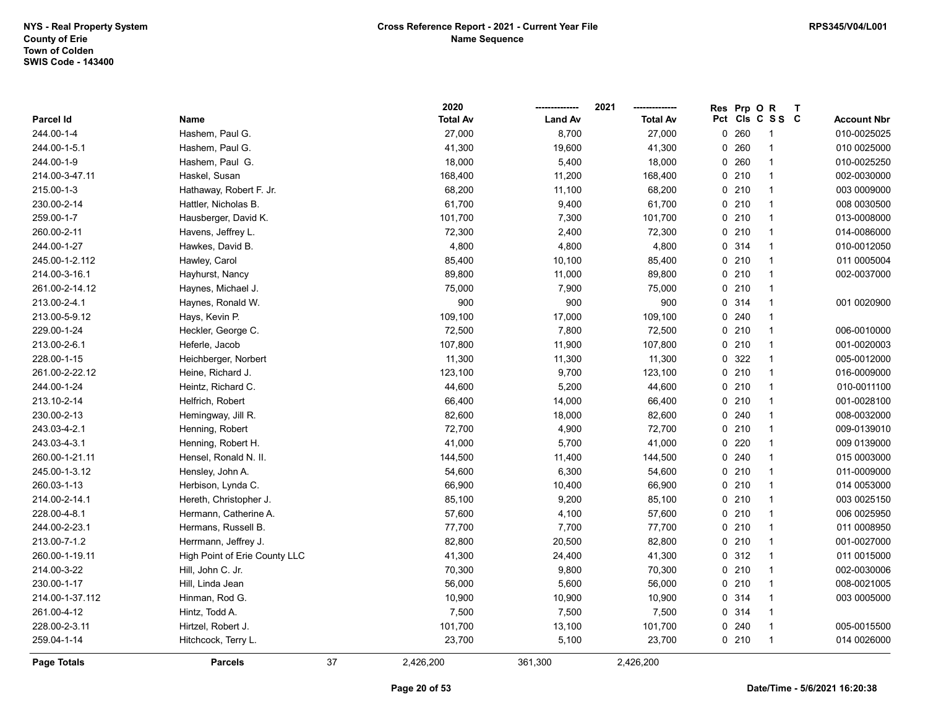|                 |                               |    | 2020            |                | 2021            | Res | Prp O | $\mathbf R$     | $\mathsf{T}$ |                    |
|-----------------|-------------------------------|----|-----------------|----------------|-----------------|-----|-------|-----------------|--------------|--------------------|
| Parcel Id       | Name                          |    | <b>Total Av</b> | <b>Land Av</b> | <b>Total Av</b> |     |       | Pct Cls C S S C |              | <b>Account Nbr</b> |
| 244.00-1-4      | Hashem, Paul G.               |    | 27,000          | 8,700          | 27,000          |     | 0260  | 1               |              | 010-0025025        |
| 244.00-1-5.1    | Hashem, Paul G.               |    | 41,300          | 19,600         | 41,300          |     | 0.260 | 1               |              | 010 0025000        |
| 244.00-1-9      | Hashem, Paul G.               |    | 18,000          | 5,400          | 18,000          |     | 0260  | 1               |              | 010-0025250        |
| 214.00-3-47.11  | Haskel, Susan                 |    | 168,400         | 11,200         | 168,400         |     | 0210  | $\mathbf{1}$    |              | 002-0030000        |
| 215.00-1-3      | Hathaway, Robert F. Jr.       |    | 68,200          | 11,100         | 68,200          |     | 0210  | $\mathbf{1}$    |              | 003 0009000        |
| 230.00-2-14     | Hattler, Nicholas B.          |    | 61,700          | 9,400          | 61,700          |     | 0210  | $\mathbf{1}$    |              | 008 0030500        |
| 259.00-1-7      | Hausberger, David K.          |    | 101,700         | 7,300          | 101,700         |     | 0210  | $\mathbf{1}$    |              | 013-0008000        |
| 260.00-2-11     | Havens, Jeffrey L.            |    | 72,300          | 2,400          | 72,300          |     | 0210  | $\mathbf{1}$    |              | 014-0086000        |
| 244.00-1-27     | Hawkes, David B.              |    | 4,800           | 4,800          | 4,800           |     | 0 314 | $\mathbf{1}$    |              | 010-0012050        |
| 245.00-1-2.112  | Hawley, Carol                 |    | 85,400          | 10,100         | 85,400          |     | 0210  | 1               |              | 011 0005004        |
| 214.00-3-16.1   | Hayhurst, Nancy               |    | 89,800          | 11,000         | 89,800          |     | 0210  | 1               |              | 002-0037000        |
| 261.00-2-14.12  | Haynes, Michael J.            |    | 75,000          | 7,900          | 75,000          |     | 0210  | 1               |              |                    |
| 213.00-2-4.1    | Haynes, Ronald W.             |    | 900             | 900            | 900             |     | 0 314 | $\mathbf{1}$    |              | 001 0020900        |
| 213.00-5-9.12   | Hays, Kevin P.                |    | 109,100         | 17,000         | 109,100         |     | 0.240 | 1               |              |                    |
| 229.00-1-24     | Heckler, George C.            |    | 72,500          | 7,800          | 72,500          |     | 0210  | $\mathbf{1}$    |              | 006-0010000        |
| 213.00-2-6.1    | Heferle, Jacob                |    | 107,800         | 11,900         | 107,800         |     | 0210  | $\mathbf{1}$    |              | 001-0020003        |
| 228.00-1-15     | Heichberger, Norbert          |    | 11,300          | 11,300         | 11,300          |     | 0 322 | $\mathbf{1}$    |              | 005-0012000        |
| 261.00-2-22.12  | Heine, Richard J.             |    | 123,100         | 9,700          | 123,100         |     | 0210  | $\mathbf{1}$    |              | 016-0009000        |
| 244.00-1-24     | Heintz, Richard C.            |    | 44,600          | 5,200          | 44,600          |     | 0210  | $\mathbf{1}$    |              | 010-0011100        |
| 213.10-2-14     | Helfrich, Robert              |    | 66,400          | 14,000         | 66,400          |     | 0210  | $\mathbf{1}$    |              | 001-0028100        |
| 230.00-2-13     | Hemingway, Jill R.            |    | 82,600          | 18,000         | 82,600          |     | 0.240 | $\mathbf{1}$    |              | 008-0032000        |
| 243.03-4-2.1    | Henning, Robert               |    | 72,700          | 4,900          | 72,700          |     | 0210  | 1               |              | 009-0139010        |
| 243.03-4-3.1    | Henning, Robert H.            |    | 41,000          | 5,700          | 41,000          |     | 0220  | $\mathbf{1}$    |              | 009 0139000        |
| 260.00-1-21.11  | Hensel, Ronald N. II.         |    | 144,500         | 11,400         | 144,500         |     | 0.240 | $\mathbf{1}$    |              | 015 0003000        |
| 245.00-1-3.12   | Hensley, John A.              |    | 54,600          | 6,300          | 54,600          |     | 0210  | $\mathbf{1}$    |              | 011-0009000        |
| 260.03-1-13     | Herbison, Lynda C.            |    | 66,900          | 10,400         | 66,900          |     | 0210  | $\mathbf{1}$    |              | 014 0053000        |
| 214.00-2-14.1   | Hereth, Christopher J.        |    | 85,100          | 9,200          | 85,100          |     | 0210  | 1               |              | 003 0025150        |
| 228.00-4-8.1    | Hermann, Catherine A.         |    | 57,600          | 4,100          | 57,600          |     | 0210  | $\mathbf{1}$    |              | 006 0025950        |
| 244.00-2-23.1   | Hermans, Russell B.           |    | 77,700          | 7,700          | 77,700          |     | 0210  | $\mathbf{1}$    |              | 011 0008950        |
| 213.00-7-1.2    | Herrmann, Jeffrey J.          |    | 82,800          | 20,500         | 82,800          |     | 0210  | $\mathbf{1}$    |              | 001-0027000        |
| 260.00-1-19.11  | High Point of Erie County LLC |    | 41,300          | 24,400         | 41,300          |     | 0.312 | $\mathbf{1}$    |              | 011 0015000        |
| 214.00-3-22     | Hill, John C. Jr.             |    | 70,300          | 9,800          | 70,300          |     | 0210  | $\mathbf{1}$    |              | 002-0030006        |
| 230.00-1-17     | Hill, Linda Jean              |    | 56,000          | 5,600          | 56,000          |     | 0210  | $\mathbf{1}$    |              | 008-0021005        |
| 214.00-1-37.112 | Hinman, Rod G.                |    | 10,900          | 10,900         | 10,900          |     | 0.314 | $\mathbf{1}$    |              | 003 0005000        |
| 261.00-4-12     | Hintz, Todd A.                |    | 7,500           | 7,500          | 7,500           |     | 0.314 | $\mathbf{1}$    |              |                    |
| 228.00-2-3.11   | Hirtzel, Robert J.            |    | 101,700         | 13,100         | 101,700         |     | 0.240 | $\mathbf{1}$    |              | 005-0015500        |
| 259.04-1-14     | Hitchcock, Terry L.           |    | 23,700          | 5,100          | 23,700          |     | 0210  | $\mathbf{1}$    |              | 014 0026000        |
| Page Totals     | <b>Parcels</b>                | 37 | 2,426,200       | 361,300        | 2,426,200       |     |       |                 |              |                    |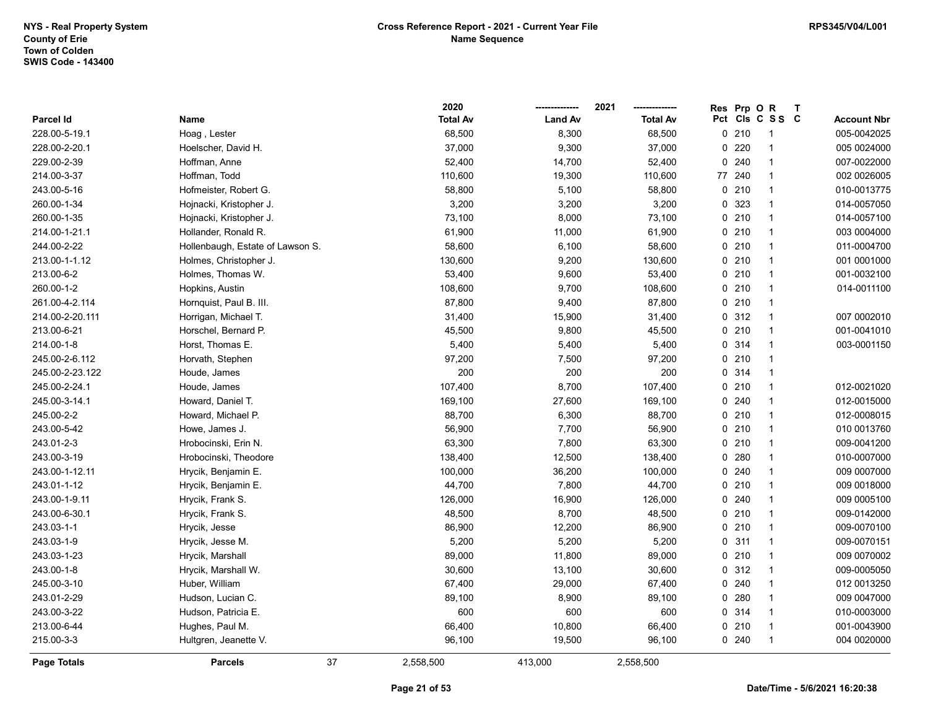|                 |                                  | 2020            |                | 2021            | <b>Res</b> | Prp OR |                 | $\mathsf{T}$ |                    |
|-----------------|----------------------------------|-----------------|----------------|-----------------|------------|--------|-----------------|--------------|--------------------|
| Parcel Id       | Name                             | <b>Total Av</b> | <b>Land Av</b> | <b>Total Av</b> |            |        | Pct Cls C S S C |              | <b>Account Nbr</b> |
| 228.00-5-19.1   | Hoag, Lester                     | 68,500          | 8,300          | 68,500          |            | 0210   | -1              |              | 005-0042025        |
| 228.00-2-20.1   | Hoelscher, David H.              | 37,000          | 9,300          | 37,000          |            | 0220   | -1              |              | 005 0024000        |
| 229.00-2-39     | Hoffman, Anne                    | 52,400          | 14,700         | 52,400          |            | 0.240  | $\overline{1}$  |              | 007-0022000        |
| 214.00-3-37     | Hoffman, Todd                    | 110,600         | 19,300         | 110,600         | 77 240     |        | $\mathbf{1}$    |              | 002 0026005        |
| 243.00-5-16     | Hofmeister, Robert G.            | 58,800          | 5,100          | 58,800          |            | 0210   | $\mathbf{1}$    |              | 010-0013775        |
| 260.00-1-34     | Hojnacki, Kristopher J.          | 3,200           | 3,200          | 3,200           |            | 0 323  | $\overline{1}$  |              | 014-0057050        |
| 260.00-1-35     | Hojnacki, Kristopher J.          | 73,100          | 8,000          | 73,100          |            | 0210   | $\overline{1}$  |              | 014-0057100        |
| 214.00-1-21.1   | Hollander, Ronald R.             | 61,900          | 11,000         | 61,900          |            | 0210   | $\overline{1}$  |              | 003 0004000        |
| 244.00-2-22     | Hollenbaugh, Estate of Lawson S. | 58,600          | 6,100          | 58,600          |            | 0210   | $\overline{1}$  |              | 011-0004700        |
| 213.00-1-1.12   | Holmes, Christopher J.           | 130,600         | 9,200          | 130,600         |            | 0210   | $\overline{1}$  |              | 001 0001000        |
| 213.00-6-2      | Holmes, Thomas W.                | 53,400          | 9,600          | 53,400          |            | 0210   | $\overline{1}$  |              | 001-0032100        |
| 260.00-1-2      | Hopkins, Austin                  | 108,600         | 9,700          | 108,600         |            | 0210   | $\overline{1}$  |              | 014-0011100        |
| 261.00-4-2.114  | Hornquist, Paul B. III.          | 87,800          | 9,400          | 87,800          |            | 0210   | $\overline{1}$  |              |                    |
| 214.00-2-20.111 | Horrigan, Michael T.             | 31,400          | 15,900         | 31,400          |            | 0.312  | $\overline{1}$  |              | 007 0002010        |
| 213.00-6-21     | Horschel, Bernard P.             | 45,500          | 9,800          | 45,500          |            | 0210   | $\overline{1}$  |              | 001-0041010        |
| 214.00-1-8      | Horst, Thomas E.                 | 5,400           | 5,400          | 5,400           |            | 0 314  | $\overline{1}$  |              | 003-0001150        |
| 245.00-2-6.112  | Horvath, Stephen                 | 97,200          | 7,500          | 97,200          |            | 0210   | $\overline{1}$  |              |                    |
| 245.00-2-23.122 | Houde, James                     | 200             | 200            | 200             |            | 0.314  | $\mathbf{1}$    |              |                    |
| 245.00-2-24.1   | Houde, James                     | 107,400         | 8,700          | 107,400         |            | 0210   | $\overline{1}$  |              | 012-0021020        |
| 245.00-3-14.1   | Howard, Daniel T.                | 169,100         | 27,600         | 169,100         |            | 0.240  | $\overline{1}$  |              | 012-0015000        |
| 245.00-2-2      | Howard, Michael P.               | 88,700          | 6,300          | 88,700          |            | 0210   | $\mathbf{1}$    |              | 012-0008015        |
| 243.00-5-42     | Howe, James J.                   | 56,900          | 7,700          | 56,900          |            | 0210   | $\overline{1}$  |              | 010 0013760        |
| 243.01-2-3      | Hrobocinski, Erin N.             | 63,300          | 7,800          | 63,300          |            | 0210   | $\overline{1}$  |              | 009-0041200        |
| 243.00-3-19     | Hrobocinski, Theodore            | 138,400         | 12,500         | 138,400         |            | 0.280  | $\overline{1}$  |              | 010-0007000        |
| 243.00-1-12.11  | Hrycik, Benjamin E.              | 100,000         | 36,200         | 100,000         |            | 0.240  | $\mathbf{1}$    |              | 009 0007000        |
| 243.01-1-12     | Hrycik, Benjamin E.              | 44,700          | 7,800          | 44,700          |            | 0210   | $\overline{1}$  |              | 009 0018000        |
| 243.00-1-9.11   | Hrycik, Frank S.                 | 126,000         | 16,900         | 126,000         |            | 0.240  | $\overline{1}$  |              | 009 0005100        |
| 243.00-6-30.1   | Hrycik, Frank S.                 | 48,500          | 8,700          | 48,500          |            | 0210   | $\overline{1}$  |              | 009-0142000        |
| 243.03-1-1      | Hrycik, Jesse                    | 86,900          | 12,200         | 86,900          |            | 0210   | $\overline{1}$  |              | 009-0070100        |
| 243.03-1-9      | Hrycik, Jesse M.                 | 5,200           | 5,200          | 5,200           |            | 0.311  | $\overline{1}$  |              | 009-0070151        |
| 243.03-1-23     | Hrycik, Marshall                 | 89,000          | 11,800         | 89,000          |            | 0210   | $\overline{1}$  |              | 009 0070002        |
| 243.00-1-8      | Hrycik, Marshall W.              | 30,600          | 13,100         | 30,600          |            | 0.312  | $\mathbf{1}$    |              | 009-0005050        |
| 245.00-3-10     | Huber, William                   | 67,400          | 29,000         | 67,400          |            | 0.240  | $\mathbf{1}$    |              | 012 0013250        |
| 243.01-2-29     | Hudson, Lucian C.                | 89,100          | 8,900          | 89,100          |            | 0.280  | $\mathbf{1}$    |              | 009 0047000        |
| 243.00-3-22     | Hudson, Patricia E.              | 600             | 600            | 600             |            | 0.314  | $\mathbf{1}$    |              | 010-0003000        |
| 213.00-6-44     | Hughes, Paul M.                  | 66,400          | 10,800         | 66,400          |            | 0210   | $\overline{1}$  |              | 001-0043900        |
| 215.00-3-3      | Hultgren, Jeanette V.            | 96,100          | 19,500         | 96,100          |            | 0.240  | $\overline{1}$  |              | 004 0020000        |
| Page Totals     | 37<br><b>Parcels</b>             | 2,558,500       | 413,000        | 2,558,500       |            |        |                 |              |                    |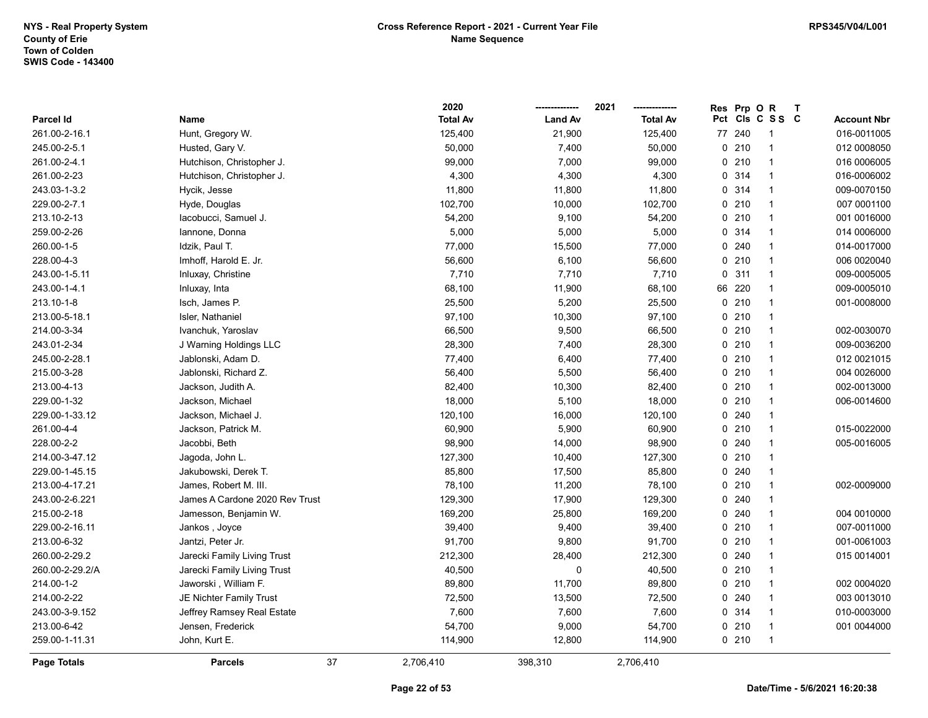|                    |                                | 2020            |                | 2021            | <b>Res</b> | Prp OR |                 | $\mathbf{T}$ |                    |
|--------------------|--------------------------------|-----------------|----------------|-----------------|------------|--------|-----------------|--------------|--------------------|
| Parcel Id          | Name                           | <b>Total Av</b> | <b>Land Av</b> | <b>Total Av</b> |            |        | Pct Cls C S S C |              | <b>Account Nbr</b> |
| 261.00-2-16.1      | Hunt, Gregory W.               | 125,400         | 21,900         | 125,400         |            | 77 240 | 1               |              | 016-0011005        |
| 245.00-2-5.1       | Husted, Gary V.                | 50,000          | 7,400          | 50,000          |            | 0210   | $\mathbf{1}$    |              | 012 0008050        |
| 261.00-2-4.1       | Hutchison, Christopher J.      | 99,000          | 7,000          | 99,000          |            | 0210   | $\mathbf{1}$    |              | 016 0006005        |
| 261.00-2-23        | Hutchison, Christopher J.      | 4,300           | 4,300          | 4,300           |            | 0.314  | $\mathbf{1}$    |              | 016-0006002        |
| 243.03-1-3.2       | Hycik, Jesse                   | 11,800          | 11,800         | 11,800          |            | 0.314  | $\mathbf{1}$    |              | 009-0070150        |
| 229.00-2-7.1       | Hyde, Douglas                  | 102,700         | 10,000         | 102,700         |            | 0210   | $\mathbf{1}$    |              | 007 0001100        |
| 213.10-2-13        | lacobucci, Samuel J.           | 54,200          | 9,100          | 54,200          |            | 0210   | $\mathbf{1}$    |              | 001 0016000        |
| 259.00-2-26        | lannone, Donna                 | 5,000           | 5,000          | 5,000           |            | 0.314  | $\mathbf{1}$    |              | 014 0006000        |
| 260.00-1-5         | Idzik, Paul T.                 | 77,000          | 15,500         | 77,000          |            | 0.240  | $\mathbf{1}$    |              | 014-0017000        |
| 228.00-4-3         | Imhoff, Harold E. Jr.          | 56,600          | 6,100          | 56,600          |            | 0210   | $\mathbf{1}$    |              | 006 0020040        |
| 243.00-1-5.11      | Inluxay, Christine             | 7,710           | 7,710          | 7,710           |            | 0.311  | $\mathbf{1}$    |              | 009-0005005        |
| 243.00-1-4.1       | Inluxay, Inta                  | 68,100          | 11,900         | 68,100          |            | 66 220 | $\mathbf{1}$    |              | 009-0005010        |
| 213.10-1-8         | Isch, James P.                 | 25,500          | 5,200          | 25,500          |            | 0210   | $\mathbf{1}$    |              | 001-0008000        |
| 213.00-5-18.1      | Isler, Nathaniel               | 97,100          | 10,300         | 97,100          |            | 0210   | $\mathbf{1}$    |              |                    |
| 214.00-3-34        | Ivanchuk, Yaroslav             | 66,500          | 9,500          | 66,500          |            | 0210   | 1               |              | 002-0030070        |
| 243.01-2-34        | J Warning Holdings LLC         | 28,300          | 7,400          | 28,300          |            | 0210   | $\mathbf{1}$    |              | 009-0036200        |
| 245.00-2-28.1      | Jablonski, Adam D.             | 77,400          | 6,400          | 77,400          |            | 0210   | $\mathbf{1}$    |              | 012 0021015        |
| 215.00-3-28        | Jablonski, Richard Z.          | 56,400          | 5,500          | 56,400          |            | 0210   | $\mathbf{1}$    |              | 004 0026000        |
| 213.00-4-13        | Jackson, Judith A.             | 82,400          | 10,300         | 82,400          |            | 0210   | $\mathbf{1}$    |              | 002-0013000        |
| 229.00-1-32        | Jackson, Michael               | 18,000          | 5,100          | 18,000          |            | 0210   | $\mathbf{1}$    |              | 006-0014600        |
| 229.00-1-33.12     | Jackson, Michael J.            | 120,100         | 16,000         | 120,100         |            | 0.240  | $\mathbf{1}$    |              |                    |
| 261.00-4-4         | Jackson, Patrick M.            | 60,900          | 5,900          | 60,900          |            | 0210   | $\mathbf{1}$    |              | 015-0022000        |
| 228.00-2-2         | Jacobbi, Beth                  | 98,900          | 14,000         | 98,900          |            | 0.240  | $\mathbf{1}$    |              | 005-0016005        |
| 214.00-3-47.12     | Jagoda, John L.                | 127,300         | 10,400         | 127,300         |            | 0210   | $\mathbf{1}$    |              |                    |
| 229.00-1-45.15     | Jakubowski, Derek T.           | 85,800          | 17,500         | 85,800          |            | 0.240  | $\mathbf{1}$    |              |                    |
| 213.00-4-17.21     | James, Robert M. III.          | 78,100          | 11,200         | 78,100          |            | 0210   | $\mathbf{1}$    |              | 002-0009000        |
| 243.00-2-6.221     | James A Cardone 2020 Rev Trust | 129,300         | 17,900         | 129,300         |            | 0.240  | $\mathbf{1}$    |              |                    |
| 215.00-2-18        | Jamesson, Benjamin W.          | 169,200         | 25,800         | 169,200         |            | 0.240  | $\mathbf{1}$    |              | 004 0010000        |
| 229.00-2-16.11     | Jankos, Joyce                  | 39,400          | 9,400          | 39,400          |            | 0210   | $\mathbf{1}$    |              | 007-0011000        |
| 213.00-6-32        | Jantzi, Peter Jr.              | 91,700          | 9,800          | 91,700          |            | 0210   | $\mathbf{1}$    |              | 001-0061003        |
| 260.00-2-29.2      | Jarecki Family Living Trust    | 212,300         | 28,400         | 212,300         |            | 0240   | $\mathbf{1}$    |              | 015 0014001        |
| 260.00-2-29.2/A    | Jarecki Family Living Trust    | 40,500          | 0              | 40,500          |            | 0210   | $\mathbf{1}$    |              |                    |
| 214.00-1-2         | Jaworski, William F.           | 89,800          | 11,700         | 89,800          |            | 0210   | $\mathbf{1}$    |              | 002 0004020        |
| 214.00-2-22        | JE Nichter Family Trust        | 72,500          | 13,500         | 72,500          |            | 0.240  | $\mathbf{1}$    |              | 003 0013010        |
| 243.00-3-9.152     | Jeffrey Ramsey Real Estate     | 7,600           | 7,600          | 7,600           |            | 0.314  | $\mathbf{1}$    |              | 010-0003000        |
| 213.00-6-42        | Jensen, Frederick              | 54,700          | 9,000          | 54,700          |            | 0210   | $\mathbf{1}$    |              | 001 0044000        |
| 259.00-1-11.31     | John, Kurt E.                  | 114,900         | 12,800         | 114,900         |            | 0210   | $\mathbf{1}$    |              |                    |
| <b>Page Totals</b> | <b>Parcels</b>                 | 37<br>2,706,410 | 398,310        | 2,706,410       |            |        |                 |              |                    |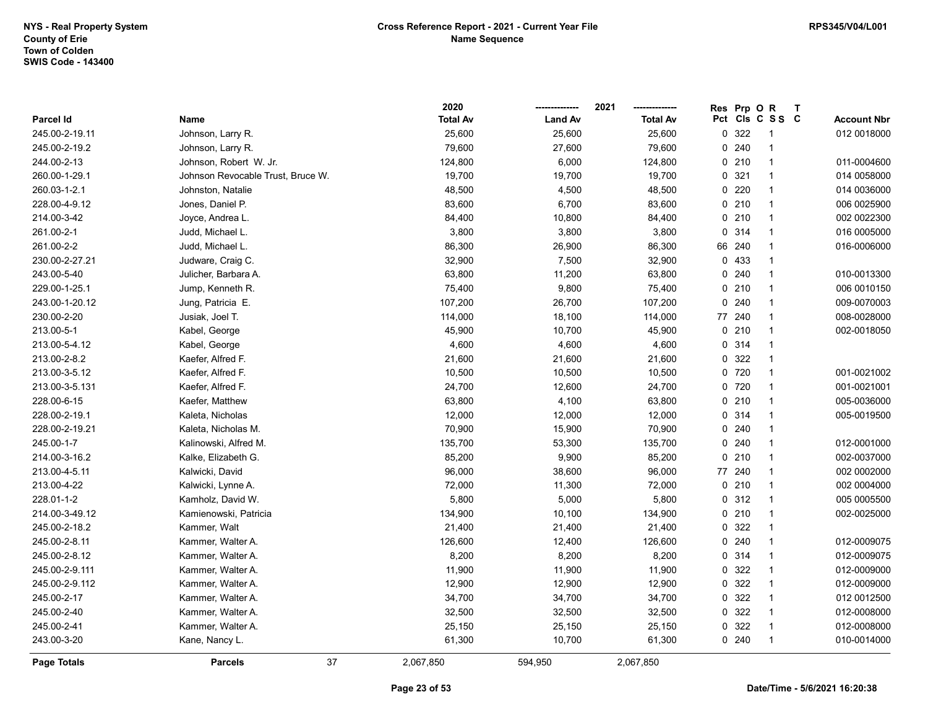|                |                                   | 2020            |                | 2021            | Res Prp O R |                 | $\mathbf{T}$ |                    |
|----------------|-----------------------------------|-----------------|----------------|-----------------|-------------|-----------------|--------------|--------------------|
| Parcel Id      | Name                              | <b>Total Av</b> | <b>Land Av</b> | <b>Total Av</b> |             | Pct Cls C S S C |              | <b>Account Nbr</b> |
| 245.00-2-19.11 | Johnson, Larry R.                 | 25,600          | 25,600         | 25,600          | 0 322       | -1              |              | 012 0018000        |
| 245.00-2-19.2  | Johnson, Larry R.                 | 79,600          | 27,600         | 79,600          | 0.240       | $\mathbf{1}$    |              |                    |
| 244.00-2-13    | Johnson, Robert W. Jr.            | 124,800         | 6,000          | 124,800         | 0210        | $\mathbf{1}$    |              | 011-0004600        |
| 260.00-1-29.1  | Johnson Revocable Trust, Bruce W. | 19,700          | 19,700         | 19,700          | 0.321       | $\mathbf{1}$    |              | 014 0058000        |
| 260.03-1-2.1   | Johnston, Natalie                 | 48,500          | 4,500          | 48,500          | 0220        | $\mathbf{1}$    |              | 014 0036000        |
| 228.00-4-9.12  | Jones, Daniel P.                  | 83,600          | 6,700          | 83,600          | 0210        | $\mathbf{1}$    |              | 006 0025900        |
| 214.00-3-42    | Joyce, Andrea L.                  | 84,400          | 10,800         | 84,400          | 0210        | $\mathbf{1}$    |              | 002 0022300        |
| 261.00-2-1     | Judd, Michael L.                  | 3,800           | 3,800          | 3,800           | 0 314       | $\mathbf{1}$    |              | 016 0005000        |
| 261.00-2-2     | Judd, Michael L.                  | 86,300          | 26,900         | 86,300          | 66 240      | 1               |              | 016-0006000        |
| 230.00-2-27.21 | Judware, Craig C.                 | 32,900          | 7,500          | 32,900          | 0 433       | $\mathbf{1}$    |              |                    |
| 243.00-5-40    | Julicher, Barbara A.              | 63,800          | 11,200         | 63,800          | 0.240       | $\mathbf{1}$    |              | 010-0013300        |
| 229.00-1-25.1  | Jump, Kenneth R.                  | 75,400          | 9,800          | 75,400          | 0210        | $\mathbf{1}$    |              | 006 0010150        |
| 243.00-1-20.12 | Jung, Patricia E.                 | 107,200         | 26,700         | 107,200         | 0.240       | 1               |              | 009-0070003        |
| 230.00-2-20    | Jusiak, Joel T.                   | 114,000         | 18,100         | 114,000         | 77 240      | $\mathbf{1}$    |              | 008-0028000        |
| 213.00-5-1     | Kabel, George                     | 45,900          | 10,700         | 45,900          | 0210        | $\mathbf{1}$    |              | 002-0018050        |
| 213.00-5-4.12  | Kabel, George                     | 4,600           | 4,600          | 4,600           | 0.314       | $\mathbf{1}$    |              |                    |
| 213.00-2-8.2   | Kaefer, Alfred F.                 | 21,600          | 21,600         | 21,600          | 0 322       | $\mathbf{1}$    |              |                    |
| 213.00-3-5.12  | Kaefer, Alfred F.                 | 10,500          | 10,500         | 10,500          | 0 720       | $\mathbf{1}$    |              | 001-0021002        |
| 213.00-3-5.131 | Kaefer, Alfred F.                 | 24,700          | 12,600         | 24,700          | 0 720       | $\mathbf{1}$    |              | 001-0021001        |
| 228.00-6-15    | Kaefer, Matthew                   | 63,800          | 4,100          | 63,800          | 0210        | $\mathbf{1}$    |              | 005-0036000        |
| 228.00-2-19.1  | Kaleta, Nicholas                  | 12,000          | 12,000         | 12,000          | 0 314       | $\mathbf{1}$    |              | 005-0019500        |
| 228.00-2-19.21 | Kaleta, Nicholas M.               | 70,900          | 15,900         | 70,900          | 0.240       | $\mathbf{1}$    |              |                    |
| 245.00-1-7     | Kalinowski, Alfred M.             | 135,700         | 53,300         | 135,700         | 0.240       | $\mathbf{1}$    |              | 012-0001000        |
| 214.00-3-16.2  | Kalke, Elizabeth G.               | 85,200          | 9,900          | 85,200          | 0210        | $\mathbf{1}$    |              | 002-0037000        |
| 213.00-4-5.11  | Kalwicki, David                   | 96,000          | 38,600         | 96,000          | 77 240      | 1               |              | 002 0002000        |
| 213.00-4-22    | Kalwicki, Lynne A.                | 72,000          | 11,300         | 72,000          | 0210        | $\mathbf{1}$    |              | 002 0004000        |
| 228.01-1-2     | Kamholz, David W.                 | 5,800           | 5,000          | 5,800           | 0.312       | $\mathbf{1}$    |              | 005 0005500        |
| 214.00-3-49.12 | Kamienowski, Patricia             | 134,900         | 10,100         | 134,900         | 0210        | $\mathbf{1}$    |              | 002-0025000        |
| 245.00-2-18.2  | Kammer, Walt                      | 21,400          | 21,400         | 21,400          | 0 322       | $\mathbf{1}$    |              |                    |
| 245.00-2-8.11  | Kammer, Walter A.                 | 126,600         | 12,400         | 126,600         | 0.240       | $\mathbf{1}$    |              | 012-0009075        |
| 245.00-2-8.12  | Kammer, Walter A.                 | 8,200           | 8,200          | 8,200           | 0 314       | $\mathbf{1}$    |              | 012-0009075        |
| 245.00-2-9.111 | Kammer, Walter A.                 | 11,900          | 11,900         | 11,900          | 0 322       | $\mathbf{1}$    |              | 012-0009000        |
| 245.00-2-9.112 | Kammer, Walter A.                 | 12,900          | 12,900         | 12,900          | 0 322       | $\mathbf{1}$    |              | 012-0009000        |
| 245.00-2-17    | Kammer, Walter A.                 | 34,700          | 34,700         | 34,700          | 0 322       | $\mathbf{1}$    |              | 012 0012500        |
| 245.00-2-40    | Kammer, Walter A.                 | 32,500          | 32,500         | 32,500          | 0 322       | $\mathbf{1}$    |              | 012-0008000        |
| 245.00-2-41    | Kammer, Walter A.                 | 25,150          | 25,150         | 25,150          | 0 322       | $\mathbf{1}$    |              | 012-0008000        |
| 243.00-3-20    | Kane, Nancy L.                    | 61,300          | 10,700         | 61,300          | 0.240       | $\mathbf{1}$    |              | 010-0014000        |
| Page Totals    | <b>Parcels</b>                    | 37<br>2,067,850 | 594,950        | 2,067,850       |             |                 |              |                    |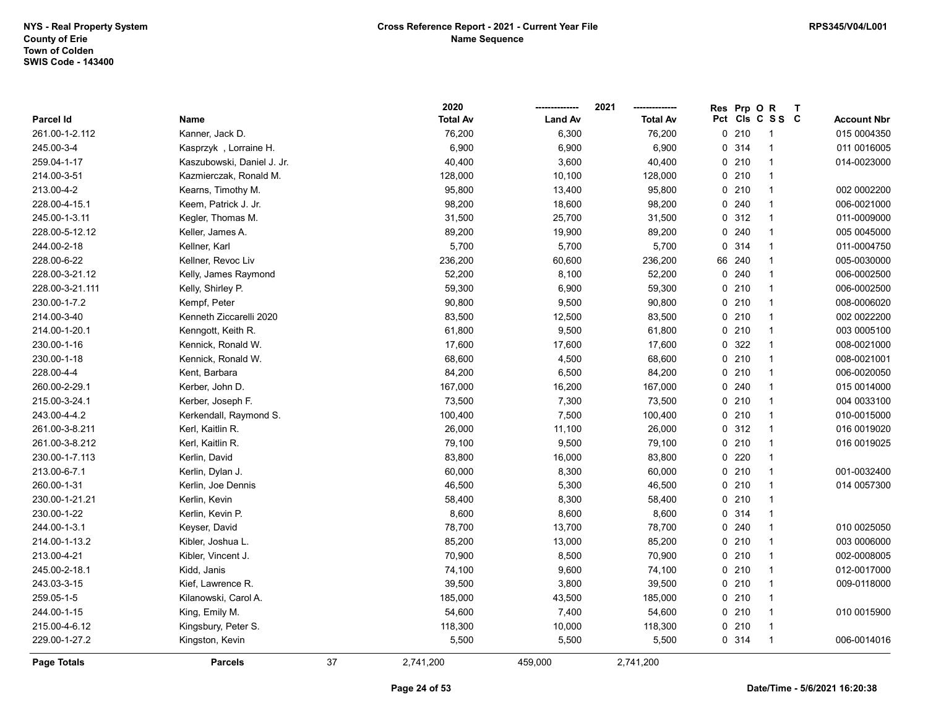|                    |                            |    | 2020            |                | 2021            | <b>Res</b> | Prp OR |                 | $\mathbf{T}$ |                    |
|--------------------|----------------------------|----|-----------------|----------------|-----------------|------------|--------|-----------------|--------------|--------------------|
| Parcel Id          | Name                       |    | <b>Total Av</b> | <b>Land Av</b> | <b>Total Av</b> |            |        | Pct Cls C S S C |              | <b>Account Nbr</b> |
| 261.00-1-2.112     | Kanner, Jack D.            |    | 76,200          | 6,300          | 76,200          |            | 0210   | -1              |              | 015 0004350        |
| 245.00-3-4         | Kasprzyk, Lorraine H.      |    | 6,900           | 6,900          | 6,900           |            | 0.314  |                 |              | 011 0016005        |
| 259.04-1-17        | Kaszubowski, Daniel J. Jr. |    | 40,400          | 3,600          | 40,400          |            | 0210   | $\overline{1}$  |              | 014-0023000        |
| 214.00-3-51        | Kazmierczak, Ronald M.     |    | 128,000         | 10,100         | 128,000         |            | 0210   | $\overline{1}$  |              |                    |
| 213.00-4-2         | Kearns, Timothy M.         |    | 95,800          | 13,400         | 95,800          |            | 0210   | $\overline{1}$  |              | 002 0002200        |
| 228.00-4-15.1      | Keem, Patrick J. Jr.       |    | 98,200          | 18,600         | 98,200          |            | 0.240  | $\overline{1}$  |              | 006-0021000        |
| 245.00-1-3.11      | Kegler, Thomas M.          |    | 31,500          | 25,700         | 31,500          |            | 0.312  | $\overline{1}$  |              | 011-0009000        |
| 228.00-5-12.12     | Keller, James A.           |    | 89,200          | 19,900         | 89,200          |            | 0.240  | $\overline{1}$  |              | 005 0045000        |
| 244.00-2-18        | Kellner, Karl              |    | 5,700           | 5,700          | 5,700           |            | 0.314  | -1              |              | 011-0004750        |
| 228.00-6-22        | Kellner, Revoc Liv         |    | 236,200         | 60,600         | 236,200         |            | 66 240 | $\overline{1}$  |              | 005-0030000        |
| 228.00-3-21.12     | Kelly, James Raymond       |    | 52,200          | 8,100          | 52,200          |            | 0.240  | $\overline{1}$  |              | 006-0002500        |
| 228.00-3-21.111    | Kelly, Shirley P.          |    | 59,300          | 6,900          | 59,300          |            | 0210   | $\overline{1}$  |              | 006-0002500        |
| 230.00-1-7.2       | Kempf, Peter               |    | 90,800          | 9,500          | 90,800          |            | 0210   | $\overline{1}$  |              | 008-0006020        |
| 214.00-3-40        | Kenneth Ziccarelli 2020    |    | 83,500          | 12,500         | 83,500          |            | 0210   | $\overline{1}$  |              | 002 0022200        |
| 214.00-1-20.1      | Kenngott, Keith R.         |    | 61,800          | 9,500          | 61,800          |            | 0210   | $\overline{1}$  |              | 003 0005100        |
| 230.00-1-16        | Kennick, Ronald W.         |    | 17,600          | 17,600         | 17,600          |            | 0 322  | -1              |              | 008-0021000        |
| 230.00-1-18        | Kennick, Ronald W.         |    | 68,600          | 4,500          | 68,600          |            | 0210   | $\overline{1}$  |              | 008-0021001        |
| 228.00-4-4         | Kent, Barbara              |    | 84,200          | 6,500          | 84,200          |            | 0210   | $\overline{1}$  |              | 006-0020050        |
| 260.00-2-29.1      | Kerber, John D.            |    | 167,000         | 16,200         | 167,000         |            | 0.240  | $\overline{1}$  |              | 015 0014000        |
| 215.00-3-24.1      | Kerber, Joseph F.          |    | 73,500          | 7,300          | 73,500          |            | 0210   | $\overline{1}$  |              | 004 0033100        |
| 243.00-4-4.2       | Kerkendall, Raymond S.     |    | 100,400         | 7,500          | 100,400         |            | 0210   | $\overline{1}$  |              | 010-0015000        |
| 261.00-3-8.211     | Kerl, Kaitlin R.           |    | 26,000          | 11,100         | 26,000          |            | 0.312  | $\overline{1}$  |              | 016 0019020        |
| 261.00-3-8.212     | Kerl, Kaitlin R.           |    | 79,100          | 9,500          | 79,100          |            | 0210   | $\overline{1}$  |              | 016 0019025        |
| 230.00-1-7.113     | Kerlin, David              |    | 83,800          | 16,000         | 83,800          |            | 0220   | $\overline{1}$  |              |                    |
| 213.00-6-7.1       | Kerlin, Dylan J.           |    | 60,000          | 8,300          | 60,000          |            | 0210   | $\overline{1}$  |              | 001-0032400        |
| 260.00-1-31        | Kerlin, Joe Dennis         |    | 46,500          | 5,300          | 46,500          |            | 0210   | $\overline{1}$  |              | 014 0057300        |
| 230.00-1-21.21     | Kerlin, Kevin              |    | 58,400          | 8,300          | 58,400          |            | 0210   | $\overline{1}$  |              |                    |
| 230.00-1-22        | Kerlin, Kevin P.           |    | 8,600           | 8,600          | 8,600           |            | 0.314  | $\overline{1}$  |              |                    |
| 244.00-1-3.1       | Keyser, David              |    | 78,700          | 13,700         | 78,700          |            | 0.240  | $\overline{1}$  |              | 010 0025050        |
| 214.00-1-13.2      | Kibler, Joshua L.          |    | 85,200          | 13,000         | 85,200          |            | 0210   | $\overline{1}$  |              | 003 0006000        |
| 213.00-4-21        | Kibler, Vincent J.         |    | 70,900          | 8,500          | 70,900          |            | 0210   | $\overline{1}$  |              | 002-0008005        |
| 245.00-2-18.1      | Kidd, Janis                |    | 74,100          | 9,600          | 74,100          |            | 0210   | $\overline{1}$  |              | 012-0017000        |
| 243.03-3-15        | Kief, Lawrence R.          |    | 39,500          | 3,800          | 39,500          |            | 0210   | $\overline{1}$  |              | 009-0118000        |
| 259.05-1-5         | Kilanowski, Carol A.       |    | 185,000         | 43,500         | 185,000         |            | 0210   | $\overline{1}$  |              |                    |
| 244.00-1-15        | King, Emily M.             |    | 54,600          | 7,400          | 54,600          |            | 0210   | $\overline{1}$  |              | 010 0015900        |
| 215.00-4-6.12      | Kingsbury, Peter S.        |    | 118,300         | 10,000         | 118,300         |            | 0210   | $\overline{1}$  |              |                    |
| 229.00-1-27.2      | Kingston, Kevin            |    | 5,500           | 5,500          | 5,500           |            | 0 314  | $\overline{1}$  |              | 006-0014016        |
| <b>Page Totals</b> | <b>Parcels</b>             | 37 | 2,741,200       | 459,000        | 2,741,200       |            |        |                 |              |                    |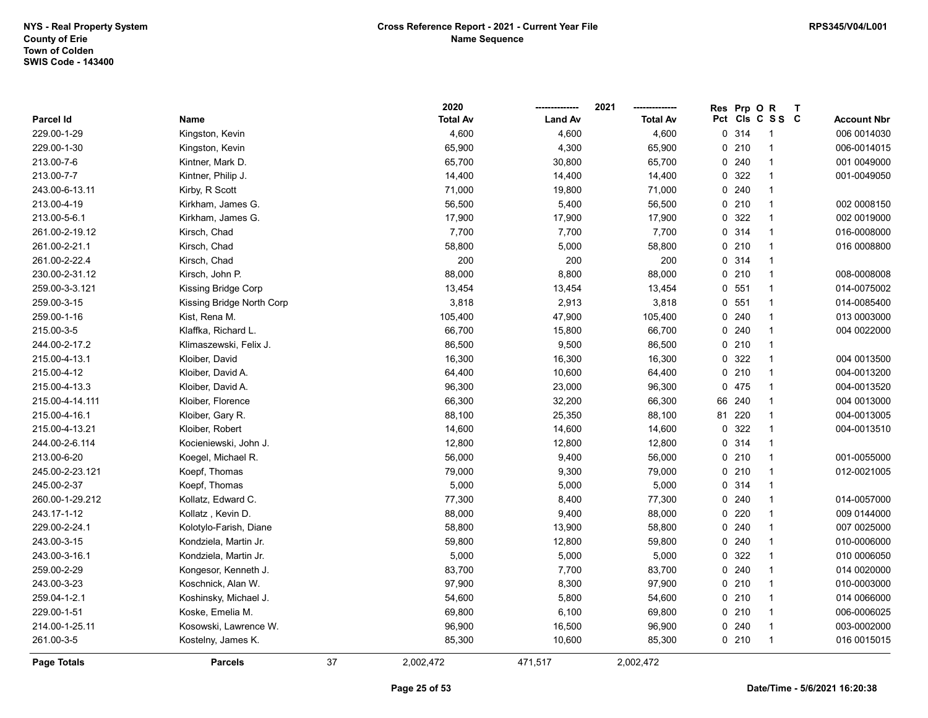|                  |                           |    | 2020            |                | 2021            | Res | Prp O  | $\mathsf{R}$    | $\mathbf{T}$ |                    |
|------------------|---------------------------|----|-----------------|----------------|-----------------|-----|--------|-----------------|--------------|--------------------|
| <b>Parcel Id</b> | Name                      |    | <b>Total Av</b> | <b>Land Av</b> | <b>Total Av</b> |     |        | Pct Cls C S S C |              | <b>Account Nbr</b> |
| 229.00-1-29      | Kingston, Kevin           |    | 4,600           | 4,600          | 4,600           |     | 0.314  | 1               |              | 006 0014030        |
| 229.00-1-30      | Kingston, Kevin           |    | 65,900          | 4,300          | 65,900          |     | 0210   | 1               |              | 006-0014015        |
| 213.00-7-6       | Kintner, Mark D.          |    | 65,700          | 30,800         | 65,700          |     | 0.240  | 1               |              | 001 0049000        |
| 213.00-7-7       | Kintner, Philip J.        |    | 14,400          | 14,400         | 14,400          |     | 0 322  | $\mathbf{1}$    |              | 001-0049050        |
| 243.00-6-13.11   | Kirby, R Scott            |    | 71,000          | 19,800         | 71,000          |     | 0.240  | $\mathbf{1}$    |              |                    |
| 213.00-4-19      | Kirkham, James G.         |    | 56,500          | 5,400          | 56,500          |     | 0210   | $\mathbf{1}$    |              | 002 0008150        |
| 213.00-5-6.1     | Kirkham, James G.         |    | 17,900          | 17,900         | 17,900          |     | 0 322  | $\mathbf{1}$    |              | 002 0019000        |
| 261.00-2-19.12   | Kirsch, Chad              |    | 7,700           | 7,700          | 7,700           |     | 0 314  | $\mathbf{1}$    |              | 016-0008000        |
| 261.00-2-21.1    | Kirsch, Chad              |    | 58,800          | 5,000          | 58,800          |     | 0210   | $\mathbf{1}$    |              | 016 0008800        |
| 261.00-2-22.4    | Kirsch, Chad              |    | 200             | 200            | 200             |     | 0 314  | $\mathbf{1}$    |              |                    |
| 230.00-2-31.12   | Kirsch, John P.           |    | 88,000          | 8,800          | 88,000          |     | 0210   | $\mathbf{1}$    |              | 008-0008008        |
| 259.00-3-3.121   | Kissing Bridge Corp       |    | 13,454          | 13,454         | 13,454          |     | 0, 551 | $\mathbf{1}$    |              | 014-0075002        |
| 259.00-3-15      | Kissing Bridge North Corp |    | 3,818           | 2,913          | 3,818           |     | 0.551  | $\mathbf{1}$    |              | 014-0085400        |
| 259.00-1-16      | Kist, Rena M.             |    | 105,400         | 47,900         | 105,400         |     | 0.240  | 1               |              | 013 0003000        |
| 215.00-3-5       | Klaffka, Richard L.       |    | 66,700          | 15,800         | 66,700          |     | 0.240  | $\mathbf{1}$    |              | 004 0022000        |
| 244.00-2-17.2    | Klimaszewski, Felix J.    |    | 86,500          | 9,500          | 86,500          |     | 0210   | $\mathbf{1}$    |              |                    |
| 215.00-4-13.1    | Kloiber, David            |    | 16,300          | 16,300         | 16,300          |     | 0 322  | $\mathbf{1}$    |              | 004 0013500        |
| 215.00-4-12      | Kloiber, David A.         |    | 64,400          | 10,600         | 64,400          |     | 0210   | $\mathbf{1}$    |              | 004-0013200        |
| 215.00-4-13.3    | Kloiber, David A.         |    | 96,300          | 23,000         | 96,300          |     | 0 475  | $\mathbf{1}$    |              | 004-0013520        |
| 215.00-4-14.111  | Kloiber, Florence         |    | 66,300          | 32,200         | 66,300          |     | 66 240 | $\mathbf{1}$    |              | 004 0013000        |
| 215.00-4-16.1    | Kloiber, Gary R.          |    | 88,100          | 25,350         | 88,100          |     | 81 220 | $\mathbf{1}$    |              | 004-0013005        |
| 215.00-4-13.21   | Kloiber, Robert           |    | 14,600          | 14,600         | 14,600          |     | 0.322  | $\mathbf{1}$    |              | 004-0013510        |
| 244.00-2-6.114   | Kocieniewski, John J.     |    | 12,800          | 12,800         | 12,800          |     | 0.314  | $\mathbf{1}$    |              |                    |
| 213.00-6-20      | Koegel, Michael R.        |    | 56,000          | 9,400          | 56,000          |     | 0210   | $\mathbf{1}$    |              | 001-0055000        |
| 245.00-2-23.121  | Koepf, Thomas             |    | 79,000          | 9,300          | 79,000          |     | 0210   | $\mathbf{1}$    |              | 012-0021005        |
| 245.00-2-37      | Koepf, Thomas             |    | 5,000           | 5,000          | 5,000           |     | 0.314  | $\mathbf{1}$    |              |                    |
| 260.00-1-29.212  | Kollatz, Edward C.        |    | 77,300          | 8,400          | 77,300          |     | 0.240  | 1               |              | 014-0057000        |
| 243.17-1-12      | Kollatz, Kevin D.         |    | 88,000          | 9,400          | 88,000          |     | 0.220  | $\mathbf{1}$    |              | 009 0144000        |
| 229.00-2-24.1    | Kolotylo-Farish, Diane    |    | 58,800          | 13,900         | 58,800          |     | 0.240  | $\mathbf{1}$    |              | 007 0025000        |
| 243.00-3-15      | Kondziela, Martin Jr.     |    | 59,800          | 12,800         | 59,800          |     | 0.240  | 1               |              | 010-0006000        |
| 243.00-3-16.1    | Kondziela, Martin Jr.     |    | 5,000           | 5,000          | 5,000           |     | 0 322  | $\mathbf{1}$    |              | 010 0006050        |
| 259.00-2-29      | Kongesor, Kenneth J.      |    | 83,700          | 7,700          | 83,700          |     | 0.240  | $\mathbf{1}$    |              | 014 0020000        |
| 243.00-3-23      | Koschnick, Alan W.        |    | 97,900          | 8,300          | 97,900          |     | 0210   | $\mathbf{1}$    |              | 010-0003000        |
| 259.04-1-2.1     | Koshinsky, Michael J.     |    | 54,600          | 5,800          | 54,600          |     | 0210   | $\mathbf{1}$    |              | 014 0066000        |
| 229.00-1-51      | Koske, Emelia M.          |    | 69,800          | 6,100          | 69,800          |     | 0210   | $\mathbf{1}$    |              | 006-0006025        |
| 214.00-1-25.11   | Kosowski, Lawrence W.     |    | 96,900          | 16,500         | 96,900          |     | 0.240  | 1               |              | 003-0002000        |
| 261.00-3-5       | Kostelny, James K.        |    | 85,300          | 10,600         | 85,300          |     | 0210   | $\mathbf{1}$    |              | 016 0015015        |
| Page Totals      | <b>Parcels</b>            | 37 | 2,002,472       | 471,517        | 2,002,472       |     |        |                 |              |                    |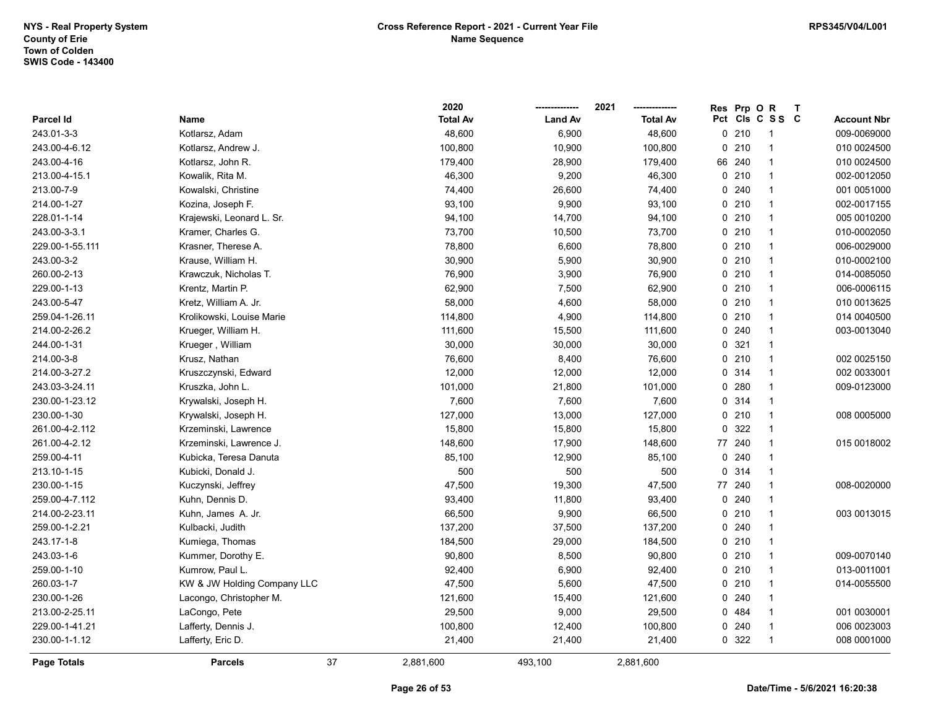|                    |                             | 2020            |                | 2021<br>------------- | Res | Prp OR |                 | $\mathsf{T}$ |                    |
|--------------------|-----------------------------|-----------------|----------------|-----------------------|-----|--------|-----------------|--------------|--------------------|
| <b>Parcel Id</b>   | Name                        | <b>Total Av</b> | <b>Land Av</b> | <b>Total Av</b>       |     |        | Pct Cls C S S C |              | <b>Account Nbr</b> |
| 243.01-3-3         | Kotlarsz, Adam              | 48,600          | 6,900          | 48,600                |     | 0210   | -1              |              | 009-0069000        |
| 243.00-4-6.12      | Kotlarsz, Andrew J.         | 100,800         | 10,900         | 100,800               |     | 0210   | 1               |              | 010 0024500        |
| 243.00-4-16        | Kotlarsz, John R.           | 179,400         | 28,900         | 179,400               |     | 66 240 | $\mathbf{1}$    |              | 010 0024500        |
| 213.00-4-15.1      | Kowalik, Rita M.            | 46,300          | 9,200          | 46,300                |     | 0210   | $\overline{1}$  |              | 002-0012050        |
| 213.00-7-9         | Kowalski, Christine         | 74,400          | 26,600         | 74,400                |     | 0.240  | $\overline{1}$  |              | 001 0051000        |
| 214.00-1-27        | Kozina, Joseph F.           | 93,100          | 9,900          | 93,100                |     | 0210   | $\mathbf{1}$    |              | 002-0017155        |
| 228.01-1-14        | Krajewski, Leonard L. Sr.   | 94,100          | 14,700         | 94,100                |     | 0210   | $\mathbf{1}$    |              | 005 0010200        |
| 243.00-3-3.1       | Kramer, Charles G.          | 73,700          | 10,500         | 73,700                |     | 0210   | $\overline{1}$  |              | 010-0002050        |
| 229.00-1-55.111    | Krasner, Therese A.         | 78,800          | 6,600          | 78,800                |     | 0210   | $\overline{1}$  |              | 006-0029000        |
| 243.00-3-2         | Krause, William H.          | 30,900          | 5,900          | 30,900                |     | 0210   | $\mathbf{1}$    |              | 010-0002100        |
| 260.00-2-13        | Krawczuk, Nicholas T.       | 76,900          | 3,900          | 76,900                |     | 0210   | $\overline{1}$  |              | 014-0085050        |
| 229.00-1-13        | Krentz, Martin P.           | 62,900          | 7,500          | 62,900                |     | 0210   | $\mathbf{1}$    |              | 006-0006115        |
| 243.00-5-47        | Kretz, William A. Jr.       | 58,000          | 4,600          | 58,000                |     | 0210   | $\mathbf{1}$    |              | 010 0013625        |
| 259.04-1-26.11     | Krolikowski, Louise Marie   | 114,800         | 4,900          | 114,800               |     | 0210   | $\mathbf{1}$    |              | 014 0040500        |
| 214.00-2-26.2      | Krueger, William H.         | 111,600         | 15,500         | 111,600               |     | 0.240  | 1               |              | 003-0013040        |
| 244.00-1-31        | Krueger, William            | 30,000          | 30,000         | 30,000                |     | 0.321  | 1               |              |                    |
| 214.00-3-8         | Krusz, Nathan               | 76,600          | 8,400          | 76,600                |     | 0210   | $\mathbf{1}$    |              | 002 0025150        |
| 214.00-3-27.2      | Kruszczynski, Edward        | 12,000          | 12,000         | 12,000                |     | 0.314  | $\mathbf{1}$    |              | 002 0033001        |
| 243.03-3-24.11     | Kruszka, John L.            | 101,000         | 21,800         | 101,000               |     | 0.280  | $\mathbf{1}$    |              | 009-0123000        |
| 230.00-1-23.12     | Krywalski, Joseph H.        | 7,600           | 7,600          | 7,600                 |     | 0.314  | $\mathbf{1}$    |              |                    |
| 230.00-1-30        | Krywalski, Joseph H.        | 127,000         | 13,000         | 127,000               |     | 0210   | $\overline{1}$  |              | 008 0005000        |
| 261.00-4-2.112     | Krzeminski, Lawrence        | 15,800          | 15,800         | 15,800                |     | 0 322  | $\mathbf{1}$    |              |                    |
| 261.00-4-2.12      | Krzeminski, Lawrence J.     | 148,600         | 17,900         | 148,600               |     | 77 240 | $\overline{1}$  |              | 015 0018002        |
| 259.00-4-11        | Kubicka, Teresa Danuta      | 85,100          | 12,900         | 85,100                |     | 0.240  | $\mathbf{1}$    |              |                    |
| 213.10-1-15        | Kubicki, Donald J.          | 500             | 500            | 500                   | 0   | 314    | $\mathbf{1}$    |              |                    |
| 230.00-1-15        | Kuczynski, Jeffrey          | 47,500          | 19,300         | 47,500                | 77  | 240    | $\mathbf{1}$    |              | 008-0020000        |
| 259.00-4-7.112     | Kuhn, Dennis D.             | 93,400          | 11,800         | 93,400                |     | 0.240  | $\mathbf{1}$    |              |                    |
| 214.00-2-23.11     | Kuhn, James A. Jr.          | 66,500          | 9,900          | 66,500                |     | 0210   | $\mathbf{1}$    |              | 003 0013015        |
| 259.00-1-2.21      | Kulbacki, Judith            | 137,200         | 37,500         | 137,200               |     | 0.240  | $\overline{1}$  |              |                    |
| 243.17-1-8         | Kumiega, Thomas             | 184,500         | 29,000         | 184,500               |     | 0210   | 1               |              |                    |
| 243.03-1-6         | Kummer, Dorothy E.          | 90,800          | 8,500          | 90,800                |     | 0210   | $\mathbf{1}$    |              | 009-0070140        |
| 259.00-1-10        | Kumrow, Paul L.             | 92,400          | 6,900          | 92,400                |     | 0210   | $\overline{1}$  |              | 013-0011001        |
| 260.03-1-7         | KW & JW Holding Company LLC | 47,500          | 5,600          | 47,500                |     | 0210   | $\overline{1}$  |              | 014-0055500        |
| 230.00-1-26        | Lacongo, Christopher M.     | 121,600         | 15,400         | 121,600               |     | 0.240  | $\mathbf{1}$    |              |                    |
| 213.00-2-25.11     | LaCongo, Pete               | 29,500          | 9,000          | 29,500                |     | 0 484  | $\mathbf{1}$    |              | 001 0030001        |
| 229.00-1-41.21     | Lafferty, Dennis J.         | 100,800         | 12,400         | 100,800               |     | 0.240  | $\overline{1}$  |              | 006 0023003        |
| 230.00-1-1.12      | Lafferty, Eric D.           | 21,400          | 21,400         | 21,400                |     | 0 322  | $\overline{1}$  |              | 008 0001000        |
| <b>Page Totals</b> | 37<br><b>Parcels</b>        | 2,881,600       | 493,100        | 2,881,600             |     |        |                 |              |                    |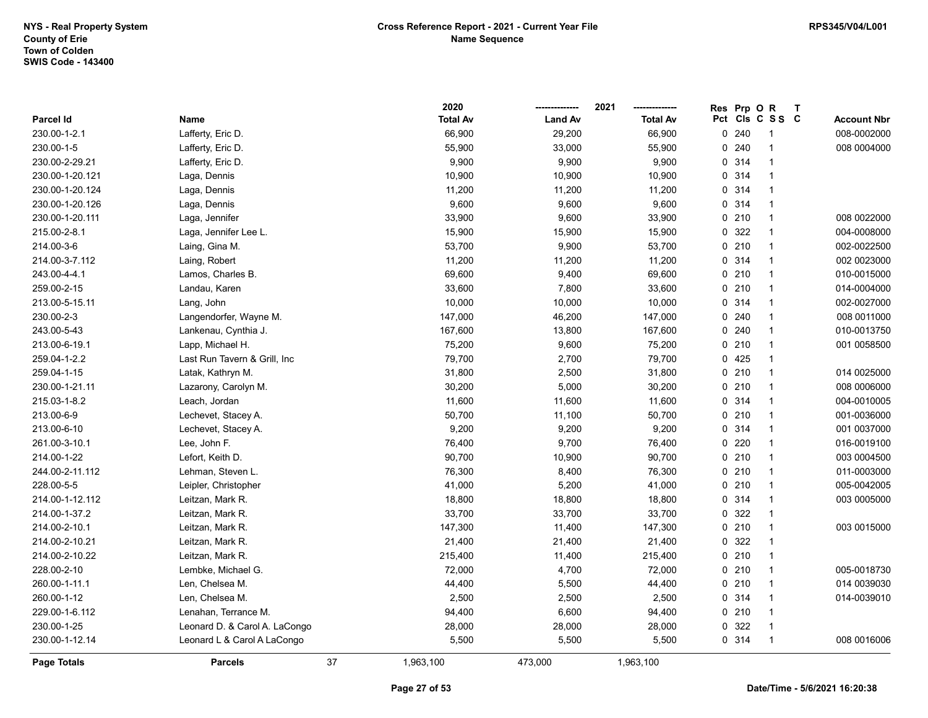|                    |                               |    | 2020            |                | 2021            | <b>Res</b> | Prp O           | $\mathsf{R}$             | $\mathbf{T}$ |                    |
|--------------------|-------------------------------|----|-----------------|----------------|-----------------|------------|-----------------|--------------------------|--------------|--------------------|
| <b>Parcel Id</b>   | Name                          |    | <b>Total Av</b> | <b>Land Av</b> | <b>Total Av</b> |            | Pct Cls C S S C |                          |              | <b>Account Nbr</b> |
| 230.00-1-2.1       | Lafferty, Eric D.             |    | 66,900          | 29,200         | 66,900          |            | 0.240           | -1                       |              | 008-0002000        |
| 230.00-1-5         | Lafferty, Eric D.             |    | 55,900          | 33,000         | 55,900          | 0          | 240             | -1                       |              | 008 0004000        |
| 230.00-2-29.21     | Lafferty, Eric D.             |    | 9,900           | 9,900          | 9,900           |            | 0.314           | -1                       |              |                    |
| 230.00-1-20.121    | Laga, Dennis                  |    | 10,900          | 10,900         | 10,900          |            | 0 314           | $\overline{\mathbf{1}}$  |              |                    |
| 230.00-1-20.124    | Laga, Dennis                  |    | 11,200          | 11,200         | 11,200          |            | 0.314           | $\mathbf{1}$             |              |                    |
| 230.00-1-20.126    | Laga, Dennis                  |    | 9,600           | 9,600          | 9,600           |            | 0.314           | -1                       |              |                    |
| 230.00-1-20.111    | Laga, Jennifer                |    | 33,900          | 9,600          | 33,900          |            | 0210            | -1                       |              | 008 0022000        |
| 215.00-2-8.1       | Laga, Jennifer Lee L.         |    | 15,900          | 15,900         | 15,900          |            | 0 322           | $\mathbf{1}$             |              | 004-0008000        |
| 214.00-3-6         | Laing, Gina M.                |    | 53,700          | 9,900          | 53,700          |            | 0210            | $\mathbf{1}$             |              | 002-0022500        |
| 214.00-3-7.112     | Laing, Robert                 |    | 11,200          | 11,200         | 11,200          |            | 0.314           | $\mathbf 1$              |              | 002 0023000        |
| 243.00-4-4.1       | Lamos, Charles B.             |    | 69,600          | 9,400          | 69,600          | 0          | 210             | $\mathbf 1$              |              | 010-0015000        |
| 259.00-2-15        | Landau, Karen                 |    | 33,600          | 7,800          | 33,600          | 0          | 210             | $\mathbf{1}$             |              | 014-0004000        |
| 213.00-5-15.11     | Lang, John                    |    | 10,000          | 10,000         | 10,000          |            | 0.314           | $\mathbf{1}$             |              | 002-0027000        |
| 230.00-2-3         | Langendorfer, Wayne M.        |    | 147,000         | 46,200         | 147,000         |            | 0.240           | -1                       |              | 008 0011000        |
| 243.00-5-43        | Lankenau, Cynthia J.          |    | 167,600         | 13,800         | 167,600         |            | 0.240           | 1                        |              | 010-0013750        |
| 213.00-6-19.1      | Lapp, Michael H.              |    | 75,200          | 9,600          | 75,200          |            | 0210            | $\overline{\mathbf{1}}$  |              | 001 0058500        |
| 259.04-1-2.2       | Last Run Tavern & Grill, Inc  |    | 79,700          | 2,700          | 79,700          |            | 0425            | $\mathbf{1}$             |              |                    |
| 259.04-1-15        | Latak, Kathryn M.             |    | 31,800          | 2,500          | 31,800          |            | 0210            | $\overline{\mathbf{1}}$  |              | 014 0025000        |
| 230.00-1-21.11     | Lazarony, Carolyn M.          |    | 30,200          | 5,000          | 30,200          |            | 0210            | $\mathbf 1$              |              | 008 0006000        |
| 215.03-1-8.2       | Leach, Jordan                 |    | 11,600          | 11,600         | 11,600          |            | 0.314           | $\mathbf{1}$             |              | 004-0010005        |
| 213.00-6-9         | Lechevet, Stacey A.           |    | 50,700          | 11,100         | 50,700          |            | 0210            | $\overline{\mathbf{1}}$  |              | 001-0036000        |
| 213.00-6-10        | Lechevet, Stacey A.           |    | 9,200           | 9,200          | 9,200           |            | 0.314           | -1                       |              | 001 0037000        |
| 261.00-3-10.1      | Lee, John F.                  |    | 76,400          | 9,700          | 76,400          |            | 0220            | $\mathbf{1}$             |              | 016-0019100        |
| 214.00-1-22        | Lefort, Keith D.              |    | 90,700          | 10,900         | 90,700          |            | 0210            | $\overline{1}$           |              | 003 0004500        |
| 244.00-2-11.112    | Lehman, Steven L.             |    | 76,300          | 8,400          | 76,300          | 0          | 210             | $\overline{1}$           |              | 011-0003000        |
| 228.00-5-5         | Leipler, Christopher          |    | 41,000          | 5,200          | 41,000          |            | 0210            | $\mathbf 1$              |              | 005-0042005        |
| 214.00-1-12.112    | Leitzan, Mark R.              |    | 18,800          | 18,800         | 18,800          |            | 0.314           | -1                       |              | 003 0005000        |
| 214.00-1-37.2      | Leitzan, Mark R.              |    | 33,700          | 33,700         | 33,700          |            | 0 322           |                          |              |                    |
| 214.00-2-10.1      | Leitzan, Mark R.              |    | 147,300         | 11,400         | 147,300         |            | 0210            | -1                       |              | 003 0015000        |
| 214.00-2-10.21     | Leitzan, Mark R.              |    | 21,400          | 21,400         | 21,400          |            | 0 322           | 1                        |              |                    |
| 214.00-2-10.22     | Leitzan, Mark R.              |    | 215,400         | 11,400         | 215,400         |            | 0210            | $\mathbf{1}$             |              |                    |
| 228.00-2-10        | Lembke, Michael G.            |    | 72,000          | 4,700          | 72,000          |            | 0210            | $\mathbf{1}$             |              | 005-0018730        |
| 260.00-1-11.1      | Len, Chelsea M.               |    | 44,400          | 5,500          | 44,400          |            | 0210            | $\overline{1}$           |              | 014 0039030        |
| 260.00-1-12        | Len, Chelsea M.               |    | 2,500           | 2,500          | 2,500           |            | 0.314           | $\mathbf 1$              |              | 014-0039010        |
| 229.00-1-6.112     | Lenahan, Terrance M.          |    | 94,400          | 6,600          | 94,400          |            | 0210            | -1                       |              |                    |
| 230.00-1-25        | Leonard D. & Carol A. LaCongo |    | 28,000          | 28,000         | 28,000          |            | 0 322           | $\overline{\phantom{a}}$ |              |                    |
| 230.00-1-12.14     | Leonard L & Carol A LaCongo   |    | 5,500           | 5,500          | 5,500           |            | 0 314           | $\mathbf{1}$             |              | 008 0016006        |
| <b>Page Totals</b> | <b>Parcels</b>                | 37 | 1,963,100       | 473.000        | 1,963,100       |            |                 |                          |              |                    |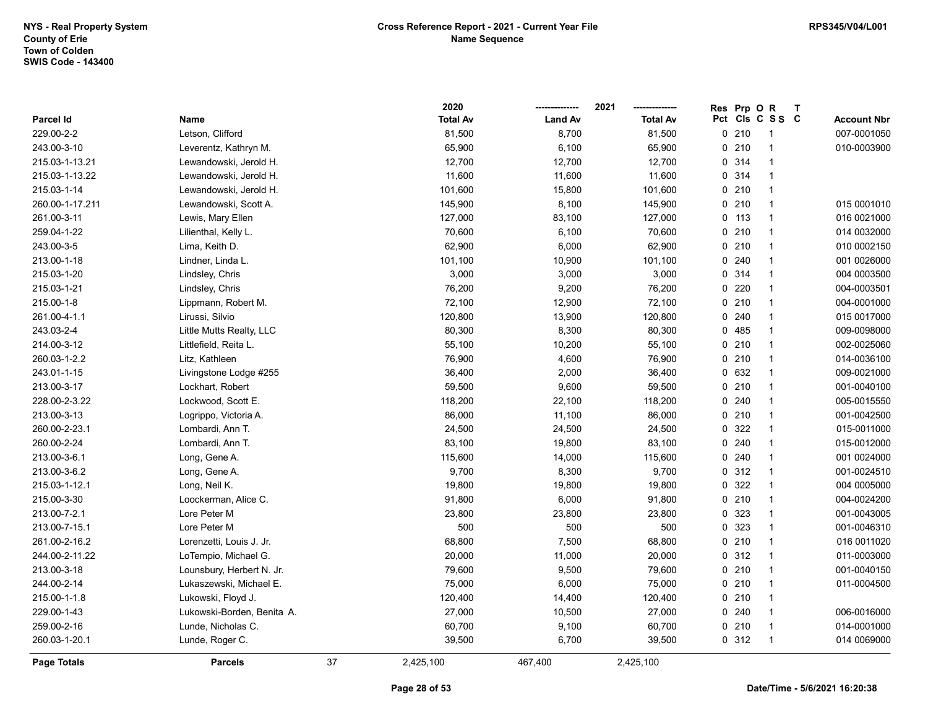|                  |                            |    | 2020            |                | 2021            | <b>Res</b> | Prp O           | $\mathsf{R}$            | $\mathbf{T}$ |                    |
|------------------|----------------------------|----|-----------------|----------------|-----------------|------------|-----------------|-------------------------|--------------|--------------------|
| <b>Parcel Id</b> | Name                       |    | <b>Total Av</b> | <b>Land Av</b> | <b>Total Av</b> |            | Pct Cls C S S C |                         |              | <b>Account Nbr</b> |
| 229.00-2-2       | Letson, Clifford           |    | 81,500          | 8,700          | 81,500          |            | $0$ 210         | -1                      |              | 007-0001050        |
| 243.00-3-10      | Leverentz, Kathryn M.      |    | 65,900          | 6,100          | 65,900          |            | $0$ 210         |                         |              | 010-0003900        |
| 215.03-1-13.21   | Lewandowski, Jerold H.     |    | 12,700          | 12,700         | 12,700          |            | 0.314           | -1                      |              |                    |
| 215.03-1-13.22   | Lewandowski, Jerold H.     |    | 11,600          | 11,600         | 11,600          |            | 0 314           | $\overline{1}$          |              |                    |
| 215.03-1-14      | Lewandowski, Jerold H.     |    | 101,600         | 15,800         | 101,600         |            | $0$ 210         | $\mathbf{1}$            |              |                    |
| 260.00-1-17.211  | Lewandowski, Scott A.      |    | 145,900         | 8,100          | 145,900         |            | 0.210           | $\mathbf{1}$            |              | 015 0001010        |
| 261.00-3-11      | Lewis, Mary Ellen          |    | 127,000         | 83,100         | 127,000         |            | 0, 113          | $\overline{\mathbf{1}}$ |              | 016 0021000        |
| 259.04-1-22      | Lilienthal, Kelly L.       |    | 70,600          | 6,100          | 70,600          |            | $0$ 210         | -1                      |              | 014 0032000        |
| 243.00-3-5       | Lima, Keith D.             |    | 62,900          | 6,000          | 62,900          |            | 0210            | $\overline{1}$          |              | 010 0002150        |
| 213.00-1-18      | Lindner, Linda L.          |    | 101,100         | 10,900         | 101,100         |            | 0.240           | $\mathbf{1}$            |              | 001 0026000        |
| 215.03-1-20      | Lindsley, Chris            |    | 3,000           | 3,000          | 3,000           | 0          | 314             | $\mathbf{1}$            |              | 004 0003500        |
| 215.03-1-21      | Lindsley, Chris            |    | 76,200          | 9,200          | 76,200          | $\Omega$   | 220             | $\overline{1}$          |              | 004-0003501        |
| 215.00-1-8       | Lippmann, Robert M.        |    | 72,100          | 12,900         | 72,100          |            | $0$ 210         | -1                      |              | 004-0001000        |
| 261.00-4-1.1     | Lirussi, Silvio            |    | 120,800         | 13,900         | 120,800         |            | 0.240           |                         |              | 015 0017000        |
| 243.03-2-4       | Little Mutts Realty, LLC   |    | 80,300          | 8,300          | 80,300          |            | 0485            |                         |              | 009-0098000        |
| 214.00-3-12      | Littlefield, Reita L.      |    | 55,100          | 10,200         | 55,100          |            | $0$ 210         | $\overline{1}$          |              | 002-0025060        |
| 260.03-1-2.2     | Litz, Kathleen             |    | 76,900          | 4,600          | 76,900          |            | $0$ 210         | -1                      |              | 014-0036100        |
| 243.01-1-15      | Livingstone Lodge #255     |    | 36,400          | 2,000          | 36,400          |            | 0 632           | $\mathbf{1}$            |              | 009-0021000        |
| 213.00-3-17      | Lockhart, Robert           |    | 59,500          | 9,600          | 59,500          |            | $0$ 210         | $\mathbf{1}$            |              | 001-0040100        |
| 228.00-2-3.22    | Lockwood, Scott E.         |    | 118,200         | 22,100         | 118,200         |            | 0.240           | -1                      |              | 005-0015550        |
| 213.00-3-13      | Logrippo, Victoria A.      |    | 86,000          | 11,100         | 86,000          |            | 0210            | $\mathbf{1}$            |              | 001-0042500        |
| 260.00-2-23.1    | Lombardi, Ann T.           |    | 24,500          | 24,500         | 24,500          |            | 0.322           | -1                      |              | 015-0011000        |
| 260.00-2-24      | Lombardi, Ann T.           |    | 83,100          | 19,800         | 83,100          |            | 0.240           | $\mathbf{1}$            |              | 015-0012000        |
| 213.00-3-6.1     | Long, Gene A.              |    | 115,600         | 14,000         | 115,600         | 0          | 240             | $\mathbf{1}$            |              | 001 0024000        |
| 213.00-3-6.2     | Long, Gene A.              |    | 9,700           | 8,300          | 9,700           |            | 0.312           | $\mathbf{1}$            |              | 001-0024510        |
| 215.03-1-12.1    | Long, Neil K.              |    | 19,800          | 19,800         | 19,800          |            | 0 322           | -1                      |              | 004 0005000        |
| 215.00-3-30      | Loockerman, Alice C.       |    | 91,800          | 6,000          | 91,800          |            | 0210            | -1                      |              | 004-0024200        |
| 213.00-7-2.1     | Lore Peter M               |    | 23,800          | 23,800         | 23,800          |            | 0 323           | -1                      |              | 001-0043005        |
| 213.00-7-15.1    | Lore Peter M               |    | 500             | 500            | 500             |            | 0 323           | -1                      |              | 001-0046310        |
| 261.00-2-16.2    | Lorenzetti, Louis J. Jr.   |    | 68,800          | 7,500          | 68,800          |            | 0210            | $\mathbf{1}$            |              | 016 0011020        |
| 244.00-2-11.22   | LoTempio, Michael G.       |    | 20,000          | 11,000         | 20,000          |            | 0.312           | $\mathbf{1}$            |              | 011-0003000        |
| 213.00-3-18      | Lounsbury, Herbert N. Jr.  |    | 79,600          | 9,500          | 79,600          |            | $0$ 210         | -1                      |              | 001-0040150        |
| 244.00-2-14      | Lukaszewski, Michael E.    |    | 75,000          | 6,000          | 75,000          |            | 0210            | $\mathbf{1}$            |              | 011-0004500        |
| 215.00-1-1.8     | Lukowski, Floyd J.         |    | 120,400         | 14,400         | 120,400         |            | 0210            | -1                      |              |                    |
| 229.00-1-43      | Lukowski-Borden, Benita A. |    | 27,000          | 10,500         | 27,000          |            | 0.240           | $\mathbf{1}$            |              | 006-0016000        |
| 259.00-2-16      | Lunde, Nicholas C.         |    | 60,700          | 9,100          | 60,700          |            | $0$ 210         | -1                      |              | 014-0001000        |
| 260.03-1-20.1    | Lunde, Roger C.            |    | 39,500          | 6,700          | 39,500          |            | 0.312           | $\overline{1}$          |              | 014 0069000        |
| Page Totals      | <b>Parcels</b>             | 37 | 2,425,100       | 467,400        | 2,425,100       |            |                 |                         |              |                    |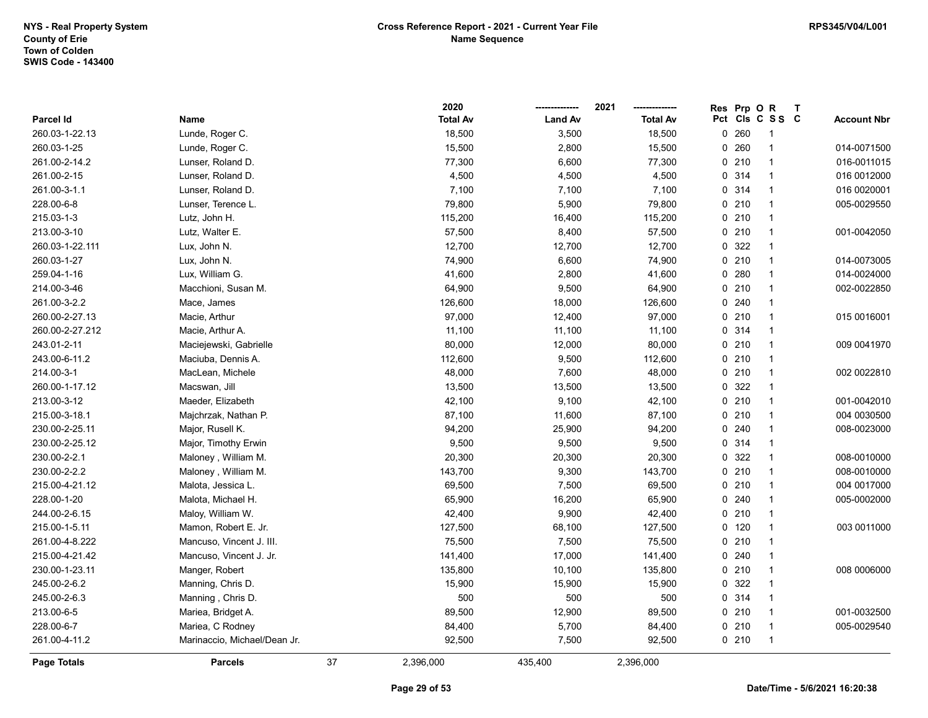|                 |                              |    | 2020            |                | 2021            | <b>Res</b> | Prp OR  |                 | $\mathbf{T}$ |                    |
|-----------------|------------------------------|----|-----------------|----------------|-----------------|------------|---------|-----------------|--------------|--------------------|
| Parcel Id       | Name                         |    | <b>Total Av</b> | <b>Land Av</b> | <b>Total Av</b> |            |         | Pct Cls C S S C |              | <b>Account Nbr</b> |
| 260.03-1-22.13  | Lunde, Roger C.              |    | 18,500          | 3,500          | 18,500          | 0          | 260     | -1              |              |                    |
| 260.03-1-25     | Lunde, Roger C.              |    | 15,500          | 2,800          | 15,500          | 0          | 260     | $\overline{1}$  |              | 014-0071500        |
| 261.00-2-14.2   | Lunser, Roland D.            |    | 77,300          | 6,600          | 77,300          |            | 0210    | $\mathbf{1}$    |              | 016-0011015        |
| 261.00-2-15     | Lunser, Roland D.            |    | 4,500           | 4,500          | 4,500           |            | 0 314   | $\mathbf{1}$    |              | 016 0012000        |
| 261.00-3-1.1    | Lunser, Roland D.            |    | 7,100           | 7,100          | 7,100           |            | 0 314   | $\mathbf{1}$    |              | 016 0020001        |
| 228.00-6-8      | Lunser, Terence L.           |    | 79,800          | 5,900          | 79,800          |            | 0210    | -1              |              | 005-0029550        |
| 215.03-1-3      | Lutz, John H.                |    | 115,200         | 16,400         | 115,200         |            | 0210    | -1              |              |                    |
| 213.00-3-10     | Lutz, Walter E.              |    | 57,500          | 8,400          | 57,500          |            | 0210    | $\mathbf{1}$    |              | 001-0042050        |
| 260.03-1-22.111 | Lux, John N.                 |    | 12,700          | 12,700         | 12,700          |            | 0 322   | $\overline{1}$  |              |                    |
| 260.03-1-27     | Lux, John N.                 |    | 74,900          | 6,600          | 74,900          |            | 0210    | $\mathbf{1}$    |              | 014-0073005        |
| 259.04-1-16     | Lux, William G.              |    | 41,600          | 2,800          | 41,600          |            | 0.280   | $\mathbf{1}$    |              | 014-0024000        |
| 214.00-3-46     | Macchioni, Susan M.          |    | 64,900          | 9,500          | 64,900          |            | 0210    | $\mathbf{1}$    |              | 002-0022850        |
| 261.00-3-2.2    | Mace, James                  |    | 126,600         | 18,000         | 126,600         |            | 0.240   | $\mathbf{1}$    |              |                    |
| 260.00-2-27.13  | Macie, Arthur                |    | 97,000          | 12,400         | 97,000          |            | 0210    | -1              |              | 015 0016001        |
| 260.00-2-27.212 | Macie, Arthur A.             |    | 11,100          | 11,100         | 11,100          |            | 0.314   | -1              |              |                    |
| 243.01-2-11     | Maciejewski, Gabrielle       |    | 80,000          | 12,000         | 80,000          |            | 0210    | $\mathbf{1}$    |              | 009 0041970        |
| 243.00-6-11.2   | Maciuba, Dennis A.           |    | 112,600         | 9,500          | 112,600         |            | 0210    | $\mathbf{1}$    |              |                    |
| 214.00-3-1      | MacLean, Michele             |    | 48,000          | 7,600          | 48,000          |            | 0210    | $\mathbf{1}$    |              | 002 0022810        |
| 260.00-1-17.12  | Macswan, Jill                |    | 13,500          | 13,500         | 13,500          |            | 0 322   | $\mathbf{1}$    |              |                    |
| 213.00-3-12     | Maeder, Elizabeth            |    | 42,100          | 9,100          | 42,100          |            | 0210    | $\mathbf{1}$    |              | 001-0042010        |
| 215.00-3-18.1   | Majchrzak, Nathan P.         |    | 87,100          | 11,600         | 87,100          |            | 0210    | $\mathbf{1}$    |              | 004 0030500        |
| 230.00-2-25.11  | Major, Rusell K.             |    | 94,200          | 25,900         | 94,200          |            | 0.240   | -1              |              | 008-0023000        |
| 230.00-2-25.12  | Major, Timothy Erwin         |    | 9,500           | 9,500          | 9,500           |            | 0.314   | $\mathbf{1}$    |              |                    |
| 230.00-2-2.1    | Maloney, William M.          |    | 20,300          | 20,300         | 20,300          |            | 0 322   | $\mathbf{1}$    |              | 008-0010000        |
| 230.00-2-2.2    | Maloney, William M.          |    | 143,700         | 9,300          | 143,700         |            | 0210    | $\overline{1}$  |              | 008-0010000        |
| 215.00-4-21.12  | Malota, Jessica L.           |    | 69,500          | 7,500          | 69,500          |            | 0210    | $\mathbf{1}$    |              | 004 0017000        |
| 228.00-1-20     | Malota, Michael H.           |    | 65,900          | 16,200         | 65,900          |            | 0.240   | $\mathbf{1}$    |              | 005-0002000        |
| 244.00-2-6.15   | Maloy, William W.            |    | 42,400          | 9,900          | 42,400          |            | 0210    | -1              |              |                    |
| 215.00-1-5.11   | Mamon, Robert E. Jr.         |    | 127,500         | 68,100         | 127,500         |            | $0$ 120 | $\mathbf{1}$    |              | 003 0011000        |
| 261.00-4-8.222  | Mancuso, Vincent J. III.     |    | 75,500          | 7,500          | 75,500          |            | $0$ 210 | $\mathbf{1}$    |              |                    |
| 215.00-4-21.42  | Mancuso, Vincent J. Jr.      |    | 141,400         | 17,000         | 141,400         |            | 0.240   | $\mathbf{1}$    |              |                    |
| 230.00-1-23.11  | Manger, Robert               |    | 135,800         | 10,100         | 135,800         |            | 0210    | $\mathbf{1}$    |              | 008 0006000        |
| 245.00-2-6.2    | Manning, Chris D.            |    | 15,900          | 15,900         | 15,900          |            | 0 322   | $\overline{1}$  |              |                    |
| 245.00-2-6.3    | Manning, Chris D.            |    | 500             | 500            | 500             |            | 0.314   | $\mathbf{1}$    |              |                    |
| 213.00-6-5      | Mariea, Bridget A.           |    | 89,500          | 12,900         | 89,500          |            | 0210    | $\mathbf{1}$    |              | 001-0032500        |
| 228.00-6-7      | Mariea, C Rodney             |    | 84,400          | 5,700          | 84,400          |            | 0210    | $\mathbf{1}$    |              | 005-0029540        |
| 261.00-4-11.2   | Marinaccio, Michael/Dean Jr. |    | 92,500          | 7,500          | 92,500          |            | 0210    | $\overline{1}$  |              |                    |
| Page Totals     | <b>Parcels</b>               | 37 | 2,396,000       | 435,400        | 2,396,000       |            |         |                 |              |                    |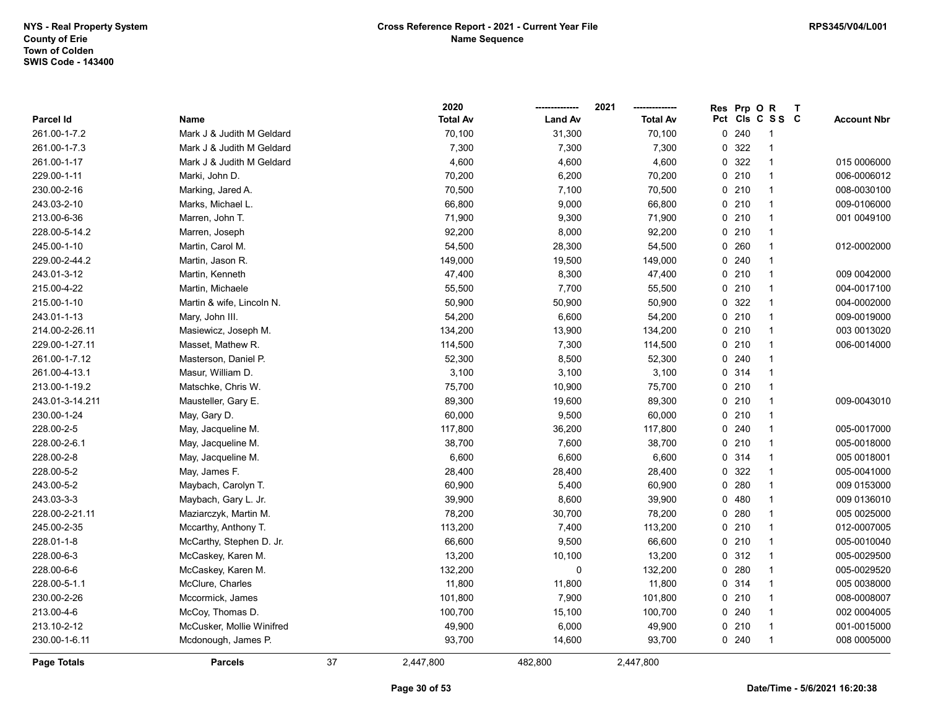|                    |                           |    | 2020            |                | 2021            | Res | Prp OR |                          | $\mathbf{T}$ |                    |
|--------------------|---------------------------|----|-----------------|----------------|-----------------|-----|--------|--------------------------|--------------|--------------------|
| Parcel Id          | Name                      |    | <b>Total Av</b> | <b>Land Av</b> | <b>Total Av</b> |     |        | Pct Cls C S S C          |              | <b>Account Nbr</b> |
| 261.00-1-7.2       | Mark J & Judith M Geldard |    | 70,100          | 31,300         | 70,100          |     | 0.240  | -1                       |              |                    |
| 261.00-1-7.3       | Mark J & Judith M Geldard |    | 7,300           | 7,300          | 7,300           |     | 0 322  | $\overline{1}$           |              |                    |
| 261.00-1-17        | Mark J & Judith M Geldard |    | 4,600           | 4,600          | 4,600           |     | 0 322  | $\overline{1}$           |              | 015 0006000        |
| 229.00-1-11        | Marki, John D.            |    | 70,200          | 6,200          | 70,200          |     | 0210   | $\overline{1}$           |              | 006-0006012        |
| 230.00-2-16        | Marking, Jared A.         |    | 70,500          | 7,100          | 70,500          |     | 0210   | $\overline{1}$           |              | 008-0030100        |
| 243.03-2-10        | Marks, Michael L.         |    | 66,800          | 9,000          | 66,800          |     | 0210   | $\overline{1}$           |              | 009-0106000        |
| 213.00-6-36        | Marren, John T.           |    | 71,900          | 9,300          | 71,900          |     | 0210   | -1                       |              | 001 0049100        |
| 228.00-5-14.2      | Marren, Joseph            |    | 92,200          | 8,000          | 92,200          |     | 0210   | $\overline{\mathbf{1}}$  |              |                    |
| 245.00-1-10        | Martin, Carol M.          |    | 54,500          | 28,300         | 54,500          |     | 0.260  | 1                        |              | 012-0002000        |
| 229.00-2-44.2      | Martin, Jason R.          |    | 149,000         | 19,500         | 149,000         |     | 0.240  | $\overline{1}$           |              |                    |
| 243.01-3-12        | Martin, Kenneth           |    | 47,400          | 8,300          | 47,400          |     | 0210   | $\overline{1}$           |              | 009 0042000        |
| 215.00-4-22        | Martin, Michaele          |    | 55,500          | 7,700          | 55,500          |     | 0210   | $\overline{1}$           |              | 004-0017100        |
| 215.00-1-10        | Martin & wife, Lincoln N. |    | 50,900          | 50,900         | 50,900          |     | 0 322  | $\overline{1}$           |              | 004-0002000        |
| 243.01-1-13        | Mary, John III.           |    | 54,200          | 6,600          | 54,200          |     | 0210   | $\overline{1}$           |              | 009-0019000        |
| 214.00-2-26.11     | Masiewicz, Joseph M.      |    | 134,200         | 13,900         | 134,200         |     | 0210   | $\overline{\mathbf{1}}$  |              | 003 0013020        |
| 229.00-1-27.11     | Masset, Mathew R.         |    | 114,500         | 7,300          | 114,500         |     | 0210   | -1                       |              | 006-0014000        |
| 261.00-1-7.12      | Masterson, Daniel P.      |    | 52,300          | 8,500          | 52,300          |     | 0.240  | $\overline{\mathbf{1}}$  |              |                    |
| 261.00-4-13.1      | Masur, William D.         |    | 3,100           | 3,100          | 3,100           |     | 0 314  | $\overline{1}$           |              |                    |
| 213.00-1-19.2      | Matschke, Chris W.        |    | 75,700          | 10,900         | 75,700          |     | 0210   | $\overline{1}$           |              |                    |
| 243.01-3-14.211    | Mausteller, Gary E.       |    | 89,300          | 19,600         | 89,300          |     | 0210   | $\overline{1}$           |              | 009-0043010        |
| 230.00-1-24        | May, Gary D.              |    | 60,000          | 9,500          | 60,000          |     | 0210   | $\overline{\mathbf{1}}$  |              |                    |
| 228.00-2-5         | May, Jacqueline M.        |    | 117,800         | 36,200         | 117,800         |     | 0.240  | $\overline{\mathbf{1}}$  |              | 005-0017000        |
| 228.00-2-6.1       | May, Jacqueline M.        |    | 38,700          | 7,600          | 38,700          |     | 0210   | $\overline{\phantom{a}}$ |              | 005-0018000        |
| 228.00-2-8         | May, Jacqueline M.        |    | 6,600           | 6,600          | 6,600           |     | 0.314  | $\overline{1}$           |              | 005 0018001        |
| 228.00-5-2         | May, James F.             |    | 28,400          | 28,400         | 28,400          |     | 0 322  | $\overline{1}$           |              | 005-0041000        |
| 243.00-5-2         | Maybach, Carolyn T.       |    | 60,900          | 5,400          | 60,900          |     | 0.280  | $\overline{1}$           |              | 009 0153000        |
| 243.03-3-3         | Maybach, Gary L. Jr.      |    | 39,900          | 8,600          | 39,900          |     | 0480   | $\overline{1}$           |              | 009 0136010        |
| 228.00-2-21.11     | Maziarczyk, Martin M.     |    | 78,200          | 30,700         | 78,200          |     | 0.280  | $\overline{\mathbf{1}}$  |              | 005 0025000        |
| 245.00-2-35        | Mccarthy, Anthony T.      |    | 113,200         | 7,400          | 113,200         |     | 0210   | $\overline{1}$           |              | 012-0007005        |
| 228.01-1-8         | McCarthy, Stephen D. Jr.  |    | 66,600          | 9,500          | 66,600          |     | 0210   | $\overline{1}$           |              | 005-0010040        |
| 228.00-6-3         | McCaskey, Karen M.        |    | 13,200          | 10,100         | 13,200          |     | 0.312  | $\overline{\mathbf{1}}$  |              | 005-0029500        |
| 228.00-6-6         | McCaskey, Karen M.        |    | 132,200         | $\pmb{0}$      | 132,200         |     | 0.280  | $\overline{1}$           |              | 005-0029520        |
| 228.00-5-1.1       | McClure, Charles          |    | 11,800          | 11,800         | 11,800          |     | 0.314  | $\overline{1}$           |              | 005 0038000        |
| 230.00-2-26        | Mccormick, James          |    | 101,800         | 7,900          | 101,800         |     | 0210   | $\overline{1}$           |              | 008-0008007        |
| 213.00-4-6         | McCoy, Thomas D.          |    | 100,700         | 15,100         | 100,700         |     | 0.240  | $\overline{1}$           |              | 002 0004005        |
| 213.10-2-12        | McCusker, Mollie Winifred |    | 49,900          | 6,000          | 49,900          |     | 0210   | $\overline{\mathbf{1}}$  |              | 001-0015000        |
| 230.00-1-6.11      | Mcdonough, James P.       |    | 93,700          | 14,600         | 93,700          |     | 0.240  | $\overline{1}$           |              | 008 0005000        |
| <b>Page Totals</b> | <b>Parcels</b>            | 37 | 2,447,800       | 482,800        | 2,447,800       |     |        |                          |              |                    |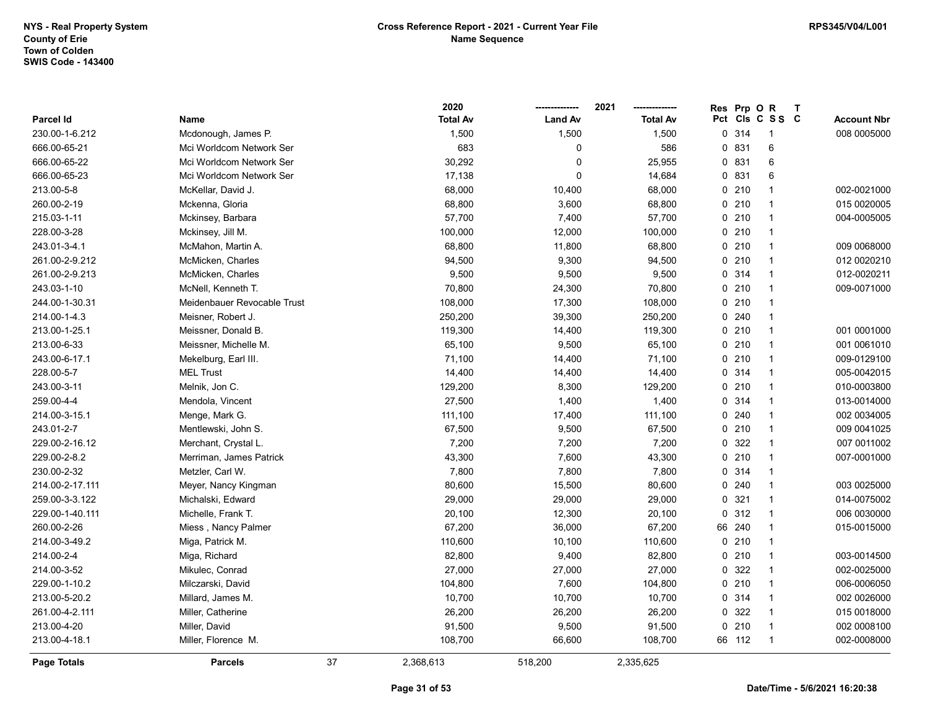|                 |                             |    | 2020            |                | 2021            | <b>Res</b> | Prp OR |                         | T |                    |
|-----------------|-----------------------------|----|-----------------|----------------|-----------------|------------|--------|-------------------------|---|--------------------|
| Parcel Id       | Name                        |    | <b>Total Av</b> | <b>Land Av</b> | <b>Total Av</b> |            |        | Pct Cls C S S C         |   | <b>Account Nbr</b> |
| 230.00-1-6.212  | Mcdonough, James P.         |    | 1,500           | 1,500          | 1,500           |            | 0.314  | -1                      |   | 008 0005000        |
| 666.00-65-21    | Mci Worldcom Network Ser    |    | 683             | $\mathbf 0$    | 586             |            | 0 831  | 6                       |   |                    |
| 666.00-65-22    | Mci Worldcom Network Ser    |    | 30,292          | 0              | 25,955          |            | 0 831  | 6                       |   |                    |
| 666.00-65-23    | Mci Worldcom Network Ser    |    | 17,138          | $\Omega$       | 14,684          |            | 0 831  | 6                       |   |                    |
| 213.00-5-8      | McKellar, David J.          |    | 68,000          | 10,400         | 68,000          |            | 0210   | $\overline{1}$          |   | 002-0021000        |
| 260.00-2-19     | Mckenna, Gloria             |    | 68,800          | 3,600          | 68,800          |            | 0210   | $\mathbf{1}$            |   | 015 0020005        |
| 215.03-1-11     | Mckinsey, Barbara           |    | 57,700          | 7,400          | 57,700          |            | 0210   | $\mathbf{1}$            |   | 004-0005005        |
| 228.00-3-28     | Mckinsey, Jill M.           |    | 100,000         | 12,000         | 100,000         |            | 0210   | $\overline{\mathbf{1}}$ |   |                    |
| 243.01-3-4.1    | McMahon, Martin A.          |    | 68,800          | 11,800         | 68,800          |            | 0210   | $\overline{1}$          |   | 009 0068000        |
| 261.00-2-9.212  | McMicken, Charles           |    | 94,500          | 9,300          | 94,500          |            | 0210   | $\mathbf{1}$            |   | 012 0020210        |
| 261.00-2-9.213  | McMicken, Charles           |    | 9,500           | 9,500          | 9,500           |            | 0.314  | $\mathbf{1}$            |   | 012-0020211        |
| 243.03-1-10     | McNell, Kenneth T.          |    | 70,800          | 24,300         | 70,800          |            | 0210   | $\overline{1}$          |   | 009-0071000        |
| 244.00-1-30.31  | Meidenbauer Revocable Trust |    | 108,000         | 17,300         | 108,000         |            | 0210   | $\overline{1}$          |   |                    |
| 214.00-1-4.3    | Meisner, Robert J.          |    | 250,200         | 39,300         | 250,200         |            | 0.240  | $\overline{1}$          |   |                    |
| 213.00-1-25.1   | Meissner, Donald B.         |    | 119,300         | 14,400         | 119,300         |            | 0210   | $\overline{1}$          |   | 001 0001000        |
| 213.00-6-33     | Meissner, Michelle M.       |    | 65,100          | 9,500          | 65,100          |            | 0210   | 1                       |   | 001 0061010        |
| 243.00-6-17.1   | Mekelburg, Earl III.        |    | 71,100          | 14,400         | 71,100          |            | 0210   | $\overline{1}$          |   | 009-0129100        |
| 228.00-5-7      | <b>MEL Trust</b>            |    | 14,400          | 14,400         | 14,400          |            | 0.314  | $\overline{1}$          |   | 005-0042015        |
| 243.00-3-11     | Melnik, Jon C.              |    | 129,200         | 8,300          | 129,200         |            | 0210   | $\overline{1}$          |   | 010-0003800        |
| 259.00-4-4      | Mendola, Vincent            |    | 27,500          | 1,400          | 1,400           |            | 0.314  | $\overline{1}$          |   | 013-0014000        |
| 214.00-3-15.1   | Menge, Mark G.              |    | 111,100         | 17,400         | 111,100         |            | 0.240  | $\overline{1}$          |   | 002 0034005        |
| 243.01-2-7      | Mentlewski, John S.         |    | 67,500          | 9,500          | 67,500          |            | 0210   | $\overline{1}$          |   | 009 0041025        |
| 229.00-2-16.12  | Merchant, Crystal L.        |    | 7,200           | 7,200          | 7,200           |            | 0 322  | $\overline{\mathbf{1}}$ |   | 007 0011002        |
| 229.00-2-8.2    | Merriman, James Patrick     |    | 43,300          | 7,600          | 43,300          |            | 0210   | $\overline{1}$          |   | 007-0001000        |
| 230.00-2-32     | Metzler, Carl W.            |    | 7,800           | 7,800          | 7,800           |            | 0 314  | $\mathbf{1}$            |   |                    |
| 214.00-2-17.111 | Meyer, Nancy Kingman        |    | 80,600          | 15,500         | 80,600          |            | 0.240  | $\overline{1}$          |   | 003 0025000        |
| 259.00-3-3.122  | Michalski, Edward           |    | 29,000          | 29,000         | 29,000          |            | 0.321  | $\mathbf{1}$            |   | 014-0075002        |
| 229.00-1-40.111 | Michelle, Frank T.          |    | 20,100          | 12,300         | 20,100          |            | 0.312  | $\overline{1}$          |   | 006 0030000        |
| 260.00-2-26     | Miess, Nancy Palmer         |    | 67,200          | 36,000         | 67,200          |            | 66 240 | $\overline{1}$          |   | 015-0015000        |
| 214.00-3-49.2   | Miga, Patrick M.            |    | 110,600         | 10,100         | 110,600         |            | 0210   | $\overline{1}$          |   |                    |
| 214.00-2-4      | Miga, Richard               |    | 82,800          | 9,400          | 82,800          |            | 0210   | $\overline{\mathbf{1}}$ |   | 003-0014500        |
| 214.00-3-52     | Mikulec, Conrad             |    | 27,000          | 27,000         | 27,000          |            | 0.322  | $\overline{1}$          |   | 002-0025000        |
| 229.00-1-10.2   | Milczarski, David           |    | 104,800         | 7,600          | 104,800         |            | 0210   | $\overline{1}$          |   | 006-0006050        |
| 213.00-5-20.2   | Millard, James M.           |    | 10,700          | 10,700         | 10,700          |            | 0.314  | $\overline{1}$          |   | 002 0026000        |
| 261.00-4-2.111  | Miller, Catherine           |    | 26,200          | 26,200         | 26,200          |            | 0 322  | $\overline{1}$          |   | 015 0018000        |
| 213.00-4-20     | Miller, David               |    | 91,500          | 9,500          | 91,500          |            | 0210   | $\overline{\mathbf{1}}$ |   | 002 0008100        |
| 213.00-4-18.1   | Miller, Florence M.         |    | 108,700         | 66,600         | 108,700         |            | 66 112 | $\overline{1}$          |   | 002-0008000        |
| Page Totals     | <b>Parcels</b>              | 37 | 2,368,613       | 518,200        | 2,335,625       |            |        |                         |   |                    |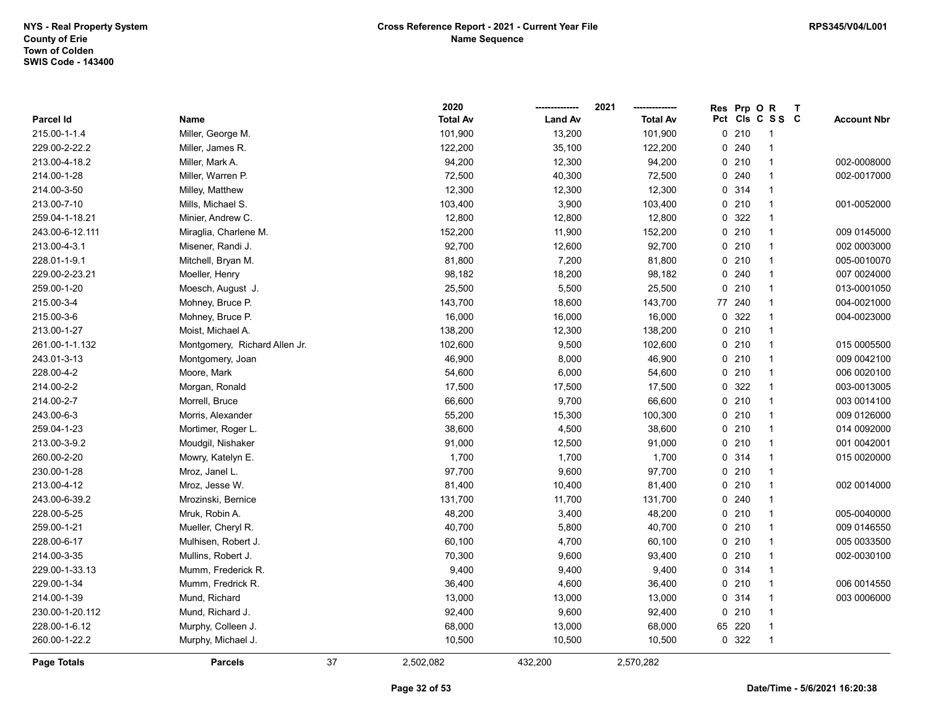|                    |                               |    | 2020            |                | 2021            | Res | Prp O  | $\mathsf{R}$    | $\mathbf{T}$ |                    |
|--------------------|-------------------------------|----|-----------------|----------------|-----------------|-----|--------|-----------------|--------------|--------------------|
| Parcel Id          | Name                          |    | <b>Total Av</b> | <b>Land Av</b> | <b>Total Av</b> |     |        | Pct Cls C S S C |              | <b>Account Nbr</b> |
| 215.00-1-1.4       | Miller, George M.             |    | 101,900         | 13,200         | 101,900         |     | 0210   | $\overline{1}$  |              |                    |
| 229.00-2-22.2      | Miller, James R.              |    | 122,200         | 35,100         | 122,200         | 0   | 240    | -1              |              |                    |
| 213.00-4-18.2      | Miller, Mark A.               |    | 94,200          | 12,300         | 94,200          |     | 0210   | $\mathbf{1}$    |              | 002-0008000        |
| 214.00-1-28        | Miller, Warren P.             |    | 72,500          | 40,300         | 72,500          | 0   | 240    | $\mathbf{1}$    |              | 002-0017000        |
| 214.00-3-50        | Milley, Matthew               |    | 12,300          | 12,300         | 12,300          |     | 0 314  | $\mathbf{1}$    |              |                    |
| 213.00-7-10        | Mills, Michael S.             |    | 103,400         | 3,900          | 103,400         |     | 0210   | $\overline{1}$  |              | 001-0052000        |
| 259.04-1-18.21     | Minier, Andrew C.             |    | 12,800          | 12,800         | 12,800          |     | 0.322  | 1               |              |                    |
| 243.00-6-12.111    | Miraglia, Charlene M.         |    | 152,200         | 11,900         | 152,200         |     | 0210   | $\mathbf{1}$    |              | 009 0145000        |
| 213.00-4-3.1       | Misener, Randi J.             |    | 92,700          | 12,600         | 92,700          |     | 0210   | $\mathbf{1}$    |              | 002 0003000        |
| 228.01-1-9.1       | Mitchell, Bryan M.            |    | 81,800          | 7,200          | 81,800          |     | 0210   | $\overline{1}$  |              | 005-0010070        |
| 229.00-2-23.21     | Moeller, Henry                |    | 98,182          | 18,200         | 98,182          | 0   | 240    | $\mathbf{1}$    |              | 007 0024000        |
| 259.00-1-20        | Moesch, August J.             |    | 25,500          | 5,500          | 25,500          | 0   | 210    | $\mathbf{1}$    |              | 013-0001050        |
| 215.00-3-4         | Mohney, Bruce P.              |    | 143,700         | 18,600         | 143,700         | 77  | 240    | $\mathbf{1}$    |              | 004-0021000        |
| 215.00-3-6         | Mohney, Bruce P.              |    | 16,000          | 16,000         | 16,000          | 0   | 322    | 1               |              | 004-0023000        |
| 213.00-1-27        | Moist, Michael A.             |    | 138,200         | 12,300         | 138,200         |     | 0210   | $\mathbf{1}$    |              |                    |
| 261.00-1-1.132     | Montgomery, Richard Allen Jr. |    | 102,600         | 9,500          | 102,600         |     | 0210   | $\mathbf{1}$    |              | 015 0005500        |
| 243.01-3-13        | Montgomery, Joan              |    | 46,900          | 8,000          | 46,900          |     | 0210   | $\overline{1}$  |              | 009 0042100        |
| 228.00-4-2         | Moore, Mark                   |    | 54,600          | 6,000          | 54,600          | 0   | 210    | $\mathbf{1}$    |              | 006 0020100        |
| 214.00-2-2         | Morgan, Ronald                |    | 17,500          | 17,500         | 17,500          |     | 0.322  | $\mathbf{1}$    |              | 003-0013005        |
| 214.00-2-7         | Morrell, Bruce                |    | 66,600          | 9,700          | 66,600          |     | 0210   | $\mathbf{1}$    |              | 003 0014100        |
| 243.00-6-3         | Morris, Alexander             |    | 55,200          | 15,300         | 100,300         |     | 0210   | $\mathbf{1}$    |              | 009 0126000        |
| 259.04-1-23        | Mortimer, Roger L.            |    | 38,600          | 4,500          | 38,600          |     | 0210   | $\mathbf{1}$    |              | 014 0092000        |
| 213.00-3-9.2       | Moudgil, Nishaker             |    | 91,000          | 12,500         | 91,000          |     | 0210   | $\mathbf{1}$    |              | 001 0042001        |
| 260.00-2-20        | Mowry, Katelyn E.             |    | 1,700           | 1,700          | 1,700           | 0   | 314    | $\overline{1}$  |              | 015 0020000        |
| 230.00-1-28        | Mroz, Janel L.                |    | 97,700          | 9,600          | 97,700          | 0   | 210    | $\overline{1}$  |              |                    |
| 213.00-4-12        | Mroz, Jesse W.                |    | 81,400          | 10,400         | 81,400          |     | 0210   | $\mathbf{1}$    |              | 002 0014000        |
| 243.00-6-39.2      | Mrozinski, Bernice            |    | 131,700         | 11,700         | 131,700         |     | 0.240  | $\mathbf{1}$    |              |                    |
| 228.00-5-25        | Mruk, Robin A.                |    | 48,200          | 3,400          | 48,200          |     | 0210   | $\mathbf{1}$    |              | 005-0040000        |
| 259.00-1-21        | Mueller, Cheryl R.            |    | 40,700          | 5,800          | 40,700          |     | 0210   | $\mathbf{1}$    |              | 009 0146550        |
| 228.00-6-17        | Mulhisen, Robert J.           |    | 60,100          | 4,700          | 60,100          |     | 0210   | $\mathbf{1}$    |              | 005 0033500        |
| 214.00-3-35        | Mullins, Robert J.            |    | 70,300          | 9,600          | 93,400          |     | 0210   | $\overline{1}$  |              | 002-0030100        |
| 229.00-1-33.13     | Mumm, Frederick R.            |    | 9,400           | 9,400          | 9,400           | 0   | 314    | $\mathbf{1}$    |              |                    |
| 229.00-1-34        | Mumm, Fredrick R.             |    | 36,400          | 4,600          | 36,400          |     | 0210   | $\mathbf{1}$    |              | 006 0014550        |
| 214.00-1-39        | Mund, Richard                 |    | 13,000          | 13,000         | 13,000          |     | 0.314  | $\mathbf{1}$    |              | 003 0006000        |
| 230.00-1-20.112    | Mund, Richard J.              |    | 92,400          | 9,600          | 92,400          |     | 0210   | $\mathbf{1}$    |              |                    |
| 228.00-1-6.12      | Murphy, Colleen J.            |    | 68,000          | 13,000         | 68,000          |     | 65 220 | $\mathbf{1}$    |              |                    |
| 260.00-1-22.2      | Murphy, Michael J.            |    | 10,500          | 10,500         | 10,500          |     | 0 322  | $\mathbf{1}$    |              |                    |
| <b>Page Totals</b> | <b>Parcels</b>                | 37 | 2,502,082       | 432,200        | 2,570,282       |     |        |                 |              |                    |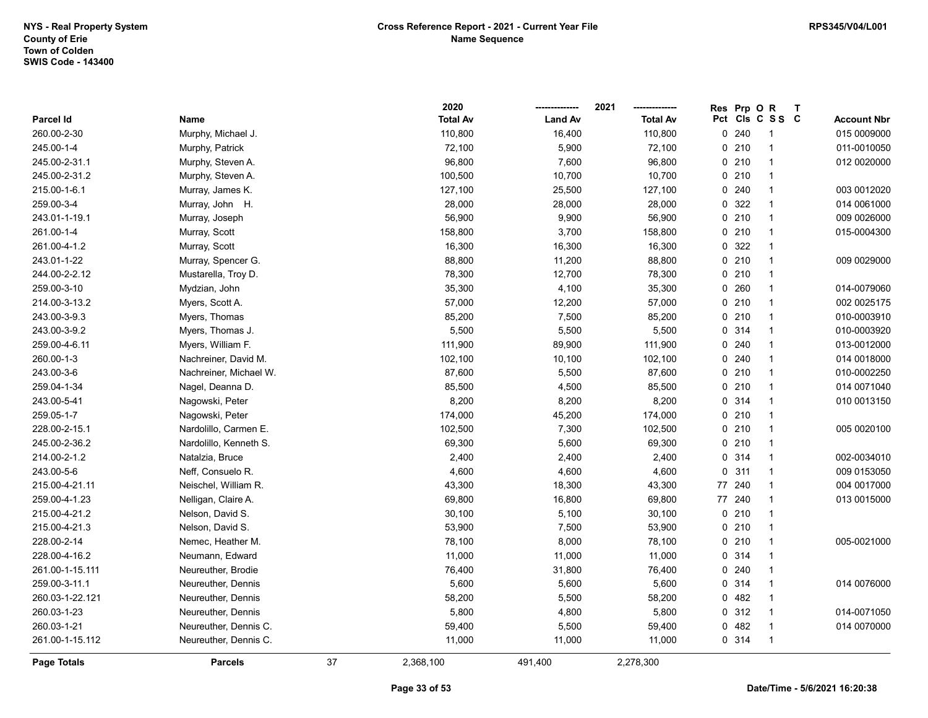|                 |                        |    | 2020            |                | 2021            | Res          | Prp OR  |                 | T |                    |
|-----------------|------------------------|----|-----------------|----------------|-----------------|--------------|---------|-----------------|---|--------------------|
| Parcel Id       | Name                   |    | <b>Total Av</b> | <b>Land Av</b> | <b>Total Av</b> |              |         | Pct Cls C S S C |   | <b>Account Nbr</b> |
| 260.00-2-30     | Murphy, Michael J.     |    | 110,800         | 16,400         | 110,800         |              | 0.240   | -1              |   | 015 0009000        |
| 245.00-1-4      | Murphy, Patrick        |    | 72,100          | 5,900          | 72,100          |              | 0210    | $\overline{1}$  |   | 011-0010050        |
| 245.00-2-31.1   | Murphy, Steven A.      |    | 96,800          | 7,600          | 96,800          |              | 0210    | $\overline{1}$  |   | 012 0020000        |
| 245.00-2-31.2   | Murphy, Steven A.      |    | 100,500         | 10,700         | 10,700          |              | 0210    | $\overline{1}$  |   |                    |
| 215.00-1-6.1    | Murray, James K.       |    | 127,100         | 25,500         | 127,100         |              | 0.240   | $\overline{1}$  |   | 003 0012020        |
| 259.00-3-4      | Murray, John H.        |    | 28,000          | 28,000         | 28,000          |              | 0 322   | $\overline{1}$  |   | 014 0061000        |
| 243.01-1-19.1   | Murray, Joseph         |    | 56,900          | 9,900          | 56,900          |              | 0210    | $\overline{1}$  |   | 009 0026000        |
| 261.00-1-4      | Murray, Scott          |    | 158,800         | 3,700          | 158,800         |              | 0210    | $\overline{1}$  |   | 015-0004300        |
| 261.00-4-1.2    | Murray, Scott          |    | 16,300          | 16,300         | 16,300          |              | 0 322   | $\overline{1}$  |   |                    |
| 243.01-1-22     | Murray, Spencer G.     |    | 88,800          | 11,200         | 88,800          |              | 0210    | $\overline{1}$  |   | 009 0029000        |
| 244.00-2-2.12   | Mustarella, Troy D.    |    | 78,300          | 12,700         | 78,300          |              | 0210    | $\overline{1}$  |   |                    |
| 259.00-3-10     | Mydzian, John          |    | 35,300          | 4,100          | 35,300          |              | 0.260   | $\overline{1}$  |   | 014-0079060        |
| 214.00-3-13.2   | Myers, Scott A.        |    | 57,000          | 12,200         | 57,000          |              | 0210    | $\overline{1}$  |   | 002 0025175        |
| 243.00-3-9.3    | Myers, Thomas          |    | 85,200          | 7,500          | 85,200          |              | 0210    | -1              |   | 010-0003910        |
| 243.00-3-9.2    | Myers, Thomas J.       |    | 5,500           | 5,500          | 5,500           |              | 0.314   | $\overline{1}$  |   | 010-0003920        |
| 259.00-4-6.11   | Myers, William F.      |    | 111,900         | 89,900         | 111,900         |              | 0.240   | $\overline{1}$  |   | 013-0012000        |
| 260.00-1-3      | Nachreiner, David M.   |    | 102,100         | 10,100         | 102,100         |              | 0240    | $\overline{1}$  |   | 014 0018000        |
| 243.00-3-6      | Nachreiner, Michael W. |    | 87,600          | 5,500          | 87,600          |              | 0210    | $\overline{1}$  |   | 010-0002250        |
| 259.04-1-34     | Nagel, Deanna D.       |    | 85,500          | 4,500          | 85,500          |              | 0210    | $\overline{1}$  |   | 014 0071040        |
| 243.00-5-41     | Nagowski, Peter        |    | 8,200           | 8,200          | 8,200           |              | 0.314   | $\overline{1}$  |   | 010 0013150        |
| 259.05-1-7      | Nagowski, Peter        |    | 174,000         | 45,200         | 174,000         |              | $0$ 210 | $\overline{1}$  |   |                    |
| 228.00-2-15.1   | Nardolillo, Carmen E.  |    | 102,500         | 7,300          | 102,500         |              | 0210    | $\overline{1}$  |   | 005 0020100        |
| 245.00-2-36.2   | Nardolillo, Kenneth S. |    | 69,300          | 5,600          | 69,300          |              | 0210    | $\overline{1}$  |   |                    |
| 214.00-2-1.2    | Natalzia, Bruce        |    | 2,400           | 2,400          | 2,400           |              | 0 314   | $\overline{1}$  |   | 002-0034010        |
| 243.00-5-6      | Neff, Consuelo R.      |    | 4,600           | 4,600          | 4,600           | $\mathbf{0}$ | 311     | $\overline{1}$  |   | 009 0153050        |
| 215.00-4-21.11  | Neischel, William R.   |    | 43,300          | 18,300         | 43,300          | 77           | 240     | $\overline{1}$  |   | 004 0017000        |
| 259.00-4-1.23   | Nelligan, Claire A.    |    | 69,800          | 16,800         | 69,800          |              | 77 240  | $\overline{1}$  |   | 013 0015000        |
| 215.00-4-21.2   | Nelson, David S.       |    | 30,100          | 5,100          | 30,100          |              | 0210    | $\overline{1}$  |   |                    |
| 215.00-4-21.3   | Nelson, David S.       |    | 53,900          | 7,500          | 53,900          |              | 0210    | $\overline{1}$  |   |                    |
| 228.00-2-14     | Nemec, Heather M.      |    | 78,100          | 8,000          | 78,100          |              | 0210    | $\overline{1}$  |   | 005-0021000        |
| 228.00-4-16.2   | Neumann, Edward        |    | 11,000          | 11,000         | 11,000          |              | 0.314   | $\overline{1}$  |   |                    |
| 261.00-1-15.111 | Neureuther, Brodie     |    | 76,400          | 31,800         | 76,400          |              | 0.240   | $\overline{1}$  |   |                    |
| 259.00-3-11.1   | Neureuther, Dennis     |    | 5,600           | 5,600          | 5,600           |              | 0.314   | $\overline{1}$  |   | 014 0076000        |
| 260.03-1-22.121 | Neureuther, Dennis     |    | 58,200          | 5,500          | 58,200          |              | 0.482   | $\overline{1}$  |   |                    |
| 260.03-1-23     | Neureuther, Dennis     |    | 5,800           | 4,800          | 5,800           |              | 0.312   | $\overline{1}$  |   | 014-0071050        |
| 260.03-1-21     | Neureuther, Dennis C.  |    | 59,400          | 5,500          | 59,400          |              | 0482    | $\overline{1}$  |   | 014 0070000        |
| 261.00-1-15.112 | Neureuther, Dennis C.  |    | 11,000          | 11,000         | 11,000          |              | 0 314   | $\overline{1}$  |   |                    |
| Page Totals     | <b>Parcels</b>         | 37 | 2,368,100       | 491,400        | 2,278,300       |              |         |                 |   |                    |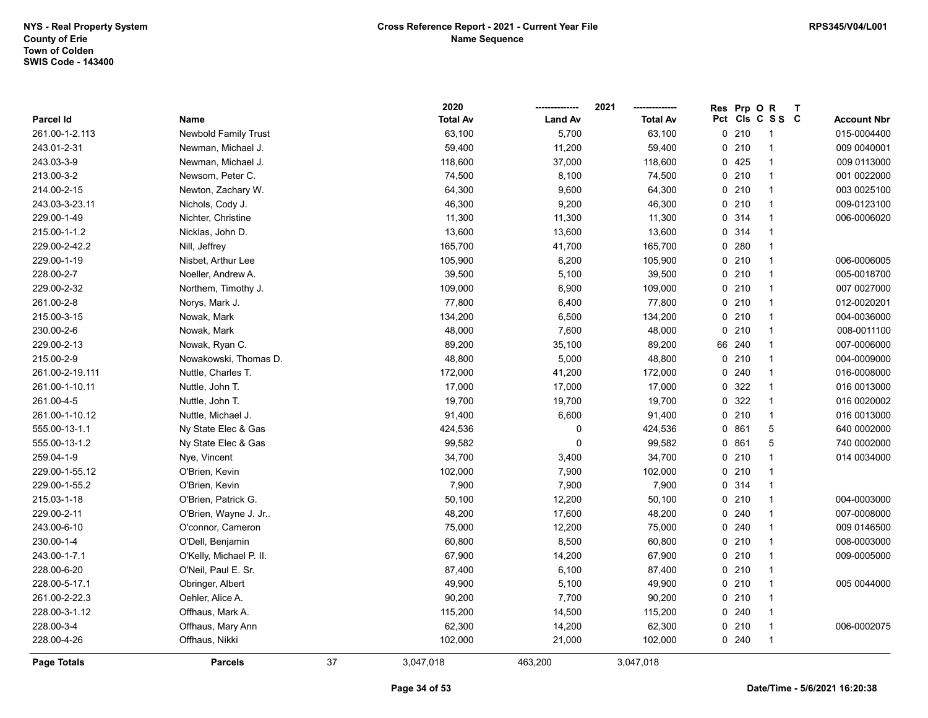|                 |                             |    | 2020            |                | 2021            | Res | Prp OR |                 | $\mathbf{T}$ |                    |
|-----------------|-----------------------------|----|-----------------|----------------|-----------------|-----|--------|-----------------|--------------|--------------------|
| Parcel Id       | Name                        |    | <b>Total Av</b> | <b>Land Av</b> | <b>Total Av</b> |     |        | Pct Cls C S S C |              | <b>Account Nbr</b> |
| 261.00-1-2.113  | <b>Newbold Family Trust</b> |    | 63,100          | 5,700          | 63,100          |     | 0210   | -1              |              | 015-0004400        |
| 243.01-2-31     | Newman, Michael J.          |    | 59,400          | 11,200         | 59,400          |     | 0210   | $\mathbf{1}$    |              | 009 0040001        |
| 243.03-3-9      | Newman, Michael J.          |    | 118,600         | 37,000         | 118,600         |     | 0425   | $\mathbf{1}$    |              | 009 0113000        |
| 213.00-3-2      | Newsom, Peter C.            |    | 74,500          | 8,100          | 74,500          |     | 0210   | $\mathbf{1}$    |              | 001 0022000        |
| 214.00-2-15     | Newton, Zachary W.          |    | 64,300          | 9,600          | 64,300          |     | 0210   | $\mathbf{1}$    |              | 003 0025100        |
| 243.03-3-23.11  | Nichols, Cody J.            |    | 46,300          | 9,200          | 46,300          |     | 0210   | $\mathbf{1}$    |              | 009-0123100        |
| 229.00-1-49     | Nichter, Christine          |    | 11,300          | 11,300         | 11,300          |     | 0 314  | $\mathbf{1}$    |              | 006-0006020        |
| 215.00-1-1.2    | Nicklas, John D.            |    | 13,600          | 13,600         | 13,600          |     | 0.314  | 1               |              |                    |
| 229.00-2-42.2   | Nill, Jeffrey               |    | 165,700         | 41,700         | 165,700         |     | 0.280  | $\mathbf{1}$    |              |                    |
| 229.00-1-19     | Nisbet, Arthur Lee          |    | 105,900         | 6,200          | 105,900         |     | 0210   | $\mathbf{1}$    |              | 006-0006005        |
| 228.00-2-7      | Noeller, Andrew A.          |    | 39,500          | 5,100          | 39,500          |     | 0210   | $\mathbf{1}$    |              | 005-0018700        |
| 229.00-2-32     | Northem, Timothy J.         |    | 109,000         | 6,900          | 109,000         |     | 0210   | $\mathbf{1}$    |              | 007 0027000        |
| 261.00-2-8      | Norys, Mark J.              |    | 77,800          | 6,400          | 77,800          |     | 0210   | $\mathbf{1}$    |              | 012-0020201        |
| 215.00-3-15     | Nowak, Mark                 |    | 134,200         | 6,500          | 134,200         |     | 0210   | $\mathbf{1}$    |              | 004-0036000        |
| 230.00-2-6      | Nowak, Mark                 |    | 48,000          | 7,600          | 48,000          |     | 0210   | $\mathbf{1}$    |              | 008-0011100        |
| 229.00-2-13     | Nowak, Ryan C.              |    | 89,200          | 35,100         | 89,200          |     | 66 240 | $\mathbf{1}$    |              | 007-0006000        |
| 215.00-2-9      | Nowakowski, Thomas D.       |    | 48,800          | 5,000          | 48,800          |     | 0210   | $\mathbf{1}$    |              | 004-0009000        |
| 261.00-2-19.111 | Nuttle, Charles T.          |    | 172,000         | 41,200         | 172,000         |     | 0.240  | $\mathbf{1}$    |              | 016-0008000        |
| 261.00-1-10.11  | Nuttle, John T.             |    | 17,000          | 17,000         | 17,000          |     | 0 322  | $\mathbf{1}$    |              | 016 0013000        |
| 261.00-4-5      | Nuttle, John T.             |    | 19,700          | 19,700         | 19,700          |     | 0 322  | $\mathbf{1}$    |              | 016 0020002        |
| 261.00-1-10.12  | Nuttle, Michael J.          |    | 91,400          | 6,600          | 91,400          |     | 0210   | $\mathbf{1}$    |              | 016 0013000        |
| 555.00-13-1.1   | Ny State Elec & Gas         |    | 424,536         | 0              | 424,536         |     | 0861   | 5               |              | 640 0002000        |
| 555.00-13-1.2   | Ny State Elec & Gas         |    | 99,582          | $\mathbf 0$    | 99,582          |     | 0861   | 5               |              | 740 0002000        |
| 259.04-1-9      | Nye, Vincent                |    | 34,700          | 3,400          | 34,700          |     | 0210   | $\mathbf{1}$    |              | 014 0034000        |
| 229.00-1-55.12  | O'Brien, Kevin              |    | 102,000         | 7,900          | 102,000         |     | 0210   | $\mathbf{1}$    |              |                    |
| 229.00-1-55.2   | O'Brien, Kevin              |    | 7,900           | 7,900          | 7,900           |     | 0.314  | 1               |              |                    |
| 215.03-1-18     | O'Brien, Patrick G.         |    | 50,100          | 12,200         | 50,100          |     | 0210   | $\mathbf{1}$    |              | 004-0003000        |
| 229.00-2-11     | O'Brien, Wayne J. Jr        |    | 48,200          | 17,600         | 48,200          |     | 0.240  | $\mathbf{1}$    |              | 007-0008000        |
| 243.00-6-10     | O'connor, Cameron           |    | 75,000          | 12,200         | 75,000          |     | 0.240  | $\mathbf{1}$    |              | 009 0146500        |
| 230.00-1-4      | O'Dell, Benjamin            |    | 60,800          | 8,500          | 60,800          |     | 0210   | $\mathbf{1}$    |              | 008-0003000        |
| 243.00-1-7.1    | O'Kelly, Michael P. II.     |    | 67,900          | 14,200         | 67,900          |     | 0210   | $\mathbf{1}$    |              | 009-0005000        |
| 228.00-6-20     | O'Neil, Paul E. Sr.         |    | 87,400          | 6,100          | 87,400          |     | 0210   | $\mathbf{1}$    |              |                    |
| 228.00-5-17.1   | Obringer, Albert            |    | 49,900          | 5,100          | 49,900          |     | 0210   | $\mathbf{1}$    |              | 005 0044000        |
| 261.00-2-22.3   | Oehler, Alice A.            |    | 90,200          | 7,700          | 90,200          |     | 0210   | $\mathbf{1}$    |              |                    |
| 228.00-3-1.12   | Offhaus, Mark A.            |    | 115,200         | 14,500         | 115,200         |     | 0.240  | $\mathbf{1}$    |              |                    |
| 228.00-3-4      | Offhaus, Mary Ann           |    | 62,300          | 14,200         | 62,300          |     | 0210   | $\mathbf{1}$    |              | 006-0002075        |
| 228.00-4-26     | Offhaus, Nikki              |    | 102,000         | 21,000         | 102,000         |     | 0240   | $\overline{1}$  |              |                    |
| Page Totals     | <b>Parcels</b>              | 37 | 3,047,018       | 463,200        | 3,047,018       |     |        |                 |              |                    |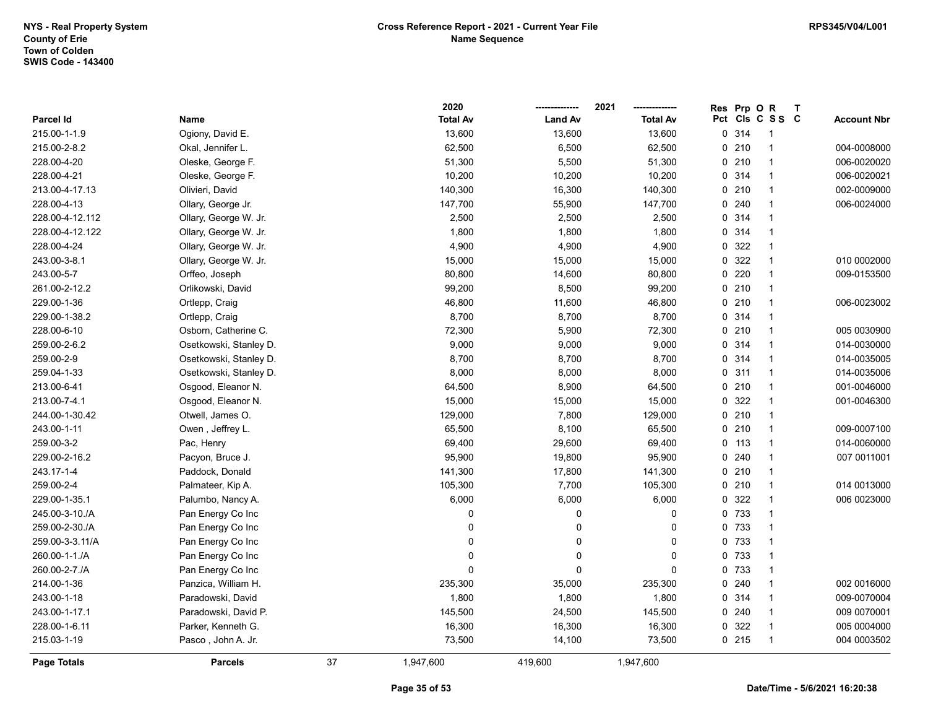|                  |                        |    | 2020            |                | 2021            | Res | Prp OR  |                 | $\mathsf{T}$ |                    |
|------------------|------------------------|----|-----------------|----------------|-----------------|-----|---------|-----------------|--------------|--------------------|
| <b>Parcel Id</b> | Name                   |    | <b>Total Av</b> | <b>Land Av</b> | <b>Total Av</b> |     |         | Pct Cls C S S C |              | <b>Account Nbr</b> |
| 215.00-1-1.9     | Ogiony, David E.       |    | 13,600          | 13,600         | 13,600          |     | 0.314   | -1              |              |                    |
| 215.00-2-8.2     | Okal, Jennifer L.      |    | 62,500          | 6,500          | 62,500          |     | 0210    | $\overline{1}$  |              | 004-0008000        |
| 228.00-4-20      | Oleske, George F.      |    | 51,300          | 5,500          | 51,300          |     | 0210    | $\mathbf{1}$    |              | 006-0020020        |
| 228.00-4-21      | Oleske, George F.      |    | 10,200          | 10,200         | 10,200          |     | 0.314   | $\overline{1}$  |              | 006-0020021        |
| 213.00-4-17.13   | Olivieri, David        |    | 140,300         | 16,300         | 140,300         |     | 0210    | $\mathbf{1}$    |              | 002-0009000        |
| 228.00-4-13      | Ollary, George Jr.     |    | 147,700         | 55,900         | 147,700         |     | 0.240   | $\mathbf{1}$    |              | 006-0024000        |
| 228.00-4-12.112  | Ollary, George W. Jr.  |    | 2,500           | 2,500          | 2,500           |     | 0.314   | 1               |              |                    |
| 228.00-4-12.122  | Ollary, George W. Jr.  |    | 1,800           | 1,800          | 1,800           |     | 0.314   | 1               |              |                    |
| 228.00-4-24      | Ollary, George W. Jr.  |    | 4,900           | 4,900          | 4,900           |     | 0 322   | $\overline{1}$  |              |                    |
| 243.00-3-8.1     | Ollary, George W. Jr.  |    | 15,000          | 15,000         | 15,000          |     | 0 322   | $\mathbf{1}$    |              | 010 0002000        |
| 243.00-5-7       | Orffeo, Joseph         |    | 80,800          | 14,600         | 80,800          |     | 0220    | $\overline{1}$  |              | 009-0153500        |
| 261.00-2-12.2    | Orlikowski, David      |    | 99,200          | 8,500          | 99,200          |     | 0210    | $\overline{1}$  |              |                    |
| 229.00-1-36      | Ortlepp, Craig         |    | 46,800          | 11,600         | 46,800          |     | 0210    | $\mathbf{1}$    |              | 006-0023002        |
| 229.00-1-38.2    | Ortlepp, Craig         |    | 8,700           | 8,700          | 8,700           |     | 0.314   | 1               |              |                    |
| 228.00-6-10      | Osborn, Catherine C.   |    | 72,300          | 5,900          | 72,300          |     | 0210    | $\overline{1}$  |              | 005 0030900        |
| 259.00-2-6.2     | Osetkowski, Stanley D. |    | 9,000           | 9,000          | 9,000           |     | 0 314   | $\mathbf{1}$    |              | 014-0030000        |
| 259.00-2-9       | Osetkowski, Stanley D. |    | 8,700           | 8,700          | 8,700           |     | 0.314   | $\mathbf{1}$    |              | 014-0035005        |
| 259.04-1-33      | Osetkowski, Stanley D. |    | 8,000           | 8,000          | 8,000           |     | 0.311   | $\overline{1}$  |              | 014-0035006        |
| 213.00-6-41      | Osgood, Eleanor N.     |    | 64,500          | 8,900          | 64,500          |     | 0210    | $\mathbf{1}$    |              | 001-0046000        |
| 213.00-7-4.1     | Osgood, Eleanor N.     |    | 15,000          | 15,000         | 15,000          |     | 0 322   | $\mathbf{1}$    |              | 001-0046300        |
| 244.00-1-30.42   | Otwell, James O.       |    | 129,000         | 7,800          | 129,000         |     | 0210    | $\mathbf{1}$    |              |                    |
| 243.00-1-11      | Owen , Jeffrey L.      |    | 65,500          | 8,100          | 65,500          |     | 0210    | $\mathbf{1}$    |              | 009-0007100        |
| 259.00-3-2       | Pac, Henry             |    | 69,400          | 29,600         | 69,400          |     | $0$ 113 | $\overline{1}$  |              | 014-0060000        |
| 229.00-2-16.2    | Pacyon, Bruce J.       |    | 95,900          | 19,800         | 95,900          |     | 0.240   | $\overline{1}$  |              | 007 0011001        |
| 243.17-1-4       | Paddock, Donald        |    | 141,300         | 17,800         | 141,300         |     | 0210    | $\mathbf{1}$    |              |                    |
| 259.00-2-4       | Palmateer, Kip A.      |    | 105,300         | 7,700          | 105,300         |     | 0210    | $\overline{1}$  |              | 014 0013000        |
| 229.00-1-35.1    | Palumbo, Nancy A.      |    | 6,000           | 6,000          | 6,000           |     | 0 322   | $\mathbf{1}$    |              | 006 0023000        |
| 245.00-3-10./A   | Pan Energy Co Inc      |    | 0               | 0              | $\mathbf 0$     |     | 0 733   | $\mathbf 1$     |              |                    |
| 259.00-2-30./A   | Pan Energy Co Inc      |    | 0               | $\mathbf{0}$   | $\mathbf 0$     |     | 0 733   | 1               |              |                    |
| 259.00-3-3.11/A  | Pan Energy Co Inc      |    | 0               | $\mathbf 0$    | 0               |     | 0 733   | $\overline{1}$  |              |                    |
| 260.00-1-1./A    | Pan Energy Co Inc      |    | 0               | $\Omega$       | $\mathbf 0$     |     | 0 733   | $\overline{1}$  |              |                    |
| 260.00-2-7./A    | Pan Energy Co Inc      |    | 0               | $\Omega$       | $\Omega$        |     | 0 733   | $\overline{1}$  |              |                    |
| 214.00-1-36      | Panzica, William H.    |    | 235,300         | 35,000         | 235,300         |     | 0.240   | $\mathbf{1}$    |              | 002 0016000        |
| 243.00-1-18      | Paradowski, David      |    | 1,800           | 1,800          | 1,800           |     | 0.314   | $\mathbf{1}$    |              | 009-0070004        |
| 243.00-1-17.1    | Paradowski, David P.   |    | 145,500         | 24,500         | 145,500         |     | 0240    | $\mathbf{1}$    |              | 009 0070001        |
| 228.00-1-6.11    | Parker, Kenneth G.     |    | 16,300          | 16,300         | 16,300          |     | 0 322   | $\mathbf{1}$    |              | 005 0004000        |
| 215.03-1-19      | Pasco, John A. Jr.     |    | 73,500          | 14,100         | 73,500          |     | 0215    | $\overline{1}$  |              | 004 0003502        |
| Page Totals      | <b>Parcels</b>         | 37 | 1,947,600       | 419,600        | 1,947,600       |     |         |                 |              |                    |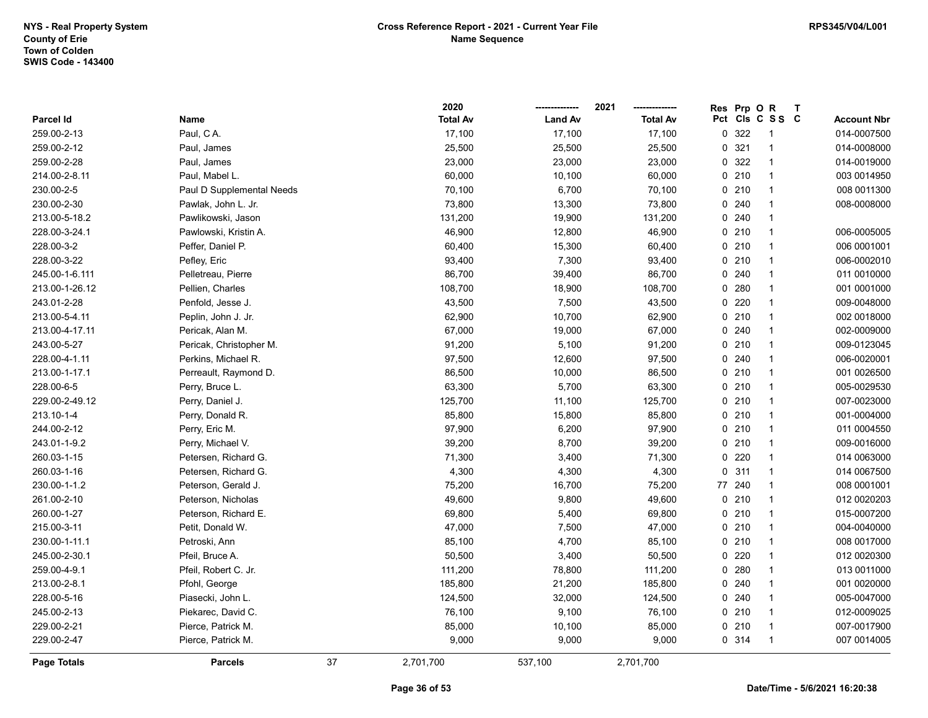|                  |                           |    | 2020            |                | 2021            | <b>Res</b> | Prp OR  |                 | $\mathbf T$ |                    |
|------------------|---------------------------|----|-----------------|----------------|-----------------|------------|---------|-----------------|-------------|--------------------|
| <b>Parcel Id</b> | Name                      |    | <b>Total Av</b> | <b>Land Av</b> | <b>Total Av</b> |            |         | Pct Cls C S S C |             | <b>Account Nbr</b> |
| 259.00-2-13      | Paul, CA.                 |    | 17,100          | 17,100         | 17,100          |            | 0 322   | -1              |             | 014-0007500        |
| 259.00-2-12      | Paul, James               |    | 25,500          | 25,500         | 25,500          |            | 0.321   | 1               |             | 014-0008000        |
| 259.00-2-28      | Paul, James               |    | 23,000          | 23,000         | 23,000          |            | 0 322   | $\mathbf{1}$    |             | 014-0019000        |
| 214.00-2-8.11    | Paul, Mabel L.            |    | 60,000          | 10,100         | 60,000          |            | 0210    | $\mathbf{1}$    |             | 003 0014950        |
| 230.00-2-5       | Paul D Supplemental Needs |    | 70,100          | 6,700          | 70,100          |            | 0210    | $\mathbf{1}$    |             | 008 0011300        |
| 230.00-2-30      | Pawlak, John L. Jr.       |    | 73,800          | 13,300         | 73,800          |            | 0.240   | $\mathbf{1}$    |             | 008-0008000        |
| 213.00-5-18.2    | Pawlikowski, Jason        |    | 131,200         | 19,900         | 131,200         |            | 0.240   | $\mathbf{1}$    |             |                    |
| 228.00-3-24.1    | Pawlowski, Kristin A.     |    | 46,900          | 12,800         | 46,900          |            | 0210    | 1               |             | 006-0005005        |
| 228.00-3-2       | Peffer, Daniel P.         |    | 60,400          | 15,300         | 60,400          |            | 0210    | $\mathbf{1}$    |             | 006 0001001        |
| 228.00-3-22      | Pefley, Eric              |    | 93,400          | 7,300          | 93,400          |            | 0210    | $\mathbf{1}$    |             | 006-0002010        |
| 245.00-1-6.111   | Pelletreau, Pierre        |    | 86,700          | 39,400         | 86,700          |            | 0.240   | $\mathbf{1}$    |             | 011 0010000        |
| 213.00-1-26.12   | Pellien, Charles          |    | 108,700         | 18,900         | 108,700         |            | 0.280   | $\mathbf{1}$    |             | 001 0001000        |
| 243.01-2-28      | Penfold, Jesse J.         |    | 43,500          | 7,500          | 43,500          |            | 0.220   | $\mathbf{1}$    |             | 009-0048000        |
| 213.00-5-4.11    | Peplin, John J. Jr.       |    | 62,900          | 10,700         | 62,900          |            | 0210    | $\mathbf{1}$    |             | 002 0018000        |
| 213.00-4-17.11   | Pericak, Alan M.          |    | 67,000          | 19,000         | 67,000          |            | 0240    | 1               |             | 002-0009000        |
| 243.00-5-27      | Pericak, Christopher M.   |    | 91,200          | 5,100          | 91,200          |            | 0210    | $\mathbf{1}$    |             | 009-0123045        |
| 228.00-4-1.11    | Perkins, Michael R.       |    | 97,500          | 12,600         | 97,500          |            | 0.240   | $\mathbf{1}$    |             | 006-0020001        |
| 213.00-1-17.1    | Perreault, Raymond D.     |    | 86,500          | 10,000         | 86,500          |            | 0210    | $\mathbf{1}$    |             | 001 0026500        |
| 228.00-6-5       | Perry, Bruce L.           |    | 63,300          | 5,700          | 63,300          |            | 0210    | $\mathbf{1}$    |             | 005-0029530        |
| 229.00-2-49.12   | Perry, Daniel J.          |    | 125,700         | 11,100         | 125,700         |            | 0210    | $\mathbf{1}$    |             | 007-0023000        |
| 213.10-1-4       | Perry, Donald R.          |    | 85,800          | 15,800         | 85,800          |            | 0210    | $\mathbf{1}$    |             | 001-0004000        |
| 244.00-2-12      | Perry, Eric M.            |    | 97,900          | 6,200          | 97,900          |            | 0210    | $\mathbf{1}$    |             | 011 0004550        |
| 243.01-1-9.2     | Perry, Michael V.         |    | 39,200          | 8,700          | 39,200          |            | 0210    | $\mathbf{1}$    |             | 009-0016000        |
| 260.03-1-15      | Petersen, Richard G.      |    | 71,300          | 3,400          | 71,300          |            | 0220    | $\mathbf{1}$    |             | 014 0063000        |
| 260.03-1-16      | Petersen, Richard G.      |    | 4,300           | 4,300          | 4,300           |            | 0.311   | $\mathbf{1}$    |             | 014 0067500        |
| 230.00-1-1.2     | Peterson, Gerald J.       |    | 75,200          | 16,700         | 75,200          |            | 77 240  | $\mathbf{1}$    |             | 008 0001001        |
| 261.00-2-10      | Peterson, Nicholas        |    | 49,600          | 9,800          | 49,600          |            | $0$ 210 | $\mathbf{1}$    |             | 012 0020203        |
| 260.00-1-27      | Peterson, Richard E.      |    | 69,800          | 5,400          | 69,800          |            | 0210    | 1               |             | 015-0007200        |
| 215.00-3-11      | Petit, Donald W.          |    | 47,000          | 7,500          | 47,000          |            | 0210    | 1               |             | 004-0040000        |
| 230.00-1-11.1    | Petroski, Ann             |    | 85,100          | 4,700          | 85,100          |            | 0210    | $\mathbf{1}$    |             | 008 0017000        |
| 245.00-2-30.1    | Pfeil, Bruce A.           |    | 50,500          | 3,400          | 50,500          |            | 0220    | $\mathbf{1}$    |             | 012 0020300        |
| 259.00-4-9.1     | Pfeil, Robert C. Jr.      |    | 111,200         | 78,800         | 111,200         |            | 0.280   | $\mathbf{1}$    |             | 013 0011000        |
| 213.00-2-8.1     | Pfohl, George             |    | 185,800         | 21,200         | 185,800         |            | 0.240   | $\mathbf{1}$    |             | 001 0020000        |
| 228.00-5-16      | Piasecki, John L.         |    | 124,500         | 32,000         | 124,500         |            | 0.240   | $\mathbf{1}$    |             | 005-0047000        |
| 245.00-2-13      | Piekarec, David C.        |    | 76,100          | 9,100          | 76,100          |            | 0210    | $\mathbf{1}$    |             | 012-0009025        |
| 229.00-2-21      | Pierce, Patrick M.        |    | 85,000          | 10,100         | 85,000          |            | 0210    | 1               |             | 007-0017900        |
| 229.00-2-47      | Pierce, Patrick M.        |    | 9,000           | 9,000          | 9,000           |            | 0.314   | $\mathbf{1}$    |             | 007 0014005        |
| Page Totals      | <b>Parcels</b>            | 37 | 2,701,700       | 537,100        | 2,701,700       |            |         |                 |             |                    |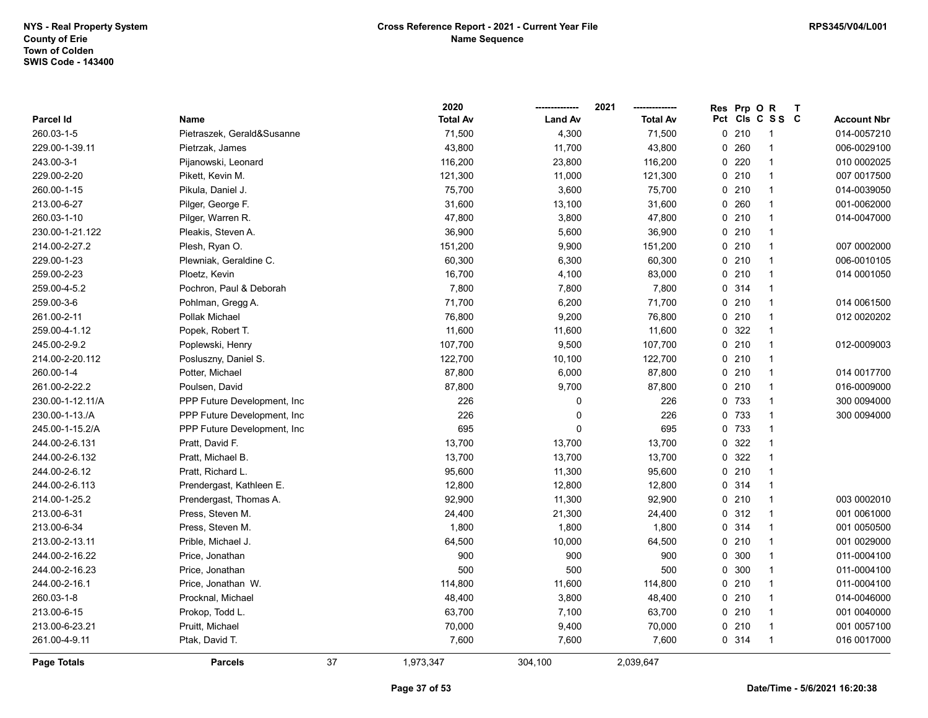|                  |                              |    | 2020            |                | 2021            | Prp O<br><b>Res</b> | $\mathsf{R}$   | $\mathbf{T}$ |                    |
|------------------|------------------------------|----|-----------------|----------------|-----------------|---------------------|----------------|--------------|--------------------|
| Parcel Id        | Name                         |    | <b>Total Av</b> | <b>Land Av</b> | <b>Total Av</b> | Pct Cls C S S C     |                |              | <b>Account Nbr</b> |
| 260.03-1-5       | Pietraszek, Gerald&Susanne   |    | 71,500          | 4,300          | 71,500          | 0210                |                |              | 014-0057210        |
| 229.00-1-39.11   | Pietrzak, James              |    | 43,800          | 11,700         | 43,800          | 0.260               | $\overline{1}$ |              | 006-0029100        |
| 243.00-3-1       | Pijanowski, Leonard          |    | 116,200         | 23,800         | 116,200         | 220<br>0            | $\mathbf{1}$   |              | 010 0002025        |
| 229.00-2-20      | Pikett, Kevin M.             |    | 121,300         | 11,000         | 121,300         | 0210                | $\mathbf{1}$   |              | 007 0017500        |
| 260.00-1-15      | Pikula, Daniel J.            |    | 75,700          | 3,600          | 75,700          | 0210                | $\mathbf{1}$   |              | 014-0039050        |
| 213.00-6-27      | Pilger, George F.            |    | 31,600          | 13,100         | 31,600          | 0.260               | $\mathbf{1}$   |              | 001-0062000        |
| 260.03-1-10      | Pilger, Warren R.            |    | 47,800          | 3,800          | 47,800          | 0210                | $\mathbf{1}$   |              | 014-0047000        |
| 230.00-1-21.122  | Pleakis, Steven A.           |    | 36,900          | 5,600          | 36,900          | 0210                | $\mathbf 1$    |              |                    |
| 214.00-2-27.2    | Plesh, Ryan O.               |    | 151,200         | 9,900          | 151,200         | 0210                | $\mathbf{1}$   |              | 007 0002000        |
| 229.00-1-23      | Plewniak, Geraldine C.       |    | 60,300          | 6,300          | 60,300          | 0210                | $\mathbf{1}$   |              | 006-0010105        |
| 259.00-2-23      | Ploetz, Kevin                |    | 16,700          | 4,100          | 83,000          | 0210                | $\mathbf{1}$   |              | 014 0001050        |
| 259.00-4-5.2     | Pochron, Paul & Deborah      |    | 7,800           | 7,800          | 7,800           | 0.314               | $\mathbf{1}$   |              |                    |
| 259.00-3-6       | Pohlman, Gregg A.            |    | 71,700          | 6,200          | 71,700          | 0210                | $\mathbf{1}$   |              | 014 0061500        |
| 261.00-2-11      | Pollak Michael               |    | 76,800          | 9,200          | 76,800          | 0210                | $\mathbf{1}$   |              | 012 0020202        |
| 259.00-4-1.12    | Popek, Robert T.             |    | 11,600          | 11,600         | 11,600          | 0.322               | $\mathbf{1}$   |              |                    |
| 245.00-2-9.2     | Poplewski, Henry             |    | 107,700         | 9,500          | 107,700         | 0210                | $\overline{1}$ |              | 012-0009003        |
| 214.00-2-20.112  | Posluszny, Daniel S.         |    | 122,700         | 10,100         | 122,700         | 0210                | $\mathbf{1}$   |              |                    |
| 260.00-1-4       | Potter, Michael              |    | 87,800          | 6,000          | 87,800          | 0210                | $\mathbf{1}$   |              | 014 0017700        |
| 261.00-2-22.2    | Poulsen, David               |    | 87,800          | 9,700          | 87,800          | 0210                | $\mathbf{1}$   |              | 016-0009000        |
| 230.00-1-12.11/A | PPP Future Development, Inc  |    | 226             | 0              | 226             | 0 733               | $\mathbf{1}$   |              | 300 0094000        |
| 230.00-1-13./A   | PPP Future Development, Inc. |    | 226             | 0              | 226             | 0 733               | $\mathbf{1}$   |              | 300 0094000        |
| 245.00-1-15.2/A  | PPP Future Development, Inc. |    | 695             | 0              | 695             | 0 733               | $\mathbf{1}$   |              |                    |
| 244.00-2-6.131   | Pratt, David F.              |    | 13,700          | 13,700         | 13,700          | 0.322               | $\mathbf 1$    |              |                    |
| 244.00-2-6.132   | Pratt, Michael B.            |    | 13,700          | 13,700         | 13,700          | 0.322               | $\mathbf{1}$   |              |                    |
| 244.00-2-6.12    | Pratt, Richard L.            |    | 95,600          | 11,300         | 95,600          | $0$ 210             | $\mathbf{1}$   |              |                    |
| 244.00-2-6.113   | Prendergast, Kathleen E.     |    | 12,800          | 12,800         | 12,800          | 0 314               | $\mathbf{1}$   |              |                    |
| 214.00-1-25.2    | Prendergast, Thomas A.       |    | 92,900          | 11,300         | 92,900          | 0210                | $\mathbf{1}$   |              | 003 0002010        |
| 213.00-6-31      | Press, Steven M.             |    | 24,400          | 21,300         | 24,400          | 0.312               | $\mathbf{1}$   |              | 001 0061000        |
| 213.00-6-34      | Press, Steven M.             |    | 1,800           | 1,800          | 1,800           | 0 314               | $\mathbf{1}$   |              | 001 0050500        |
| 213.00-2-13.11   | Prible, Michael J.           |    | 64,500          | 10,000         | 64,500          | 0210                | $\mathbf{1}$   |              | 001 0029000        |
| 244.00-2-16.22   | Price, Jonathan              |    | 900             | 900            | 900             | 0 300               | $\mathbf{1}$   |              | 011-0004100        |
| 244.00-2-16.23   | Price, Jonathan              |    | 500             | 500            | 500             | 0.300               | $\mathbf{1}$   |              | 011-0004100        |
| 244.00-2-16.1    | Price, Jonathan W.           |    | 114,800         | 11,600         | 114,800         | 0210                | $\mathbf{1}$   |              | 011-0004100        |
| 260.03-1-8       | Procknal, Michael            |    | 48,400          | 3,800          | 48,400          | 0210                | $\mathbf{1}$   |              | 014-0046000        |
| 213.00-6-15      | Prokop, Todd L.              |    | 63,700          | 7,100          | 63,700          | 0210                | $\mathbf{1}$   |              | 001 0040000        |
| 213.00-6-23.21   | Pruitt, Michael              |    | 70,000          | 9,400          | 70,000          | 0210                | $\mathbf{1}$   |              | 001 0057100        |
| 261.00-4-9.11    | Ptak, David T.               |    | 7,600           | 7,600          | 7,600           | 0 314               | $\mathbf{1}$   |              | 016 0017000        |
| Page Totals      | <b>Parcels</b>               | 37 | 1,973,347       | 304.100        | 2,039,647       |                     |                |              |                    |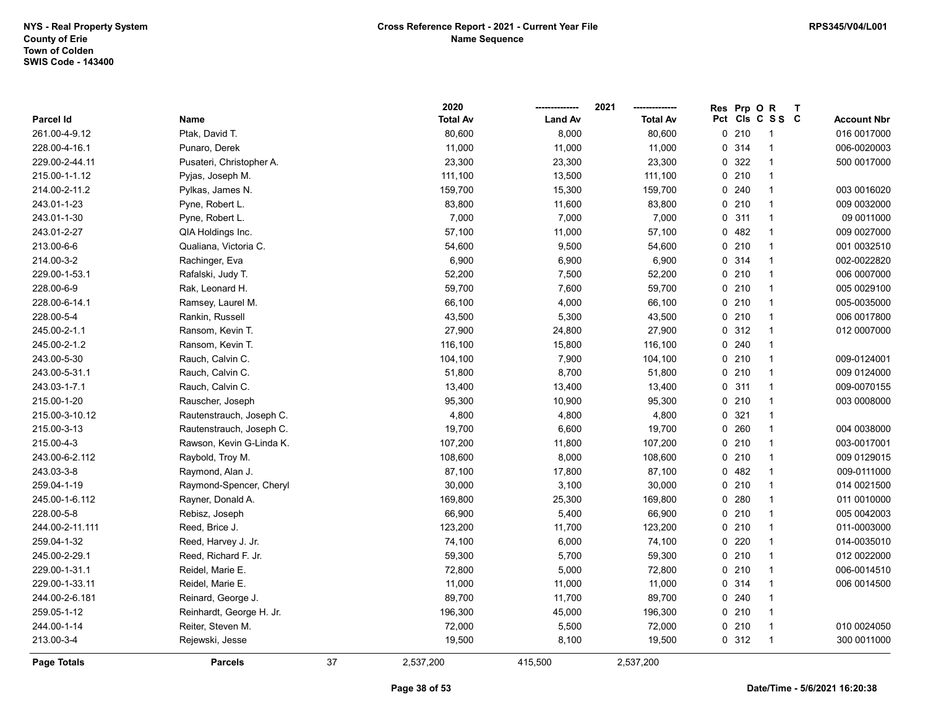|                    |                          |    | 2020            |                | 2021            | Res | Prp OR |                 | $\mathbf{T}$ |                    |
|--------------------|--------------------------|----|-----------------|----------------|-----------------|-----|--------|-----------------|--------------|--------------------|
| <b>Parcel Id</b>   | Name                     |    | <b>Total Av</b> | <b>Land Av</b> | <b>Total Av</b> |     |        | Pct Cls C S S C |              | <b>Account Nbr</b> |
| 261.00-4-9.12      | Ptak, David T.           |    | 80,600          | 8,000          | 80,600          |     | 0210   | -1              |              | 016 0017000        |
| 228.00-4-16.1      | Punaro, Derek            |    | 11,000          | 11,000         | 11,000          |     | 0 314  | $\overline{1}$  |              | 006-0020003        |
| 229.00-2-44.11     | Pusateri, Christopher A. |    | 23,300          | 23,300         | 23,300          |     | 0 322  | $\overline{1}$  |              | 500 0017000        |
| 215.00-1-1.12      | Pyjas, Joseph M.         |    | 111,100         | 13,500         | 111,100         |     | 0210   | $\overline{1}$  |              |                    |
| 214.00-2-11.2      | Pylkas, James N.         |    | 159,700         | 15,300         | 159,700         |     | 0.240  | $\overline{1}$  |              | 003 0016020        |
| 243.01-1-23        | Pyne, Robert L.          |    | 83,800          | 11,600         | 83,800          |     | 0210   | $\overline{1}$  |              | 009 0032000        |
| 243.01-1-30        | Pyne, Robert L.          |    | 7,000           | 7,000          | 7,000           |     | 0.311  | $\overline{1}$  |              | 09 0011000         |
| 243.01-2-27        | QIA Holdings Inc.        |    | 57,100          | 11,000         | 57,100          |     | 0482   | -1              |              | 009 0027000        |
| 213.00-6-6         | Qualiana, Victoria C.    |    | 54,600          | 9,500          | 54,600          |     | 0210   | $\overline{1}$  |              | 001 0032510        |
| 214.00-3-2         | Rachinger, Eva           |    | 6,900           | 6,900          | 6,900           |     | 0 314  | $\overline{1}$  |              | 002-0022820        |
| 229.00-1-53.1      | Rafalski, Judy T.        |    | 52,200          | 7,500          | 52,200          |     | 0210   | $\overline{1}$  |              | 006 0007000        |
| 228.00-6-9         | Rak, Leonard H.          |    | 59,700          | 7,600          | 59,700          |     | 0210   | $\overline{1}$  |              | 005 0029100        |
| 228.00-6-14.1      | Ramsey, Laurel M.        |    | 66,100          | 4,000          | 66,100          |     | 0210   | $\overline{1}$  |              | 005-0035000        |
| 228.00-5-4         | Rankin, Russell          |    | 43,500          | 5,300          | 43,500          |     | 0210   | $\overline{1}$  |              | 006 0017800        |
| 245.00-2-1.1       | Ransom, Kevin T.         |    | 27,900          | 24,800         | 27,900          |     | 0.312  | $\overline{1}$  |              | 012 0007000        |
| 245.00-2-1.2       | Ransom, Kevin T.         |    | 116,100         | 15,800         | 116,100         |     | 0.240  | $\overline{1}$  |              |                    |
| 243.00-5-30        | Rauch, Calvin C.         |    | 104,100         | 7,900          | 104,100         |     | 0210   | $\overline{1}$  |              | 009-0124001        |
| 243.00-5-31.1      | Rauch, Calvin C.         |    | 51,800          | 8,700          | 51,800          |     | 0210   | $\overline{1}$  |              | 009 0124000        |
| 243.03-1-7.1       | Rauch, Calvin C.         |    | 13,400          | 13,400         | 13,400          |     | 0.311  | $\overline{1}$  |              | 009-0070155        |
| 215.00-1-20        | Rauscher, Joseph         |    | 95,300          | 10,900         | 95,300          |     | 0210   | $\overline{1}$  |              | 003 0008000        |
| 215.00-3-10.12     | Rautenstrauch, Joseph C. |    | 4,800           | 4,800          | 4,800           |     | 0.321  | $\overline{1}$  |              |                    |
| 215.00-3-13        | Rautenstrauch, Joseph C. |    | 19,700          | 6,600          | 19,700          |     | 0.260  | $\overline{1}$  |              | 004 0038000        |
| 215.00-4-3         | Rawson, Kevin G-Linda K. |    | 107,200         | 11,800         | 107,200         |     | 0210   | $\overline{1}$  |              | 003-0017001        |
| 243.00-6-2.112     | Raybold, Troy M.         |    | 108,600         | 8,000          | 108,600         |     | 0210   | $\overline{1}$  |              | 009 0129015        |
| 243.03-3-8         | Raymond, Alan J.         |    | 87,100          | 17,800         | 87,100          |     | 0482   | $\overline{1}$  |              | 009-0111000        |
| 259.04-1-19        | Raymond-Spencer, Cheryl  |    | 30,000          | 3,100          | 30,000          |     | 0210   | $\overline{1}$  |              | 014 0021500        |
| 245.00-1-6.112     | Rayner, Donald A.        |    | 169,800         | 25,300         | 169,800         |     | 0.280  | $\overline{1}$  |              | 011 0010000        |
| 228.00-5-8         | Rebisz, Joseph           |    | 66,900          | 5,400          | 66,900          |     | 0210   | -1              |              | 005 004 2003       |
| 244.00-2-11.111    | Reed, Brice J.           |    | 123,200         | 11,700         | 123,200         |     | 0210   | $\overline{1}$  |              | 011-0003000        |
| 259.04-1-32        | Reed, Harvey J. Jr.      |    | 74,100          | 6,000          | 74,100          |     | 0220   | $\overline{1}$  |              | 014-0035010        |
| 245.00-2-29.1      | Reed, Richard F. Jr.     |    | 59,300          | 5,700          | 59,300          |     | 0210   | $\overline{1}$  |              | 012 0022000        |
| 229.00-1-31.1      | Reidel, Marie E.         |    | 72,800          | 5,000          | 72,800          |     | 0210   | $\overline{1}$  |              | 006-0014510        |
| 229.00-1-33.11     | Reidel, Marie E.         |    | 11,000          | 11,000         | 11,000          |     | 0.314  | $\overline{1}$  |              | 006 0014500        |
| 244.00-2-6.181     | Reinard, George J.       |    | 89,700          | 11,700         | 89,700          |     | 0.240  | $\overline{1}$  |              |                    |
| 259.05-1-12        | Reinhardt, George H. Jr. |    | 196,300         | 45,000         | 196,300         |     | 0210   | $\overline{1}$  |              |                    |
| 244.00-1-14        | Reiter, Steven M.        |    | 72,000          | 5,500          | 72,000          |     | 0210   | $\overline{1}$  |              | 010 0024050        |
| 213.00-3-4         | Rejewski, Jesse          |    | 19,500          | 8,100          | 19,500          |     | 0.312  | $\overline{1}$  |              | 300 0011000        |
| <b>Page Totals</b> | <b>Parcels</b>           | 37 | 2,537,200       | 415,500        | 2,537,200       |     |        |                 |              |                    |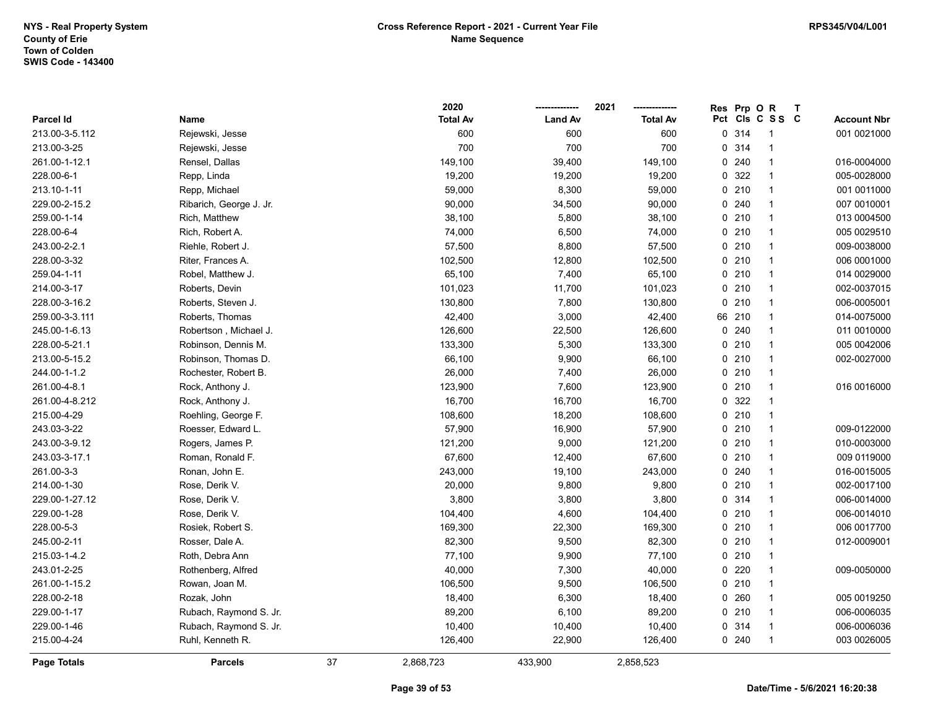|                    |                         |    | 2020            |                | 2021            | Res | Prp OR  |                 | $\mathsf{T}$ |                    |
|--------------------|-------------------------|----|-----------------|----------------|-----------------|-----|---------|-----------------|--------------|--------------------|
| <b>Parcel Id</b>   | Name                    |    | <b>Total Av</b> | <b>Land Av</b> | <b>Total Av</b> |     |         | Pct Cls C S S C |              | <b>Account Nbr</b> |
| 213.00-3-5.112     | Rejewski, Jesse         |    | 600             | 600            | 600             |     | 0 314   | -1              |              | 001 0021000        |
| 213.00-3-25        | Rejewski, Jesse         |    | 700             | 700            | 700             |     | 0 314   | $\overline{1}$  |              |                    |
| 261.00-1-12.1      | Rensel, Dallas          |    | 149,100         | 39,400         | 149,100         |     | 0240    | $\mathbf{1}$    |              | 016-0004000        |
| 228.00-6-1         | Repp, Linda             |    | 19,200          | 19,200         | 19,200          |     | 0 322   | $\overline{1}$  |              | 005-0028000        |
| 213.10-1-11        | Repp, Michael           |    | 59,000          | 8,300          | 59,000          |     | 0210    | $\overline{1}$  |              | 001 0011000        |
| 229.00-2-15.2      | Ribarich, George J. Jr. |    | 90,000          | 34,500         | 90,000          |     | 0.240   | $\mathbf 1$     |              | 007 0010001        |
| 259.00-1-14        | Rich, Matthew           |    | 38,100          | 5,800          | 38,100          |     | 0210    | $\mathbf 1$     |              | 013 0004500        |
| 228.00-6-4         | Rich, Robert A.         |    | 74,000          | 6,500          | 74,000          |     | 0210    | $\mathbf{1}$    |              | 005 0029510        |
| 243.00-2-2.1       | Riehle, Robert J.       |    | 57,500          | 8,800          | 57,500          |     | 0210    | $\overline{1}$  |              | 009-0038000        |
| 228.00-3-32        | Riter, Frances A.       |    | 102,500         | 12,800         | 102,500         |     | 0210    | $\overline{1}$  |              | 006 0001000        |
| 259.04-1-11        | Robel, Matthew J.       |    | 65,100          | 7,400          | 65,100          |     | 0210    | $\overline{1}$  |              | 014 0029000        |
| 214.00-3-17        | Roberts, Devin          |    | 101,023         | 11,700         | 101,023         |     | 0210    | $\overline{1}$  |              | 002-0037015        |
| 228.00-3-16.2      | Roberts, Steven J.      |    | 130,800         | 7,800          | 130,800         |     | 0210    | $\overline{1}$  |              | 006-0005001        |
| 259.00-3-3.111     | Roberts, Thomas         |    | 42,400          | 3,000          | 42,400          |     | 66 210  | 1               |              | 014-0075000        |
| 245.00-1-6.13      | Robertson, Michael J.   |    | 126,600         | 22,500         | 126,600         |     | 0240    | $\mathbf 1$     |              | 011 0010000        |
| 228.00-5-21.1      | Robinson, Dennis M.     |    | 133,300         | 5,300          | 133,300         |     | 0210    | $\mathbf 1$     |              | 005 0042006        |
| 213.00-5-15.2      | Robinson, Thomas D.     |    | 66,100          | 9,900          | 66,100          |     | 0210    | $\overline{1}$  |              | 002-0027000        |
| 244.00-1-1.2       | Rochester, Robert B.    |    | 26,000          | 7,400          | 26,000          |     | 0210    | $\overline{1}$  |              |                    |
| 261.00-4-8.1       | Rock, Anthony J.        |    | 123,900         | 7,600          | 123,900         |     | 0210    | $\overline{1}$  |              | 016 0016000        |
| 261.00-4-8.212     | Rock, Anthony J.        |    | 16,700          | 16,700         | 16,700          |     | 0.322   | $\overline{1}$  |              |                    |
| 215.00-4-29        | Roehling, George F.     |    | 108,600         | 18,200         | 108,600         |     | 0210    | $\overline{1}$  |              |                    |
| 243.03-3-22        | Roesser, Edward L.      |    | 57,900          | 16,900         | 57,900          |     | 0210    | $\mathbf 1$     |              | 009-0122000        |
| 243.00-3-9.12      | Rogers, James P.        |    | 121,200         | 9,000          | 121,200         |     | 0210    | $\overline{1}$  |              | 010-0003000        |
| 243.03-3-17.1      | Roman, Ronald F.        |    | 67,600          | 12,400         | 67,600          |     | 0210    | $\overline{1}$  |              | 009 0119000        |
| 261.00-3-3         | Ronan, John E.          |    | 243,000         | 19,100         | 243,000         |     | 0.240   | $\mathbf{1}$    |              | 016-0015005        |
| 214.00-1-30        | Rose, Derik V.          |    | 20,000          | 9,800          | 9,800           |     | 0210    | $\overline{1}$  |              | 002-0017100        |
| 229.00-1-27.12     | Rose, Derik V.          |    | 3,800           | 3,800          | 3,800           |     | 0.314   | $\overline{1}$  |              | 006-0014000        |
| 229.00-1-28        | Rose, Derik V.          |    | 104,400         | 4,600          | 104,400         |     | 0210    | $\mathbf 1$     |              | 006-0014010        |
| 228.00-5-3         | Rosiek, Robert S.       |    | 169,300         | 22,300         | 169,300         |     | 0210    | $\overline{1}$  |              | 006 0017700        |
| 245.00-2-11        | Rosser, Dale A.         |    | 82,300          | 9,500          | 82,300          |     | $0$ 210 | $\mathbf 1$     |              | 012-0009001        |
| 215.03-1-4.2       | Roth, Debra Ann         |    | 77,100          | 9,900          | 77,100          |     | $0$ 210 | $\mathbf 1$     |              |                    |
| 243.01-2-25        | Rothenberg, Alfred      |    | 40,000          | 7,300          | 40,000          |     | 0220    | $\overline{1}$  |              | 009-0050000        |
| 261.00-1-15.2      | Rowan, Joan M.          |    | 106,500         | 9,500          | 106,500         |     | 0210    | $\overline{1}$  |              |                    |
| 228.00-2-18        | Rozak, John             |    | 18,400          | 6,300          | 18,400          |     | 0260    | $\mathbf{1}$    |              | 005 0019250        |
| 229.00-1-17        | Rubach, Raymond S. Jr.  |    | 89,200          | 6,100          | 89,200          |     | 0210    | $\overline{1}$  |              | 006-0006035        |
| 229.00-1-46        | Rubach, Raymond S. Jr.  |    | 10,400          | 10,400         | 10,400          |     | 0 314   | $\mathbf{1}$    |              | 006-0006036        |
| 215.00-4-24        | Ruhl, Kenneth R.        |    | 126,400         | 22,900         | 126,400         |     | 0.240   | $\overline{1}$  |              | 003 0026005        |
| <b>Page Totals</b> | <b>Parcels</b>          | 37 | 2,868,723       | 433,900        | 2,858,523       |     |         |                 |              |                    |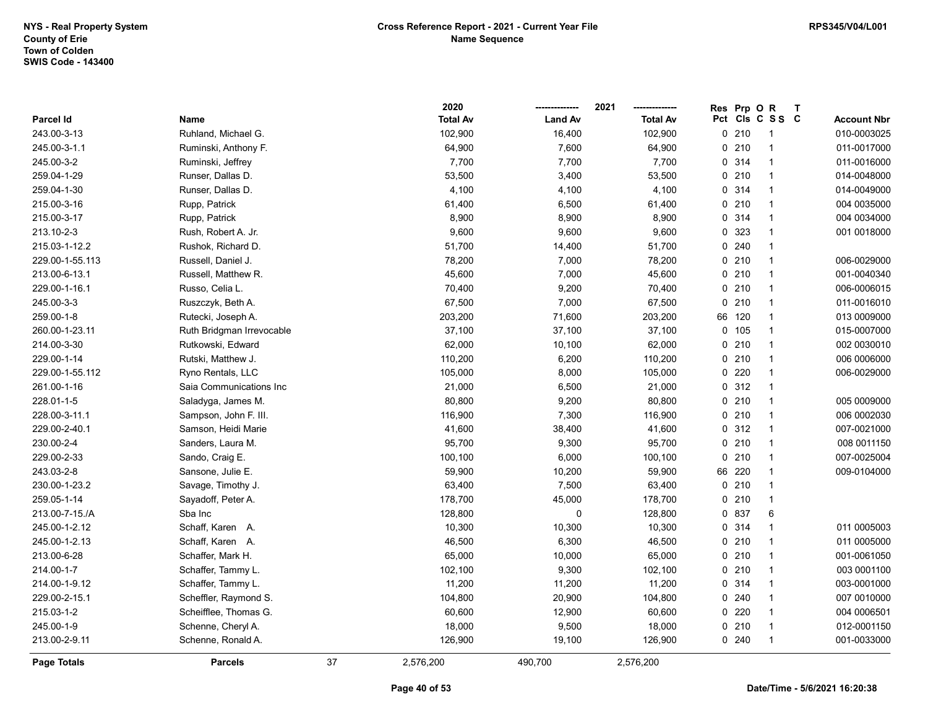|                 |                           |    | 2020            |                | 2021            | <b>Res</b> | Prp OR  |                 | $\mathsf T$ |                    |
|-----------------|---------------------------|----|-----------------|----------------|-----------------|------------|---------|-----------------|-------------|--------------------|
| Parcel Id       | Name                      |    | <b>Total Av</b> | <b>Land Av</b> | <b>Total Av</b> |            |         | Pct Cls C S S C |             | <b>Account Nbr</b> |
| 243.00-3-13     | Ruhland, Michael G.       |    | 102,900         | 16,400         | 102,900         |            | 0210    | 1               |             | 010-0003025        |
| 245.00-3-1.1    | Ruminski, Anthony F.      |    | 64,900          | 7,600          | 64,900          |            | 0210    | 1               |             | 011-0017000        |
| 245.00-3-2      | Ruminski, Jeffrey         |    | 7,700           | 7,700          | 7,700           |            | 0.314   | $\mathbf{1}$    |             | 011-0016000        |
| 259.04-1-29     | Runser, Dallas D.         |    | 53,500          | 3,400          | 53,500          |            | 0210    | $\mathbf{1}$    |             | 014-0048000        |
| 259.04-1-30     | Runser, Dallas D.         |    | 4,100           | 4,100          | 4,100           |            | 0 314   | $\mathbf{1}$    |             | 014-0049000        |
| 215.00-3-16     | Rupp, Patrick             |    | 61,400          | 6,500          | 61,400          |            | 0210    | $\mathbf{1}$    |             | 004 0035000        |
| 215.00-3-17     | Rupp, Patrick             |    | 8,900           | 8,900          | 8,900           |            | 0 314   | $\mathbf{1}$    |             | 004 0034000        |
| 213.10-2-3      | Rush, Robert A. Jr.       |    | 9,600           | 9,600          | 9,600           |            | 0 323   | $\mathbf{1}$    |             | 001 0018000        |
| 215.03-1-12.2   | Rushok, Richard D.        |    | 51,700          | 14,400         | 51,700          |            | 0 240   | 1               |             |                    |
| 229.00-1-55.113 | Russell, Daniel J.        |    | 78,200          | 7,000          | 78,200          |            | 0210    | $\mathbf{1}$    |             | 006-0029000        |
| 213.00-6-13.1   | Russell, Matthew R.       |    | 45,600          | 7,000          | 45,600          |            | 0210    | $\mathbf{1}$    |             | 001-0040340        |
| 229.00-1-16.1   | Russo, Celia L.           |    | 70,400          | 9,200          | 70,400          |            | 0210    | $\mathbf{1}$    |             | 006-0006015        |
| 245.00-3-3      | Ruszczyk, Beth A.         |    | 67,500          | 7,000          | 67,500          |            | 0210    | $\mathbf{1}$    |             | 011-0016010        |
| 259.00-1-8      | Rutecki, Joseph A.        |    | 203,200         | 71,600         | 203,200         |            | 66 120  | $\mathbf{1}$    |             | 013 0009000        |
| 260.00-1-23.11  | Ruth Bridgman Irrevocable |    | 37,100          | 37,100         | 37,100          |            | 0 105   | 1               |             | 015-0007000        |
| 214.00-3-30     | Rutkowski, Edward         |    | 62,000          | 10,100         | 62,000          |            | 0210    | $\mathbf{1}$    |             | 002 0030010        |
| 229.00-1-14     | Rutski, Matthew J.        |    | 110,200         | 6,200          | 110,200         |            | 0210    | $\mathbf{1}$    |             | 006 0006000        |
| 229.00-1-55.112 | Ryno Rentals, LLC         |    | 105,000         | 8,000          | 105,000         |            | 0220    | $\mathbf{1}$    |             | 006-0029000        |
| 261.00-1-16     | Saia Communications Inc   |    | 21,000          | 6,500          | 21,000          |            | 0.312   | $\mathbf{1}$    |             |                    |
| 228.01-1-5      | Saladyga, James M.        |    | 80,800          | 9,200          | 80,800          |            | $0$ 210 | $\mathbf{1}$    |             | 005 0009000        |
| 228.00-3-11.1   | Sampson, John F. III.     |    | 116,900         | 7,300          | 116,900         |            | 0210    | $\mathbf{1}$    |             | 006 0002030        |
| 229.00-2-40.1   | Samson, Heidi Marie       |    | 41,600          | 38,400         | 41,600          |            | 0.312   | $\mathbf{1}$    |             | 007-0021000        |
| 230.00-2-4      | Sanders, Laura M.         |    | 95,700          | 9,300          | 95,700          |            | 0210    | $\mathbf{1}$    |             | 008 0011150        |
| 229.00-2-33     | Sando, Craig E.           |    | 100,100         | 6,000          | 100,100         |            | 0210    | $\mathbf{1}$    |             | 007-0025004        |
| 243.03-2-8      | Sansone, Julie E.         |    | 59,900          | 10,200         | 59,900          | 66         | 220     | $\mathbf{1}$    |             | 009-0104000        |
| 230.00-1-23.2   | Savage, Timothy J.        |    | 63,400          | 7,500          | 63,400          |            | 0210    | $\mathbf{1}$    |             |                    |
| 259.05-1-14     | Sayadoff, Peter A.        |    | 178,700         | 45,000         | 178,700         |            | 0210    | $\mathbf{1}$    |             |                    |
| 213.00-7-15./A  | Sba Inc                   |    | 128,800         | $\mathbf 0$    | 128,800         |            | 0 837   | 6               |             |                    |
| 245.00-1-2.12   | Schaff, Karen A.          |    | 10,300          | 10,300         | 10,300          |            | 0 314   | 1               |             | 011 0005003        |
| 245.00-1-2.13   | Schaff, Karen A.          |    | 46,500          | 6,300          | 46,500          |            | 0210    | $\mathbf{1}$    |             | 011 0005000        |
| 213.00-6-28     | Schaffer, Mark H.         |    | 65,000          | 10,000         | 65,000          |            | $0$ 210 | $\mathbf{1}$    |             | 001-0061050        |
| 214.00-1-7      | Schaffer, Tammy L.        |    | 102,100         | 9,300          | 102,100         |            | 0210    | $\mathbf{1}$    |             | 003 0001100        |
| 214.00-1-9.12   | Schaffer, Tammy L.        |    | 11,200          | 11,200         | 11,200          |            | 0 314   | $\mathbf{1}$    |             | 003-0001000        |
| 229.00-2-15.1   | Scheffler, Raymond S.     |    | 104,800         | 20,900         | 104,800         |            | 0240    | $\mathbf{1}$    |             | 007 0010000        |
| 215.03-1-2      | Scheifflee, Thomas G.     |    | 60,600          | 12,900         | 60,600          |            | 0 220   | $\mathbf{1}$    |             | 004 0006501        |
| 245.00-1-9      | Schenne, Cheryl A.        |    | 18,000          | 9,500          | 18,000          |            | 0210    | 1               |             | 012-0001150        |
| 213.00-2-9.11   | Schenne, Ronald A.        |    | 126,900         | 19,100         | 126,900         |            | 0.240   | $\mathbf{1}$    |             | 001-0033000        |
| Page Totals     | <b>Parcels</b>            | 37 | 2,576,200       | 490,700        | 2,576,200       |            |         |                 |             |                    |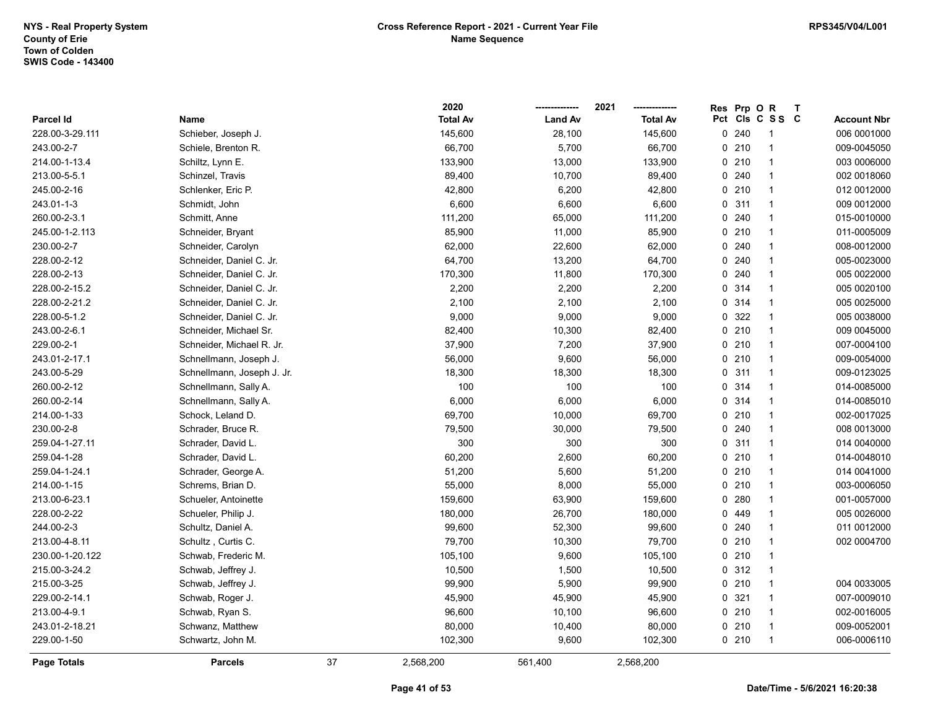|                    |                            |    | 2020            |                | 2021            | Res | Prp OR |                 | $\mathsf{T}$ |                    |
|--------------------|----------------------------|----|-----------------|----------------|-----------------|-----|--------|-----------------|--------------|--------------------|
| <b>Parcel Id</b>   | Name                       |    | <b>Total Av</b> | <b>Land Av</b> | <b>Total Av</b> |     |        | Pct Cls C S S C |              | <b>Account Nbr</b> |
| 228.00-3-29.111    | Schieber, Joseph J.        |    | 145,600         | 28,100         | 145,600         |     | 0240   | -1              |              | 006 0001000        |
| 243.00-2-7         | Schiele, Brenton R.        |    | 66,700          | 5,700          | 66,700          |     | 0210   | 1               |              | 009-0045050        |
| 214.00-1-13.4      | Schiltz, Lynn E.           |    | 133,900         | 13,000         | 133,900         |     | 0210   | $\mathbf{1}$    |              | 003 0006000        |
| 213.00-5-5.1       | Schinzel, Travis           |    | 89,400          | 10,700         | 89,400          |     | 0.240  | $\overline{1}$  |              | 002 0018060        |
| 245.00-2-16        | Schlenker, Eric P.         |    | 42,800          | 6,200          | 42,800          |     | 0210   | $\mathbf{1}$    |              | 012 0012000        |
| 243.01-1-3         | Schmidt, John              |    | 6,600           | 6,600          | 6,600           |     | 0.311  | $\mathbf{1}$    |              | 009 0012000        |
| 260.00-2-3.1       | Schmitt, Anne              |    | 111,200         | 65,000         | 111,200         |     | 0.240  | $\mathbf{1}$    |              | 015-0010000        |
| 245.00-1-2.113     | Schneider, Bryant          |    | 85,900          | 11,000         | 85,900          |     | 0210   | $\overline{1}$  |              | 011-0005009        |
| 230.00-2-7         | Schneider, Carolyn         |    | 62,000          | 22,600         | 62,000          |     | 0.240  | $\overline{1}$  |              | 008-0012000        |
| 228.00-2-12        | Schneider, Daniel C. Jr.   |    | 64,700          | 13,200         | 64,700          |     | 0.240  | $\mathbf{1}$    |              | 005-0023000        |
| 228.00-2-13        | Schneider, Daniel C. Jr.   |    | 170,300         | 11,800         | 170,300         |     | 0.240  | $\overline{1}$  |              | 005 0022000        |
| 228.00-2-15.2      | Schneider, Daniel C. Jr.   |    | 2,200           | 2,200          | 2,200           |     | 0.314  | $\overline{1}$  |              | 005 0020100        |
| 228.00-2-21.2      | Schneider, Daniel C. Jr.   |    | 2,100           | 2,100          | 2,100           |     | 0 314  | $\overline{1}$  |              | 005 0025000        |
| 228.00-5-1.2       | Schneider, Daniel C. Jr.   |    | 9,000           | 9,000          | 9,000           |     | 0 322  | $\mathbf{1}$    |              | 005 0038000        |
| 243.00-2-6.1       | Schneider, Michael Sr.     |    | 82,400          | 10,300         | 82,400          |     | 0210   | $\overline{1}$  |              | 009 0045000        |
| 229.00-2-1         | Schneider, Michael R. Jr.  |    | 37,900          | 7,200          | 37,900          |     | 0210   | $\overline{1}$  |              | 007-0004100        |
| 243.01-2-17.1      | Schnellmann, Joseph J.     |    | 56,000          | 9,600          | 56,000          |     | 0210   | $\mathbf{1}$    |              | 009-0054000        |
| 243.00-5-29        | Schnellmann, Joseph J. Jr. |    | 18,300          | 18,300         | 18,300          |     | 0.311  | $\mathbf{1}$    |              | 009-0123025        |
| 260.00-2-12        | Schnellmann, Sally A.      |    | 100             | 100            | 100             |     | 0.314  | $\overline{1}$  |              | 014-0085000        |
| 260.00-2-14        | Schnellmann, Sally A.      |    | 6,000           | 6,000          | 6,000           |     | 0.314  | $\overline{1}$  |              | 014-0085010        |
| 214.00-1-33        | Schock, Leland D.          |    | 69,700          | 10,000         | 69,700          |     | 0210   | $\overline{1}$  |              | 002-0017025        |
| 230.00-2-8         | Schrader, Bruce R.         |    | 79,500          | 30,000         | 79,500          |     | 0.240  | $\mathbf{1}$    |              | 008 0013000        |
| 259.04-1-27.11     | Schrader, David L.         |    | 300             | 300            | 300             |     | 0.311  | $\overline{1}$  |              | 014 0040000        |
| 259.04-1-28        | Schrader, David L.         |    | 60,200          | 2,600          | 60,200          |     | 0210   | $\mathbf{1}$    |              | 014-0048010        |
| 259.04-1-24.1      | Schrader, George A.        |    | 51,200          | 5,600          | 51,200          |     | 0210   | $\overline{1}$  |              | 014 0041000        |
| 214.00-1-15        | Schrems, Brian D.          |    | 55,000          | 8,000          | 55,000          |     | 0210   | $\mathbf{1}$    |              | 003-0006050        |
| 213.00-6-23.1      | Schueler, Antoinette       |    | 159,600         | 63,900         | 159,600         |     | 0.280  | $\mathbf{1}$    |              | 001-0057000        |
| 228.00-2-22        | Schueler, Philip J.        |    | 180,000         | 26,700         | 180,000         |     | 0 449  | $\mathbf{1}$    |              | 005 0026000        |
| 244.00-2-3         | Schultz, Daniel A.         |    | 99,600          | 52,300         | 99,600          |     | 0.240  | $\mathbf{1}$    |              | 011 0012000        |
| 213.00-4-8.11      | Schultz , Curtis C.        |    | 79,700          | 10,300         | 79,700          |     | 0210   | 1               |              | 002 0004700        |
| 230.00-1-20.122    | Schwab, Frederic M.        |    | 105,100         | 9,600          | 105,100         |     | 0210   | $\overline{1}$  |              |                    |
| 215.00-3-24.2      | Schwab, Jeffrey J.         |    | 10,500          | 1,500          | 10,500          |     | 0.312  | $\overline{1}$  |              |                    |
| 215.00-3-25        | Schwab, Jeffrey J.         |    | 99,900          | 5,900          | 99,900          |     | 0210   | $\overline{1}$  |              | 004 0033005        |
| 229.00-2-14.1      | Schwab, Roger J.           |    | 45,900          | 45,900         | 45,900          |     | 0.321  | $\overline{1}$  |              | 007-0009010        |
| 213.00-4-9.1       | Schwab, Ryan S.            |    | 96,600          | 10,100         | 96,600          |     | 0210   | $\mathbf{1}$    |              | 002-0016005        |
| 243.01-2-18.21     | Schwanz, Matthew           |    | 80,000          | 10,400         | 80,000          |     | 0210   | $\overline{1}$  |              | 009-0052001        |
| 229.00-1-50        | Schwartz, John M.          |    | 102,300         | 9,600          | 102,300         |     | 0210   | $\overline{1}$  |              | 006-0006110        |
| <b>Page Totals</b> | <b>Parcels</b>             | 37 | 2,568,200       | 561,400        | 2,568,200       |     |        |                 |              |                    |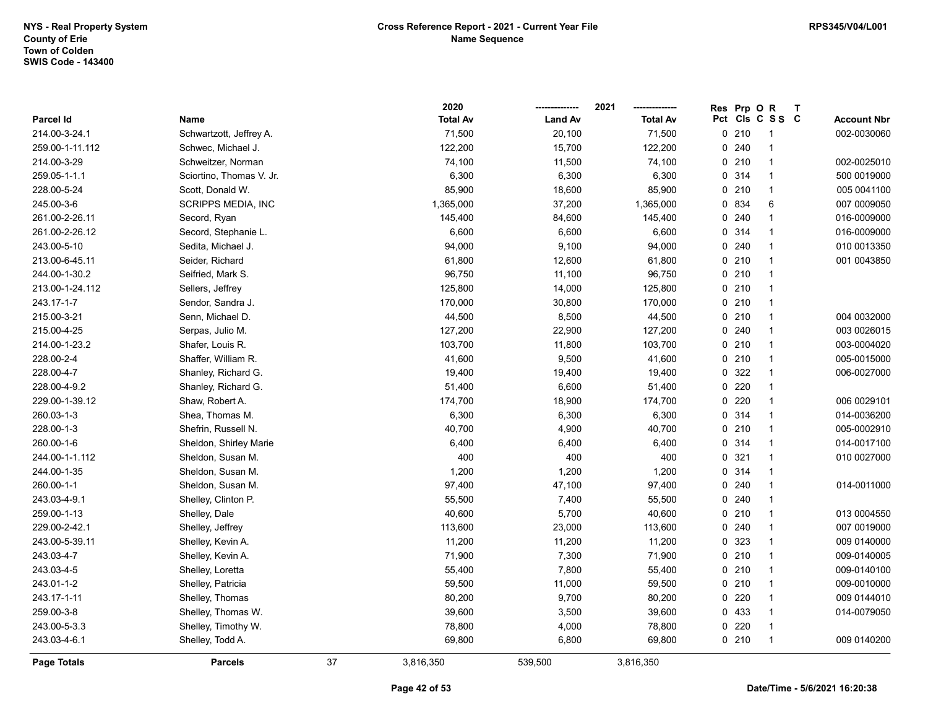|                 |                           |    | 2020            |                | 2021            | <b>Res</b> | Prp OR |                 | $\mathsf{T}$ |                    |
|-----------------|---------------------------|----|-----------------|----------------|-----------------|------------|--------|-----------------|--------------|--------------------|
| Parcel Id       | Name                      |    | <b>Total Av</b> | <b>Land Av</b> | <b>Total Av</b> |            |        | Pct Cls C S S C |              | <b>Account Nbr</b> |
| 214.00-3-24.1   | Schwartzott, Jeffrey A.   |    | 71,500          | 20,100         | 71,500          |            | 0210   | -1              |              | 002-0030060        |
| 259.00-1-11.112 | Schwec, Michael J.        |    | 122,200         | 15,700         | 122,200         |            | 0.240  | $\overline{1}$  |              |                    |
| 214.00-3-29     | Schweitzer, Norman        |    | 74,100          | 11,500         | 74,100          |            | 0210   | $\mathbf{1}$    |              | 002-0025010        |
| 259.05-1-1.1    | Sciortino, Thomas V. Jr.  |    | 6,300           | 6,300          | 6,300           |            | 0 314  | $\overline{1}$  |              | 500 0019000        |
| 228.00-5-24     | Scott, Donald W.          |    | 85,900          | 18,600         | 85,900          |            | 0210   | $\mathbf{1}$    |              | 005 0041100        |
| 245.00-3-6      | <b>SCRIPPS MEDIA, INC</b> |    | 1,365,000       | 37,200         | 1,365,000       |            | 0 834  | 6               |              | 007 0009050        |
| 261.00-2-26.11  | Secord, Ryan              |    | 145,400         | 84,600         | 145,400         |            | 0.240  | $\mathbf{1}$    |              | 016-0009000        |
| 261.00-2-26.12  | Secord, Stephanie L.      |    | 6,600           | 6,600          | 6,600           |            | 0.314  | $\mathbf{1}$    |              | 016-0009000        |
| 243.00-5-10     | Sedita, Michael J.        |    | 94,000          | 9,100          | 94,000          |            | 0.240  | $\overline{1}$  |              | 010 0013350        |
| 213.00-6-45.11  | Seider, Richard           |    | 61,800          | 12,600         | 61,800          |            | 0210   | $\overline{1}$  |              | 001 0043850        |
| 244.00-1-30.2   | Seifried, Mark S.         |    | 96,750          | 11,100         | 96,750          |            | 0210   | $\overline{1}$  |              |                    |
| 213.00-1-24.112 | Sellers, Jeffrey          |    | 125,800         | 14,000         | 125,800         |            | 0210   | $\overline{1}$  |              |                    |
| 243.17-1-7      | Sendor, Sandra J.         |    | 170,000         | 30,800         | 170,000         |            | 0210   | $\overline{1}$  |              |                    |
| 215.00-3-21     | Senn, Michael D.          |    | 44,500          | 8,500          | 44,500          |            | 0210   | $\overline{1}$  |              | 004 0032000        |
| 215.00-4-25     | Serpas, Julio M.          |    | 127,200         | 22,900         | 127,200         |            | 0.240  | $\overline{1}$  |              | 003 0026015        |
| 214.00-1-23.2   | Shafer, Louis R.          |    | 103,700         | 11,800         | 103,700         |            | 0210   | $\overline{1}$  |              | 003-0004020        |
| 228.00-2-4      | Shaffer, William R.       |    | 41,600          | 9,500          | 41,600          |            | 0210   | $\overline{1}$  |              | 005-0015000        |
| 228.00-4-7      | Shanley, Richard G.       |    | 19,400          | 19,400         | 19,400          |            | 0 322  | $\overline{1}$  |              | 006-0027000        |
| 228.00-4-9.2    | Shanley, Richard G.       |    | 51,400          | 6,600          | 51,400          |            | 0220   | $\overline{1}$  |              |                    |
| 229.00-1-39.12  | Shaw, Robert A.           |    | 174,700         | 18,900         | 174,700         |            | 0220   | $\mathbf{1}$    |              | 006 0029101        |
| 260.03-1-3      | Shea, Thomas M.           |    | 6,300           | 6,300          | 6,300           |            | 0 314  | $\overline{1}$  |              | 014-0036200        |
| 228.00-1-3      | Shefrin, Russell N.       |    | 40,700          | 4,900          | 40,700          |            | 0210   | $\overline{1}$  |              | 005-0002910        |
| 260.00-1-6      | Sheldon, Shirley Marie    |    | 6,400           | 6,400          | 6,400           |            | 0.314  | $\overline{1}$  |              | 014-0017100        |
| 244.00-1-1.112  | Sheldon, Susan M.         |    | 400             | 400            | 400             |            | 0 321  | $\overline{1}$  |              | 010 0027000        |
| 244.00-1-35     | Sheldon, Susan M.         |    | 1,200           | 1,200          | 1,200           |            | 0 314  | $\mathbf{1}$    |              |                    |
| 260.00-1-1      | Sheldon, Susan M.         |    | 97,400          | 47,100         | 97,400          |            | 0.240  | $\mathbf 1$     |              | 014-0011000        |
| 243.03-4-9.1    | Shelley, Clinton P.       |    | 55,500          | 7,400          | 55,500          |            | 0.240  | 1               |              |                    |
| 259.00-1-13     | Shelley, Dale             |    | 40,600          | 5,700          | 40,600          |            | 0210   | $\overline{1}$  |              | 013 0004550        |
| 229.00-2-42.1   | Shelley, Jeffrey          |    | 113,600         | 23,000         | 113,600         |            | 0240   | $\mathbf{1}$    |              | 007 0019000        |
| 243.00-5-39.11  | Shelley, Kevin A.         |    | 11,200          | 11,200         | 11,200          |            | 0 323  | $\overline{1}$  |              | 009 0140000        |
| 243.03-4-7      | Shelley, Kevin A.         |    | 71,900          | 7,300          | 71,900          |            | 0210   | $\overline{1}$  |              | 009-0140005        |
| 243.03-4-5      | Shelley, Loretta          |    | 55,400          | 7,800          | 55,400          |            | 0210   | $\overline{1}$  |              | 009-0140100        |
| 243.01-1-2      | Shelley, Patricia         |    | 59,500          | 11,000         | 59,500          |            | 0210   | $\mathbf{1}$    |              | 009-0010000        |
| 243.17-1-11     | Shelley, Thomas           |    | 80,200          | 9,700          | 80,200          |            | 0220   | $\overline{1}$  |              | 009 0144010        |
| 259.00-3-8      | Shelley, Thomas W.        |    | 39,600          | 3,500          | 39,600          |            | 0 433  | $\overline{1}$  |              | 014-0079050        |
| 243.00-5-3.3    | Shelley, Timothy W.       |    | 78,800          | 4,000          | 78,800          |            | 0220   | $\overline{1}$  |              |                    |
| 243.03-4-6.1    | Shelley, Todd A.          |    | 69,800          | 6,800          | 69,800          |            | 0210   | $\overline{1}$  |              | 009 0140200        |
| Page Totals     | <b>Parcels</b>            | 37 | 3,816,350       | 539,500        | 3,816,350       |            |        |                 |              |                    |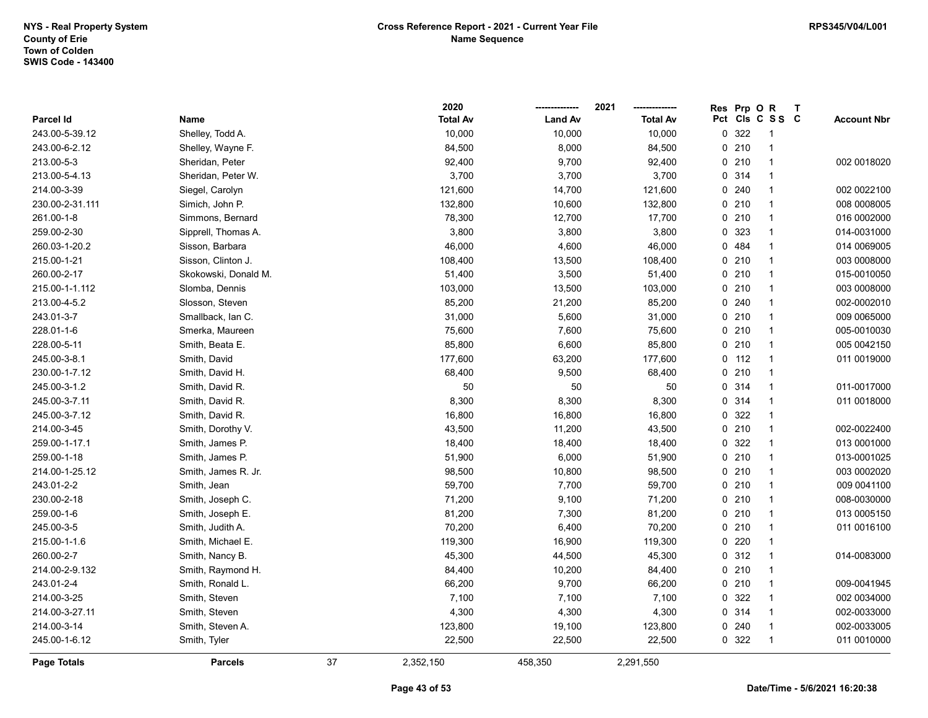|                  |                      |    | 2020            |                | 2021            | <b>Res</b> | Prp OR  |                 | $\mathbf T$ |                    |
|------------------|----------------------|----|-----------------|----------------|-----------------|------------|---------|-----------------|-------------|--------------------|
| <b>Parcel Id</b> | Name                 |    | <b>Total Av</b> | <b>Land Av</b> | <b>Total Av</b> |            |         | Pct Cls C S S C |             | <b>Account Nbr</b> |
| 243.00-5-39.12   | Shelley, Todd A.     |    | 10,000          | 10,000         | 10,000          | 0          | 322     | $\overline{1}$  |             |                    |
| 243.00-6-2.12    | Shelley, Wayne F.    |    | 84,500          | 8,000          | 84,500          |            | 0210    | $\mathbf{1}$    |             |                    |
| 213.00-5-3       | Sheridan, Peter      |    | 92,400          | 9,700          | 92,400          |            | 0210    | $\overline{1}$  |             | 002 0018020        |
| 213.00-5-4.13    | Sheridan, Peter W.   |    | 3,700           | 3,700          | 3,700           |            | 0 314   | $\overline{1}$  |             |                    |
| 214.00-3-39      | Siegel, Carolyn      |    | 121,600         | 14,700         | 121,600         |            | 0.240   | $\overline{1}$  |             | 002 0022100        |
| 230.00-2-31.111  | Simich, John P.      |    | 132,800         | 10,600         | 132,800         |            | 0210    | $\overline{1}$  |             | 008 0008005        |
| 261.00-1-8       | Simmons, Bernard     |    | 78,300          | 12,700         | 17,700          |            | 0210    | $\mathbf{1}$    |             | 016 0002000        |
| 259.00-2-30      | Sipprell, Thomas A.  |    | 3,800           | 3,800          | 3,800           |            | 0 323   | $\mathbf{1}$    |             | 014-0031000        |
| 260.03-1-20.2    | Sisson, Barbara      |    | 46,000          | 4,600          | 46,000          |            | 0 484   | $\mathbf{1}$    |             | 014 0069005        |
| 215.00-1-21      | Sisson, Clinton J.   |    | 108,400         | 13,500         | 108,400         |            | 0210    | $\overline{1}$  |             | 003 0008000        |
| 260.00-2-17      | Skokowski, Donald M. |    | 51,400          | 3,500          | 51,400          |            | 0210    | $\overline{1}$  |             | 015-0010050        |
| 215.00-1-1.112   | Slomba, Dennis       |    | 103,000         | 13,500         | 103,000         |            | 0210    | $\overline{1}$  |             | 003 0008000        |
| 213.00-4-5.2     | Slosson, Steven      |    | 85,200          | 21,200         | 85,200          |            | 0.240   | $\mathbf{1}$    |             | 002-0002010        |
| 243.01-3-7       | Smallback, Ian C.    |    | 31,000          | 5,600          | 31,000          |            | 0210    | $\mathbf{1}$    |             | 009 0065000        |
| 228.01-1-6       | Smerka, Maureen      |    | 75,600          | 7,600          | 75,600          |            | 0210    | $\mathbf{1}$    |             | 005-0010030        |
| 228.00-5-11      | Smith, Beata E.      |    | 85,800          | 6,600          | 85,800          |            | 0210    | $\overline{1}$  |             | 005 0042150        |
| 245.00-3-8.1     | Smith, David         |    | 177,600         | 63,200         | 177,600         |            | $0$ 112 | $\overline{1}$  |             | 011 0019000        |
| 230.00-1-7.12    | Smith, David H.      |    | 68,400          | 9,500          | 68,400          |            | 0210    | $\overline{1}$  |             |                    |
| 245.00-3-1.2     | Smith, David R.      |    | 50              | 50             | 50              |            | 0 314   | $\overline{1}$  |             | 011-0017000        |
| 245.00-3-7.11    | Smith, David R.      |    | 8,300           | 8,300          | 8,300           |            | 0.314   | $\overline{1}$  |             | 011 0018000        |
| 245.00-3-7.12    | Smith, David R.      |    | 16,800          | 16,800         | 16,800          |            | 0 322   | $\mathbf{1}$    |             |                    |
| 214.00-3-45      | Smith, Dorothy V.    |    | 43,500          | 11,200         | 43,500          |            | 0210    | $\overline{1}$  |             | 002-0022400        |
| 259.00-1-17.1    | Smith, James P.      |    | 18,400          | 18,400         | 18,400          |            | 0 322   | $\overline{1}$  |             | 013 0001000        |
| 259.00-1-18      | Smith, James P.      |    | 51,900          | 6,000          | 51,900          |            | 0210    | $\overline{1}$  |             | 013-0001025        |
| 214.00-1-25.12   | Smith, James R. Jr.  |    | 98,500          | 10,800         | 98,500          |            | 0210    | $\overline{1}$  |             | 003 0002020        |
| 243.01-2-2       | Smith, Jean          |    | 59,700          | 7,700          | 59,700          |            | 0210    | $\overline{1}$  |             | 009 0041100        |
| 230.00-2-18      | Smith, Joseph C.     |    | 71,200          | 9,100          | 71,200          |            | 0210    | $\mathbf{1}$    |             | 008-0030000        |
| 259.00-1-6       | Smith, Joseph E.     |    | 81,200          | 7,300          | 81,200          |            | 0210    | $\mathbf{1}$    |             | 013 0005150        |
| 245.00-3-5       | Smith, Judith A.     |    | 70,200          | 6,400          | 70,200          |            | 0210    | $\mathbf{1}$    |             | 011 0016100        |
| 215.00-1-1.6     | Smith, Michael E.    |    | 119,300         | 16,900         | 119,300         |            | $0$ 220 | $\overline{1}$  |             |                    |
| 260.00-2-7       | Smith, Nancy B.      |    | 45,300          | 44,500         | 45,300          |            | 0.312   | $\overline{1}$  |             | 014-0083000        |
| 214.00-2-9.132   | Smith, Raymond H.    |    | 84,400          | 10,200         | 84,400          |            | 0210    | $\overline{1}$  |             |                    |
| 243.01-2-4       | Smith, Ronald L.     |    | 66,200          | 9,700          | 66,200          |            | 0210    | $\overline{1}$  |             | 009-0041945        |
| 214.00-3-25      | Smith, Steven        |    | 7,100           | 7,100          | 7,100           |            | 0 322   | $\overline{1}$  |             | 002 0034000        |
| 214.00-3-27.11   | Smith, Steven        |    | 4,300           | 4,300          | 4,300           |            | 0.314   | $\overline{1}$  |             | 002-0033000        |
| 214.00-3-14      | Smith, Steven A.     |    | 123,800         | 19,100         | 123,800         |            | 0.240   | $\mathbf{1}$    |             | 002-0033005        |
| 245.00-1-6.12    | Smith, Tyler         |    | 22,500          | 22,500         | 22,500          |            | 0 322   | $\overline{1}$  |             | 011 0010000        |
| Page Totals      | <b>Parcels</b>       | 37 | 2,352,150       | 458,350        | 2,291,550       |            |         |                 |             |                    |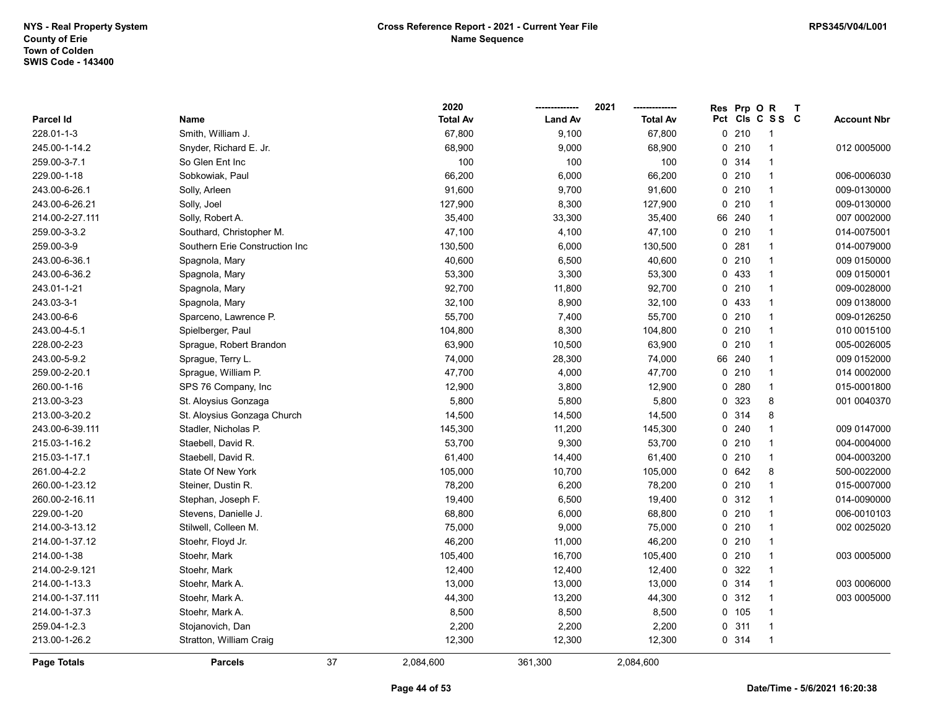|                    |                                |    | 2020            |                | 2021            | <b>Res</b> | Prp OR  |                 | $\mathbf{T}$ |                    |
|--------------------|--------------------------------|----|-----------------|----------------|-----------------|------------|---------|-----------------|--------------|--------------------|
| Parcel Id          | Name                           |    | <b>Total Av</b> | <b>Land Av</b> | <b>Total Av</b> |            |         | Pct Cls C S S C |              | <b>Account Nbr</b> |
| 228.01-1-3         | Smith, William J.              |    | 67,800          | 9,100          | 67,800          |            | 0210    | -1              |              |                    |
| 245.00-1-14.2      | Snyder, Richard E. Jr.         |    | 68,900          | 9,000          | 68,900          |            | 0210    | $\overline{1}$  |              | 012 0005000        |
| 259.00-3-7.1       | So Glen Ent Inc                |    | 100             | 100            | 100             |            | 0.314   | 1               |              |                    |
| 229.00-1-18        | Sobkowiak, Paul                |    | 66,200          | 6,000          | 66,200          |            | 0210    | $\mathbf{1}$    |              | 006-0006030        |
| 243.00-6-26.1      | Solly, Arleen                  |    | 91,600          | 9,700          | 91,600          |            | 0210    | $\overline{1}$  |              | 009-0130000        |
| 243.00-6-26.21     | Solly, Joel                    |    | 127,900         | 8,300          | 127,900         |            | 0210    | $\mathbf{1}$    |              | 009-0130000        |
| 214.00-2-27.111    | Solly, Robert A.               |    | 35,400          | 33,300         | 35,400          |            | 66 240  | -1              |              | 007 0002000        |
| 259.00-3-3.2       | Southard, Christopher M.       |    | 47,100          | 4,100          | 47,100          |            | 0210    | $\mathbf 1$     |              | 014-0075001        |
| 259.00-3-9         | Southern Erie Construction Inc |    | 130,500         | 6,000          | 130,500         |            | 0.281   | $\overline{1}$  |              | 014-0079000        |
| 243.00-6-36.1      | Spagnola, Mary                 |    | 40,600          | 6,500          | 40,600          |            | 0210    | 1               |              | 009 0150000        |
| 243.00-6-36.2      | Spagnola, Mary                 |    | 53,300          | 3,300          | 53,300          |            | 0 433   | $\mathbf 1$     |              | 009 0150001        |
| 243.01-1-21        | Spagnola, Mary                 |    | 92,700          | 11,800         | 92,700          |            | 0210    | $\mathbf{1}$    |              | 009-0028000        |
| 243.03-3-1         | Spagnola, Mary                 |    | 32,100          | 8,900          | 32,100          |            | 0 433   | $\overline{1}$  |              | 009 0138000        |
| 243.00-6-6         | Sparceno, Lawrence P.          |    | 55,700          | 7,400          | 55,700          |            | 0210    |                 |              | 009-0126250        |
| 243.00-4-5.1       | Spielberger, Paul              |    | 104,800         | 8,300          | 104,800         |            | 0210    | $\mathbf 1$     |              | 010 0015100        |
| 228.00-2-23        | Sprague, Robert Brandon        |    | 63,900          | 10,500         | 63,900          |            | 0210    | $\mathbf 1$     |              | 005-0026005        |
| 243.00-5-9.2       | Sprague, Terry L.              |    | 74,000          | 28,300         | 74,000          | 66         | 240     | $\mathbf 1$     |              | 009 0152000        |
| 259.00-2-20.1      | Sprague, William P.            |    | 47,700          | 4,000          | 47,700          |            | 0210    | $\mathbf 1$     |              | 014 0002000        |
| 260.00-1-16        | SPS 76 Company, Inc            |    | 12,900          | 3,800          | 12,900          |            | 0.280   | $\mathbf{1}$    |              | 015-0001800        |
| 213.00-3-23        | St. Aloysius Gonzaga           |    | 5,800           | 5,800          | 5,800           |            | 0 323   | 8               |              | 001 0040370        |
| 213.00-3-20.2      | St. Aloysius Gonzaga Church    |    | 14,500          | 14,500         | 14,500          |            | 0.314   | 8               |              |                    |
| 243.00-6-39.111    | Stadler, Nicholas P.           |    | 145,300         | 11,200         | 145,300         |            | 0.240   | $\mathbf 1$     |              | 009 0147000        |
| 215.03-1-16.2      | Staebell, David R.             |    | 53,700          | 9,300          | 53,700          |            | 0210    | $\mathbf 1$     |              | 004-0004000        |
| 215.03-1-17.1      | Staebell, David R.             |    | 61,400          | 14,400         | 61,400          |            | 0210    | $\overline{1}$  |              | 004-0003200        |
| 261.00-4-2.2       | State Of New York              |    | 105,000         | 10,700         | 105,000         |            | 0 642   | 8               |              | 500-0022000        |
| 260.00-1-23.12     | Steiner, Dustin R.             |    | 78,200          | 6,200          | 78,200          |            | 0210    | $\mathbf{1}$    |              | 015-0007000        |
| 260.00-2-16.11     | Stephan, Joseph F.             |    | 19,400          | 6,500          | 19,400          |            | 0.312   | $\mathbf 1$     |              | 014-0090000        |
| 229.00-1-20        | Stevens, Danielle J.           |    | 68,800          | 6,000          | 68,800          |            | $0$ 210 | -1              |              | 006-0010103        |
| 214.00-3-13.12     | Stilwell, Colleen M.           |    | 75,000          | 9,000          | 75,000          |            | 0210    | $\mathbf 1$     |              | 002 0025020        |
| 214.00-1-37.12     | Stoehr, Floyd Jr.              |    | 46,200          | 11,000         | 46,200          |            | 0210    | 1               |              |                    |
| 214.00-1-38        | Stoehr, Mark                   |    | 105,400         | 16,700         | 105,400         |            | 0210    | $\overline{1}$  |              | 003 0005000        |
| 214.00-2-9.121     | Stoehr, Mark                   |    | 12,400          | 12,400         | 12,400          |            | 0 322   | $\mathbf{1}$    |              |                    |
| 214.00-1-13.3      | Stoehr, Mark A.                |    | 13,000          | 13,000         | 13,000          |            | 0.314   | $\mathbf{1}$    |              | 003 0006000        |
| 214.00-1-37.111    | Stoehr, Mark A.                |    | 44,300          | 13,200         | 44,300          |            | 0.312   | $\mathbf{1}$    |              | 003 0005000        |
| 214.00-1-37.3      | Stoehr, Mark A.                |    | 8,500           | 8,500          | 8,500           |            | 0, 105  | $\mathbf 1$     |              |                    |
| 259.04-1-2.3       | Stojanovich, Dan               |    | 2,200           | 2,200          | 2,200           |            | 0.311   | $\mathbf 1$     |              |                    |
| 213.00-1-26.2      | Stratton, William Craig        |    | 12,300          | 12,300         | 12,300          |            | 0 314   | 1               |              |                    |
| <b>Page Totals</b> | <b>Parcels</b>                 | 37 | 2,084,600       | 361,300        | 2,084,600       |            |         |                 |              |                    |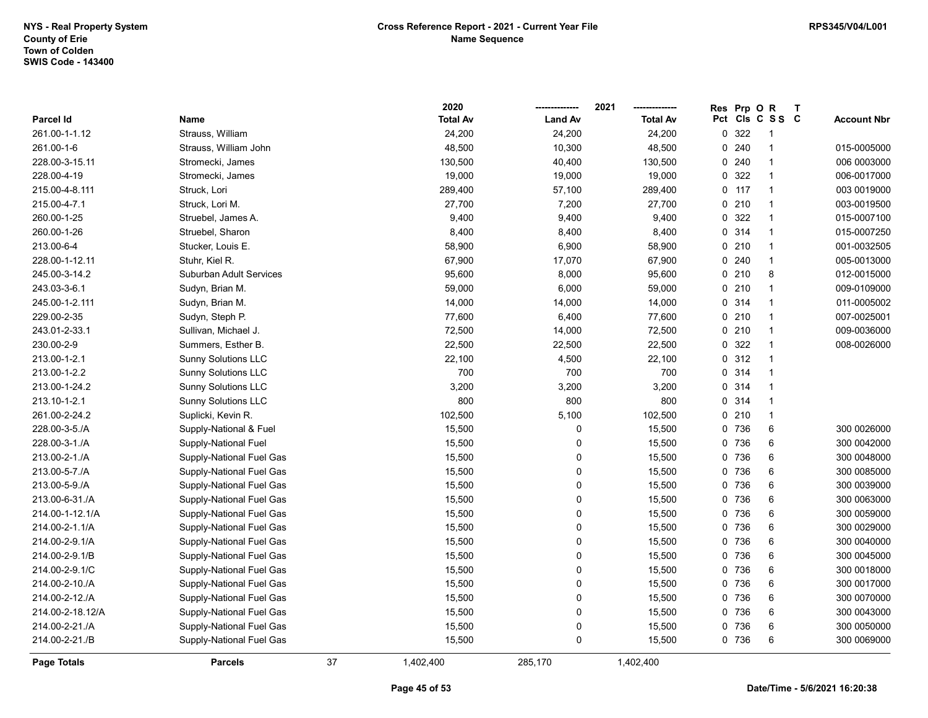|                  |                            |    | 2020            |                | 2021            | Res | Prp OR  |                         | $\mathsf{T}$ |                    |
|------------------|----------------------------|----|-----------------|----------------|-----------------|-----|---------|-------------------------|--------------|--------------------|
| Parcel Id        | Name                       |    | <b>Total Av</b> | <b>Land Av</b> | <b>Total Av</b> |     |         | Pct Cls C S S C         |              | <b>Account Nbr</b> |
| 261.00-1-1.12    | Strauss, William           |    | 24,200          | 24,200         | 24,200          |     | 0 322   | $\overline{1}$          |              |                    |
| 261.00-1-6       | Strauss, William John      |    | 48,500          | 10,300         | 48,500          |     | 0.240   | 1                       |              | 015-0005000        |
| 228.00-3-15.11   | Stromecki, James           |    | 130,500         | 40,400         | 130,500         |     | 0.240   | $\overline{\mathbf{1}}$ |              | 006 0003000        |
| 228.00-4-19      | Stromecki, James           |    | 19,000          | 19,000         | 19,000          |     | 0.322   | $\overline{1}$          |              | 006-0017000        |
| 215.00-4-8.111   | Struck, Lori               |    | 289,400         | 57,100         | 289,400         |     | $0$ 117 | $\overline{1}$          |              | 003 0019000        |
| 215.00-4-7.1     | Struck, Lori M.            |    | 27,700          | 7,200          | 27,700          |     | 0210    | $\overline{1}$          |              | 003-0019500        |
| 260.00-1-25      | Struebel, James A.         |    | 9,400           | 9,400          | 9,400           |     | 0 322   | $\mathbf{1}$            |              | 015-0007100        |
| 260.00-1-26      | Struebel, Sharon           |    | 8,400           | 8,400          | 8,400           |     | 0 314   | $\overline{1}$          |              | 015-0007250        |
| 213.00-6-4       | Stucker, Louis E.          |    | 58,900          | 6,900          | 58,900          |     | 0210    | $\overline{1}$          |              | 001-0032505        |
| 228.00-1-12.11   | Stuhr, Kiel R.             |    | 67,900          | 17,070         | 67,900          |     | 0.240   | $\overline{1}$          |              | 005-0013000        |
| 245.00-3-14.2    | Suburban Adult Services    |    | 95,600          | 8,000          | 95,600          |     | 0210    | 8                       |              | 012-0015000        |
| 243.03-3-6.1     | Sudyn, Brian M.            |    | 59,000          | 6,000          | 59,000          |     | 0210    | $\mathbf{1}$            |              | 009-0109000        |
| 245.00-1-2.111   | Sudyn, Brian M.            |    | 14,000          | 14,000         | 14,000          |     | 0.314   | $\mathbf 1$             |              | 011-0005002        |
| 229.00-2-35      | Sudyn, Steph P.            |    | 77,600          | 6,400          | 77,600          |     | 0210    | $\overline{\mathbf{1}}$ |              | 007-0025001        |
| 243.01-2-33.1    | Sullivan, Michael J.       |    | 72,500          | 14,000         | 72,500          |     | 0210    | $\overline{1}$          |              | 009-0036000        |
| 230.00-2-9       | Summers, Esther B.         |    | 22,500          | 22,500         | 22,500          |     | 0 322   | $\overline{1}$          |              | 008-0026000        |
| 213.00-1-2.1     | <b>Sunny Solutions LLC</b> |    | 22,100          | 4,500          | 22,100          |     | 0.312   | $\overline{\mathbf{1}}$ |              |                    |
| 213.00-1-2.2     | <b>Sunny Solutions LLC</b> |    | 700             | 700            | 700             |     | 0 314   | $\overline{1}$          |              |                    |
| 213.00-1-24.2    | <b>Sunny Solutions LLC</b> |    | 3,200           | 3,200          | 3,200           |     | 0.314   | $\overline{1}$          |              |                    |
| 213.10-1-2.1     | <b>Sunny Solutions LLC</b> |    | 800             | 800            | 800             |     | 0.314   | $\overline{1}$          |              |                    |
| 261.00-2-24.2    | Suplicki, Kevin R.         |    | 102,500         | 5,100          | 102,500         |     | 0210    | $\mathbf{1}$            |              |                    |
| 228.00-3-5./A    | Supply-National & Fuel     |    | 15,500          | $\Omega$       | 15,500          |     | 0 736   | 6                       |              | 300 0026000        |
| 228.00-3-1./A    | Supply-National Fuel       |    | 15,500          | $\mathbf 0$    | 15,500          |     | 0 736   | 6                       |              | 300 0042000        |
| 213.00-2-1./A    | Supply-National Fuel Gas   |    | 15,500          | $\mathbf 0$    | 15,500          |     | 0 736   | 6                       |              | 300 0048000        |
| 213.00-5-7./A    | Supply-National Fuel Gas   |    | 15,500          | $\Omega$       | 15,500          |     | 0 736   | 6                       |              | 300 0085000        |
| 213.00-5-9./A    | Supply-National Fuel Gas   |    | 15,500          | 0              | 15,500          |     | 0 736   | 6                       |              | 300 0039000        |
| 213.00-6-31./A   | Supply-National Fuel Gas   |    | 15,500          | 0              | 15,500          |     | 0 736   | 6                       |              | 300 0063000        |
| 214.00-1-12.1/A  | Supply-National Fuel Gas   |    | 15,500          | 0              | 15,500          |     | 0 736   | 6                       |              | 300 0059000        |
| 214.00-2-1.1/A   | Supply-National Fuel Gas   |    | 15,500          | 0              | 15,500          |     | 0 736   | 6                       |              | 300 0029000        |
| 214.00-2-9.1/A   | Supply-National Fuel Gas   |    | 15,500          | 0              | 15,500          |     | 0 736   | 6                       |              | 300 0040000        |
| 214.00-2-9.1/B   | Supply-National Fuel Gas   |    | 15,500          | 0              | 15,500          |     | 0 736   | 6                       |              | 300 0045000        |
| 214.00-2-9.1/C   | Supply-National Fuel Gas   |    | 15,500          | 0              | 15,500          |     | 0 736   | 6                       |              | 300 0018000        |
| 214.00-2-10./A   | Supply-National Fuel Gas   |    | 15,500          | 0              | 15,500          |     | 0 736   | 6                       |              | 300 0017000        |
| 214.00-2-12./A   | Supply-National Fuel Gas   |    | 15,500          | 0              | 15,500          |     | 0 736   | 6                       |              | 300 0070000        |
| 214.00-2-18.12/A | Supply-National Fuel Gas   |    | 15,500          | 0              | 15,500          |     | 0 736   | 6                       |              | 300 0043000        |
| 214.00-2-21./A   | Supply-National Fuel Gas   |    | 15,500          | $\mathbf 0$    | 15,500          |     | 0 736   | 6                       |              | 300 0050000        |
| 214.00-2-21./B   | Supply-National Fuel Gas   |    | 15,500          | 0              | 15,500          |     | 0 736   | $\,6$                   |              | 300 0069000        |
| Page Totals      | <b>Parcels</b>             | 37 | 1,402,400       | 285.170        | 1,402,400       |     |         |                         |              |                    |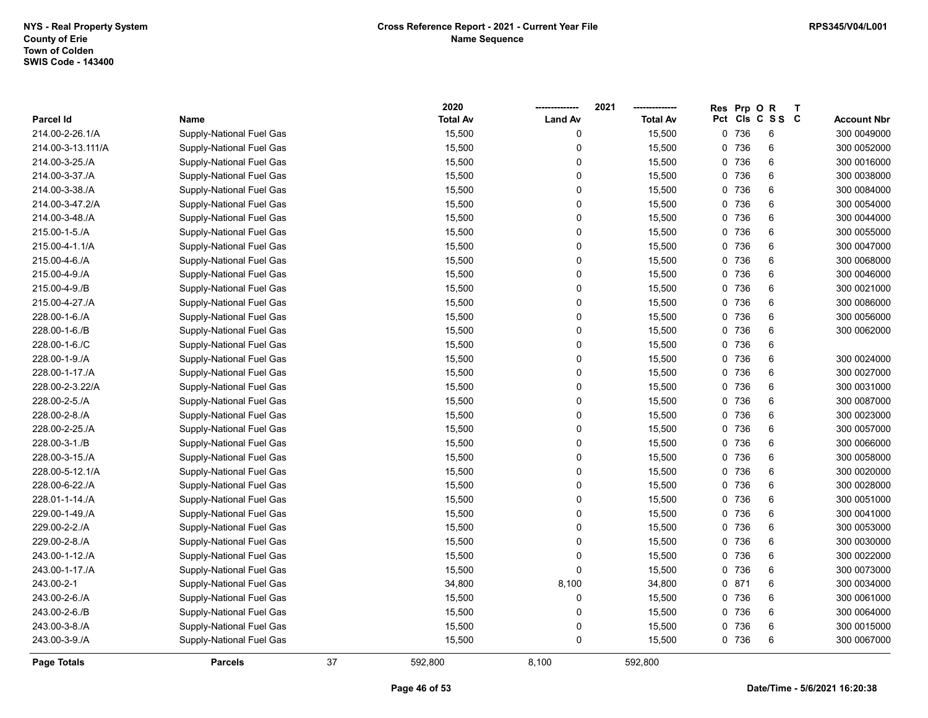|                    |                          |    | 2020            |                | 2021            | Res | Prp O | $\mathsf{R}$    | $\mathbf{T}$ |                    |
|--------------------|--------------------------|----|-----------------|----------------|-----------------|-----|-------|-----------------|--------------|--------------------|
| <b>Parcel Id</b>   | Name                     |    | <b>Total Av</b> | <b>Land Av</b> | <b>Total Av</b> |     |       | Pct Cls C S S C |              | <b>Account Nbr</b> |
| 214.00-2-26.1/A    | Supply-National Fuel Gas |    | 15,500          | 0              | 15,500          |     | 0 736 | 6               |              | 300 0049000        |
| 214.00-3-13.111/A  | Supply-National Fuel Gas |    | 15,500          | $\mathbf 0$    | 15,500          |     | 0 736 | 6               |              | 300 0052000        |
| 214.00-3-25./A     | Supply-National Fuel Gas |    | 15,500          | 0              | 15,500          |     | 0 736 | 6               |              | 300 0016000        |
| 214.00-3-37./A     | Supply-National Fuel Gas |    | 15,500          | 0              | 15,500          |     | 0 736 | 6               |              | 300 0038000        |
| 214.00-3-38./A     | Supply-National Fuel Gas |    | 15,500          | 0              | 15,500          |     | 0 736 | $\,6$           |              | 300 0084000        |
| 214.00-3-47.2/A    | Supply-National Fuel Gas |    | 15,500          | 0              | 15,500          |     | 0 736 | 6               |              | 300 0054000        |
| 214.00-3-48./A     | Supply-National Fuel Gas |    | 15,500          | 0              | 15,500          |     | 0 736 | 6               |              | 300 0044000        |
| 215.00-1-5./A      | Supply-National Fuel Gas |    | 15,500          | 0              | 15,500          |     | 0 736 | 6               |              | 300 0055000        |
| 215.00-4-1.1/A     | Supply-National Fuel Gas |    | 15,500          | 0              | 15,500          |     | 0 736 | 6               |              | 300 0047000        |
| 215.00-4-6./A      | Supply-National Fuel Gas |    | 15,500          | 0              | 15,500          |     | 0 736 | $\,6$           |              | 300 0068000        |
| 215.00-4-9./A      | Supply-National Fuel Gas |    | 15,500          | 0              | 15,500          |     | 0 736 | 6               |              | 300 0046000        |
| 215.00-4-9./B      | Supply-National Fuel Gas |    | 15,500          | 0              | 15,500          |     | 0 736 | 6               |              | 300 0021000        |
| 215.00-4-27./A     | Supply-National Fuel Gas |    | 15,500          | 0              | 15,500          |     | 0 736 | 6               |              | 300 0086000        |
| 228.00-1-6./A      | Supply-National Fuel Gas |    | 15,500          | 0              | 15,500          |     | 0 736 | $\,6\,$         |              | 300 0056000        |
| 228.00-1-6./B      | Supply-National Fuel Gas |    | 15,500          | 0              | 15,500          |     | 0 736 | 6               |              | 300 0062000        |
| 228.00-1-6./C      | Supply-National Fuel Gas |    | 15,500          | 0              | 15,500          |     | 0 736 | 6               |              |                    |
| 228.00-1-9./A      | Supply-National Fuel Gas |    | 15,500          | 0              | 15,500          |     | 0 736 | $\,6\,$         |              | 300 0024000        |
| 228.00-1-17./A     | Supply-National Fuel Gas |    | 15,500          | 0              | 15,500          |     | 0 736 | $\,6\,$         |              | 300 0027000        |
| 228.00-2-3.22/A    | Supply-National Fuel Gas |    | 15,500          | 0              | 15,500          |     | 0 736 | 6               |              | 300 0031000        |
| 228.00-2-5./A      | Supply-National Fuel Gas |    | 15,500          | 0              | 15,500          |     | 0 736 | 6               |              | 300 0087000        |
| 228.00-2-8./A      | Supply-National Fuel Gas |    | 15,500          | 0              | 15,500          |     | 0 736 | $\,6\,$         |              | 300 0023000        |
| 228.00-2-25./A     | Supply-National Fuel Gas |    | 15,500          | 0              | 15,500          |     | 0 736 | 6               |              | 300 0057000        |
| 228.00-3-1./B      | Supply-National Fuel Gas |    | 15,500          | 0              | 15,500          |     | 0 736 | 6               |              | 300 0066000        |
| 228.00-3-15./A     | Supply-National Fuel Gas |    | 15,500          | 0              | 15,500          |     | 0 736 | 6               |              | 300 0058000        |
| 228.00-5-12.1/A    | Supply-National Fuel Gas |    | 15,500          | 0              | 15,500          |     | 0 736 | $\,6\,$         |              | 300 0020000        |
| 228.00-6-22./A     | Supply-National Fuel Gas |    | 15,500          | 0              | 15,500          |     | 0 736 | $\,6\,$         |              | 300 0028000        |
| 228.01-1-14./A     | Supply-National Fuel Gas |    | 15,500          | 0              | 15,500          |     | 0 736 | 6               |              | 300 0051000        |
| 229.00-1-49./A     | Supply-National Fuel Gas |    | 15,500          | 0              | 15,500          |     | 0 736 | $\,6\,$         |              | 300 0041000        |
| 229.00-2-2./A      | Supply-National Fuel Gas |    | 15,500          | 0              | 15,500          |     | 0 736 | 6               |              | 300 0053000        |
| 229.00-2-8./A      | Supply-National Fuel Gas |    | 15,500          | 0              | 15,500          |     | 0 736 | 6               |              | 300 0030000        |
| 243.00-1-12./A     | Supply-National Fuel Gas |    | 15,500          | 0              | 15,500          |     | 0 736 | $\,6\,$         |              | 300 0022000        |
| 243.00-1-17./A     | Supply-National Fuel Gas |    | 15,500          | 0              | 15,500          |     | 0 736 | 6               |              | 300 0073000        |
| 243.00-2-1         | Supply-National Fuel Gas |    | 34,800          | 8,100          | 34,800          |     | 0.871 | $\,6\,$         |              | 300 0034000        |
| 243.00-2-6./A      | Supply-National Fuel Gas |    | 15,500          | 0              | 15,500          |     | 0 736 | 6               |              | 300 0061000        |
| 243.00-2-6./B      | Supply-National Fuel Gas |    | 15,500          | 0              | 15,500          |     | 0 736 | $\,6\,$         |              | 300 0064000        |
| 243.00-3-8./A      | Supply-National Fuel Gas |    | 15,500          | 0              | 15,500          |     | 0 736 | 6               |              | 300 0015000        |
| 243.00-3-9./A      | Supply-National Fuel Gas |    | 15,500          | 0              | 15,500          |     | 0 736 | $6\phantom{1}6$ |              | 300 0067000        |
| <b>Page Totals</b> | <b>Parcels</b>           | 37 | 592,800         | 8.100          | 592,800         |     |       |                 |              |                    |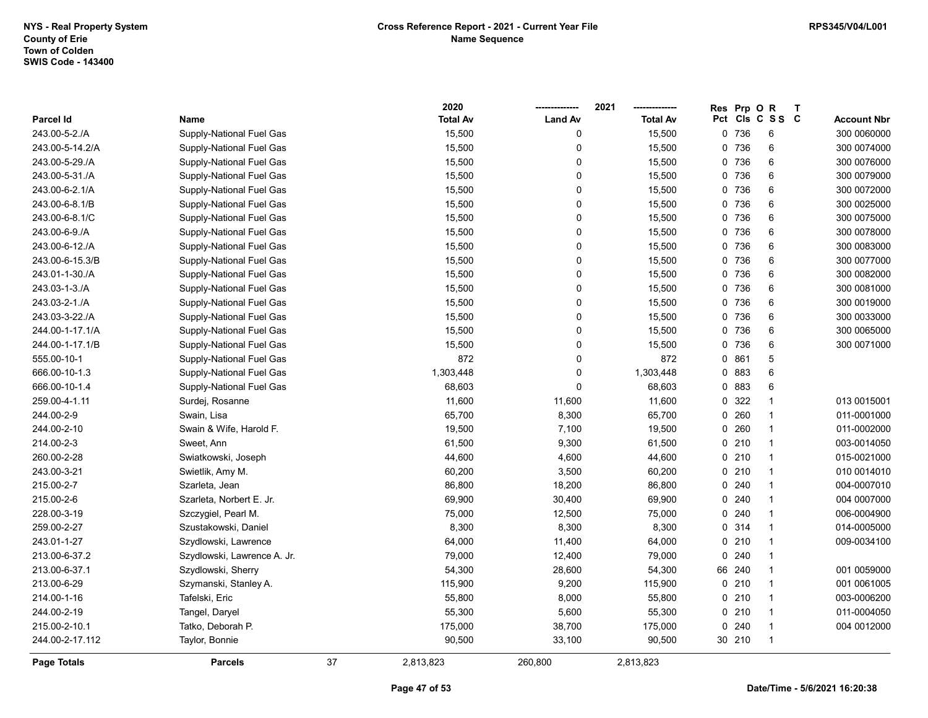|                  |                             |    | 2020            |                | 2021            | Res Prp O | $\mathsf{R}$    | $\mathbf{T}$ |                    |
|------------------|-----------------------------|----|-----------------|----------------|-----------------|-----------|-----------------|--------------|--------------------|
| <b>Parcel Id</b> | Name                        |    | <b>Total Av</b> | <b>Land Av</b> | <b>Total Av</b> |           | Pct Cls C S S C |              | <b>Account Nbr</b> |
| 243.00-5-2./A    | Supply-National Fuel Gas    |    | 15,500          | 0              | 15,500          | 0 736     | 6               |              | 300 0060000        |
| 243.00-5-14.2/A  | Supply-National Fuel Gas    |    | 15,500          | 0              | 15,500          | 0 736     | 6               |              | 300 0074000        |
| 243.00-5-29./A   | Supply-National Fuel Gas    |    | 15,500          | 0              | 15,500          | 0 736     | 6               |              | 300 0076000        |
| 243.00-5-31./A   | Supply-National Fuel Gas    |    | 15,500          | $\mathbf 0$    | 15,500          | 0 736     | 6               |              | 300 0079000        |
| 243.00-6-2.1/A   | Supply-National Fuel Gas    |    | 15,500          | $\pmb{0}$      | 15,500          | 0 736     | 6               |              | 300 0072000        |
| 243.00-6-8.1/B   | Supply-National Fuel Gas    |    | 15,500          | $\mathbf 0$    | 15,500          | 0 736     | 6               |              | 300 0025000        |
| 243.00-6-8.1/C   | Supply-National Fuel Gas    |    | 15,500          | $\mathbf 0$    | 15,500          | 0 736     | 6               |              | 300 0075000        |
| 243.00-6-9./A    | Supply-National Fuel Gas    |    | 15,500          | $\mathbf 0$    | 15,500          | 0 736     | 6               |              | 300 0078000        |
| 243.00-6-12./A   | Supply-National Fuel Gas    |    | 15,500          | 0              | 15,500          | 0 736     | 6               |              | 300 0083000        |
| 243.00-6-15.3/B  | Supply-National Fuel Gas    |    | 15,500          | 0              | 15,500          | 0 736     | $\,6$           |              | 300 0077000        |
| 243.01-1-30./A   | Supply-National Fuel Gas    |    | 15,500          | 0              | 15,500          | 0 736     | 6               |              | 300 0082000        |
| 243.03-1-3./A    | Supply-National Fuel Gas    |    | 15,500          | $\pmb{0}$      | 15,500          | 0 736     | $\,6$           |              | 300 0081000        |
| 243.03-2-1./A    | Supply-National Fuel Gas    |    | 15,500          | 0              | 15,500          | 0 736     | 6               |              | 300 0019000        |
| 243.03-3-22./A   | Supply-National Fuel Gas    |    | 15,500          | $\mathbf 0$    | 15,500          | 0 736     | 6               |              | 300 0033000        |
| 244.00-1-17.1/A  | Supply-National Fuel Gas    |    | 15,500          | $\mathbf 0$    | 15,500          | 0 736     | 6               |              | 300 0065000        |
| 244.00-1-17.1/B  | Supply-National Fuel Gas    |    | 15,500          | $\pmb{0}$      | 15,500          | 0 736     | 6               |              | 300 0071000        |
| 555.00-10-1      | Supply-National Fuel Gas    |    | 872             | $\pmb{0}$      | 872             | 0 861     | 5               |              |                    |
| 666.00-10-1.3    | Supply-National Fuel Gas    |    | 1,303,448       | $\mathbf 0$    | 1,303,448       | 0 883     | $\,6$           |              |                    |
| 666.00-10-1.4    | Supply-National Fuel Gas    |    | 68,603          | $\mathbf 0$    | 68,603          | 0 883     | 6               |              |                    |
| 259.00-4-1.11    | Surdej, Rosanne             |    | 11,600          | 11,600         | 11,600          | 0 322     | $\mathbf{1}$    |              | 013 0015001        |
| 244.00-2-9       | Swain, Lisa                 |    | 65,700          | 8,300          | 65,700          | 0.260     | $\mathbf{1}$    |              | 011-0001000        |
| 244.00-2-10      | Swain & Wife, Harold F.     |    | 19,500          | 7,100          | 19,500          | $0\ 260$  | $\mathbf{1}$    |              | 011-0002000        |
| 214.00-2-3       | Sweet, Ann                  |    | 61,500          | 9,300          | 61,500          | $0$ 210   | $\mathbf{1}$    |              | 003-0014050        |
| 260.00-2-28      | Swiatkowski, Joseph         |    | 44,600          | 4,600          | 44,600          | 0210      | $\mathbf{1}$    |              | 015-0021000        |
| 243.00-3-21      | Swietlik, Amy M.            |    | 60,200          | 3,500          | 60,200          | 0210      | $\mathbf{1}$    |              | 010 0014010        |
| 215.00-2-7       | Szarleta, Jean              |    | 86,800          | 18,200         | 86,800          | 0.240     | $\mathbf{1}$    |              | 004-0007010        |
| 215.00-2-6       | Szarleta, Norbert E. Jr.    |    | 69,900          | 30,400         | 69,900          | 0.240     | $\mathbf{1}$    |              | 004 0007000        |
| 228.00-3-19      | Szczygiel, Pearl M.         |    | 75,000          | 12,500         | 75,000          | 0.240     | $\mathbf{1}$    |              | 006-0004900        |
| 259.00-2-27      | Szustakowski, Daniel        |    | 8,300           | 8,300          | 8,300           | 0.314     | $\mathbf{1}$    |              | 014-0005000        |
| 243.01-1-27      | Szydlowski, Lawrence        |    | 64,000          | 11,400         | 64,000          | $0$ 210   | $\mathbf{1}$    |              | 009-0034100        |
| 213.00-6-37.2    | Szydlowski, Lawrence A. Jr. |    | 79,000          | 12,400         | 79,000          | 0.240     | $\mathbf{1}$    |              |                    |
| 213.00-6-37.1    | Szydlowski, Sherry          |    | 54,300          | 28,600         | 54,300          | 66 240    | $\mathbf{1}$    |              | 001 0059000        |
| 213.00-6-29      | Szymanski, Stanley A.       |    | 115,900         | 9,200          | 115,900         | 0.210     | $\mathbf{1}$    |              | 001 0061005        |
| 214.00-1-16      | Tafelski, Eric              |    | 55,800          | 8,000          | 55,800          | 0210      | $\mathbf{1}$    |              | 003-0006200        |
| 244.00-2-19      | Tangel, Daryel              |    | 55,300          | 5,600          | 55,300          | 0210      | $\mathbf{1}$    |              | 011-0004050        |
| 215.00-2-10.1    | Tatko, Deborah P.           |    | 175,000         | 38,700         | 175,000         | 0.240     | $\mathbf{1}$    |              | 004 0012000        |
| 244.00-2-17.112  | Taylor, Bonnie              |    | 90,500          | 33,100         | 90,500          | 30 210    | $\mathbf{1}$    |              |                    |
| Page Totals      | <b>Parcels</b>              | 37 | 2,813,823       | 260,800        | 2,813,823       |           |                 |              |                    |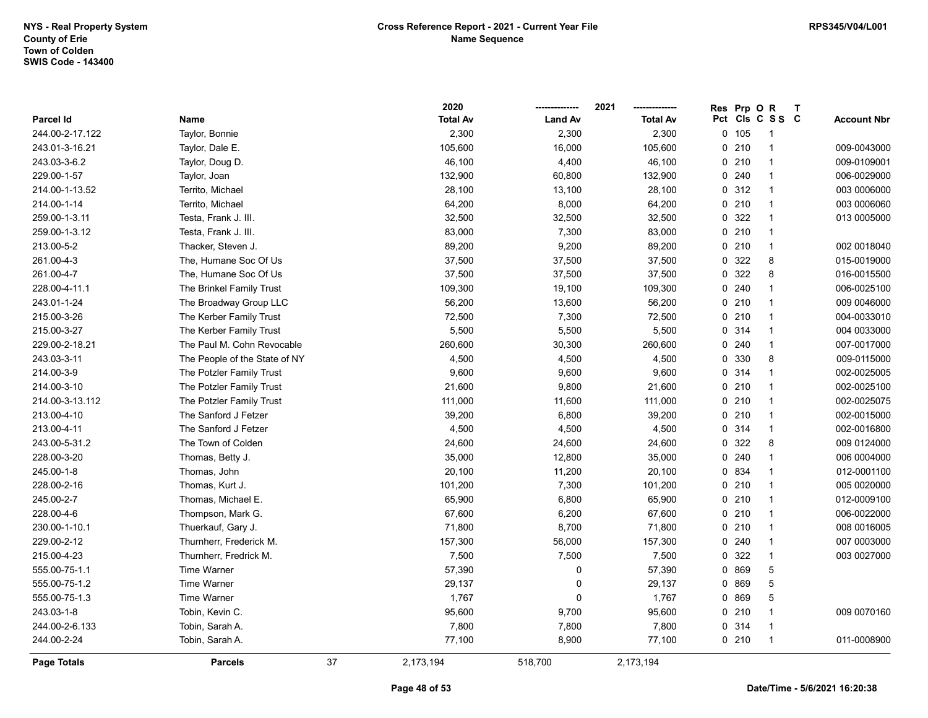|                    |                               |    | 2020            |                | 2021            | Res | Prp O | $\mathsf{R}$    | $\mathbf{T}$ |                    |
|--------------------|-------------------------------|----|-----------------|----------------|-----------------|-----|-------|-----------------|--------------|--------------------|
| Parcel Id          | Name                          |    | <b>Total Av</b> | <b>Land Av</b> | <b>Total Av</b> |     |       | Pct Cls C S S C |              | <b>Account Nbr</b> |
| 244.00-2-17.122    | Taylor, Bonnie                |    | 2,300           | 2,300          | 2,300           |     | 0.105 | 1               |              |                    |
| 243.01-3-16.21     | Taylor, Dale E.               |    | 105,600         | 16,000         | 105,600         |     | 0210  | $\mathbf{1}$    |              | 009-0043000        |
| 243.03-3-6.2       | Taylor, Doug D.               |    | 46,100          | 4,400          | 46,100          |     | 0210  | $\mathbf{1}$    |              | 009-0109001        |
| 229.00-1-57        | Taylor, Joan                  |    | 132,900         | 60,800         | 132,900         |     | 0.240 | $\mathbf{1}$    |              | 006-0029000        |
| 214.00-1-13.52     | Territo, Michael              |    | 28,100          | 13,100         | 28,100          |     | 0 312 | $\mathbf{1}$    |              | 003 0006000        |
| 214.00-1-14        | Territo, Michael              |    | 64,200          | 8,000          | 64,200          |     | 0210  | $\mathbf{1}$    |              | 003 0006060        |
| 259.00-1-3.11      | Testa, Frank J. III.          |    | 32,500          | 32,500         | 32,500          |     | 0 322 | $\mathbf{1}$    |              | 013 0005000        |
| 259.00-1-3.12      | Testa, Frank J. III.          |    | 83,000          | 7,300          | 83,000          |     | 0210  | $\mathbf{1}$    |              |                    |
| 213.00-5-2         | Thacker, Steven J.            |    | 89,200          | 9,200          | 89,200          |     | 0210  | $\mathbf{1}$    |              | 002 0018040        |
| 261.00-4-3         | The, Humane Soc Of Us         |    | 37,500          | 37,500         | 37,500          |     | 0 322 | 8               |              | 015-0019000        |
| 261.00-4-7         | The, Humane Soc Of Us         |    | 37,500          | 37,500         | 37,500          |     | 0 322 | 8               |              | 016-0015500        |
| 228.00-4-11.1      | The Brinkel Family Trust      |    | 109,300         | 19,100         | 109,300         |     | 0.240 | $\mathbf{1}$    |              | 006-0025100        |
| 243.01-1-24        | The Broadway Group LLC        |    | 56,200          | 13,600         | 56,200          |     | 0210  | $\mathbf{1}$    |              | 009 0046000        |
| 215.00-3-26        | The Kerber Family Trust       |    | 72,500          | 7,300          | 72,500          |     | 0210  | $\mathbf{1}$    |              | 004-0033010        |
| 215.00-3-27        | The Kerber Family Trust       |    | 5,500           | 5,500          | 5,500           |     | 0.314 | 1               |              | 004 0033000        |
| 229.00-2-18.21     | The Paul M. Cohn Revocable    |    | 260,600         | 30,300         | 260,600         |     | 0.240 | 1               |              | 007-0017000        |
| 243.03-3-11        | The People of the State of NY |    | 4,500           | 4,500          | 4,500           |     | 0 330 | 8               |              | 009-0115000        |
| 214.00-3-9         | The Potzler Family Trust      |    | 9,600           | 9,600          | 9,600           |     | 0.314 | $\mathbf{1}$    |              | 002-0025005        |
| 214.00-3-10        | The Potzler Family Trust      |    | 21,600          | 9,800          | 21,600          |     | 0210  | $\mathbf{1}$    |              | 002-0025100        |
| 214.00-3-13.112    | The Potzler Family Trust      |    | 111,000         | 11,600         | 111,000         |     | 0210  | $\mathbf{1}$    |              | 002-0025075        |
| 213.00-4-10        | The Sanford J Fetzer          |    | 39,200          | 6,800          | 39,200          |     | 0210  | $\mathbf{1}$    |              | 002-0015000        |
| 213.00-4-11        | The Sanford J Fetzer          |    | 4,500           | 4,500          | 4,500           |     | 0.314 | $\mathbf{1}$    |              | 002-0016800        |
| 243.00-5-31.2      | The Town of Colden            |    | 24,600          | 24,600         | 24,600          |     | 0 322 | 8               |              | 009 0124000        |
| 228.00-3-20        | Thomas, Betty J.              |    | 35,000          | 12,800         | 35,000          |     | 0.240 | $\mathbf{1}$    |              | 006 0004000        |
| 245.00-1-8         | Thomas, John                  |    | 20,100          | 11,200         | 20,100          |     | 0 834 | $\mathbf{1}$    |              | 012-0001100        |
| 228.00-2-16        | Thomas, Kurt J.               |    | 101,200         | 7,300          | 101,200         |     | 0210  | $\mathbf{1}$    |              | 005 0020000        |
| 245.00-2-7         | Thomas, Michael E.            |    | 65,900          | 6,800          | 65,900          |     | 0210  | $\mathbf{1}$    |              | 012-0009100        |
| 228.00-4-6         | Thompson, Mark G.             |    | 67,600          | 6,200          | 67,600          |     | 0210  | $\mathbf{1}$    |              | 006-0022000        |
| 230.00-1-10.1      | Thuerkauf, Gary J.            |    | 71,800          | 8,700          | 71,800          |     | 0210  | $\mathbf{1}$    |              | 008 0016005        |
| 229.00-2-12        | Thurnherr, Frederick M.       |    | 157,300         | 56,000         | 157,300         |     | 0.240 | 1               |              | 007 0003000        |
| 215.00-4-23        | Thurnherr, Fredrick M.        |    | 7,500           | 7,500          | 7,500           |     | 0 322 | $\mathbf{1}$    |              | 003 0027000        |
| 555.00-75-1.1      | <b>Time Warner</b>            |    | 57,390          | 0              | 57,390          |     | 0 869 | 5               |              |                    |
| 555.00-75-1.2      | <b>Time Warner</b>            |    | 29,137          | $\mathbf 0$    | 29,137          |     | 0 869 | $\,$ 5 $\,$     |              |                    |
| 555.00-75-1.3      | <b>Time Warner</b>            |    | 1,767           | $\mathbf 0$    | 1,767           |     | 0 869 | 5               |              |                    |
| 243.03-1-8         | Tobin, Kevin C.               |    | 95,600          | 9,700          | 95,600          |     | 0210  | $\mathbf{1}$    |              | 009 0070160        |
| 244.00-2-6.133     | Tobin, Sarah A.               |    | 7,800           | 7,800          | 7,800           |     | 0.314 | $\mathbf{1}$    |              |                    |
| 244.00-2-24        | Tobin, Sarah A.               |    | 77,100          | 8,900          | 77,100          |     | 0210  | $\mathbf{1}$    |              | 011-0008900        |
| <b>Page Totals</b> | <b>Parcels</b>                | 37 | 2,173,194       | 518,700        | 2,173,194       |     |       |                 |              |                    |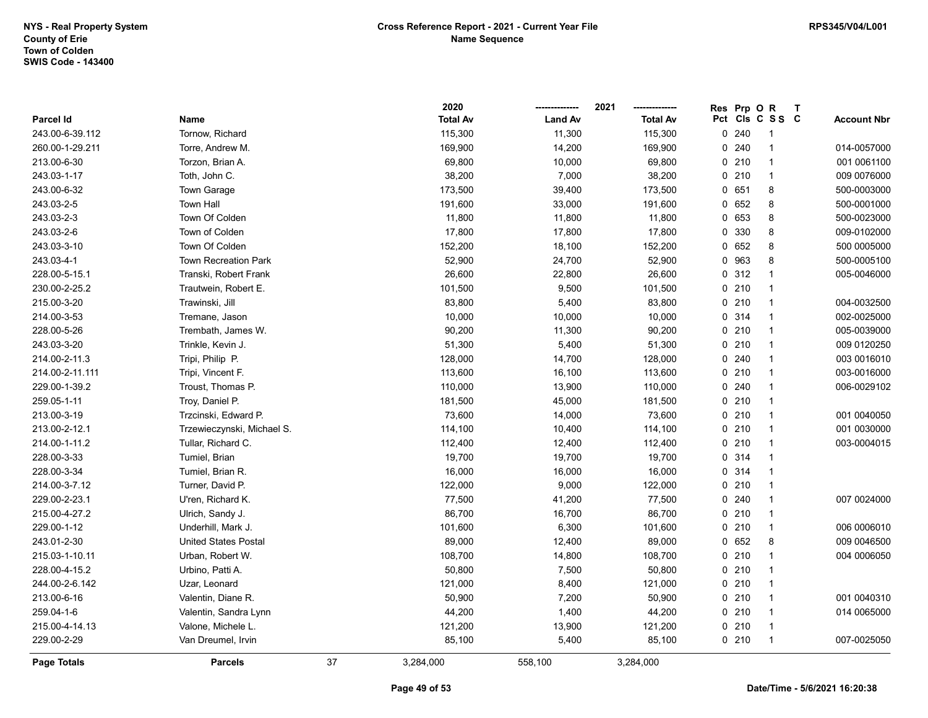|                    |                             |    | 2020            |                | 2021            | Res | Prp OR |                 | T |                    |
|--------------------|-----------------------------|----|-----------------|----------------|-----------------|-----|--------|-----------------|---|--------------------|
| Parcel Id          | Name                        |    | <b>Total Av</b> | <b>Land Av</b> | <b>Total Av</b> |     |        | Pct Cls C S S C |   | <b>Account Nbr</b> |
| 243.00-6-39.112    | Tornow, Richard             |    | 115,300         | 11,300         | 115,300         |     | 0.240  | 1               |   |                    |
| 260.00-1-29.211    | Torre, Andrew M.            |    | 169,900         | 14,200         | 169,900         |     | 0.240  | $\mathbf{1}$    |   | 014-0057000        |
| 213.00-6-30        | Torzon, Brian A.            |    | 69,800          | 10,000         | 69,800          |     | 0210   | 1               |   | 001 0061100        |
| 243.03-1-17        | Toth, John C.               |    | 38,200          | 7,000          | 38,200          |     | 0210   | $\mathbf{1}$    |   | 009 0076000        |
| 243.00-6-32        | Town Garage                 |    | 173,500         | 39,400         | 173,500         |     | 0 651  | 8               |   | 500-0003000        |
| 243.03-2-5         | <b>Town Hall</b>            |    | 191,600         | 33,000         | 191,600         |     | 0652   | 8               |   | 500-0001000        |
| 243.03-2-3         | Town Of Colden              |    | 11,800          | 11,800         | 11,800          |     | 0 653  | 8               |   | 500-0023000        |
| 243.03-2-6         | Town of Colden              |    | 17,800          | 17,800         | 17,800          |     | 0 330  | 8               |   | 009-0102000        |
| 243.03-3-10        | Town Of Colden              |    | 152,200         | 18,100         | 152,200         |     | 0 652  | 8               |   | 500 0005000        |
| 243.03-4-1         | <b>Town Recreation Park</b> |    | 52,900          | 24,700         | 52,900          |     | 0 963  | 8               |   | 500-0005100        |
| 228.00-5-15.1      | Transki, Robert Frank       |    | 26,600          | 22,800         | 26,600          |     | 0.312  | $\mathbf{1}$    |   | 005-0046000        |
| 230.00-2-25.2      | Trautwein, Robert E.        |    | 101,500         | 9,500          | 101,500         |     | 0210   | $\mathbf{1}$    |   |                    |
| 215.00-3-20        | Trawinski, Jill             |    | 83,800          | 5,400          | 83,800          |     | 0210   | $\mathbf{1}$    |   | 004-0032500        |
| 214.00-3-53        | Tremane, Jason              |    | 10,000          | 10,000         | 10,000          |     | 0.314  | $\mathbf{1}$    |   | 002-0025000        |
| 228.00-5-26        | Trembath, James W.          |    | 90,200          | 11,300         | 90,200          |     | 0210   | 1               |   | 005-0039000        |
| 243.03-3-20        | Trinkle, Kevin J.           |    | 51,300          | 5,400          | 51,300          |     | 0210   | $\mathbf{1}$    |   | 009 0120250        |
| 214.00-2-11.3      | Tripi, Philip P.            |    | 128,000         | 14,700         | 128,000         |     | 0.240  | $\mathbf{1}$    |   | 003 0016010        |
| 214.00-2-11.111    | Tripi, Vincent F.           |    | 113,600         | 16,100         | 113,600         |     | 0210   | $\mathbf{1}$    |   | 003-0016000        |
| 229.00-1-39.2      | Troust, Thomas P.           |    | 110,000         | 13,900         | 110,000         |     | 0.240  | $\mathbf{1}$    |   | 006-0029102        |
| 259.05-1-11        | Troy, Daniel P.             |    | 181,500         | 45,000         | 181,500         |     | 0210   | $\mathbf{1}$    |   |                    |
| 213.00-3-19        | Trzcinski, Edward P.        |    | 73,600          | 14,000         | 73,600          |     | 0210   | $\mathbf{1}$    |   | 001 0040050        |
| 213.00-2-12.1      | Trzewieczynski, Michael S.  |    | 114,100         | 10,400         | 114,100         |     | 0210   | $\mathbf{1}$    |   | 001 0030000        |
| 214.00-1-11.2      | Tullar, Richard C.          |    | 112,400         | 12,400         | 112,400         |     | 0210   | 1               |   | 003-0004015        |
| 228.00-3-33        | Tumiel, Brian               |    | 19,700          | 19,700         | 19,700          |     | 0.314  | $\mathbf{1}$    |   |                    |
| 228.00-3-34        | Tumiel, Brian R.            |    | 16,000          | 16,000         | 16,000          |     | 0 314  | $\mathbf{1}$    |   |                    |
| 214.00-3-7.12      | Turner, David P.            |    | 122,000         | 9,000          | 122,000         |     | 0210   | $\mathbf{1}$    |   |                    |
| 229.00-2-23.1      | U'ren, Richard K.           |    | 77,500          | 41,200         | 77,500          |     | 0.240  | $\mathbf{1}$    |   | 007 0024000        |
| 215.00-4-27.2      | Ulrich, Sandy J.            |    | 86,700          | 16,700         | 86,700          |     | 0210   | 1               |   |                    |
| 229.00-1-12        | Underhill, Mark J.          |    | 101,600         | 6,300          | 101,600         |     | 0210   | $\mathbf{1}$    |   | 006 0006010        |
| 243.01-2-30        | <b>United States Postal</b> |    | 89,000          | 12,400         | 89,000          |     | 0 652  | 8               |   | 009 0046500        |
| 215.03-1-10.11     | Urban, Robert W.            |    | 108,700         | 14,800         | 108,700         |     | 0210   | $\mathbf{1}$    |   | 004 0006050        |
| 228.00-4-15.2      | Urbino, Patti A.            |    | 50,800          | 7,500          | 50,800          |     | 0210   | $\mathbf{1}$    |   |                    |
| 244.00-2-6.142     | Uzar, Leonard               |    | 121,000         | 8,400          | 121,000         |     | 0210   | $\mathbf{1}$    |   |                    |
| 213.00-6-16        | Valentin, Diane R.          |    | 50,900          | 7,200          | 50,900          |     | 0210   | $\mathbf{1}$    |   | 001 0040310        |
| 259.04-1-6         | Valentin, Sandra Lynn       |    | 44,200          | 1,400          | 44,200          |     | 0210   | $\mathbf{1}$    |   | 014 0065000        |
| 215.00-4-14.13     | Valone, Michele L.          |    | 121,200         | 13,900         | 121,200         |     | 0210   | $\mathbf 1$     |   |                    |
| 229.00-2-29        | Van Dreumel, Irvin          |    | 85,100          | 5,400          | 85,100          |     | 0210   | $\mathbf{1}$    |   | 007-0025050        |
| <b>Page Totals</b> | <b>Parcels</b>              | 37 | 3,284,000       | 558,100        | 3,284,000       |     |        |                 |   |                    |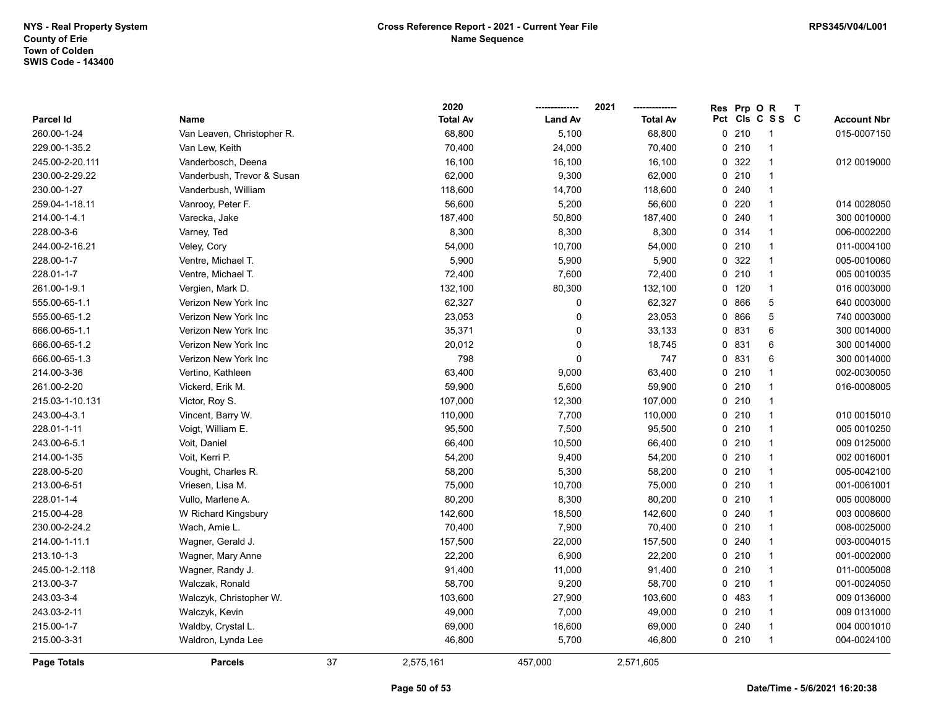|                 |                            |    | 2020            |                | 2021            | Res | Prp O | $\mathsf{R}$             | $\mathbf{T}$ |                    |
|-----------------|----------------------------|----|-----------------|----------------|-----------------|-----|-------|--------------------------|--------------|--------------------|
| Parcel Id       | Name                       |    | <b>Total Av</b> | <b>Land Av</b> | <b>Total Av</b> |     |       | Pct Cls C S S C          |              | <b>Account Nbr</b> |
| 260.00-1-24     | Van Leaven, Christopher R. |    | 68,800          | 5,100          | 68,800          |     | 0210  | -1                       |              | 015-0007150        |
| 229.00-1-35.2   | Van Lew, Keith             |    | 70,400          | 24,000         | 70,400          |     | 0210  | -1                       |              |                    |
| 245.00-2-20.111 | Vanderbosch, Deena         |    | 16,100          | 16,100         | 16,100          |     | 0 322 | -1                       |              | 012 0019000        |
| 230.00-2-29.22  | Vanderbush, Trevor & Susan |    | 62,000          | 9,300          | 62,000          |     | 0210  | $\overline{1}$           |              |                    |
| 230.00-1-27     | Vanderbush, William        |    | 118,600         | 14,700         | 118,600         |     | 0240  | $\mathbf{1}$             |              |                    |
| 259.04-1-18.11  | Vanrooy, Peter F.          |    | 56,600          | 5,200          | 56,600          |     | 0.220 | 1                        |              | 014 0028050        |
| 214.00-1-4.1    | Varecka, Jake              |    | 187,400         | 50,800         | 187,400         |     | 0.240 | 1                        |              | 300 0010000        |
| 228.00-3-6      | Varney, Ted                |    | 8,300           | 8,300          | 8,300           |     | 0.314 | $\overline{1}$           |              | 006-0002200        |
| 244.00-2-16.21  | Veley, Cory                |    | 54,000          | 10,700         | 54,000          |     | 0210  | $\overline{1}$           |              | 011-0004100        |
| 228.00-1-7      | Ventre, Michael T.         |    | 5,900           | 5,900          | 5,900           | 0   | 322   | $\overline{1}$           |              | 005-0010060        |
| 228.01-1-7      | Ventre, Michael T.         |    | 72,400          | 7,600          | 72,400          |     | 0210  | $\overline{1}$           |              | 005 0010035        |
| 261.00-1-9.1    | Vergien, Mark D.           |    | 132,100         | 80,300         | 132,100         | 0   | 120   | $\mathbf{1}$             |              | 016 0003000        |
| 555.00-65-1.1   | Verizon New York Inc       |    | 62,327          | $\pmb{0}$      | 62,327          |     | 0866  | 5                        |              | 640 0003000        |
| 555.00-65-1.2   | Verizon New York Inc       |    | 23,053          | $\pmb{0}$      | 23,053          |     | 0866  | 5                        |              | 740 0003000        |
| 666.00-65-1.1   | Verizon New York Inc       |    | 35,371          | 0              | 33,133          |     | 0 831 | 6                        |              | 300 0014000        |
| 666.00-65-1.2   | Verizon New York Inc       |    | 20,012          | $\mathbf 0$    | 18,745          |     | 0 831 | 6                        |              | 300 0014000        |
| 666.00-65-1.3   | Verizon New York Inc       |    | 798             | $\pmb{0}$      | 747             |     | 0 831 | 6                        |              | 300 0014000        |
| 214.00-3-36     | Vertino, Kathleen          |    | 63,400          | 9,000          | 63,400          |     | 0210  | $\overline{1}$           |              | 002-0030050        |
| 261.00-2-20     | Vickerd, Erik M.           |    | 59,900          | 5,600          | 59,900          |     | 0210  | $\mathbf{1}$             |              | 016-0008005        |
| 215.03-1-10.131 | Victor, Roy S.             |    | 107,000         | 12,300         | 107,000         |     | 0210  | $\overline{\mathbf{1}}$  |              |                    |
| 243.00-4-3.1    | Vincent, Barry W.          |    | 110,000         | 7,700          | 110,000         |     | 0210  | $\overline{1}$           |              | 010 0015010        |
| 228.01-1-11     | Voigt, William E.          |    | 95,500          | 7,500          | 95,500          |     | 0210  | $\overline{1}$           |              | 005 0010250        |
| 243.00-6-5.1    | Voit, Daniel               |    | 66,400          | 10,500         | 66,400          |     | 0210  | $\overline{1}$           |              | 009 0125000        |
| 214.00-1-35     | Voit, Kerri P.             |    | 54,200          | 9,400          | 54,200          |     | 0210  | $\overline{\mathbf{1}}$  |              | 002 0016001        |
| 228.00-5-20     | Vought, Charles R.         |    | 58,200          | 5,300          | 58,200          |     | 0210  | $\overline{1}$           |              | 005-0042100        |
| 213.00-6-51     | Vriesen, Lisa M.           |    | 75,000          | 10,700         | 75,000          |     | 0210  | $\mathbf{1}$             |              | 001-0061001        |
| 228.01-1-4      | Vullo, Marlene A.          |    | 80,200          | 8,300          | 80,200          |     | 0210  | $\overline{1}$           |              | 005 0008000        |
| 215.00-4-28     | W Richard Kingsbury        |    | 142,600         | 18,500         | 142,600         |     | 0.240 | -1                       |              | 003 0008600        |
| 230.00-2-24.2   | Wach, Amie L.              |    | 70,400          | 7,900          | 70,400          |     | 0210  | $\overline{\phantom{a}}$ |              | 008-0025000        |
| 214.00-1-11.1   | Wagner, Gerald J.          |    | 157,500         | 22,000         | 157,500         |     | 0.240 | 1                        |              | 003-0004015        |
| 213.10-1-3      | Wagner, Mary Anne          |    | 22,200          | 6,900          | 22,200          |     | 0210  | $\overline{\mathbf{1}}$  |              | 001-0002000        |
| 245.00-1-2.118  | Wagner, Randy J.           |    | 91,400          | 11,000         | 91,400          |     | 0210  | $\overline{1}$           |              | 011-0005008        |
| 213.00-3-7      | Walczak, Ronald            |    | 58,700          | 9,200          | 58,700          |     | 0210  | $\mathbf{1}$             |              | 001-0024050        |
| 243.03-3-4      | Walczyk, Christopher W.    |    | 103,600         | 27,900         | 103,600         |     | 0 483 | $\mathbf{1}$             |              | 009 0136000        |
| 243.03-2-11     | Walczyk, Kevin             |    | 49,000          | 7,000          | 49,000          |     | 0210  | $\overline{1}$           |              | 009 0131000        |
| 215.00-1-7      | Waldby, Crystal L.         |    | 69,000          | 16,600         | 69,000          |     | 0.240 | -1                       |              | 004 0001010        |
| 215.00-3-31     | Waldron, Lynda Lee         |    | 46,800          | 5,700          | 46,800          |     | 0210  | $\mathbf{1}$             |              | 004-0024100        |
| Page Totals     | <b>Parcels</b>             | 37 | 2,575,161       | 457,000        | 2,571,605       |     |       |                          |              |                    |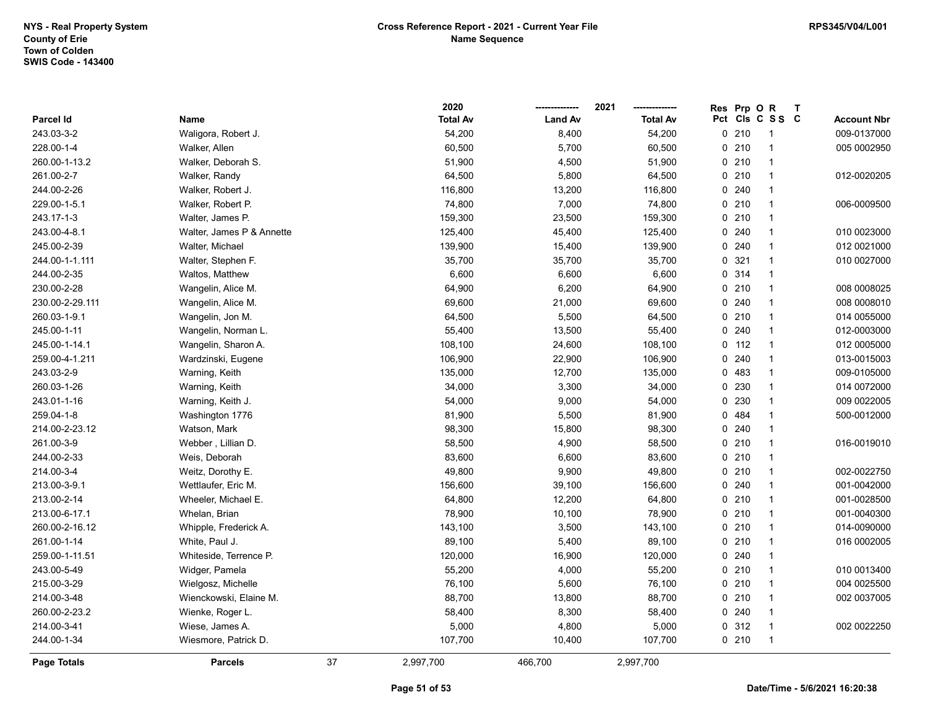|                 |                           |    | 2020            |                | 2021            | Prp O<br><b>Res</b> | $\mathsf{R}$            | $\mathbf{T}$ |                    |
|-----------------|---------------------------|----|-----------------|----------------|-----------------|---------------------|-------------------------|--------------|--------------------|
| Parcel Id       | Name                      |    | <b>Total Av</b> | <b>Land Av</b> | <b>Total Av</b> | Pct Cls C S S C     |                         |              | <b>Account Nbr</b> |
| 243.03-3-2      | Waligora, Robert J.       |    | 54,200          | 8,400          | 54,200          | 0210                |                         |              | 009-0137000        |
| 228.00-1-4      | Walker, Allen             |    | 60,500          | 5,700          | 60,500          | $0$ 210             |                         |              | 005 0002950        |
| 260.00-1-13.2   | Walker, Deborah S.        |    | 51,900          | 4,500          | 51,900          | 0210                | -1                      |              |                    |
| 261.00-2-7      | Walker, Randy             |    | 64,500          | 5,800          | 64,500          | 0210                | $\mathbf{1}$            |              | 012-0020205        |
| 244.00-2-26     | Walker, Robert J.         |    | 116,800         | 13,200         | 116,800         | 0.240               | $\overline{1}$          |              |                    |
| 229.00-1-5.1    | Walker, Robert P.         |    | 74,800          | 7,000          | 74,800          | 0210                | $\mathbf{1}$            |              | 006-0009500        |
| 243.17-1-3      | Walter, James P.          |    | 159,300         | 23,500         | 159,300         | 0210                | -1                      |              |                    |
| 243.00-4-8.1    | Walter, James P & Annette |    | 125,400         | 45,400         | 125,400         | 0.240               | $\overline{1}$          |              | 010 0023000        |
| 245.00-2-39     | Walter, Michael           |    | 139,900         | 15,400         | 139,900         | 0.240               | $\overline{\mathbf{1}}$ |              | 012 0021000        |
| 244.00-1-1.111  | Walter, Stephen F.        |    | 35,700          | 35,700         | 35,700          | 0.321               | -1                      |              | 010 0027000        |
| 244.00-2-35     | Waltos, Matthew           |    | 6,600           | 6,600          | 6,600           | 0.314               | $\overline{1}$          |              |                    |
| 230.00-2-28     | Wangelin, Alice M.        |    | 64,900          | 6,200          | 64,900          | 0210                | $\overline{1}$          |              | 008 0008025        |
| 230.00-2-29.111 | Wangelin, Alice M.        |    | 69,600          | 21,000         | 69,600          | 0.240               | $\overline{\mathbf{1}}$ |              | 008 0008010        |
| 260.03-1-9.1    | Wangelin, Jon M.          |    | 64,500          | 5,500          | 64,500          | 0210                | 1                       |              | 014 0055000        |
| 245.00-1-11     | Wangelin, Norman L.       |    | 55,400          | 13,500         | 55,400          | 0.240               |                         |              | 012-0003000        |
| 245.00-1-14.1   | Wangelin, Sharon A.       |    | 108,100         | 24,600         | 108,100         | $0$ 112             | $\overline{\mathbf{1}}$ |              | 012 0005000        |
| 259.00-4-1.211  | Wardzinski, Eugene        |    | 106,900         | 22,900         | 106,900         | 0.240               | $\overline{\mathbf{1}}$ |              | 013-0015003        |
| 243.03-2-9      | Warning, Keith            |    | 135,000         | 12,700         | 135,000         | 0483                | $\overline{\mathbf{1}}$ |              | 009-0105000        |
| 260.03-1-26     | Warning, Keith            |    | 34,000          | 3,300          | 34,000          | 230<br>0            | $\overline{1}$          |              | 014 0072000        |
| 243.01-1-16     | Warning, Keith J.         |    | 54,000          | 9,000          | 54,000          | 0 230               | $\mathbf{1}$            |              | 009 0022005        |
| 259.04-1-8      | Washington 1776           |    | 81,900          | 5,500          | 81,900          | 0 484               | $\overline{1}$          |              | 500-0012000        |
| 214.00-2-23.12  | Watson, Mark              |    | 98,300          | 15,800         | 98,300          | 0.240               | -1                      |              |                    |
| 261.00-3-9      | Webber, Lillian D.        |    | 58,500          | 4,900          | 58,500          | 0210                | $\overline{1}$          |              | 016-0019010        |
| 244.00-2-33     | Weis, Deborah             |    | 83,600          | 6,600          | 83,600          | 0210                | $\overline{\mathbf{1}}$ |              |                    |
| 214.00-3-4      | Weitz, Dorothy E.         |    | 49,800          | 9,900          | 49,800          | 0210                | $\overline{1}$          |              | 002-0022750        |
| 213.00-3-9.1    | Wettlaufer, Eric M.       |    | 156,600         | 39,100         | 156,600         | 0.240               | $\overline{1}$          |              | 001-0042000        |
| 213.00-2-14     | Wheeler, Michael E.       |    | 64,800          | 12,200         | 64,800          | 0210                | $\overline{1}$          |              | 001-0028500        |
| 213.00-6-17.1   | Whelan, Brian             |    | 78,900          | 10,100         | 78,900          | 0210                | -1                      |              | 001-0040300        |
| 260.00-2-16.12  | Whipple, Frederick A.     |    | 143,100         | 3,500          | 143,100         | 0210                | $\overline{1}$          |              | 014-0090000        |
| 261.00-1-14     | White, Paul J.            |    | 89,100          | 5,400          | 89,100          | $0$ 210             | -1                      |              | 016 0002005        |
| 259.00-1-11.51  | Whiteside, Terrence P.    |    | 120,000         | 16,900         | 120,000         | 0.240               | $\overline{\mathbf{1}}$ |              |                    |
| 243.00-5-49     | Widger, Pamela            |    | 55,200          | 4,000          | 55,200          | 0210                | $\overline{1}$          |              | 010 0013400        |
| 215.00-3-29     | Wielgosz, Michelle        |    | 76,100          | 5,600          | 76,100          | 0210                | $\overline{1}$          |              | 004 0025500        |
| 214.00-3-48     | Wienckowski, Elaine M.    |    | 88,700          | 13,800         | 88,700          | 0210                | $\mathbf{1}$            |              | 002 0037005        |
| 260.00-2-23.2   | Wienke, Roger L.          |    | 58,400          | 8,300          | 58,400          | 0.240               | -1                      |              |                    |
| 214.00-3-41     | Wiese, James A.           |    | 5,000           | 4,800          | 5,000           | 0.312               | $\overline{1}$          |              | 002 0022250        |
| 244.00-1-34     | Wiesmore, Patrick D.      |    | 107,700         | 10,400         | 107,700         | $0$ 210             | $\overline{\mathbf{1}}$ |              |                    |
| Page Totals     | <b>Parcels</b>            | 37 | 2,997,700       | 466,700        | 2,997,700       |                     |                         |              |                    |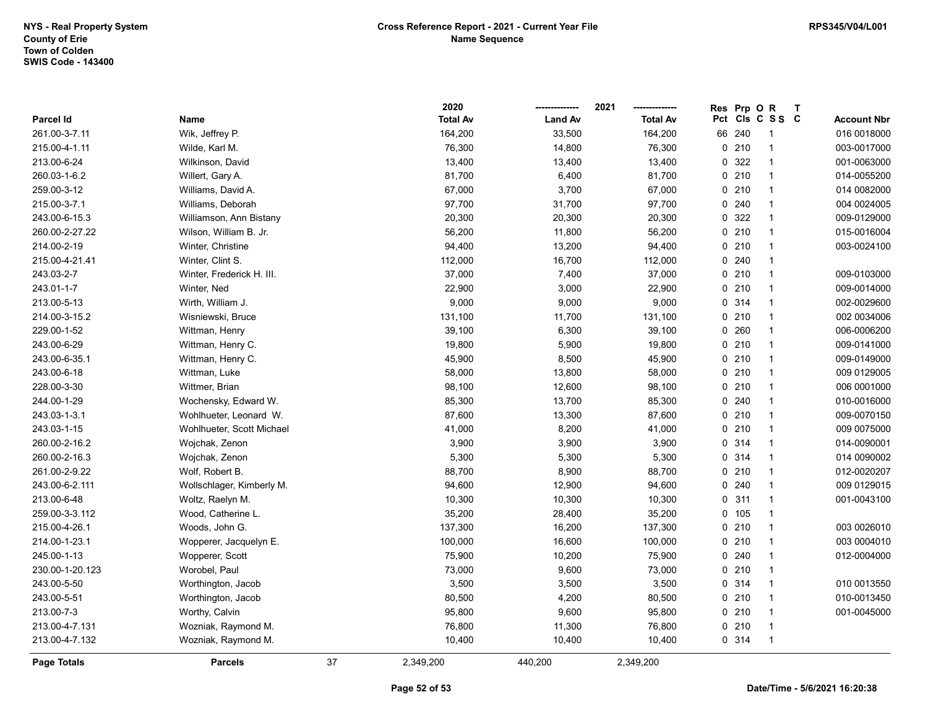|                    |                           |    | 2020            |                | 2021            | <b>Res</b> | Prp OR |                 | $\mathbf{T}$ |                    |
|--------------------|---------------------------|----|-----------------|----------------|-----------------|------------|--------|-----------------|--------------|--------------------|
| Parcel Id          | Name                      |    | <b>Total Av</b> | <b>Land Av</b> | <b>Total Av</b> |            |        | Pct Cls C S S C |              | <b>Account Nbr</b> |
| 261.00-3-7.11      | Wik, Jeffrey P.           |    | 164,200         | 33,500         | 164,200         | 66         | 240    | -1              |              | 016 0018000        |
| 215.00-4-1.11      | Wilde, Karl M.            |    | 76,300          | 14,800         | 76,300          |            | 0210   | $\overline{1}$  |              | 003-0017000        |
| 213.00-6-24        | Wilkinson, David          |    | 13,400          | 13,400         | 13,400          |            | 0 322  | $\overline{1}$  |              | 001-0063000        |
| 260.03-1-6.2       | Willert, Gary A.          |    | 81,700          | 6,400          | 81,700          |            | 0210   | $\overline{1}$  |              | 014-0055200        |
| 259.00-3-12        | Williams, David A.        |    | 67,000          | 3,700          | 67,000          |            | 0210   | $\overline{1}$  |              | 014 0082000        |
| 215.00-3-7.1       | Williams, Deborah         |    | 97,700          | 31,700         | 97,700          |            | 0.240  | $\overline{1}$  |              | 004 0024005        |
| 243.00-6-15.3      | Williamson, Ann Bistany   |    | 20,300          | 20,300         | 20,300          |            | 0 322  | -1              |              | 009-0129000        |
| 260.00-2-27.22     | Wilson, William B. Jr.    |    | 56,200          | 11,800         | 56,200          |            | 0210   | $\overline{1}$  |              | 015-0016004        |
| 214.00-2-19        | Winter, Christine         |    | 94,400          | 13,200         | 94,400          |            | 0210   | $\overline{1}$  |              | 003-0024100        |
| 215.00-4-21.41     | Winter, Clint S.          |    | 112,000         | 16,700         | 112,000         |            | 0.240  | $\overline{1}$  |              |                    |
| 243.03-2-7         | Winter, Frederick H. III. |    | 37,000          | 7,400          | 37,000          |            | 0210   | $\mathbf{1}$    |              | 009-0103000        |
| 243.01-1-7         | Winter, Ned               |    | 22,900          | 3,000          | 22,900          |            | 0210   | $\overline{1}$  |              | 009-0014000        |
| 213.00-5-13        | Wirth, William J.         |    | 9,000           | 9,000          | 9,000           |            | 0.314  | $\overline{1}$  |              | 002-0029600        |
| 214.00-3-15.2      | Wisniewski, Bruce         |    | 131,100         | 11,700         | 131,100         |            | 0210   | $\overline{1}$  |              | 002 0034006        |
| 229.00-1-52        | Wittman, Henry            |    | 39,100          | 6,300          | 39,100          |            | 0.260  | 1               |              | 006-0006200        |
| 243.00-6-29        | Wittman, Henry C.         |    | 19,800          | 5,900          | 19,800          |            | 0210   | $\overline{1}$  |              | 009-0141000        |
| 243.00-6-35.1      | Wittman, Henry C.         |    | 45,900          | 8,500          | 45,900          |            | 0210   | $\overline{1}$  |              | 009-0149000        |
| 243.00-6-18        | Wittman, Luke             |    | 58,000          | 13,800         | 58,000          |            | 0210   | $\overline{1}$  |              | 009 0129005        |
| 228.00-3-30        | Wittmer, Brian            |    | 98,100          | 12,600         | 98,100          |            | 0210   | $\overline{1}$  |              | 006 0001000        |
| 244.00-1-29        | Wochensky, Edward W.      |    | 85,300          | 13,700         | 85,300          |            | 0.240  | $\mathbf{1}$    |              | 010-0016000        |
| 243.03-1-3.1       | Wohlhueter, Leonard W.    |    | 87,600          | 13,300         | 87,600          |            | 0210   | $\overline{1}$  |              | 009-0070150        |
| 243.03-1-15        | Wohlhueter, Scott Michael |    | 41,000          | 8,200          | 41,000          |            | 0210   | $\overline{1}$  |              | 009 0075000        |
| 260.00-2-16.2      | Wojchak, Zenon            |    | 3,900           | 3,900          | 3,900           |            | 0.314  | $\overline{1}$  |              | 014-0090001        |
| 260.00-2-16.3      | Wojchak, Zenon            |    | 5,300           | 5,300          | 5,300           |            | 0 314  | $\mathbf{1}$    |              | 014 0090002        |
| 261.00-2-9.22      | Wolf, Robert B.           |    | 88,700          | 8,900          | 88,700          |            | 0210   | $\mathbf{1}$    |              | 012-0020207        |
| 243.00-6-2.111     | Wollschlager, Kimberly M. |    | 94,600          | 12,900         | 94,600          |            | 0.240  | $\overline{1}$  |              | 009 0129015        |
| 213.00-6-48        | Woltz, Raelyn M.          |    | 10,300          | 10,300         | 10,300          |            | 0.311  | $\overline{1}$  |              | 001-0043100        |
| 259.00-3-3.112     | Wood, Catherine L.        |    | 35,200          | 28,400         | 35,200          |            | 0, 105 | $\overline{1}$  |              |                    |
| 215.00-4-26.1      | Woods, John G.            |    | 137,300         | 16,200         | 137,300         |            | 0210   | $\overline{1}$  |              | 003 0026010        |
| 214.00-1-23.1      | Wopperer, Jacquelyn E.    |    | 100,000         | 16,600         | 100,000         |            | 0210   | $\overline{1}$  |              | 003 0004010        |
| 245.00-1-13        | Wopperer, Scott           |    | 75,900          | 10,200         | 75,900          |            | 0240   | $\overline{1}$  |              | 012-0004000        |
| 230.00-1-20.123    | Worobel, Paul             |    | 73,000          | 9,600          | 73,000          |            | 0210   | $\overline{1}$  |              |                    |
| 243.00-5-50        | Worthington, Jacob        |    | 3,500           | 3,500          | 3,500           |            | 0.314  | $\overline{1}$  |              | 010 0013550        |
| 243.00-5-51        | Worthington, Jacob        |    | 80,500          | 4,200          | 80,500          |            | 0210   | $\mathbf{1}$    |              | 010-0013450        |
| 213.00-7-3         | Worthy, Calvin            |    | 95,800          | 9,600          | 95,800          |            | 0210   | $\mathbf{1}$    |              | 001-0045000        |
| 213.00-4-7.131     | Wozniak, Raymond M.       |    | 76,800          | 11,300         | 76,800          |            | 0210   | $\overline{1}$  |              |                    |
| 213.00-4-7.132     | Wozniak, Raymond M.       |    | 10,400          | 10,400         | 10,400          |            | 0 314  | $\overline{1}$  |              |                    |
| <b>Page Totals</b> | <b>Parcels</b>            | 37 | 2,349,200       | 440,200        | 2,349,200       |            |        |                 |              |                    |